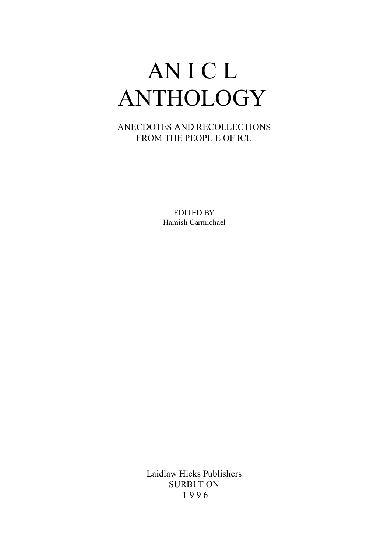# AN I C L ANTHOLOGY

ANECDOTES AND RECOLLECTIONS FROM THE PEOPL E OF ICL

> EDITED BY Hamish Carmichael

Laidlaw Hicks Publishers SURBI T ON 1 9 9 6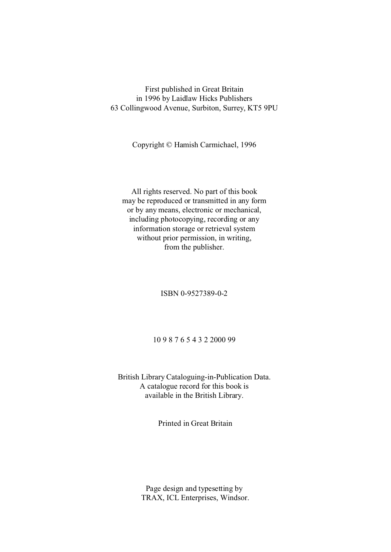### First published in Great Britain in 1996 by Laidlaw Hicks Publishers 63 Collingwood Avenue, Surbiton, Surrey, KT5 9PU

Copyright © Hamish Carmichael, 1996

All rights reserved. No part of this book may be reproduced or transmitted in any form or by any means, electronic or mechanical, including photocopying, recording or any information storage or retrieval system without prior permission, in writing, from the publisher.

ISBN 0-9527389-0-2

10 9 8 7 6 5 4 3 2 2000 99

British Library Cataloguing-in-Publication Data. A catalogue record for this book is available in the British Library.

Printed in Great Britain

Page design and typesetting by TRAX, ICL Enterprises, Windsor.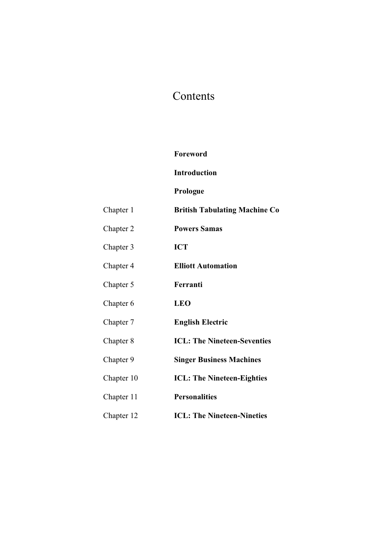## Contents

### **Foreword**

### **Introduction**

### **Prologue**

| Chapter 1  | <b>British Tabulating Machine Co</b> |
|------------|--------------------------------------|
| Chapter 2  | <b>Powers Samas</b>                  |
| Chapter 3  | <b>ICT</b>                           |
| Chapter 4  | <b>Elliott Automation</b>            |
| Chapter 5  | Ferranti                             |
| Chapter 6  | <b>LEO</b>                           |
| Chapter 7  | <b>English Electric</b>              |
| Chapter 8  | <b>ICL: The Nineteen-Seventies</b>   |
| Chapter 9  | <b>Singer Business Machines</b>      |
| Chapter 10 | <b>ICL:</b> The Nineteen-Eighties    |
| Chapter 11 | <b>Personalities</b>                 |
| Chapter 12 | <b>ICL: The Nineteen-Nineties</b>    |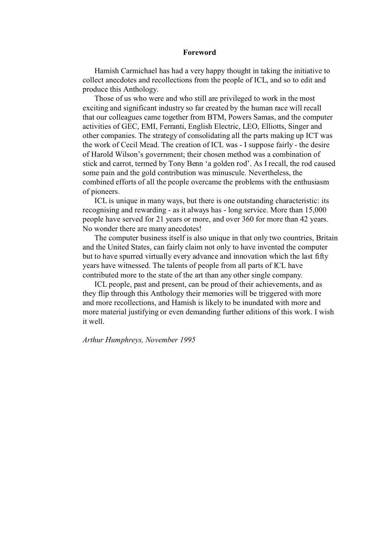#### **Foreword**

Hamish Carmichael has had a very happy thought in taking the initiative to collect anecdotes and recollections from the people of ICL, and so to edit and produce this Anthology.

Those of us who were and who still are privileged to work in the most exciting and significant industry so far created by the human race will recall that our colleagues came together from BTM, Powers Samas, and the computer activities of GEC, EMI, Ferranti, English Electric, LEO, Elliotts, Singer and other companies. The strategy of consolidating all the parts making up ICT was the work of Cecil Mead. The creation of ICL was - I suppose fairly - the desire of Harold Wilson's government; their chosen method was a combination of stick and carrot, termed by Tony Benn 'a golden rod'. As I recall, the rod caused some pain and the gold contribution was minuscule. Nevertheless, the combined efforts of all the people overcame the problems with the enthusiasm of pioneers.

ICL is unique in many ways, but there is one outstanding characteristic: its recognising and rewarding - as it always has - long service. More than 15,000 people have served for 21 years or more, and over 360 for more than 42 years. No wonder there are many anecdotes!

The computer business itself is also unique in that only two countries, Britain and the United States, can fairly claim not only to have invented the computer but to have spurred virtually every advance and innovation which the last fifty years have witnessed. The talents of people from all parts of ICL have contributed more to the state of the art than any other single company.

ICL people, past and present, can be proud of their achievements, and as they flip through this Anthology their memories will be triggered with more and more recollections, and Hamish is likely to be inundated with more and more material justifying or even demanding further editions of this work. I wish it well.

*Arthur Humphreys, November 1995*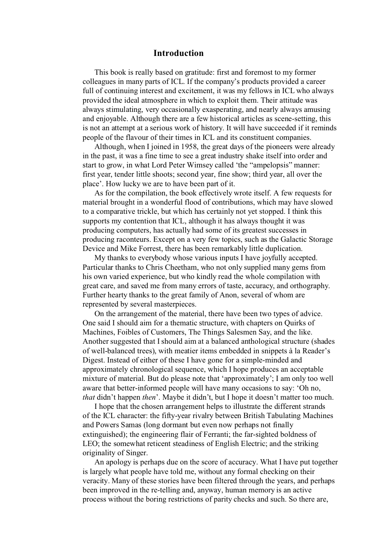### **Introduction**

This book is really based on gratitude: first and foremost to my former colleagues in many parts of ICL. If the company's products provided a career full of continuing interest and excitement, it was my fellows in ICL who always provided the ideal atmosphere in which to exploit them. Their attitude was always stimulating, very occasionally exasperating, and nearly always amusing and enjoyable. Although there are a few historical articles as scene-setting, this is not an attempt at a serious work of history. It will have succeeded if it reminds people of the flavour of their times in ICL and its constituent companies.

Although, when I joined in 1958, the great days of the pioneers were already in the past, it was a fine time to see a great industry shake itself into order and start to grow, in what Lord Peter Wimsey called 'the "ampelopsis" manner: first year, tender little shoots; second year, fine show; third year, all over the place'. How lucky we are to have been part of it.

As for the compilation, the book effectively wrote itself. A few requests for material brought in a wonderful flood of contributions, which may have slowed to a comparative trickle, but which has certainly not yet stopped. I think this supports my contention that ICL, although it has always thought it was producing computers, has actually had some of its greatest successes in producing raconteurs. Except on a very few topics, such as the Galactic Storage Device and Mike Forrest, there has been remarkably little duplication.

My thanks to everybody whose various inputs I have joyfully accepted. Particular thanks to Chris Cheetham, who not only supplied many gems from his own varied experience, but who kindly read the whole compilation with great care, and saved me from many errors of taste, accuracy, and orthography. Further hearty thanks to the great family of Anon, several of whom are represented by several masterpieces.

On the arrangement of the material, there have been two types of advice. One said I should aim for a thematic structure, with chapters on Quirks of Machines, Foibles of Customers, The Things Salesmen Say, and the like. Another suggested that I should aim at a balanced anthological structure (shades of well-balanced trees), with meatier items embedded in snippets à la Reader's Digest. Instead of either of these I have gone for a simple-minded and approximately chronological sequence, which I hope produces an acceptable mixture of material. But do please note that 'approximately'; I am only too well aware that better-informed people will have many occasions to say: 'Oh no, *that* didn't happen *then*'. Maybe it didn't, but I hope it doesn't matter too much.

I hope that the chosen arrangement helps to illustrate the different strands of the ICL character: the fifty-year rivalry between British Tabulating Machines and Powers Samas (long dormant but even now perhaps not finally extinguished); the engineering flair of Ferranti; the far-sighted boldness of LEO; the somewhat reticent steadiness of English Electric; and the striking originality of Singer.

An apology is perhaps due on the score of accuracy. What I have put together is largely what people have told me, without any formal checking on their veracity. Many of these stories have been filtered through the years, and perhaps been improved in the re-telling and, anyway, human memory is an active process without the boring restrictions of parity checks and such. So there are,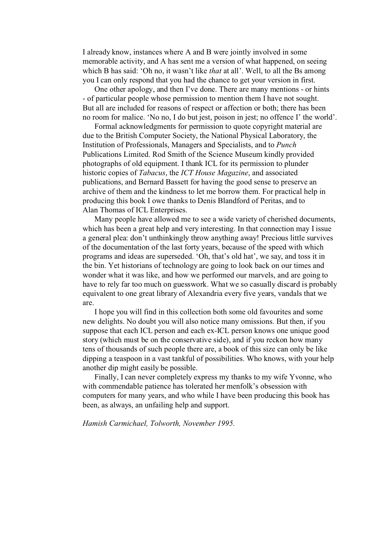I already know, instances where A and B were jointly involved in some memorable activity, and A has sent me a version of what happened, on seeing which B has said: 'Oh no, it wasn't like *that* at all'. Well, to all the Bs among you I can only respond that you had the chance to get your version in first.

One other apology, and then I've done. There are many mentions - or hints - of particular people whose permission to mention them I have not sought. But all are included for reasons of respect or affection or both; there has been no room for malice. 'No no, I do but jest, poison in jest; no offence I' the world'.

Formal acknowledgments for permission to quote copyright material are due to the British Computer Society, the National Physical Laboratory, the Institution of Professionals, Managers and Specialists, and to *Punch* Publications Limited. Rod Smith of the Science Museum kindly provided photographs of old equipment. I thank ICL for its permission to plunder historic copies of *Tabacus*, the *ICT House Magazine*, and associated publications, and Bernard Bassett for having the good sense to preserve an archive of them and the kindness to let me borrow them. For practical help in producing this book I owe thanks to Denis Blandford of Peritas, and to Alan Thomas of ICL Enterprises.

Many people have allowed me to see a wide variety of cherished documents, which has been a great help and very interesting. In that connection may I issue a general plea: don't unthinkingly throw anything away! Precious little survives of the documentation of the last forty years, because of the speed with which programs and ideas are superseded. 'Oh, that's old hat', we say, and toss it in the bin. Yet historians of technology are going to look back on our times and wonder what it was like, and how we performed our marvels, and are going to have to rely far too much on guesswork. What we so casually discard is probably equivalent to one great library of Alexandria every five years, vandals that we are.

I hope you will find in this collection both some old favourites and some new delights. No doubt you will also notice many omissions. But then, if you suppose that each ICL person and each ex-ICL person knows one unique good story (which must be on the conservative side), and if you reckon how many tens of thousands of such people there are, a book of this size can only be like dipping a teaspoon in a vast tankful of possibilities. Who knows, with your help another dip might easily be possible.

Finally, I can never completely express my thanks to my wife Yvonne, who with commendable patience has tolerated her menfolk's obsession with computers for many years, and who while I have been producing this book has been, as always, an unfailing help and support.

*Hamish Carmichael, Tolworth, November 1995.*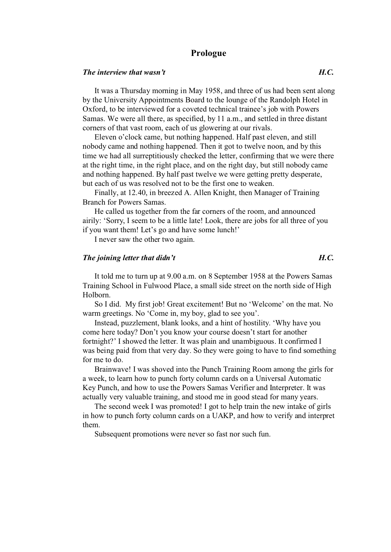### **Prologue**

#### *The interview that wasn't H.C.*

It was a Thursday morning in May 1958, and three of us had been sent along by the University Appointments Board to the lounge of the Randolph Hotel in Oxford, to be interviewed for a coveted technical trainee's job with Powers Samas. We were all there, as specified, by 11 a.m., and settled in three distant corners of that vast room, each of us glowering at our rivals.

Eleven o'clock came, but nothing happened. Half past eleven, and still nobody came and nothing happened. Then it got to twelve noon, and by this time we had all surreptitiously checked the letter, confirming that we were there at the right time, in the right place, and on the right day, but still nobody came and nothing happened. By half past twelve we were getting pretty desperate, but each of us was resolved not to be the first one to weaken.

Finally, at 12.40, in breezed A. Allen Knight, then Manager of Training Branch for Powers Samas.

He called us together from the far corners of the room, and announced airily: 'Sorry, I seem to be a little late! Look, there are jobs for all three of you if you want them! Let's go and have some lunch!'

I never saw the other two again.

### *The joining letter that didn't*  $H.C.$

It told me to turn up at 9.00 a.m. on 8 September 1958 at the Powers Samas Training School in Fulwood Place, a small side street on the north side of High Holborn.

So I did. My first job! Great excitement! But no 'Welcome' on the mat. No warm greetings. No 'Come in, my boy, glad to see you'.

Instead, puzzlement, blank looks, and a hint of hostility. 'Why have you come here today? Don't you know your course doesn't start for another fortnight?' I showed the letter. It was plain and unambiguous. It confirmed I was being paid from that very day. So they were going to have to find something for me to do.

Brainwave! I was shoved into the Punch Training Room among the girls for a week, to learn how to punch forty column cards on a Universal Automatic Key Punch, and how to use the Powers Samas Verifier and Interpreter. It was actually very valuable training, and stood me in good stead for many years.

The second week I was promoted! I got to help train the new intake of girls in how to punch forty column cards on a UAKP, and how to verify and interpret them.

Subsequent promotions were never so fast nor such fun.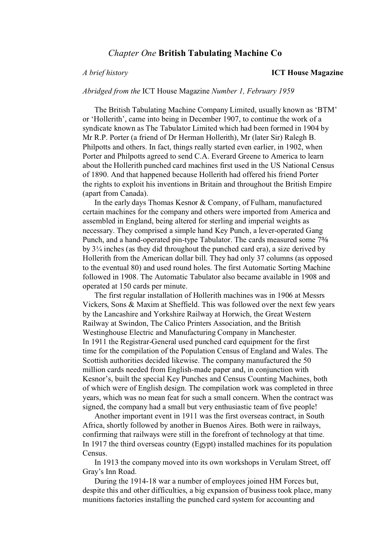### *Chapter One* **British Tabulating Machine Co**

#### *A brief history* **ICT House Magazine**

*Abridged from the* ICT House Magazine *Number 1, February 1959* 

The British Tabulating Machine Company Limited, usually known as 'BTM' or 'Hollerith', came into being in December 1907, to continue the work of a syndicate known as The Tabulator Limited which had been formed in 1904 by Mr R.P. Porter (a friend of Dr Herman Hollerith), Mr (later Sir) Ralegh B. Philpotts and others. In fact, things really started even earlier, in 1902, when Porter and Philpotts agreed to send C.A. Everard Greene to America to learn about the Hollerith punched card machines first used in the US National Census of 1890. And that happened because Hollerith had offered his friend Porter the rights to exploit his inventions in Britain and throughout the British Empire (apart from Canada).

In the early days Thomas Kesnor & Company, of Fulham, manufactured certain machines for the company and others were imported from America and assembled in England, being altered for sterling and imperial weights as necessary. They comprised a simple hand Key Punch, a lever-operated Gang Punch, and a hand-operated pin-type Tabulator. The cards measured some 7% by 3¼ inches (as they did throughout the punched card era), a size derived by Hollerith from the American dollar bill. They had only 37 columns (as opposed to the eventual 80) and used round holes. The first Automatic Sorting Machine followed in 1908. The Automatic Tabulator also became available in 1908 and operated at 150 cards per minute.

The first regular installation of Hollerith machines was in 1906 at Messrs Vickers, Sons & Maxim at Sheffield. This was followed over the next few years by the Lancashire and Yorkshire Railway at Horwich, the Great Western Railway at Swindon, The Calico Printers Association, and the British Westinghouse Electric and Manufacturing Company in Manchester. In 1911 the Registrar-General used punched card equipment for the first time for the compilation of the Population Census of England and Wales. The Scottish authorities decided likewise. The company manufactured the 50 million cards needed from English-made paper and, in conjunction with Kesnor's, built the special Key Punches and Census Counting Machines, both of which were of English design. The compilation work was completed in three years, which was no mean feat for such a small concern. When the contract was signed, the company had a small but very enthusiastic team of five people!

Another important event in 1911 was the first overseas contract, in South Africa, shortly followed by another in Buenos Aires. Both were in railways, confirming that railways were still in the forefront of technology at that time. In 1917 the third overseas country (Egypt) installed machines for its population Census.

In 1913 the company moved into its own workshops in Verulam Street, off Gray's Inn Road.

During the 1914-18 war a number of employees joined HM Forces but, despite this and other difficulties, a big expansion of business took place, many munitions factories installing the punched card system for accounting and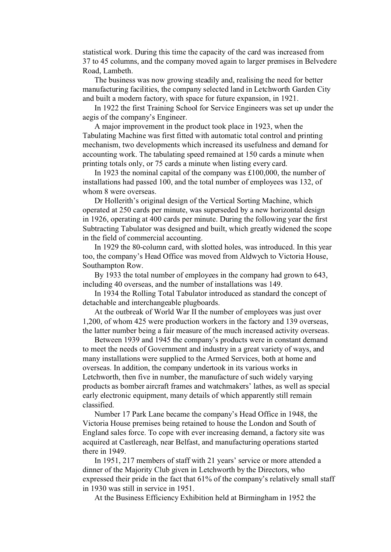statistical work. During this time the capacity of the card was increased from 37 to 45 columns, and the company moved again to larger premises in Belvedere Road, Lambeth.

The business was now growing steadily and, realising the need for better manufacturing facilities, the company selected land in Letchworth Garden City and built a modern factory, with space for future expansion, in 1921.

In 1922 the first Training School for Service Engineers was set up under the aegis of the company's Engineer.

A major improvement in the product took place in 1923, when the Tabulating Machine was first fitted with automatic total control and printing mechanism, two developments which increased its usefulness and demand for accounting work. The tabulating speed remained at 150 cards a minute when printing totals only, or 75 cards a minute when listing every card.

In 1923 the nominal capital of the company was £100,000, the number of installations had passed 100, and the total number of employees was 132, of whom 8 were overseas.

Dr Hollerith's original design of the Vertical Sorting Machine, which operated at 250 cards per minute, was superseded by a new horizontal design in 1926, operating at 400 cards per minute. During the following year the first Subtracting Tabulator was designed and built, which greatly widened the scope in the field of commercial accounting.

In 1929 the 80-column card, with slotted holes, was introduced. In this year too, the company's Head Office was moved from Aldwych to Victoria House, Southampton Row.

By 1933 the total number of employees in the company had grown to 643, including 40 overseas, and the number of installations was 149.

In 1934 the Rolling Total Tabulator introduced as standard the concept of detachable and interchangeable plugboards.

At the outbreak of World War II the number of employees was just over 1,200, of whom 425 were production workers in the factory and 139 overseas, the latter number being a fair measure of the much increased activity overseas.

Between 1939 and 1945 the company's products were in constant demand to meet the needs of Government and industry in a great variety of ways, and many installations were supplied to the Armed Services, both at home and overseas. In addition, the company undertook in its various works in Letchworth, then five in number, the manufacture of such widely varying products as bomber aircraft frames and watchmakers' lathes, as well as special early electronic equipment, many details of which apparently still remain classified.

Number 17 Park Lane became the company's Head Office in 1948, the Victoria House premises being retained to house the London and South of England sales force. To cope with ever increasing demand, a factory site was acquired at Castlereagh, near Belfast, and manufacturing operations started there in 1949.

In 1951, 217 members of staff with 21 years' service or more attended a dinner of the Majority Club given in Letchworth by the Directors, who expressed their pride in the fact that 61% of the company's relatively small staff in 1930 was still in service in 1951.

At the Business Efficiency Exhibition held at Birmingham in 1952 the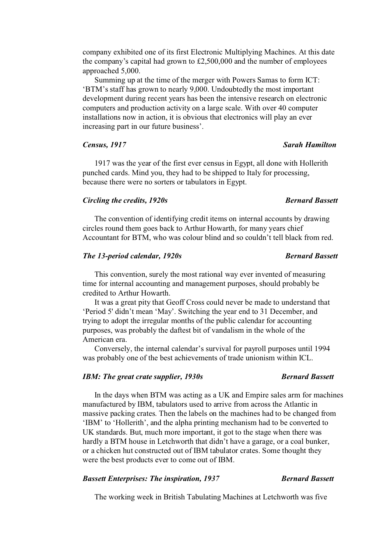company exhibited one of its first Electronic Multiplying Machines. At this date the company's capital had grown to £2,500,000 and the number of employees approached 5,000.

Summing up at the time of the merger with Powers Samas to form ICT: 'BTM's staff has grown to nearly 9,000. Undoubtedly the most important development during recent years has been the intensive research on electronic computers and production activity on a large scale. With over 40 computer installations now in action, it is obvious that electronics will play an ever increasing part in our future business'.

#### *Census, 1917 Sarah Hamilton*

1917 was the year of the first ever census in Egypt, all done with Hollerith punched cards. Mind you, they had to be shipped to Italy for processing, because there were no sorters or tabulators in Egypt.

#### *Circling the credits, 1920s* Bernard Bassett

The convention of identifying credit items on internal accounts by drawing circles round them goes back to Arthur Howarth, for many years chief Accountant for BTM, who was colour blind and so couldn't tell black from red.

### *The 13-period calendar, 1920s Bernard Bassett*

This convention, surely the most rational way ever invented of measuring time for internal accounting and management purposes, should probably be credited to Arthur Howarth.

It was a great pity that Geoff Cross could never be made to understand that 'Period 5' didn't mean 'May'. Switching the year end to 31 December, and trying to adopt the irregular months of the public calendar for accounting purposes, was probably the daftest bit of vandalism in the whole of the American era.

Conversely, the internal calendar's survival for payroll purposes until 1994 was probably one of the best achievements of trade unionism within ICL.

### *IBM: The great crate supplier, 1930s* Bernard Bassett

In the days when BTM was acting as a UK and Empire sales arm for machines manufactured by IBM, tabulators used to arrive from across the Atlantic in massive packing crates. Then the labels on the machines had to be changed from 'IBM' to 'Hollerith', and the alpha printing mechanism had to be converted to UK standards. But, much more important, it got to the stage when there was hardly a BTM house in Letchworth that didn't have a garage, or a coal bunker, or a chicken hut constructed out of IBM tabulator crates. Some thought they were the best products ever to come out of IBM.

### *Bassett Enterprises: The inspiration, 1937* Bernard Bassett

The working week in British Tabulating Machines at Letchworth was five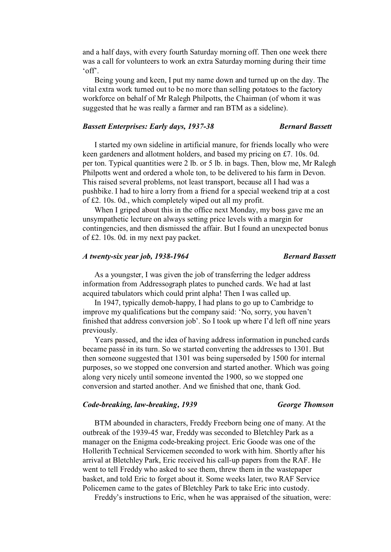and a half days, with every fourth Saturday morning off. Then one week there was a call for volunteers to work an extra Saturday morning during their time 'off'.

Being young and keen, I put my name down and turned up on the day. The vital extra work turned out to be no more than selling potatoes to the factory workforce on behalf of Mr Ralegh Philpotts, the Chairman (of whom it was suggested that he was really a farmer and ran BTM as a sideline).

### *Bassett Enterprises: Early days, 1937-38 Bernard Bassett*

I started my own sideline in artificial manure, for friends locally who were keen gardeners and allotment holders, and based my pricing on £7. 10s. 0d. per ton. Typical quantities were 2 lb. or 5 lb. in bags. Then, blow me, Mr Ralegh Philpotts went and ordered a whole ton, to be delivered to his farm in Devon. This raised several problems, not least transport, because all I had was a pushbike. I had to hire a lorry from a friend for a special weekend trip at a cost of £2. 10s. 0d., which completely wiped out all my profit.

When I griped about this in the office next Monday, my boss gave me an unsympathetic lecture on always setting price levels with a margin for contingencies, and then dismissed the affair. But I found an unexpected bonus of £2. 10s. 0d. in my next pay packet.

### *A twenty-six year job, 1938-1964 Bernard Bassett*

As a youngster, I was given the job of transferring the ledger address information from Addressograph plates to punched cards. We had at last acquired tabulators which could print alpha! Then I was called up.

In 1947, typically demob-happy, I had plans to go up to Cambridge to improve my qualifications but the company said: 'No, sorry, you haven't finished that address conversion job'. So I took up where I'd left off nine years previously.

Years passed, and the idea of having address information in punched cards became passé in its turn. So we started converting the addresses to 1301. But then someone suggested that 1301 was being superseded by 1500 for internal purposes, so we stopped one conversion and started another. Which was going along very nicely until someone invented the 1900, so we stopped one conversion and started another. And we finished that one, thank God.

### *Code-breaking, law-breaking, 1939 George Thomson*

BTM abounded in characters, Freddy Freeborn being one of many. At the outbreak of the 1939-45 war, Freddy was seconded to Bletchley Park as a manager on the Enigma code-breaking project. Eric Goode was one of the Hollerith Technical Servicemen seconded to work with him. Shortly after his arrival at Bletchley Park, Eric received his call-up papers from the RAF. He went to tell Freddy who asked to see them, threw them in the wastepaper basket, and told Eric to forget about it. Some weeks later, two RAF Service Policemen came to the gates of Bletchley Park to take Eric into custody.

Freddy's instructions to Eric, when he was appraised of the situation, were: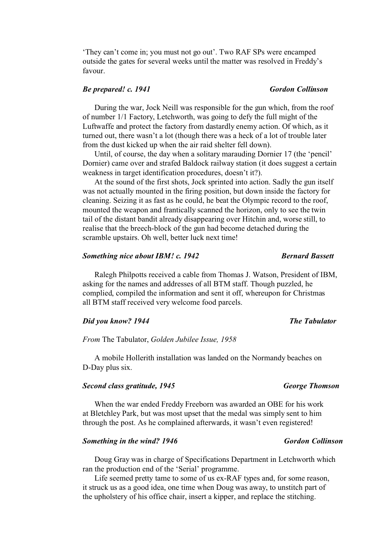'They can't come in; you must not go out'. Two RAF SPs were encamped outside the gates for several weeks until the matter was resolved in Freddy's favour.

### *Be prepared! c. 1941 Gordon Collinson*

During the war, Jock Neill was responsible for the gun which, from the roof of number 1/1 Factory, Letchworth, was going to defy the full might of the Luftwaffe and protect the factory from dastardly enemy action. Of which, as it turned out, there wasn't a lot (though there was a heck of a lot of trouble later from the dust kicked up when the air raid shelter fell down).

Until, of course, the day when a solitary marauding Dornier 17 (the 'pencil' Dornier) came over and strafed Baldock railway station (it does suggest a certain weakness in target identification procedures, doesn't it?).

At the sound of the first shots, Jock sprinted into action. Sadly the gun itself was not actually mounted in the firing position, but down inside the factory for cleaning. Seizing it as fast as he could, he beat the Olympic record to the roof, mounted the weapon and frantically scanned the horizon, only to see the twin tail of the distant bandit already disappearing over Hitchin and, worse still, to realise that the breech-block of the gun had become detached during the scramble upstairs. Oh well, better luck next time!

### *Something nice about IBM! c. 1942* Bernard Bassett

Ralegh Philpotts received a cable from Thomas J. Watson, President of IBM, asking for the names and addresses of all BTM staff. Though puzzled, he complied, compiled the information and sent it off, whereupon for Christmas all BTM staff received very welcome food parcels.

### *Did you know?* 1944 The Tabulator *The Tabulator*

*From* The Tabulator, *Golden Jubilee Issue, 1958* 

A mobile Hollerith installation was landed on the Normandy beaches on D-Day plus six.

#### *Second class gratitude, 1945 George Thomson*

When the war ended Freddy Freeborn was awarded an OBE for his work at Bletchley Park, but was most upset that the medal was simply sent to him through the post. As he complained afterwards, it wasn't even registered!

### *Something in the wind? 1946 Gordon Collinson*

Doug Gray was in charge of Specifications Department in Letchworth which ran the production end of the 'Serial' programme.

Life seemed pretty tame to some of us ex-RAF types and, for some reason, it struck us as a good idea, one time when Doug was away, to unstitch part of the upholstery of his office chair, insert a kipper, and replace the stitching.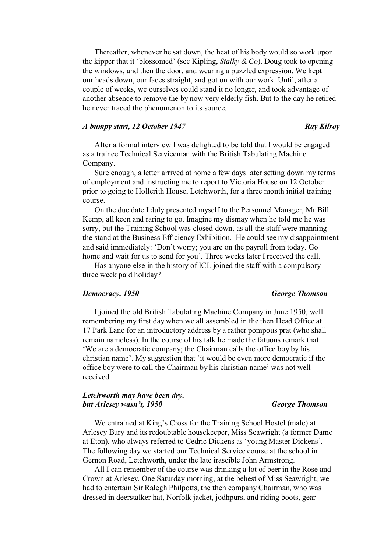Thereafter, whenever he sat down, the heat of his body would so work upon the kipper that it 'blossomed' (see Kipling, *Stalky & Co*). Doug took to opening the windows, and then the door, and wearing a puzzled expression. We kept our heads down, our faces straight, and got on with our work. Until, after a couple of weeks, we ourselves could stand it no longer, and took advantage of another absence to remove the by now very elderly fish. But to the day he retired he never traced the phenomenon to its source.

### *A bumpy start, 12 October 1947 Ray Kilroy*

After a formal interview I was delighted to be told that I would be engaged as a trainee Technical Serviceman with the British Tabulating Machine Company.

Sure enough, a letter arrived at home a few days later setting down my terms of employment and instructing me to report to Victoria House on 12 October prior to going to Hollerith House, Letchworth, for a three month initial training course.

On the due date I duly presented myself to the Personnel Manager, Mr Bill Kemp, all keen and raring to go. Imagine my dismay when he told me he was sorry, but the Training School was closed down, as all the staff were manning the stand at the Business Efficiency Exhibition. He could see my disappointment and said immediately: 'Don't worry; you are on the payroll from today. Go home and wait for us to send for you'. Three weeks later I received the call.

Has anyone else in the history of ICL joined the staff with a compulsory three week paid holiday?

### *Democracy, 1950 George Thomson*

I joined the old British Tabulating Machine Company in June 1950, well remembering my first day when we all assembled in the then Head Office at 17 Park Lane for an introductory address by a rather pompous prat (who shall remain nameless). In the course of his talk he made the fatuous remark that: 'We are a democratic company; the Chairman calls the office boy by his christian name'. My suggestion that 'it would be even more democratic if the office boy were to call the Chairman by his christian name' was not well received.

### *Letchworth may have been dry, but Arlesey wasn't, 1950 George Thomson*

We entrained at King's Cross for the Training School Hostel (male) at Arlesey Bury and its redoubtable housekeeper, Miss Seawright (a former Dame at Eton), who always referred to Cedric Dickens as 'young Master Dickens'. The following day we started our Technical Service course at the school in Gernon Road, Letchworth, under the late irascible John Armstrong.

All I can remember of the course was drinking a lot of beer in the Rose and Crown at Arlesey. One Saturday morning, at the behest of Miss Seawright, we had to entertain Sir Ralegh Philpotts, the then company Chairman, who was dressed in deerstalker hat, Norfolk jacket, jodhpurs, and riding boots, gear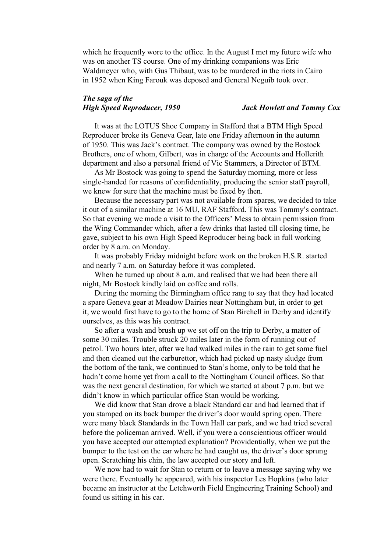which he frequently wore to the office. In the August I met my future wife who was on another TS course. One of my drinking companions was Eric Waldmeyer who, with Gus Thibaut, was to be murdered in the riots in Cairo in 1952 when King Farouk was deposed and General Neguib took over.

### *The saga of the High Speed Reproducer, 1950 Jack Howlett and Tommy Cox*

It was at the LOTUS Shoe Company in Stafford that a BTM High Speed Reproducer broke its Geneva Gear, late one Friday afternoon in the autumn of 1950. This was Jack's contract. The company was owned by the Bostock Brothers, one of whom, Gilbert, was in charge of the Accounts and Hollerith department and also a personal friend of Vic Stammers, a Director of BTM.

As Mr Bostock was going to spend the Saturday morning, more or less single-handed for reasons of confidentiality, producing the senior staff payroll, we knew for sure that the machine must be fixed by then.

Because the necessary part was not available from spares, we decided to take it out of a similar machine at 16 MU, RAF Stafford. This was Tommy's contract. So that evening we made a visit to the Officers' Mess to obtain permission from the Wing Commander which, after a few drinks that lasted till closing time, he gave, subject to his own High Speed Reproducer being back in full working order by 8 a.m. on Monday.

It was probably Friday midnight before work on the broken H.S.R. started and nearly 7 a.m. on Saturday before it was completed.

When he turned up about 8 a.m. and realised that we had been there all night, Mr Bostock kindly laid on coffee and rolls.

During the morning the Birmingham office rang to say that they had located a spare Geneva gear at Meadow Dairies near Nottingham but, in order to get it, we would first have to go to the home of Stan Birchell in Derby and identify ourselves, as this was his contract.

So after a wash and brush up we set off on the trip to Derby, a matter of some 30 miles. Trouble struck 20 miles later in the form of running out of petrol. Two hours later, after we had walked miles in the rain to get some fuel and then cleaned out the carburettor, which had picked up nasty sludge from the bottom of the tank, we continued to Stan's home, only to be told that he hadn't come home yet from a call to the Nottingham Council offices. So that was the next general destination, for which we started at about 7 p.m. but we didn't know in which particular office Stan would be working.

We did know that Stan drove a black Standard car and had learned that if you stamped on its back bumper the driver's door would spring open. There were many black Standards in the Town Hall car park, and we had tried several before the policeman arrived. Well, if you were a conscientious officer would you have accepted our attempted explanation? Providentially, when we put the bumper to the test on the car where he had caught us, the driver's door sprung open. Scratching his chin, the law accepted our story and left.

We now had to wait for Stan to return or to leave a message saying why we were there. Eventually he appeared, with his inspector Les Hopkins (who later became an instructor at the Letchworth Field Engineering Training School) and found us sitting in his car.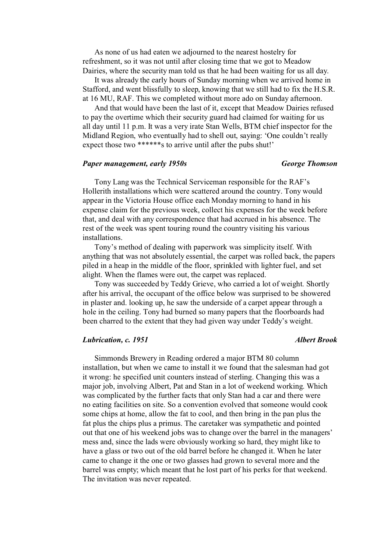As none of us had eaten we adjourned to the nearest hostelry for refreshment, so it was not until after closing time that we got to Meadow Dairies, where the security man told us that he had been waiting for us all day.

It was already the early hours of Sunday morning when we arrived home in Stafford, and went blissfully to sleep, knowing that we still had to fix the H.S.R. at 16 MU, RAF. This we completed without more ado on Sunday afternoon.

And that would have been the last of it, except that Meadow Dairies refused to pay the overtime which their security guard had claimed for waiting for us all day until 11 p.m. It was a very irate Stan Wells, BTM chief inspector for the Midland Region, who eventually had to shell out, saying: 'One couldn't really expect those two \*\*\*\*\*\*s to arrive until after the pubs shut!'

#### *Paper management, early 1950s George Thomson*

Tony Lang was the Technical Serviceman responsible for the RAF's Hollerith installations which were scattered around the country. Tony would appear in the Victoria House office each Monday morning to hand in his expense claim for the previous week, collect his expenses for the week before that, and deal with any correspondence that had accrued in his absence. The rest of the week was spent touring round the country visiting his various installations.

Tony's method of dealing with paperwork was simplicity itself. With anything that was not absolutely essential, the carpet was rolled back, the papers piled in a heap in the middle of the floor, sprinkled with lighter fuel, and set alight. When the flames were out, the carpet was replaced.

Tony was succeeded by Teddy Grieve, who carried a lot of weight. Shortly after his arrival, the occupant of the office below was surprised to be showered in plaster and. looking up, he saw the underside of a carpet appear through a hole in the ceiling. Tony had burned so many papers that the floorboards had been charred to the extent that they had given way under Teddy's weight.

#### *Lubrication, c. 1951 Albert Brook*

Simmonds Brewery in Reading ordered a major BTM 80 column installation, but when we came to install it we found that the salesman had got it wrong: he specified unit counters instead of sterling. Changing this was a major job, involving Albert, Pat and Stan in a lot of weekend working. Which was complicated by the further facts that only Stan had a car and there were no eating facilities on site. So a convention evolved that someone would cook some chips at home, allow the fat to cool, and then bring in the pan plus the fat plus the chips plus a primus. The caretaker was sympathetic and pointed out that one of his weekend jobs was to change over the barrel in the managers' mess and, since the lads were obviously working so hard, they might like to have a glass or two out of the old barrel before he changed it. When he later came to change it the one or two glasses had grown to several more and the barrel was empty; which meant that he lost part of his perks for that weekend. The invitation was never repeated.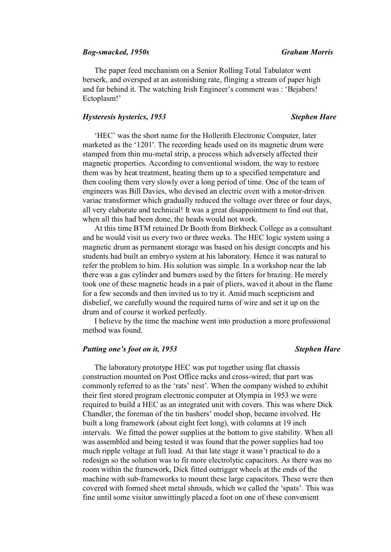### *Bog-smacked, 1950s Graham Morris*

The paper feed mechanism on a Senior Rolling Total Tabulator went berserk, and oversped at an astonishing rate, flinging a stream of paper high and far behind it. The watching Irish Engineer's comment was : 'Bejabers! Ectoplasm!'

#### *Hysteresis hysterics, 1953 Stephen Hare*

'HEC' was the short name for the Hollerith Electronic Computer, later marketed as the '1201'. The recording heads used on its magnetic drum were stamped from thin mu-metal strip, a process which adversely affected their magnetic properties. According to conventional wisdom, the way to restore them was by heat treatment, heating them up to a specified temperature and then cooling them very slowly over a long period of time. One of the team of engineers was Bill Davies, who devised an electric oven with a motor-driven variac transformer which gradually reduced the voltage over three or four days, all very elaborate and technical! It was a great disappointment to find out that, when all this had been done, the heads would not work.

At this time BTM retained Dr Booth from Birkbeck College as a consultant and he would visit us every two or three weeks. The HEC logic system using a magnetic drum as permanent storage was based on his design concepts and his students had built an embryo system at his laboratory. Hence it was natural to refer the problem to him. His solution was simple. In a workshop near the lab there was a gas cylinder and burners used by the fitters for brazing. He merely took one of these magnetic heads in a pair of pliers, waved it about in the flame for a few seconds and then invited us to try it. Amid much scepticism and disbelief, we carefully wound the required turns of wire and set it up on the drum and of course it worked perfectly.

I believe by the time the machine went into production a more professional method was found.

### *Putting one's foot on it, 1953 Stephen Hare*

The laboratory prototype HEC was put together using flat chassis construction mounted on Post Office racks and cross-wired; that part was commonly referred to as the 'rats' nest'. When the company wished to exhibit their first stored program electronic computer at Olympia in 1953 we were required to build a HEC as an integrated unit with covers. This was where Dick Chandler, the foreman of the tin bashers' model shop, became involved. He built a long framework (about eight feet long), with columns at 19 inch intervals. We fitted the power supplies at the bottom to give stability. When all was assembled and being tested it was found that the power supplies had too much ripple voltage at full load. At that late stage it wasn't practical to do a redesign so the solution was to fit more electrolytic capacitors. As there was no room within the framework, Dick fitted outrigger wheels at the ends of the machine with sub-frameworks to mount these large capacitors. These were then covered with formed sheet metal shrouds, which we called the 'spats'. This was fine until some visitor unwittingly placed a foot on one of these convenient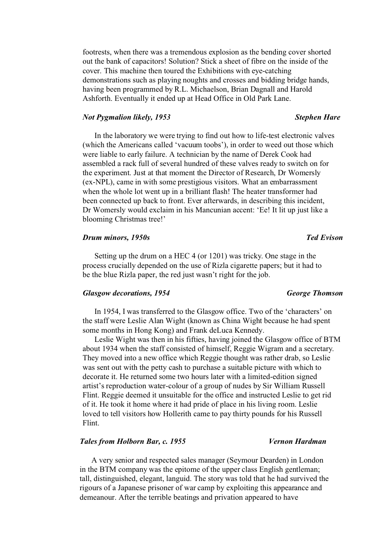footrests, when there was a tremendous explosion as the bending cover shorted out the bank of capacitors! Solution? Stick a sheet of fibre on the inside of the cover. This machine then toured the Exhibitions with eye-catching demonstrations such as playing noughts and crosses and bidding bridge hands, having been programmed by R.L. Michaelson, Brian Dagnall and Harold Ashforth. Eventually it ended up at Head Office in Old Park Lane.

#### *Not Pygmalion likely, 1953 Stephen Hare*

In the laboratory we were trying to find out how to life-test electronic valves (which the Americans called 'vacuum toobs'), in order to weed out those which were liable to early failure. A technician by the name of Derek Cook had assembled a rack full of several hundred of these valves ready to switch on for the experiment. Just at that moment the Director of Research, Dr Womersly (ex-NPL), came in with some prestigious visitors. What an embarrassment when the whole lot went up in a brilliant flash! The heater transformer had been connected up back to front. Ever afterwards, in describing this incident, Dr Womersly would exclaim in his Mancunian accent: 'Ee! It lit up just like a blooming Christmas tree!'

### *Drum minors, 1950s Ted Evison*

Setting up the drum on a HEC 4 (or 1201) was tricky. One stage in the process crucially depended on the use of Rizla cigarette papers; but it had to be the blue Rizla paper, the red just wasn't right for the job.

#### *Glasgow decorations, 1954 George Thomson*

In 1954, I was transferred to the Glasgow office. Two of the 'characters' on the staff were Leslie Alan Wight (known as China Wight because he had spent some months in Hong Kong) and Frank deLuca Kennedy.

Leslie Wight was then in his fifties, having joined the Glasgow office of BTM about 1934 when the staff consisted of himself, Reggie Wigram and a secretary. They moved into a new office which Reggie thought was rather drab, so Leslie was sent out with the petty cash to purchase a suitable picture with which to decorate it. He returned some two hours later with a limited-edition signed artist's reproduction water-colour of a group of nudes by Sir William Russell Flint. Reggie deemed it unsuitable for the office and instructed Leslie to get rid of it. He took it home where it had pride of place in his living room. Leslie loved to tell visitors how Hollerith came to pay thirty pounds for his Russell Flint.

### *Tales from Holborn Bar, c. 1955 Vernon Hardman*

A very senior and respected sales manager (Seymour Dearden) in London in the BTM company was the epitome of the upper class English gentleman; tall, distinguished, elegant, languid. The story was told that he had survived the rigours of a Japanese prisoner of war camp by exploiting this appearance and demeanour. After the terrible beatings and privation appeared to have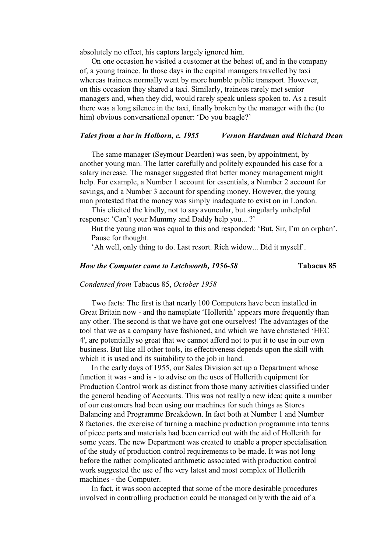absolutely no effect, his captors largely ignored him.

On one occasion he visited a customer at the behest of, and in the company of, a young trainee. In those days in the capital managers travelled by taxi whereas trainees normally went by more humble public transport. However, on this occasion they shared a taxi. Similarly, trainees rarely met senior managers and, when they did, would rarely speak unless spoken to. As a result there was a long silence in the taxi, finally broken by the manager with the (to him) obvious conversational opener: 'Do you beagle?'

### *Tales from a bar in Holborn, c. 1955 Vernon Hardman and Richard Dean*

The same manager (Seymour Dearden) was seen, by appointment, by another young man. The latter carefully and politely expounded his case for a salary increase. The manager suggested that better money management might help. For example, a Number 1 account for essentials, a Number 2 account for savings, and a Number 3 account for spending money. However, the young man protested that the money was simply inadequate to exist on in London.

This elicited the kindly, not to say avuncular, but singularly unhelpful response: 'Can't your Mummy and Daddy help you... ?'

But the young man was equal to this and responded: 'But, Sir, I'm an orphan'. Pause for thought.

'Ah well, only thing to do. Last resort. Rich widow... Did it myself'.

### *How the Computer came to Letchworth, 1956-58* **Tabacus 85**

#### *Condensed from* Tabacus 85, *October 1958*

Two facts: The first is that nearly 100 Computers have been installed in Great Britain now - and the nameplate 'Hollerith' appears more frequently than any other. The second is that we have got one ourselves! The advantages of the tool that we as a company have fashioned, and which we have christened 'HEC 4', are potentially so great that we cannot afford not to put it to use in our own business. But like all other tools, its effectiveness depends upon the skill with which it is used and its suitability to the job in hand.

In the early days of 1955, our Sales Division set up a Department whose function it was - and is - to advise on the uses of Hollerith equipment for Production Control work as distinct from those many activities classified under the general heading of Accounts. This was not really a new idea: quite a number of our customers had been using our machines for such things as Stores Balancing and Programme Breakdown. In fact both at Number 1 and Number 8 factories, the exercise of turning a machine production programme into terms of piece parts and materials had been carried out with the aid of Hollerith for some years. The new Department was created to enable a proper specialisation of the study of production control requirements to be made. It was not long before the rather complicated arithmetic associated with production control work suggested the use of the very latest and most complex of Hollerith machines - the Computer.

In fact, it was soon accepted that some of the more desirable procedures involved in controlling production could be managed only with the aid of a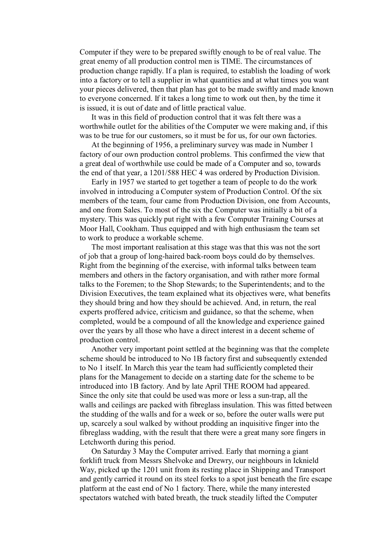Computer if they were to be prepared swiftly enough to be of real value. The great enemy of all production control men is TIME. The circumstances of production change rapidly. If a plan is required, to establish the loading of work into a factory or to tell a supplier in what quantities and at what times you want your pieces delivered, then that plan has got to be made swiftly and made known to everyone concerned. If it takes a long time to work out then, by the time it is issued, it is out of date and of little practical value.

It was in this field of production control that it was felt there was a worthwhile outlet for the abilities of the Computer we were making and, if this was to be true for our customers, so it must be for us, for our own factories.

At the beginning of 1956, a preliminary survey was made in Number 1 factory of our own production control problems. This confirmed the view that a great deal of worthwhile use could be made of a Computer and so, towards the end of that year, a 1201/588 HEC 4 was ordered by Production Division.

Early in 1957 we started to get together a team of people to do the work involved in introducing a Computer system of Production Control. Of the six members of the team, four came from Production Division, one from Accounts, and one from Sales. To most of the six the Computer was initially a bit of a mystery. This was quickly put right with a few Computer Training Courses at Moor Hall, Cookham. Thus equipped and with high enthusiasm the team set to work to produce a workable scheme.

The most important realisation at this stage was that this was not the sort of job that a group of long-haired back-room boys could do by themselves. Right from the beginning of the exercise, with informal talks between team members and others in the factory organisation, and with rather more formal talks to the Foremen; to the Shop Stewards; to the Superintendents; and to the Division Executives, the team explained what its objectives were, what benefits they should bring and how they should be achieved. And, in return, the real experts proffered advice, criticism and guidance, so that the scheme, when completed, would be a compound of all the knowledge and experience gained over the years by all those who have a direct interest in a decent scheme of production control.

Another very important point settled at the beginning was that the complete scheme should be introduced to No 1B factory first and subsequently extended to No 1 itself. In March this year the team had sufficiently completed their plans for the Management to decide on a starting date for the scheme to be introduced into 1B factory. And by late April THE ROOM had appeared. Since the only site that could be used was more or less a sun-trap, all the walls and ceilings are packed with fibreglass insulation. This was fitted between the studding of the walls and for a week or so, before the outer walls were put up, scarcely a soul walked by without prodding an inquisitive finger into the fibreglass wadding, with the result that there were a great many sore fingers in Letchworth during this period.

On Saturday 3 May the Computer arrived. Early that morning a giant forklift truck from Messrs Shelvoke and Drewry, our neighbours in Icknield Way, picked up the 1201 unit from its resting place in Shipping and Transport and gently carried it round on its steel forks to a spot just beneath the fire escape platform at the east end of No 1 factory. There, while the many interested spectators watched with bated breath, the truck steadily lifted the Computer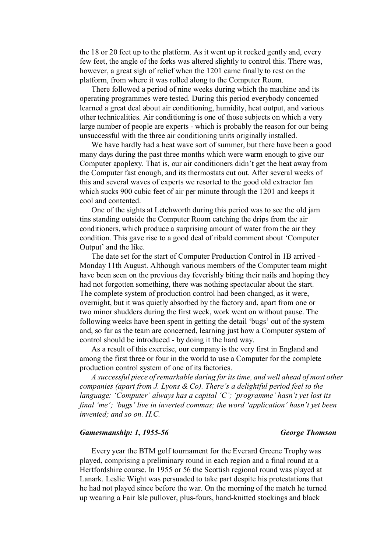the 18 or 20 feet up to the platform. As it went up it rocked gently and, every few feet, the angle of the forks was altered slightly to control this. There was, however, a great sigh of relief when the 1201 came finally to rest on the platform, from where it was rolled along to the Computer Room.

There followed a period of nine weeks during which the machine and its operating programmes were tested. During this period everybody concerned learned a great deal about air conditioning, humidity, heat output, and various other technicalities. Air conditioning is one of those subjects on which a very large number of people are experts - which is probably the reason for our being unsuccessful with the three air conditioning units originally installed.

We have hardly had a heat wave sort of summer, but there have been a good many days during the past three months which were warm enough to give our Computer apoplexy. That is, our air conditioners didn't get the heat away from the Computer fast enough, and its thermostats cut out. After several weeks of this and several waves of experts we resorted to the good old extractor fan which sucks 900 cubic feet of air per minute through the 1201 and keeps it cool and contented.

One of the sights at Letchworth during this period was to see the old jam tins standing outside the Computer Room catching the drips from the air conditioners, which produce a surprising amount of water from the air they condition. This gave rise to a good deal of ribald comment about 'Computer Output' and the like.

The date set for the start of Computer Production Control in 1B arrived - Monday 11th August. Although various members of the Computer team might have been seen on the previous day feverishly biting their nails and hoping they had not forgotten something, there was nothing spectacular about the start. The complete system of production control had been changed, as it were, overnight, but it was quietly absorbed by the factory and, apart from one or two minor shudders during the first week, work went on without pause. The following weeks have been spent in getting the detail 'bugs' out of the system and, so far as the team are concerned, learning just how a Computer system of control should be introduced - by doing it the hard way.

As a result of this exercise, our company is the very first in England and among the first three or four in the world to use a Computer for the complete production control system of one of its factories.

*A successful piece of remarkable daring for its time, and well ahead of most other companies (apart from J. Lyons & Co). There's a delightful period feel to the language: 'Computer' always has a capital 'C'; 'programme' hasn't yet lost its final 'me'; 'bugs' live in inverted commas; the word 'application' hasn't yet been invented; and so on. H.C.* 

### *Gamesmanship: 1, 1955-56 George Thomson*

Every year the BTM golf tournament for the Everard Greene Trophy was played, comprising a preliminary round in each region and a final round at a Hertfordshire course. In 1955 or 56 the Scottish regional round was played at Lanark. Leslie Wight was persuaded to take part despite his protestations that he had not played since before the war. On the morning of the match he turned up wearing a Fair Isle pullover, plus-fours, hand-knitted stockings and black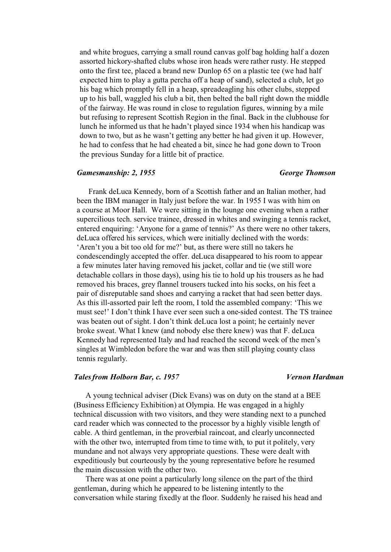and white brogues, carrying a small round canvas golf bag holding half a dozen assorted hickory-shafted clubs whose iron heads were rather rusty. He stepped onto the first tee, placed a brand new Dunlop 65 on a plastic tee (we had half expected him to play a gutta percha off a heap of sand), selected a club, let go his bag which promptly fell in a heap, spreadeagling his other clubs, stepped up to his ball, waggled his club a bit, then belted the ball right down the middle of the fairway. He was round in close to regulation figures, winning by a mile but refusing to represent Scottish Region in the final. Back in the clubhouse for lunch he informed us that he hadn't played since 1934 when his handicap was down to two, but as he wasn't getting any better he had given it up. However, he had to confess that he had cheated a bit, since he had gone down to Troon the previous Sunday for a little bit of practice.

#### *Gamesmanship: 2, 1955 George Thomson*

Frank deLuca Kennedy, born of a Scottish father and an Italian mother, had been the IBM manager in Italy just before the war. In 1955 I was with him on a course at Moor Hall. We were sitting in the lounge one evening when a rather supercilious tech. service trainee, dressed in whites and swinging a tennis racket, entered enquiring: 'Anyone for a game of tennis?' As there were no other takers, deLuca offered his services, which were initially declined with the words: 'Aren't you a bit too old for me?' but, as there were still no takers he condescendingly accepted the offer. deLuca disappeared to his room to appear a few minutes later having removed his jacket, collar and tie (we still wore detachable collars in those days), using his tie to hold up his trousers as he had removed his braces, grey flannel trousers tucked into his socks, on his feet a pair of disreputable sand shoes and carrying a racket that had seen better days. As this ill-assorted pair left the room, I told the assembled company: 'This we must see!' I don't think I have ever seen such a one-sided contest. The TS trainee was beaten out of sight. I don't think deLuca lost a point; he certainly never broke sweat. What I knew (and nobody else there knew) was that F. deLuca Kennedy had represented Italy and had reached the second week of the men's singles at Wimbledon before the war and was then still playing county class tennis regularly.

### *Tales from Holborn Bar, c. 1957 Vernon Hardman*

A young technical adviser (Dick Evans) was on duty on the stand at a BEE (Business Efficiency Exhibition) at Olympia. He was engaged in a highly technical discussion with two visitors, and they were standing next to a punched card reader which was connected to the processor by a highly visible length of cable. A third gentleman, in the proverbial raincoat, and clearly unconnected with the other two, interrupted from time to time with, to put it politely, very mundane and not always very appropriate questions. These were dealt with expeditiously but courteously by the young representative before he resumed the main discussion with the other two.

There was at one point a particularly long silence on the part of the third gentleman, during which he appeared to be listening intently to the conversation while staring fixedly at the floor. Suddenly he raised his head and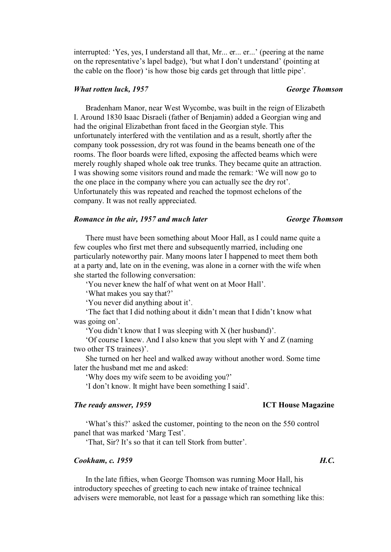interrupted: 'Yes, yes, I understand all that, Mr... er... er...' (peering at the name on the representative's lapel badge), 'but what I don't understand' (pointing at the cable on the floor) 'is how those big cards get through that little pipe'.

### *What rotten luck, 1957 George Thomson*

Bradenham Manor, near West Wycombe, was built in the reign of Elizabeth I. Around 1830 Isaac Disraeli (father of Benjamin) added a Georgian wing and had the original Elizabethan front faced in the Georgian style. This unfortunately interfered with the ventilation and as a result, shortly after the company took possession, dry rot was found in the beams beneath one of the rooms. The floor boards were lifted, exposing the affected beams which were merely roughly shaped whole oak tree trunks. They became quite an attraction. I was showing some visitors round and made the remark: 'We will now go to the one place in the company where you can actually see the dry rot'. Unfortunately this was repeated and reached the topmost echelons of the company. It was not really appreciated.

### *Romance in the air, 1957 and much later George Thomson*

There must have been something about Moor Hall, as I could name quite a few couples who first met there and subsequently married, including one particularly noteworthy pair. Many moons later I happened to meet them both at a party and, late on in the evening, was alone in a corner with the wife when she started the following conversation:

'You never knew the half of what went on at Moor Hall'.

'What makes you say that?'

'You never did anything about it'.

'The fact that I did nothing about it didn't mean that I didn't know what was going on'.

'You didn't know that I was sleeping with X (her husband)'.

'Of course I knew. And I also knew that you slept with Y and Z (naming two other TS trainees)'.

She turned on her heel and walked away without another word. Some time later the husband met me and asked:

'Why does my wife seem to be avoiding you?'

'I don't know. It might have been something I said'.

### *The ready answer, 1959* **ICT House Magazine**

### 'What's this?' asked the customer, pointing to the neon on the 550 control panel that was marked 'Marg Test'.

'That, Sir? It's so that it can tell Stork from butter'.

### *Cookham, c. 1959 H.C.*

In the late fifties, when George Thomson was running Moor Hall, his introductory speeches of greeting to each new intake of trainee technical advisers were memorable, not least for a passage which ran something like this: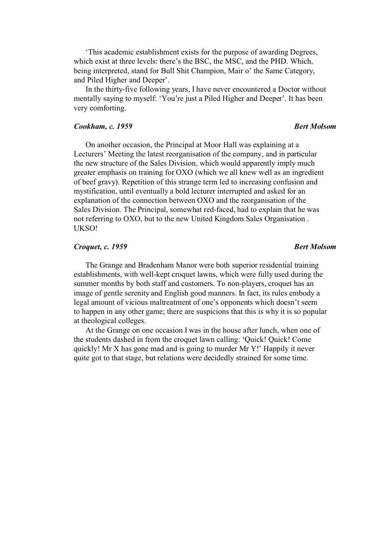'This academic establishment exists for the purpose of awarding Degrees, which exist at three levels: there's the BSC, the MSC, and the PHD. Which, being interpreted, stand for Bull Shit Champion, Mair o' the Same Category, and Piled Higher and Deeper'.

In the thirty-five following years, I have never encountered a Doctor without mentally saying to myself: 'You're just a Piled Higher and Deeper'. It has been very comforting.

### *Cookham, c. 1959* Bert Molsom

On another occasion, the Principal at Moor Hall was explaining at a Lecturers' Meeting the latest reorganisation of the company, and in particular the new structure of the Sales Division, which would apparently imply much greater emphasis on training for OXO (which we all knew well as an ingredient of beef gravy). Repetition of this strange term led to increasing confusion and mystification, until eventually a bold lecturer interrupted and asked for an explanation of the connection between OXO and the reorganisation of the Sales Division. The Principal, somewhat red-faced, had to explain that he was not referring to OXO, but to the new United Kingdom Sales Organisation . UKSO!

### *Croquet, c. 1959* Bert Molsom

### The Grange and Bradenham Manor were both superior residential training establishments, with well-kept croquet lawns, which were fully used during the summer months by both staff and customers. To non-players, croquet has an image of gentle serenity and English good manners. In fact, its rules embody a legal amount of vicious maltreatment of one's opponents which doesn't seem to happen in any other game; there are suspicions that this is why it is so popular at theological colleges.

At the Grange on one occasion I was in the house after lunch, when one of the students dashed in from the croquet lawn calling: 'Quick! Quick! Come quickly! Mr X has gone mad and is going to murder Mr Y!' Happily it never quite got to that stage, but relations were decidedly strained for some time.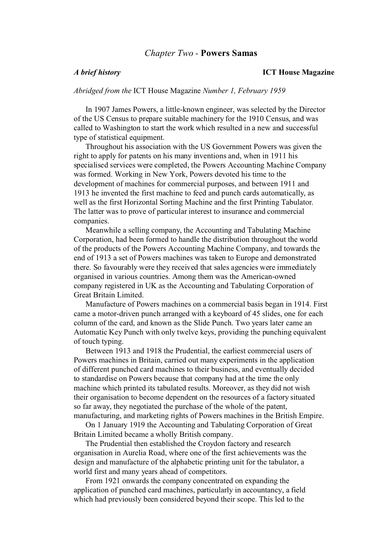### *Chapter Two -* **Powers Samas**

#### *A brief history* **ICT House Magazine**

*Abridged from the* ICT House Magazine *Number 1, February 1959*

In 1907 James Powers, a little-known engineer, was selected by the Director of the US Census to prepare suitable machinery for the 1910 Census, and was called to Washington to start the work which resulted in a new and successful type of statistical equipment.

Throughout his association with the US Government Powers was given the right to apply for patents on his many inventions and, when in 1911 his specialised services were completed, the Powers Accounting Machine Company was formed. Working in New York, Powers devoted his time to the development of machines for commercial purposes, and between 1911 and 1913 he invented the first machine to feed and punch cards automatically, as well as the first Horizontal Sorting Machine and the first Printing Tabulator. The latter was to prove of particular interest to insurance and commercial companies.

Meanwhile a selling company, the Accounting and Tabulating Machine Corporation, had been formed to handle the distribution throughout the world of the products of the Powers Accounting Machine Company, and towards the end of 1913 a set of Powers machines was taken to Europe and demonstrated there. So favourably were they received that sales agencies were immediately organised in various countries. Among them was the American-owned company registered in UK as the Accounting and Tabulating Corporation of Great Britain Limited.

Manufacture of Powers machines on a commercial basis began in 1914. First came a motor-driven punch arranged with a keyboard of 45 slides, one for each column of the card, and known as the Slide Punch. Two years later came an Automatic Key Punch with only twelve keys, providing the punching equivalent of touch typing.

Between 1913 and 1918 the Prudential, the earliest commercial users of Powers machines in Britain, carried out many experiments in the application of different punched card machines to their business, and eventually decided to standardise on Powers because that company had at the time the only machine which printed its tabulated results. Moreover, as they did not wish their organisation to become dependent on the resources of a factory situated so far away, they negotiated the purchase of the whole of the patent, manufacturing, and marketing rights of Powers machines in the British Empire.

On 1 January 1919 the Accounting and Tabulating Corporation of Great Britain Limited became a wholly British company.

The Prudential then established the Croydon factory and research organisation in Aurelia Road, where one of the first achievements was the design and manufacture of the alphabetic printing unit for the tabulator, a world first and many years ahead of competitors.

From 1921 onwards the company concentrated on expanding the application of punched card machines, particularly in accountancy, a field which had previously been considered beyond their scope. This led to the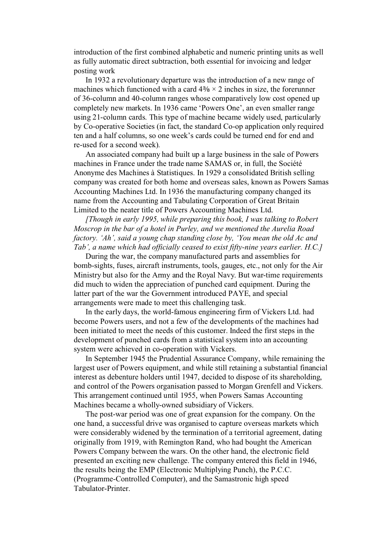introduction of the first combined alphabetic and numeric printing units as well as fully automatic direct subtraction, both essential for invoicing and ledger posting work

In 1932 a revolutionary departure was the introduction of a new range of machines which functioned with a card  $4\frac{3}{8} \times 2$  inches in size, the forerunner of 36-column and 40-column ranges whose comparatively low cost opened up completely new markets. In 1936 came 'Powers One', an even smaller range using 21-column cards. This type of machine became widely used, particularly by Co-operative Societies (in fact, the standard Co-op application only required ten and a half columns, so one week's cards could be turned end for end and re-used for a second week).

An associated company had built up a large business in the sale of Powers machines in France under the trade name SAMAS or, in full, the Société Anonyme des Machines à Statistiques. In 1929 a consolidated British selling company was created for both home and overseas sales, known as Powers Samas Accounting Machines Ltd. In 1936 the manufacturing company changed its name from the Accounting and Tabulating Corporation of Great Britain Limited to the neater title of Powers Accounting Machines Ltd.

*[Though in early 1995, while preparing this book, I was talking to Robert Moscrop in the bar of a hotel in Purley, and we mentioned the Aurelia Road factory. 'Ah', said a young chap standing close by, 'You mean the old Ac and Tab', a name which had officially ceased to exist fifty-nine years earlier. H.C.]* 

During the war, the company manufactured parts and assemblies for bomb-sights, fuses, aircraft instruments, tools, gauges, etc., not only for the Air Ministry but also for the Army and the Royal Navy. But war-time requirements did much to widen the appreciation of punched card equipment. During the latter part of the war the Government introduced PAYE, and special arrangements were made to meet this challenging task.

In the early days, the world-famous engineering firm of Vickers Ltd. had become Powers users, and not a few of the developments of the machines had been initiated to meet the needs of this customer. Indeed the first steps in the development of punched cards from a statistical system into an accounting system were achieved in co-operation with Vickers.

In September 1945 the Prudential Assurance Company, while remaining the largest user of Powers equipment, and while still retaining a substantial financial interest as debenture holders until 1947, decided to dispose of its shareholding, and control of the Powers organisation passed to Morgan Grenfell and Vickers. This arrangement continued until 1955, when Powers Samas Accounting Machines became a wholly-owned subsidiary of Vickers.

The post-war period was one of great expansion for the company. On the one hand, a successful drive was organised to capture overseas markets which were considerably widened by the termination of a territorial agreement, dating originally from 1919, with Remington Rand, who had bought the American Powers Company between the wars. On the other hand, the electronic field presented an exciting new challenge. The company entered this field in 1946, the results being the EMP (Electronic Multiplying Punch), the P.C.C. (Programme-Controlled Computer), and the Samastronic high speed Tabulator-Printer.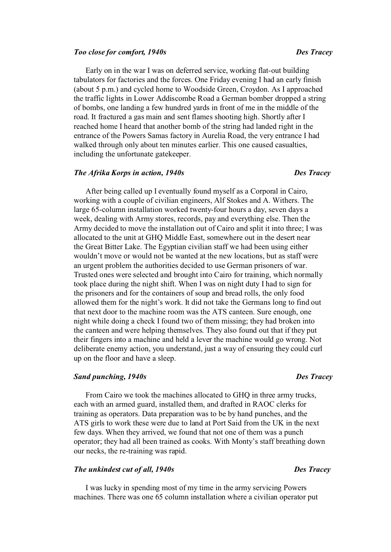#### *Too close for comfort, 1940s Des Tracey*

Early on in the war I was on deferred service, working flat-out building tabulators for factories and the forces. One Friday evening I had an early finish (about 5 p.m.) and cycled home to Woodside Green, Croydon. As I approached the traffic lights in Lower Addiscombe Road a German bomber dropped a string of bombs, one landing a few hundred yards in front of me in the middle of the road. It fractured a gas main and sent flames shooting high. Shortly after I reached home I heard that another bomb of the string had landed right in the entrance of the Powers Samas factory in Aurelia Road, the very entrance I had walked through only about ten minutes earlier. This one caused casualties,

#### *The Afrika Korps in action, 1940s Des Tracey*

including the unfortunate gatekeeper.

After being called up I eventually found myself as a Corporal in Cairo, working with a couple of civilian engineers, Alf Stokes and A. Withers. The large 65-column installation worked twenty-four hours a day, seven days a week, dealing with Army stores, records, pay and everything else. Then the Army decided to move the installation out of Cairo and split it into three; I was allocated to the unit at GHQ Middle East, somewhere out in the desert near the Great Bitter Lake. The Egyptian civilian staff we had been using either wouldn't move or would not be wanted at the new locations, but as staff were an urgent problem the authorities decided to use German prisoners of war. Trusted ones were selected and brought into Cairo for training, which normally took place during the night shift. When I was on night duty I had to sign for the prisoners and for the containers of soup and bread rolls, the only food allowed them for the night's work. It did not take the Germans long to find out that next door to the machine room was the ATS canteen. Sure enough, one night while doing a check I found two of them missing; they had broken into the canteen and were helping themselves. They also found out that if they put their fingers into a machine and held a lever the machine would go wrong. Not deliberate enemy action, you understand, just a way of ensuring they could curl up on the floor and have a sleep.

### *Sand punching, 1940s Des Tracey*

From Cairo we took the machines allocated to GHQ in three army trucks, each with an armed guard, installed them, and drafted in RAOC clerks for training as operators. Data preparation was to be by hand punches, and the ATS girls to work these were due to land at Port Said from the UK in the next few days. When they arrived, we found that not one of them was a punch operator; they had all been trained as cooks. With Monty's staff breathing down our necks, the re-training was rapid.

### *The unkindest cut of all, 1940s Des Tracey*

I was lucky in spending most of my time in the army servicing Powers machines. There was one 65 column installation where a civilian operator put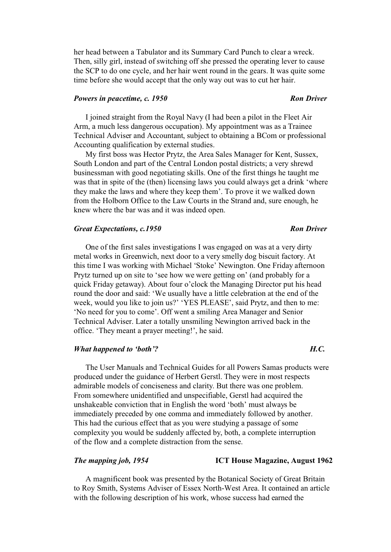her head between a Tabulator and its Summary Card Punch to clear a wreck. Then, silly girl, instead of switching off she pressed the operating lever to cause the SCP to do one cycle, and her hair went round in the gears. It was quite some time before she would accept that the only way out was to cut her hair.

#### *Powers in peacetime, c. 1950* Ron Driver

### I joined straight from the Royal Navy (I had been a pilot in the Fleet Air Arm, a much less dangerous occupation). My appointment was as a Trainee Technical Adviser and Accountant, subject to obtaining a BCom or professional Accounting qualification by external studies.

My first boss was Hector Prytz, the Area Sales Manager for Kent, Sussex, South London and part of the Central London postal districts; a very shrewd businessman with good negotiating skills. One of the first things he taught me was that in spite of the (then) licensing laws you could always get a drink 'where they make the laws and where they keep them'. To prove it we walked down from the Holborn Office to the Law Courts in the Strand and, sure enough, he knew where the bar was and it was indeed open.

#### *Great Expectations, c.1950* Ron Driver

One of the first sales investigations I was engaged on was at a very dirty metal works in Greenwich, next door to a very smelly dog biscuit factory. At this time I was working with Michael 'Stoke' Newington. One Friday afternoon Prytz turned up on site to 'see how we were getting on' (and probably for a quick Friday getaway). About four o'clock the Managing Director put his head round the door and said: 'We usually have a little celebration at the end of the week, would you like to join us?' 'YES PLEASE', said Prytz, and then to me: 'No need for you to come'. Off went a smiling Area Manager and Senior Technical Adviser. Later a totally unsmiling Newington arrived back in the office. 'They meant a prayer meeting!', he said.

### *What happened to 'both'?* All the set of the *H.C.* **H.C. H.C. H.C. H.C. H.C. H.C. H.C. H.C. H.C. H.C. H.C. H.C. H.C. H.C. H.C. H.C. H.C. H.C. H.C. H.C. H.C. H.C. H.C. H.C.**

The User Manuals and Technical Guides for all Powers Samas products were produced under the guidance of Herbert Gerstl. They were in most respects admirable models of conciseness and clarity. But there was one problem. From somewhere unidentified and unspecifiable, Gerstl had acquired the unshakeable conviction that in English the word 'both' must always be immediately preceded by one comma and immediately followed by another. This had the curious effect that as you were studying a passage of some complexity you would be suddenly affected by, both, a complete interruption of the flow and a complete distraction from the sense.

### *The mapping job, 1954* **ICT House Magazine, August 1962**

A magnificent book was presented by the Botanical Society of Great Britain to Roy Smith, Systems Adviser of Essex North-West Area. It contained an article with the following description of his work, whose success had earned the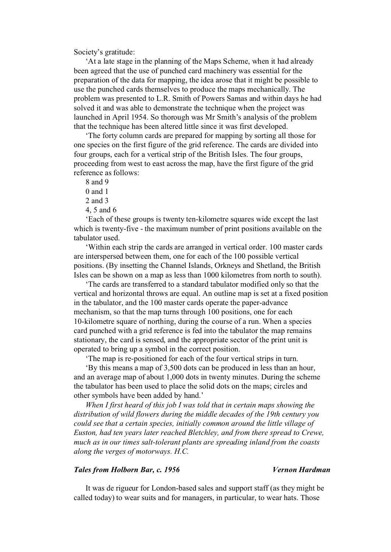Society's gratitude:

'At a late stage in the planning of the Maps Scheme, when it had already been agreed that the use of punched card machinery was essential for the preparation of the data for mapping, the idea arose that it might be possible to use the punched cards themselves to produce the maps mechanically. The problem was presented to L.R. Smith of Powers Samas and within days he had solved it and was able to demonstrate the technique when the project was launched in April 1954. So thorough was Mr Smith's analysis of the problem that the technique has been altered little since it was first developed.

'The forty column cards are prepared for mapping by sorting all those for one species on the first figure of the grid reference. The cards are divided into four groups, each for a vertical strip of the British Isles. The four groups, proceeding from west to east across the map, have the first figure of the grid reference as follows:

8 and 9

0 and 1

2 and 3

4, 5 and 6

'Each of these groups is twenty ten-kilometre squares wide except the last which is twenty-five - the maximum number of print positions available on the tabulator used.

'Within each strip the cards are arranged in vertical order. 100 master cards are interspersed between them, one for each of the 100 possible vertical positions. (By insetting the Channel Islands, Orkneys and Shetland, the British Isles can be shown on a map as less than 1000 kilometres from north to south).

'The cards are transferred to a standard tabulator modified only so that the vertical and horizontal throws are equal. An outline map is set at a fixed position in the tabulator, and the 100 master cards operate the paper-advance mechanism, so that the map turns through 100 positions, one for each 10-kilometre square of northing, during the course of a run. When a species card punched with a grid reference is fed into the tabulator the map remains stationary, the card is sensed, and the appropriate sector of the print unit is operated to bring up a symbol in the correct position.

'The map is re-positioned for each of the four vertical strips in turn.

'By this means a map of 3,500 dots can be produced in less than an hour, and an average map of about 1,000 dots in twenty minutes. During the scheme the tabulator has been used to place the solid dots on the maps; circles and other symbols have been added by hand.'

*When I first heard of this job I was told that in certain maps showing the distribution of wild flowers during the middle decades of the 19th century you could see that a certain species, initially common around the little village of Euston, had ten years later reached Bletchley, and from there spread to Crewe, much as in our times salt-tolerant plants are spreading inland from the coasts along the verges of motorways. H.C.* 

### *Tales from Holborn Bar, c. 1956 Vernon Hardman*

It was de rigueur for London-based sales and support staff (as they might be called today) to wear suits and for managers, in particular, to wear hats. Those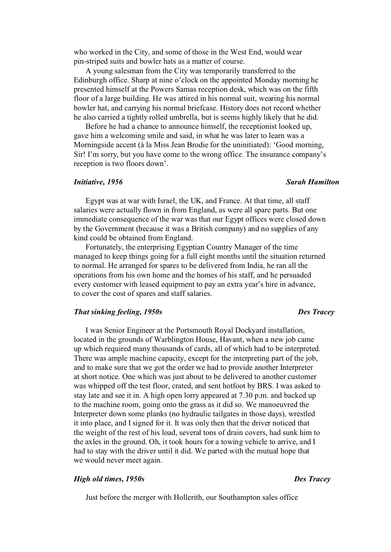who worked in the City, and some of those in the West End, would wear pin-striped suits and bowler hats as a matter of course.

A young salesman from the City was temporarily transferred to the Edinburgh office. Sharp at nine o'clock on the appointed Monday morning he presented himself at the Powers Samas reception desk, which was on the fifth floor of a large building. He was attired in his normal suit, wearing his normal bowler hat, and carrying his normal briefcase. History does not record whether he also carried a tightly rolled umbrella, but is seems highly likely that he did.

Before he had a chance to announce himself, the receptionist looked up, gave him a welcoming smile and said, in what he was later to learn was a Morningside accent (à la Miss Jean Brodie for the uninitiated): 'Good morning, Sir! I'm sorry, but you have come to the wrong office. The insurance company's reception is two floors down'.

#### *Initiative, 1956 Sarah Hamilton*

Egypt was at war with Israel, the UK, and France. At that time, all staff salaries were actually flown in from England, as were all spare parts. But one immediate consequence of the war was that our Egypt offices were closed down by the Government (because it was a British company) and no supplies of any kind could be obtained from England.

Fortunately, the enterprising Egyptian Country Manager of the time managed to keep things going for a full eight months until the situation returned to normal. He arranged for spares to be delivered from India, he ran all the operations from his own home and the homes of his staff, and he persuaded every customer with leased equipment to pay an extra year's hire in advance, to cover the cost of spares and staff salaries.

### *That sinking feeling, 1950s Des Tracey*

I was Senior Engineer at the Portsmouth Royal Dockyard installation, located in the grounds of Warblington House, Havant, when a new job came up which required many thousands of cards, all of which had to be interpreted. There was ample machine capacity, except for the interpreting part of the job, and to make sure that we got the order we had to provide another Interpreter at short notice. One which was just about to be delivered to another customer was whipped off the test floor, crated, and sent hotfoot by BRS. I was asked to stay late and see it in. A high open lorry appeared at 7.30 p.m. and backed up to the machine room, going onto the grass as it did so. We manoeuvred the Interpreter down some planks (no hydraulic tailgates in those days), wrestled it into place, and I signed for it. It was only then that the driver noticed that the weight of the rest of his load, several tons of drain covers, had sunk him to the axles in the ground. Oh, it took hours for a towing vehicle to arrive, and I had to stay with the driver until it did. We parted with the mutual hope that we would never meet again.

### *High old times, 1950s Des Tracey*

Just before the merger with Hollerith, our Southampton sales office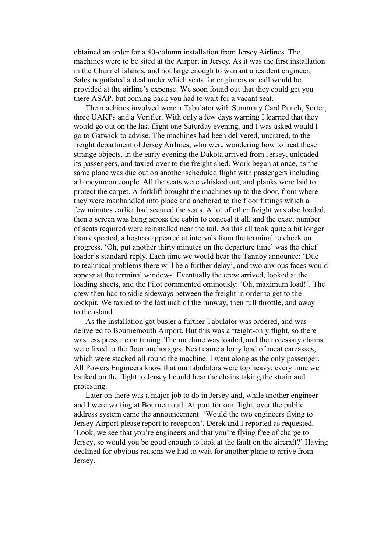obtained an order for a 40-column installation from Jersey Airlines. The machines were to be sited at the Airport in Jersey. As it was the first installation in the Channel Islands, and not large enough to warrant a resident engineer, Sales negotiated a deal under which seats for engineers on call would be provided at the airline's expense. We soon found out that they could get you there ASAP, but coming back you had to wait for a vacant seat.

The machines involved were a Tabulator with Summary Card Punch, Sorter, three UAKPs and a Verifier. With only a few days warning I learned that they would go out on the last flight one Saturday evening, and I was asked would I go to Gatwick to advise. The machines had been delivered, uncrated, to the freight department of Jersey Airlines, who were wondering how to treat these strange objects. In the early evening the Dakota arrived from Jersey, unloaded its passengers, and taxied over to the freight shed. Work began at once, as the same plane was due out on another scheduled flight with passengers including a honeymoon couple. All the seats were whisked out, and planks were laid to protect the carpet. A forklift brought the machines up to the door, from where they were manhandled into place and anchored to the floor fittings which a few minutes earlier had secured the seats. A lot of other freight was also loaded, then a screen was hung across the cabin to conceal it all, and the exact number of seats required were reinstalled near the tail. As this all took quite a bit longer than expected, a hostess appeared at intervals from the terminal to check on progress. 'Oh, put another thirty minutes on the departure time' was the chief loader's standard reply. Each time we would hear the Tannoy announce: 'Due to technical problems there will be a further delay', and two anxious faces would appear at the terminal windows. Eventually the crew arrived, looked at the loading sheets, and the Pilot commented ominously: 'Oh, maximum load!'. The crew then had to sidle sideways between the freight in order to get to the cockpit. We taxied to the last inch of the runway, then full throttle, and away to the island.

As the installation got busier a further Tabulator was ordered, and was delivered to Bournemouth Airport. But this was a freight-only flight, so there was less pressure on timing. The machine was loaded, and the necessary chains were fixed to the floor anchorages. Next came a lorry load of meat carcasses, which were stacked all round the machine. I went along as the only passenger. All Powers Engineers know that our tabulators were top heavy; every time we banked on the flight to Jersey I could hear the chains taking the strain and protesting.

Later on there was a major job to do in Jersey and, while another engineer and I were waiting at Bournemouth Airport for our flight, over the public address system came the announcement: 'Would the two engineers flying to Jersey Airport please report to reception'. Derek and I reported as requested. 'Look, we see that you're engineers and that you're flying free of charge to Jersey, so would you be good enough to look at the fault on the aircraft?' Having declined for obvious reasons we had to wait for another plane to arrive from Jersey.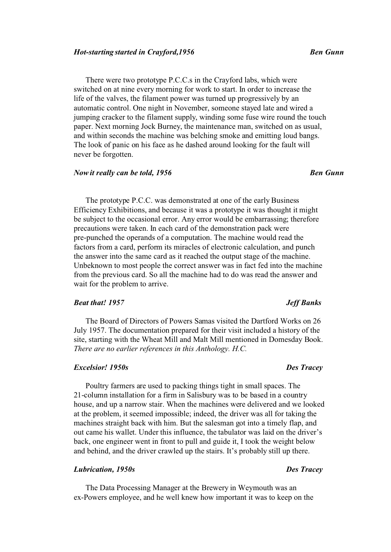#### *Hot-starting started in Crayford,1956 Ben Gunn*

There were two prototype P.C.C.s in the Crayford labs, which were switched on at nine every morning for work to start. In order to increase the life of the valves, the filament power was turned up progressively by an automatic control. One night in November, someone stayed late and wired a jumping cracker to the filament supply, winding some fuse wire round the touch paper. Next morning Jock Burney, the maintenance man, switched on as usual, and within seconds the machine was belching smoke and emitting loud bangs. The look of panic on his face as he dashed around looking for the fault will never be forgotten.

### *Now it really can be told, 1956* Ben Gunn

The prototype P.C.C. was demonstrated at one of the early Business Efficiency Exhibitions, and because it was a prototype it was thought it might be subject to the occasional error. Any error would be embarrassing; therefore precautions were taken. In each card of the demonstration pack were pre-punched the operands of a computation. The machine would read the factors from a card, perform its miracles of electronic calculation, and punch the answer into the same card as it reached the output stage of the machine. Unbeknown to most people the correct answer was in fact fed into the machine from the previous card. So all the machine had to do was read the answer and wait for the problem to arrive.

### *Beat that! 1957 Jeff Banks*

The Board of Directors of Powers Samas visited the Dartford Works on 26 July 1957. The documentation prepared for their visit included a history of the site, starting with the Wheat Mill and Malt Mill mentioned in Domesday Book. *There are no earlier references in this Anthology. H.C.* 

#### *Excelsior! 1950s Des Tracey*

Poultry farmers are used to packing things tight in small spaces. The 21-column installation for a firm in Salisbury was to be based in a country house, and up a narrow stair. When the machines were delivered and we looked at the problem, it seemed impossible; indeed, the driver was all for taking the machines straight back with him. But the salesman got into a timely flap, and out came his wallet. Under this influence, the tabulator was laid on the driver's back, one engineer went in front to pull and guide it, I took the weight below and behind, and the driver crawled up the stairs. It's probably still up there.

### *Lubrication, 1950s Des Tracey*

The Data Processing Manager at the Brewery in Weymouth was an ex-Powers employee, and he well knew how important it was to keep on the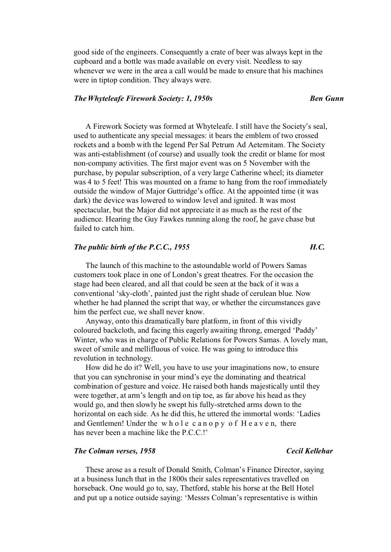good side of the engineers. Consequently a crate of beer was always kept in the cupboard and a bottle was made available on every visit. Needless to say whenever we were in the area a call would be made to ensure that his machines were in tiptop condition. They always were.

### *The Whyteleafe Firework Society: 1, 1950s* Ben Gunn

A Firework Society was formed at Whyteleafe. I still have the Society's seal, used to authenticate any special messages: it bears the emblem of two crossed rockets and a bomb with the legend Per Sal Petrum Ad Aeternitam. The Society was anti-establishment (of course) and usually took the credit or blame for most non-company activities. The first major event was on 5 November with the purchase, by popular subscription, of a very large Catherine wheel; its diameter was 4 to 5 feet! This was mounted on a frame to hang from the roof immediately outside the window of Major Guttridge's office. At the appointed time (it was dark) the device was lowered to window level and ignited. It was most spectacular, but the Major did not appreciate it as much as the rest of the audience. Hearing the Guy Fawkes running along the roof, he gave chase but failed to catch him.

### *The public birth of the P.C.C., 1955 H.C.*

The launch of this machine to the astoundable world of Powers Samas customers took place in one of London's great theatres. For the occasion the stage had been cleared, and all that could be seen at the back of it was a conventional 'sky-cloth', painted just the right shade of cerulean blue. Now whether he had planned the script that way, or whether the circumstances gave him the perfect cue, we shall never know.

Anyway, onto this dramatically bare platform, in front of this vividly coloured backcloth, and facing this eagerly awaiting throng, emerged 'Paddy' Winter, who was in charge of Public Relations for Powers Samas. A lovely man, sweet of smile and mellifluous of voice. He was going to introduce this revolution in technology.

How did he do it? Well, you have to use your imaginations now, to ensure that you can synchronise in your mind's eye the dominating and theatrical combination of gesture and voice. He raised both hands majestically until they were together, at arm's length and on tip toe, as far above his head as they would go, and then slowly he swept his fully-stretched arms down to the horizontal on each side. As he did this, he uttered the immortal words: 'Ladies and Gentlemen! Under the whole canopy of  $H$  e a v e n, there has never been a machine like the P.C.C.!'

### *The Colman verses, 1958 Cecil Kellehar*

### These arose as a result of Donald Smith, Colman's Finance Director, saying at a business lunch that in the 1800s their sales representatives travelled on horseback. One would go to, say, Thetford, stable his horse at the Bell Hotel and put up a notice outside saying: 'Messrs Colman's representative is within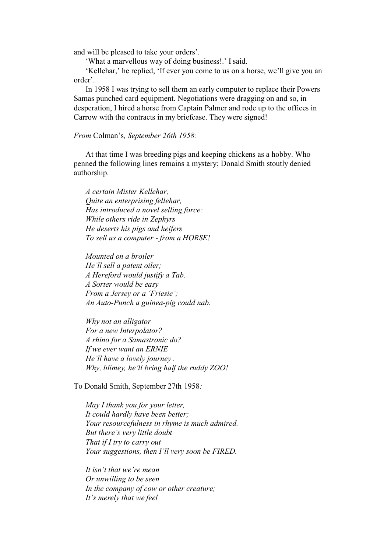and will be pleased to take your orders'.

'What a marvellous way of doing business!.' I said.

'Kellehar,' he replied, 'If ever you come to us on a horse, we'll give you an order'.

In 1958 I was trying to sell them an early computer to replace their Powers Samas punched card equipment. Negotiations were dragging on and so, in desperation, I hired a horse from Captain Palmer and rode up to the offices in Carrow with the contracts in my briefcase. They were signed!

#### *From* Colman's*, September 26th 1958:*

At that time I was breeding pigs and keeping chickens as a hobby. Who penned the following lines remains a mystery; Donald Smith stoutly denied authorship.

*A certain Mister Kellehar, Quite an enterprising fellehar, Has introduced a novel selling force: While others ride in Zephyrs He deserts his pigs and heifers To sell us a computer - from a HORSE!* 

*Mounted on a broiler He'll sell a patent oiler; A Hereford would justify a Tab. A Sorter would be easy From a Jersey or a 'Friesie'; An Auto-Punch a guinea-pig could nab.* 

*Why not an alligator For a new Interpolator? A rhino for a Samastronic do? If we ever want an ERNIE He'll have a lovely journey . Why, blimey, he'll bring half the ruddy ZOO!* 

To Donald Smith, September 27th 1958*:* 

*May I thank you for your letter, It could hardly have been better; Your resourcefulness in rhyme is much admired. But there's very little doubt That if I try to carry out Your suggestions, then I'll very soon be FIRED.* 

*It isn't that we're mean Or unwilling to be seen In the company of cow or other creature; It's merely that we feel*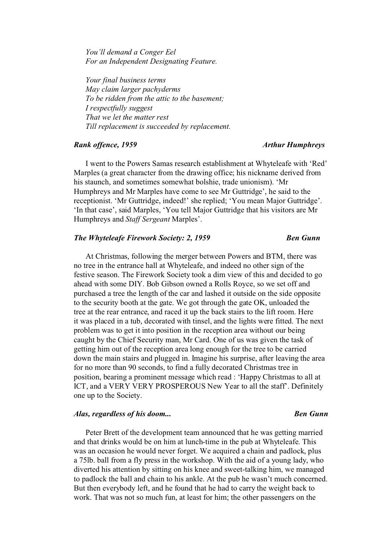*You'll demand a Conger Eel For an Independent Designating Feature.* 

*Your final business terms May claim larger pachyderms To be ridden from the attic to the basement; I respectfully suggest That we let the matter rest Till replacement is succeeded by replacement.* 

#### *Rank offence, 1959 Arthur Humphreys*

I went to the Powers Samas research establishment at Whyteleafe with 'Red' Marples (a great character from the drawing office; his nickname derived from his staunch, and sometimes somewhat bolshie, trade unionism). 'Mr Humphreys and Mr Marples have come to see Mr Guttridge', he said to the receptionist. 'Mr Guttridge, indeed!' she replied; 'You mean Major Guttridge'. 'In that case', said Marples, 'You tell Major Guttridge that his visitors are Mr Humphreys and *Staff Sergeant* Marples'.

#### *The Whyteleafe Firework Society: 2, 1959* Ben Gunn

At Christmas, following the merger between Powers and BTM, there was no tree in the entrance hall at Whyteleafe, and indeed no other sign of the festive season. The Firework Society took a dim view of this and decided to go ahead with some DIY. Bob Gibson owned a Rolls Royce, so we set off and purchased a tree the length of the car and lashed it outside on the side opposite to the security booth at the gate. We got through the gate OK, unloaded the tree at the rear entrance, and raced it up the back stairs to the lift room. Here it was placed in a tub, decorated with tinsel, and the lights were fitted. The next problem was to get it into position in the reception area without our being caught by the Chief Security man, Mr Card. One of us was given the task of getting him out of the reception area long enough for the tree to be carried down the main stairs and plugged in. Imagine his surprise, after leaving the area for no more than 90 seconds, to find a fully decorated Christmas tree in position, bearing a prominent message which read : 'Happy Christmas to all at ICT, and a VERY VERY PROSPEROUS New Year to all the staff'. Definitely one up to the Society.

### *Alas, regardless of his doom... Ben Gunn*

Peter Brett of the development team announced that he was getting married and that drinks would be on him at lunch-time in the pub at Whyteleafe. This was an occasion he would never forget. We acquired a chain and padlock, plus a 75lb. ball from a fly press in the workshop. With the aid of a young lady, who diverted his attention by sitting on his knee and sweet-talking him, we managed to padlock the ball and chain to his ankle. At the pub he wasn't much concerned. But then everybody left, and he found that he had to carry the weight back to work. That was not so much fun, at least for him; the other passengers on the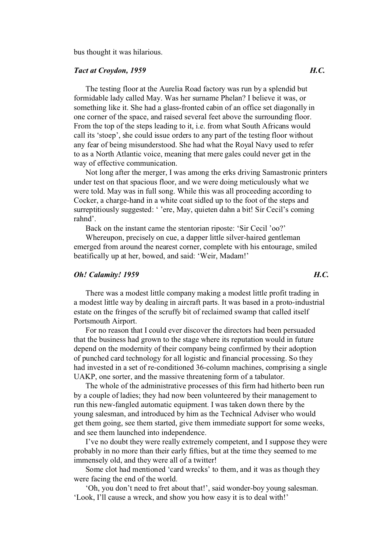bus thought it was hilarious.

### *Tact at Croydon, 1959 H.C.*

The testing floor at the Aurelia Road factory was run by a splendid but formidable lady called May. Was her surname Phelan? I believe it was, or something like it. She had a glass-fronted cabin of an office set diagonally in one corner of the space, and raised several feet above the surrounding floor. From the top of the steps leading to it, i.e. from what South Africans would call its 'stoep', she could issue orders to any part of the testing floor without any fear of being misunderstood. She had what the Royal Navy used to refer to as a North Atlantic voice, meaning that mere gales could never get in the way of effective communication.

Not long after the merger, I was among the erks driving Samastronic printers under test on that spacious floor, and we were doing meticulously what we were told. May was in full song. While this was all proceeding according to Cocker, a charge-hand in a white coat sidled up to the foot of the steps and surreptitiously suggested: ' 'ere, May, quieten dahn a bit! Sir Cecil's coming rahnd'.

Back on the instant came the stentorian riposte: 'Sir Cecil 'oo?'

Whereupon, precisely on cue, a dapper little silver-haired gentleman emerged from around the nearest corner, complete with his entourage, smiled beatifically up at her, bowed, and said: 'Weir, Madam!'

### *Oh! Calamity! 1959 H.C.*

There was a modest little company making a modest little profit trading in a modest little way by dealing in aircraft parts. It was based in a proto-industrial estate on the fringes of the scruffy bit of reclaimed swamp that called itself Portsmouth Airport.

For no reason that I could ever discover the directors had been persuaded that the business had grown to the stage where its reputation would in future depend on the modernity of their company being confirmed by their adoption of punched card technology for all logistic and financial processing. So they had invested in a set of re-conditioned 36-column machines, comprising a single UAKP, one sorter, and the massive threatening form of a tabulator.

The whole of the administrative processes of this firm had hitherto been run by a couple of ladies; they had now been volunteered by their management to run this new-fangled automatic equipment. I was taken down there by the young salesman, and introduced by him as the Technical Adviser who would get them going, see them started, give them immediate support for some weeks, and see them launched into independence.

I've no doubt they were really extremely competent, and I suppose they were probably in no more than their early fifties, but at the time they seemed to me immensely old, and they were all of a twitter!

Some clot had mentioned 'card wrecks' to them, and it was as though they were facing the end of the world.

'Oh, you don't need to fret about that!', said wonder-boy young salesman. 'Look, I'll cause a wreck, and show you how easy it is to deal with!'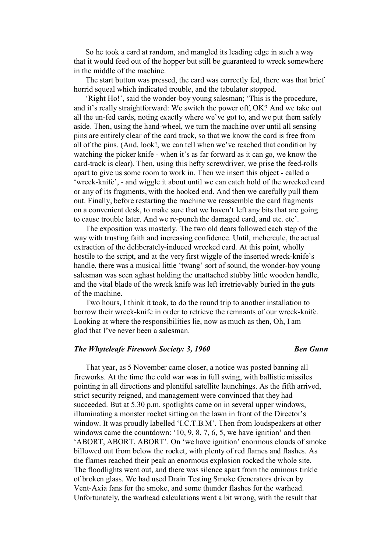So he took a card at random, and mangled its leading edge in such a way that it would feed out of the hopper but still be guaranteed to wreck somewhere in the middle of the machine.

The start button was pressed, the card was correctly fed, there was that brief horrid squeal which indicated trouble, and the tabulator stopped.

'Right Ho!', said the wonder-boy young salesman; 'This is the procedure, and it's really straightforward: We switch the power off, OK? And we take out all the un-fed cards, noting exactly where we've got to, and we put them safely aside. Then, using the hand-wheel, we turn the machine over until all sensing pins are entirely clear of the card track, so that we know the card is free from all of the pins. (And, look!, we can tell when we've reached that condition by watching the picker knife - when it's as far forward as it can go, we know the card-track is clear). Then, using this hefty screwdriver, we prise the feed-rolls apart to give us some room to work in. Then we insert this object - called a 'wreck-knife', - and wiggle it about until we can catch hold of the wrecked card or any of its fragments, with the hooked end. And then we carefully pull them out. Finally, before restarting the machine we reassemble the card fragments on a convenient desk, to make sure that we haven't left any bits that are going to cause trouble later. And we re-punch the damaged card, and etc. etc'.

The exposition was masterly. The two old dears followed each step of the way with trusting faith and increasing confidence. Until, mehercule, the actual extraction of the deliberately-induced wrecked card. At this point, wholly hostile to the script, and at the very first wiggle of the inserted wreck-knife's handle, there was a musical little 'twang' sort of sound, the wonder-boy young salesman was seen aghast holding the unattached stubby little wooden handle, and the vital blade of the wreck knife was left irretrievably buried in the guts of the machine.

Two hours, I think it took, to do the round trip to another installation to borrow their wreck-knife in order to retrieve the remnants of our wreck-knife. Looking at where the responsibilities lie, now as much as then, Oh, I am glad that I've never been a salesman.

### *The Whyteleafe Firework Society: 3, 1960* Ben Gunn

That year, as 5 November came closer, a notice was posted banning all fireworks. At the time the cold war was in full swing, with ballistic missiles pointing in all directions and plentiful satellite launchings. As the fifth arrived, strict security reigned, and management were convinced that they had succeeded. But at 5.30 p.m. spotlights came on in several upper windows, illuminating a monster rocket sitting on the lawn in front of the Director's window. It was proudly labelled 'I.C.T.B.M'. Then from loudspeakers at other windows came the countdown: '10, 9, 8, 7, 6, 5, we have ignition' and then 'ABORT, ABORT, ABORT'. On 'we have ignition' enormous clouds of smoke billowed out from below the rocket, with plenty of red flames and flashes. As the flames reached their peak an enormous explosion rocked the whole site. The floodlights went out, and there was silence apart from the ominous tinkle of broken glass. We had used Drain Testing Smoke Generators driven by Vent-Axia fans for the smoke, and some thunder flashes for the warhead. Unfortunately, the warhead calculations went a bit wrong, with the result that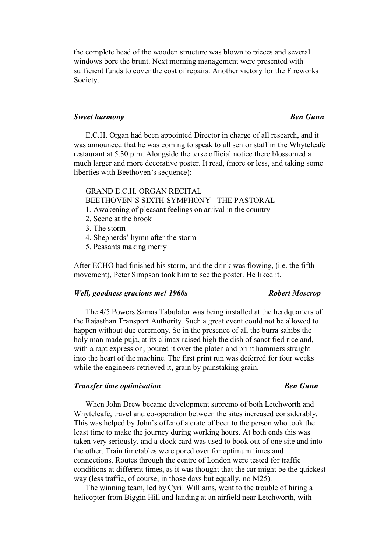the complete head of the wooden structure was blown to pieces and several windows bore the brunt. Next morning management were presented with sufficient funds to cover the cost of repairs. Another victory for the Fireworks Society.

## **Sweet harmony Ben Gunn**

E.C.H. Organ had been appointed Director in charge of all research, and it was announced that he was coming to speak to all senior staff in the Whyteleafe restaurant at 5.30 p.m. Alongside the terse official notice there blossomed a much larger and more decorative poster. It read, (more or less, and taking some liberties with Beethoven's sequence):

# GRAND E.C.H. ORGAN RECITAL

# BEETHOVEN'S SIXTH SYMPHONY - THE PASTORAL

- 1. Awakening of pleasant feelings on arrival in the country
- 2. Scene at the brook
- 3. The storm
- 4. Shepherds' hymn after the storm
- 5. Peasants making merry

After ECHO had finished his storm, and the drink was flowing, (i.e. the fifth movement), Peter Simpson took him to see the poster. He liked it.

## *Well, goodness gracious me! 1960s* example *Robert Moscrop*

The 4/5 Powers Samas Tabulator was being installed at the headquarters of the Rajasthan Transport Authority. Such a great event could not be allowed to happen without due ceremony. So in the presence of all the burra sahibs the holy man made puja, at its climax raised high the dish of sanctified rice and, with a rapt expression, poured it over the platen and print hammers straight into the heart of the machine. The first print run was deferred for four weeks while the engineers retrieved it, grain by painstaking grain.

## *Transfer time optimisation* Ben Gunn

When John Drew became development supremo of both Letchworth and Whyteleafe, travel and co-operation between the sites increased considerably. This was helped by John's offer of a crate of beer to the person who took the least time to make the journey during working hours. At both ends this was taken very seriously, and a clock card was used to book out of one site and into the other. Train timetables were pored over for optimum times and connections. Routes through the centre of London were tested for traffic conditions at different times, as it was thought that the car might be the quickest way (less traffic, of course, in those days but equally, no M25).

The winning team, led by Cyril Williams, went to the trouble of hiring a helicopter from Biggin Hill and landing at an airfield near Letchworth, with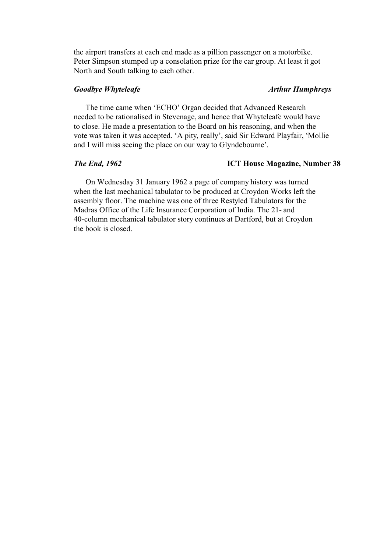the airport transfers at each end made as a pillion passenger on a motorbike. Peter Simpson stumped up a consolation prize for the car group. At least it got North and South talking to each other.

# *Goodbye Whyteleafe* Arthur Humphreys

The time came when 'ECHO' Organ decided that Advanced Research needed to be rationalised in Stevenage, and hence that Whyteleafe would have to close. He made a presentation to the Board on his reasoning, and when the vote was taken it was accepted. 'A pity, really', said Sir Edward Playfair, 'Mollie and I will miss seeing the place on our way to Glyndebourne'.

## *The End, 1962* **ICT House Magazine, Number 38**

On Wednesday 31 January 1962 a page of company history was turned when the last mechanical tabulator to be produced at Croydon Works left the assembly floor. The machine was one of three Restyled Tabulators for the Madras Office of the Life Insurance Corporation of India. The 21- and 40-column mechanical tabulator story continues at Dartford, but at Croydon the book is closed.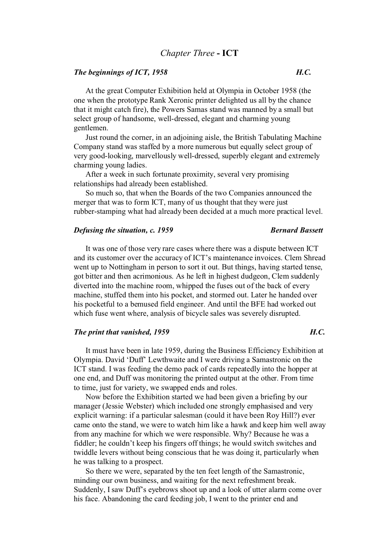## *The beginnings of ICT, 1958 H.C.*

At the great Computer Exhibition held at Olympia in October 1958 (the one when the prototype Rank Xeronic printer delighted us all by the chance that it might catch fire), the Powers Samas stand was manned by a small but select group of handsome, well-dressed, elegant and charming young gentlemen.

Just round the corner, in an adjoining aisle, the British Tabulating Machine Company stand was staffed by a more numerous but equally select group of very good-looking, marvellously well-dressed, superbly elegant and extremely charming young ladies.

After a week in such fortunate proximity, several very promising relationships had already been established.

So much so, that when the Boards of the two Companies announced the merger that was to form ICT, many of us thought that they were just rubber-stamping what had already been decided at a much more practical level.

### *Defusing the situation, c. 1959* Bernard Bassett

It was one of those very rare cases where there was a dispute between ICT and its customer over the accuracy of ICT's maintenance invoices. Clem Shread went up to Nottingham in person to sort it out. But things, having started tense, got bitter and then acrimonious. As he left in highest dudgeon, Clem suddenly diverted into the machine room, whipped the fuses out of the back of every machine, stuffed them into his pocket, and stormed out. Later he handed over his pocketful to a bemused field engineer. And until the BFE had worked out which fuse went where, analysis of bicycle sales was severely disrupted.

## *The print that vanished, 1959 H.C.*

It must have been in late 1959, during the Business Efficiency Exhibition at Olympia. David 'Duff' Lewthwaite and I were driving a Samastronic on the ICT stand. I was feeding the demo pack of cards repeatedly into the hopper at one end, and Duff was monitoring the printed output at the other. From time to time, just for variety, we swapped ends and roles.

Now before the Exhibition started we had been given a briefing by our manager (Jessie Webster) which included one strongly emphasised and very explicit warning: if a particular salesman (could it have been Roy Hill?) ever came onto the stand, we were to watch him like a hawk and keep him well away from any machine for which we were responsible. Why? Because he was a fiddler; he couldn't keep his fingers off things; he would switch switches and twiddle levers without being conscious that he was doing it, particularly when he was talking to a prospect.

So there we were, separated by the ten feet length of the Samastronic, minding our own business, and waiting for the next refreshment break. Suddenly, I saw Duff's eyebrows shoot up and a look of utter alarm come over his face. Abandoning the card feeding job, I went to the printer end and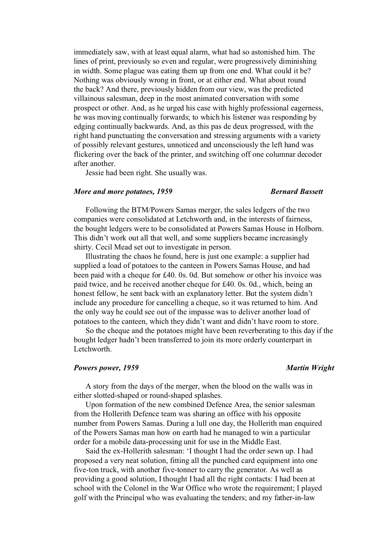immediately saw, with at least equal alarm, what had so astonished him. The lines of print, previously so even and regular, were progressively diminishing in width. Some plague was eating them up from one end. What could it be? Nothing was obviously wrong in front, or at either end. What about round the back? And there, previously hidden from our view, was the predicted villainous salesman, deep in the most animated conversation with some prospect or other. And, as he urged his case with highly professional eagerness, he was moving continually forwards; to which his listener was responding by edging continually backwards. And, as this pas de deux progressed, with the right hand punctuating the conversation and stressing arguments with a variety of possibly relevant gestures, unnoticed and unconsciously the left hand was flickering over the back of the printer, and switching off one columnar decoder after another.

Jessie had been right. She usually was.

## *More and more potatoes, 1959* Bernard Bassett

Following the BTM/Powers Samas merger, the sales ledgers of the two companies were consolidated at Letchworth and, in the interests of fairness, the bought ledgers were to be consolidated at Powers Samas House in Holborn. This didn't work out all that well, and some suppliers became increasingly shirty. Cecil Mead set out to investigate in person.

Illustrating the chaos he found, here is just one example: a supplier had supplied a load of potatoes to the canteen in Powers Samas House, and had been paid with a cheque for £40. 0s. 0d. But somehow or other his invoice was paid twice, and he received another cheque for £40. 0s. 0d., which, being an honest fellow, he sent back with an explanatory letter. But the system didn't include any procedure for cancelling a cheque, so it was returned to him. And the only way he could see out of the impasse was to deliver another load of potatoes to the canteen, which they didn't want and didn't have room to store.

So the cheque and the potatoes might have been reverberating to this day if the bought ledger hadn't been transferred to join its more orderly counterpart in Letchworth.

### *Powers power, 1959* Martin Wright

A story from the days of the merger, when the blood on the walls was in either slotted-shaped or round-shaped splashes.

Upon formation of the new combined Defence Area, the senior salesman from the Hollerith Defence team was sharing an office with his opposite number from Powers Samas. During a lull one day, the Hollerith man enquired of the Powers Samas man how on earth had he managed to win a particular order for a mobile data-processing unit for use in the Middle East.

Said the ex-Hollerith salesman: 'I thought I had the order sewn up. I had proposed a very neat solution, fitting all the punched card equipment into one five-ton truck, with another five-tonner to carry the generator. As well as providing a good solution, I thought I had all the right contacts: I had been at school with the Colonel in the War Office who wrote the requirement; I played golf with the Principal who was evaluating the tenders; and my father-in-law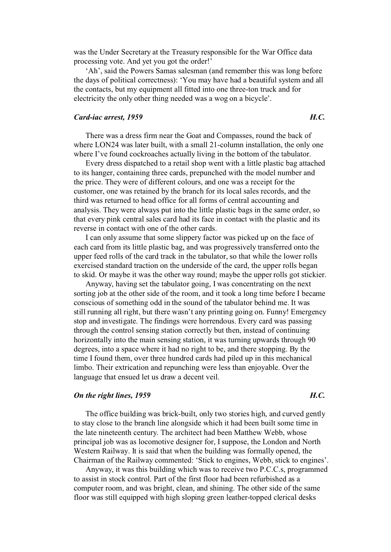was the Under Secretary at the Treasury responsible for the War Office data processing vote. And yet you got the order!'

'Ah', said the Powers Samas salesman (and remember this was long before the days of political correctness): 'You may have had a beautiful system and all the contacts, but my equipment all fitted into one three-ton truck and for electricity the only other thing needed was a wog on a bicycle'.

## *Card-iac arrest, 1959 H.C.*

There was a dress firm near the Goat and Compasses, round the back of where LON24 was later built, with a small 21-column installation, the only one where I've found cockroaches actually living in the bottom of the tabulator.

Every dress dispatched to a retail shop went with a little plastic bag attached to its hanger, containing three cards, prepunched with the model number and the price. They were of different colours, and one was a receipt for the customer, one was retained by the branch for its local sales records, and the third was returned to head office for all forms of central accounting and analysis. They were always put into the little plastic bags in the same order, so that every pink central sales card had its face in contact with the plastic and its reverse in contact with one of the other cards.

I can only assume that some slippery factor was picked up on the face of each card from its little plastic bag, and was progressively transferred onto the upper feed rolls of the card track in the tabulator, so that while the lower rolls exercised standard traction on the underside of the card, the upper rolls began to skid. Or maybe it was the other way round; maybe the upper rolls got stickier.

Anyway, having set the tabulator going, I was concentrating on the next sorting job at the other side of the room, and it took a long time before I became conscious of something odd in the sound of the tabulator behind me. It was still running all right, but there wasn't any printing going on. Funny! Emergency stop and investigate. The findings were horrendous. Every card was passing through the control sensing station correctly but then, instead of continuing horizontally into the main sensing station, it was turning upwards through 90 degrees, into a space where it had no right to be, and there stopping. By the time I found them, over three hundred cards had piled up in this mechanical limbo. Their extrication and repunching were less than enjoyable. Over the language that ensued let us draw a decent veil.

## *On the right lines, 1959 H.C.*

The office building was brick-built, only two stories high, and curved gently to stay close to the branch line alongside which it had been built some time in the late nineteenth century. The architect had been Matthew Webb, whose principal job was as locomotive designer for, I suppose, the London and North Western Railway. It is said that when the building was formally opened, the Chairman of the Railway commented: 'Stick to engines, Webb, stick to engines'.

Anyway, it was this building which was to receive two P.C.C.s, programmed to assist in stock control. Part of the first floor had been refurbished as a computer room, and was bright, clean, and shining. The other side of the same floor was still equipped with high sloping green leather-topped clerical desks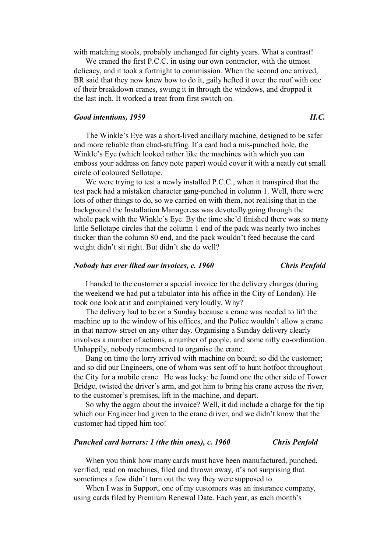with matching stools, probably unchanged for eighty years. What a contrast!

We craned the first P.C.C. in using our own contractor, with the utmost delicacy, and it took a fortnight to commission. When the second one arrived, BR said that they now knew how to do it, gaily hefted it over the roof with one of their breakdown cranes, swung it in through the windows, and dropped it the last inch. It worked a treat from first switch-on.

## *Good intentions, 1959 H.C.*

The Winkle's Eye was a short-lived ancillary machine, designed to be safer and more reliable than chad-stuffing. If a card had a mis-punched hole, the Winkle's Eye (which looked rather like the machines with which you can emboss your address on fancy note paper) would cover it with a neatly cut small circle of coloured Sellotape.

We were trying to test a newly installed P.C.C., when it transpired that the test pack had a mistaken character gang-punched in column 1. Well, there were lots of other things to do, so we carried on with them, not realising that in the background the Installation Manageress was devotedly going through the whole pack with the Winkle's Eye. By the time she'd finished there was so many little Sellotape circles that the column 1 end of the pack was nearly two inches thicker than the column 80 end, and the pack wouldn't feed because the card weight didn't sit right. But didn't she do well?

# *Nobody has ever liked our invoices, c. 1960 Chris Penfold*

I handed to the customer a special invoice for the delivery charges (during the weekend we had put a tabulator into his office in the City of London). He took one look at it and complained very loudly. Why?

The delivery had to be on a Sunday because a crane was needed to lift the machine up to the window of his offices, and the Police wouldn't allow a crane in that narrow street on any other day. Organising a Sunday delivery clearly involves a number of actions, a number of people, and some nifty co-ordination. Unhappily, nobody remembered to organise the crane.

Bang on time the lorry arrived with machine on board; so did the customer; and so did our Engineers, one of whom was sent off to hunt hotfoot throughout the City for a mobile crane. He was lucky: he found one the other side of Tower Bridge, twisted the driver's arm, and got him to bring his crane across the river, to the customer's premises, lift in the machine, and depart.

So why the aggro about the invoice? Well, it did include a charge for the tip which our Engineer had given to the crane driver, and we didn't know that the customer had tipped him too!

## *Punched card horrors: 1 (the thin ones), c. 1960 Chris Penfold*

When you think how many cards must have been manufactured, punched, verified, read on machines, filed and thrown away, it's not surprising that sometimes a few didn't turn out the way they were supposed to.

When I was in Support, one of my customers was an insurance company, using cards filed by Premium Renewal Date. Each year, as each month's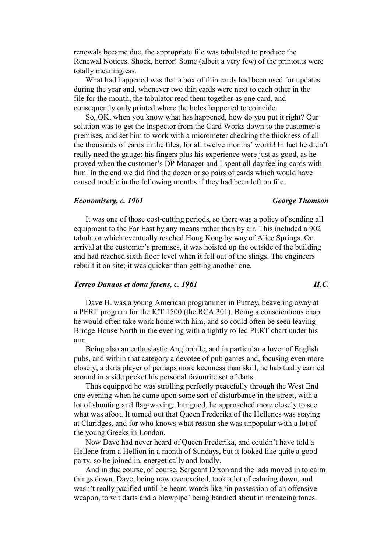renewals became due, the appropriate file was tabulated to produce the Renewal Notices. Shock, horror! Some (albeit a very few) of the printouts were totally meaningless.

What had happened was that a box of thin cards had been used for updates during the year and, whenever two thin cards were next to each other in the file for the month, the tabulator read them together as one card, and consequently only printed where the holes happened to coincide.

So, OK, when you know what has happened, how do you put it right? Our solution was to get the Inspector from the Card Works down to the customer's premises, and set him to work with a micrometer checking the thickness of all the thousands of cards in the files, for all twelve months' worth! In fact he didn't really need the gauge: his fingers plus his experience were just as good, as he proved when the customer's DP Manager and I spent all day feeling cards with him. In the end we did find the dozen or so pairs of cards which would have caused trouble in the following months if they had been left on file.

### *Economisery, c. 1961 George Thomson*

It was one of those cost-cutting periods, so there was a policy of sending all equipment to the Far East by any means rather than by air. This included a 902 tabulator which eventually reached Hong Kong by way of Alice Springs. On arrival at the customer's premises, it was hoisted up the outside of the building and had reached sixth floor level when it fell out of the slings. The engineers rebuilt it on site; it was quicker than getting another one.

# *Terreo Danaos et dona ferens, c. 1961 H.C.*

Dave H. was a young American programmer in Putney, beavering away at a PERT program for the ICT 1500 (the RCA 301). Being a conscientious chap he would often take work home with him, and so could often be seen leaving Bridge House North in the evening with a tightly rolled PERT chart under his arm.

Being also an enthusiastic Anglophile, and in particular a lover of English pubs, and within that category a devotee of pub games and, focusing even more closely, a darts player of perhaps more keenness than skill, he habitually carried around in a side pocket his personal favourite set of darts.

Thus equipped he was strolling perfectly peacefully through the West End one evening when he came upon some sort of disturbance in the street, with a lot of shouting and flag-waving. Intrigued, he approached more closely to see what was afoot. It turned out that Queen Frederika of the Hellenes was staying at Claridges, and for who knows what reason she was unpopular with a lot of the young Greeks in London.

Now Dave had never heard of Queen Frederika, and couldn't have told a Hellene from a Hellion in a month of Sundays, but it looked like quite a good party, so he joined in, energetically and loudly.

And in due course, of course, Sergeant Dixon and the lads moved in to calm things down. Dave, being now overexcited, took a lot of calming down, and wasn't really pacified until he heard words like 'in possession of an offensive weapon, to wit darts and a blowpipe' being bandied about in menacing tones.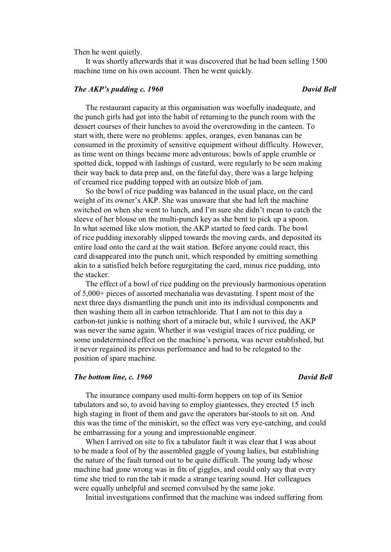Then he went quietly.

It was shortly afterwards that it was discovered that he had been selling 1500 machine time on his own account. Then he went quickly.

# *The AKP's pudding c. 1960* David Bell

The restaurant capacity at this organisation was woefully inadequate, and the punch girls had got into the habit of returning to the punch room with the dessert courses of their lunches to avoid the overcrowding in the canteen. To start with, there were no problems: apples, oranges, even bananas can be consumed in the proximity of sensitive equipment without difficulty. However, as time went on things became more adventurous: bowls of apple crumble or spotted dick, topped with lashings of custard, were regularly to be seen making their way back to data prep and, on the fateful day, there was a large helping of creamed rice pudding topped with an outsize blob of jam.

So the bowl of rice pudding was balanced in the usual place, on the card weight of its owner's AKP. She was unaware that she had left the machine switched on when she went to lunch, and I'm sure she didn't mean to catch the sleeve of her blouse on the multi-punch key as she bent to pick up a spoon. In what seemed like slow motion, the AKP started to feed cards. The bowl of rice pudding inexorably slipped towards the moving cards, and deposited its entire load onto the card at the wait station. Before anyone could react, this card disappeared into the punch unit, which responded by emitting something akin to a satisfied belch before regurgitating the card, minus rice pudding, into the stacker.

The effect of a bowl of rice pudding on the previously harmonious operation of 5,000+ pieces of assorted mechanalia was devastating. I spent most of the next three days dismantling the punch unit into its individual components and then washing them all in carbon tetrachloride. That I am not to this day a carbon-tet junkie is nothing short of a miracle but, while I survived, the AKP was never the same again. Whether it was vestigial traces of rice pudding, or some undetermined effect on the machine's persona, was never established, but it never regained its previous performance and had to be relegated to the position of spare machine.

## *The bottom line, c. 1960* **David Bell David Bell David Bell**

The insurance company used multi-form hoppers on top of its Senior tabulators and so, to avoid having to employ giantesses, they erected 15 inch high staging in front of them and gave the operators bar-stools to sit on. And this was the time of the miniskirt, so the effect was very eye-catching, and could be embarrassing for a young and impressionable engineer.

When I arrived on site to fix a tabulator fault it was clear that I was about to be made a fool of by the assembled gaggle of young ladies, but establishing the nature of the fault turned out to be quite difficult. The young lady whose machine had gone wrong was in fits of giggles, and could only say that every time she tried to run the tab it made a strange tearing sound. Her colleagues were equally unhelpful and seemed convulsed by the same joke.

Initial investigations confirmed that the machine was indeed suffering from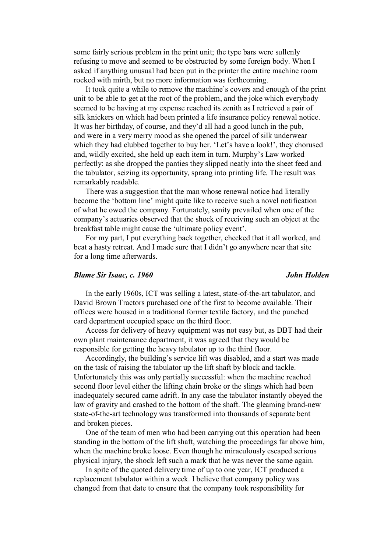some fairly serious problem in the print unit; the type bars were sullenly refusing to move and seemed to be obstructed by some foreign body. When I asked if anything unusual had been put in the printer the entire machine room rocked with mirth, but no more information was forthcoming.

It took quite a while to remove the machine's covers and enough of the print unit to be able to get at the root of the problem, and the joke which everybody seemed to be having at my expense reached its zenith as I retrieved a pair of silk knickers on which had been printed a life insurance policy renewal notice. It was her birthday, of course, and they'd all had a good lunch in the pub, and were in a very merry mood as she opened the parcel of silk underwear which they had clubbed together to buy her. 'Let's have a look!', they chorused and, wildly excited, she held up each item in turn. Murphy's Law worked perfectly: as she dropped the panties they slipped neatly into the sheet feed and the tabulator, seizing its opportunity, sprang into printing life. The result was remarkably readable.

There was a suggestion that the man whose renewal notice had literally become the 'bottom line' might quite like to receive such a novel notification of what he owed the company. Fortunately, sanity prevailed when one of the company's actuaries observed that the shock of receiving such an object at the breakfast table might cause the 'ultimate policy event'.

For my part, I put everything back together, checked that it all worked, and beat a hasty retreat. And I made sure that I didn't go anywhere near that site for a long time afterwards.

### *Blame Sir Isaac, c. 1960 John Holden*

In the early 1960s, ICT was selling a latest, state-of-the-art tabulator, and David Brown Tractors purchased one of the first to become available. Their offices were housed in a traditional former textile factory, and the punched card department occupied space on the third floor.

Access for delivery of heavy equipment was not easy but, as DBT had their own plant maintenance department, it was agreed that they would be responsible for getting the heavy tabulator up to the third floor.

Accordingly, the building's service lift was disabled, and a start was made on the task of raising the tabulator up the lift shaft by block and tackle. Unfortunately this was only partially successful: when the machine reached second floor level either the lifting chain broke or the slings which had been inadequately secured came adrift. In any case the tabulator instantly obeyed the law of gravity and crashed to the bottom of the shaft. The gleaming brand-new state-of-the-art technology was transformed into thousands of separate bent and broken pieces.

One of the team of men who had been carrying out this operation had been standing in the bottom of the lift shaft, watching the proceedings far above him, when the machine broke loose. Even though he miraculously escaped serious physical injury, the shock left such a mark that he was never the same again.

In spite of the quoted delivery time of up to one year, ICT produced a replacement tabulator within a week. I believe that company policy was changed from that date to ensure that the company took responsibility for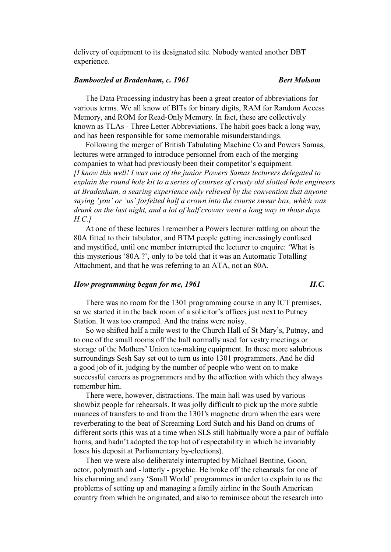delivery of equipment to its designated site. Nobody wanted another DBT experience.

### *Bamboozled at Bradenham, c. 1961 Bert Molsom*

The Data Processing industry has been a great creator of abbreviations for various terms. We all know of BITs for binary digits, RAM for Random Access Memory, and ROM for Read-Only Memory. In fact, these are collectively known as TLAs - Three Letter Abbreviations. The habit goes back a long way, and has been responsible for some memorable misunderstandings.

Following the merger of British Tabulating Machine Co and Powers Samas, lectures were arranged to introduce personnel from each of the merging companies to what had previously been their competitor's equipment. *[I know this well! I was one of the junior Powers Samas lecturers delegated to explain the round hole kit to a series of courses of crusty old slotted hole engineers at Bradenham, a searing experience only relieved by the convention that anyone saying 'you' or 'us' forfeited half a crown into the course swear box, which was drunk on the last night, and a lot of half crowns went a long way in those days. H.C.]*

At one of these lectures I remember a Powers lecturer rattling on about the 80A fitted to their tabulator, and BTM people getting increasingly confused and mystified, until one member interrupted the lecturer to enquire: 'What is this mysterious '80A ?', only to be told that it was an Automatic Totalling Attachment, and that he was referring to an ATA, not an 80A.

# *How programming began for me, 1961* **H.C. H.C.**

There was no room for the 1301 programming course in any ICT premises, so we started it in the back room of a solicitor's offices just next to Putney Station. It was too cramped. And the trains were noisy.

So we shifted half a mile west to the Church Hall of St Mary's, Putney, and to one of the small rooms off the hall normally used for vestry meetings or storage of the Mothers' Union tea-making equipment. In these more salubrious surroundings Sesh Say set out to turn us into 1301 programmers. And he did a good job of it, judging by the number of people who went on to make successful careers as programmers and by the affection with which they always remember him.

There were, however, distractions. The main hall was used by various showbiz people for rehearsals. It was jolly difficult to pick up the more subtle nuances of transfers to and from the 1301's magnetic drum when the ears were reverberating to the beat of Screaming Lord Sutch and his Band on drums of different sorts (this was at a time when SLS still habitually wore a pair of buffalo horns, and hadn't adopted the top hat of respectability in which he invariably loses his deposit at Parliamentary by-elections).

Then we were also deliberately interrupted by Michael Bentine, Goon, actor, polymath and - latterly - psychic. He broke off the rehearsals for one of his charming and zany 'Small World' programmes in order to explain to us the problems of setting up and managing a family airline in the South American country from which he originated, and also to reminisce about the research into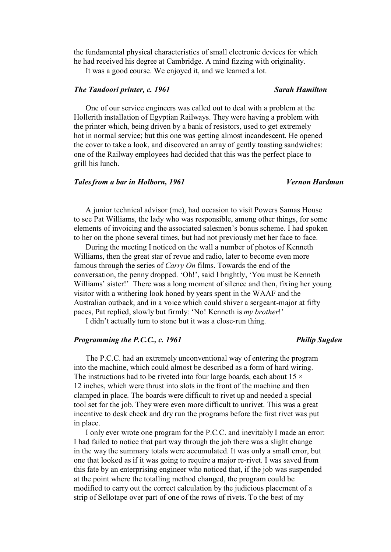the fundamental physical characteristics of small electronic devices for which he had received his degree at Cambridge. A mind fizzing with originality.

It was a good course. We enjoyed it, and we learned a lot.

# *The Tandoori printer, c. 1961 Sarah Hamilton*

One of our service engineers was called out to deal with a problem at the Hollerith installation of Egyptian Railways. They were having a problem with the printer which, being driven by a bank of resistors, used to get extremely hot in normal service; but this one was getting almost incandescent. He opened the cover to take a look, and discovered an array of gently toasting sandwiches: one of the Railway employees had decided that this was the perfect place to grill his lunch.

## *Tales from a bar in Holborn, 1961 Vernon Hardman*

A junior technical advisor (me), had occasion to visit Powers Samas House to see Pat Williams, the lady who was responsible, among other things, for some elements of invoicing and the associated salesmen's bonus scheme. I had spoken to her on the phone several times, but had not previously met her face to face.

During the meeting I noticed on the wall a number of photos of Kenneth Williams, then the great star of revue and radio, later to become even more famous through the series of *Carry On* films. Towards the end of the conversation, the penny dropped. 'Oh!', said I brightly, 'You must be Kenneth Williams' sister!' There was a long moment of silence and then, fixing her young visitor with a withering look honed by years spent in the WAAF and the Australian outback, and in a voice which could shiver a sergeant-major at fifty paces, Pat replied, slowly but firmly: 'No! Kenneth is *my brother*!'

I didn't actually turn to stone but it was a close-run thing.

### *Programming the P.C.C., c. 1961 Philip Sugden*

The P.C.C. had an extremely unconventional way of entering the program into the machine, which could almost be described as a form of hard wiring. The instructions had to be riveted into four large boards, each about  $15 \times$ 12 inches, which were thrust into slots in the front of the machine and then clamped in place. The boards were difficult to rivet up and needed a special tool set for the job. They were even more difficult to unrivet. This was a great incentive to desk check and dry run the programs before the first rivet was put in place.

I only ever wrote one program for the P.C.C. and inevitably I made an error: I had failed to notice that part way through the job there was a slight change in the way the summary totals were accumulated. It was only a small error, but one that looked as if it was going to require a major re-rivet. I was saved from this fate by an enterprising engineer who noticed that, if the job was suspended at the point where the totalling method changed, the program could be modified to carry out the correct calculation by the judicious placement of a strip of Sellotape over part of one of the rows of rivets. To the best of my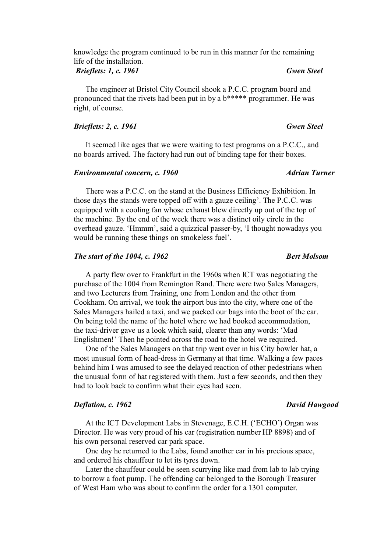knowledge the program continued to be run in this manner for the remaining life of the installation.

## *Brieflets: 1, c. 1961 Gwen Steel*

The engineer at Bristol City Council shook a P.C.C. program board and pronounced that the rivets had been put in by a b\*\*\*\*\* programmer. He was right, of course.

# *Brieflets: 2, c. 1961 Gwen Steel*

It seemed like ages that we were waiting to test programs on a P.C.C., and no boards arrived. The factory had run out of binding tape for their boxes.

## *Environmental concern, c. 1960* Adrian Turner

There was a P.C.C. on the stand at the Business Efficiency Exhibition. In those days the stands were topped off with a gauze ceiling'. The P.C.C. was equipped with a cooling fan whose exhaust blew directly up out of the top of the machine. By the end of the week there was a distinct oily circle in the overhead gauze. 'Hmmm', said a quizzical passer-by, 'I thought nowadays you would be running these things on smokeless fuel'.

# *The start of the 1004, c. 1962* Bert Molsom

A party flew over to Frankfurt in the 1960s when ICT was negotiating the purchase of the 1004 from Remington Rand. There were two Sales Managers, and two Lecturers from Training, one from London and the other from Cookham. On arrival, we took the airport bus into the city, where one of the Sales Managers hailed a taxi, and we packed our bags into the boot of the car. On being told the name of the hotel where we had booked accommodation, the taxi-driver gave us a look which said, clearer than any words: 'Mad Englishmen!' Then he pointed across the road to the hotel we required.

One of the Sales Managers on that trip went over in his City bowler hat, a most unusual form of head-dress in Germany at that time. Walking a few paces behind him I was amused to see the delayed reaction of other pedestrians when the unusual form of hat registered with them. Just a few seconds, and then they had to look back to confirm what their eyes had seen.

# **Deflation, c. 1962** David Hawgood **David Hawgood**

At the ICT Development Labs in Stevenage, E.C.H. ('ECHO') Organ was Director. He was very proud of his car (registration number HP 8898) and of his own personal reserved car park space.

One day he returned to the Labs, found another car in his precious space, and ordered his chauffeur to let its tyres down.

Later the chauffeur could be seen scurrying like mad from lab to lab trying to borrow a foot pump. The offending car belonged to the Borough Treasurer of West Ham who was about to confirm the order for a 1301 computer.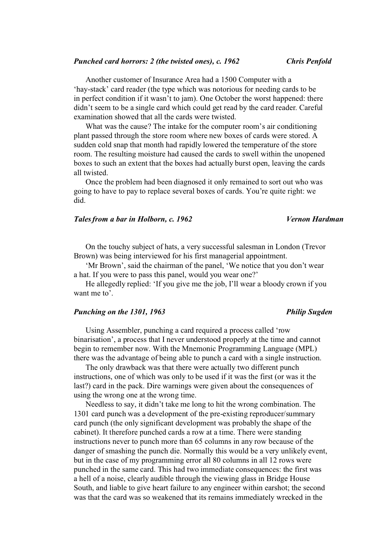Another customer of Insurance Area had a 1500 Computer with a 'hay-stack' card reader (the type which was notorious for needing cards to be in perfect condition if it wasn't to jam). One October the worst happened: there didn't seem to be a single card which could get read by the card reader. Careful examination showed that all the cards were twisted.

What was the cause? The intake for the computer room's air conditioning plant passed through the store room where new boxes of cards were stored. A sudden cold snap that month had rapidly lowered the temperature of the store room. The resulting moisture had caused the cards to swell within the unopened boxes to such an extent that the boxes had actually burst open, leaving the cards all twisted.

Once the problem had been diagnosed it only remained to sort out who was going to have to pay to replace several boxes of cards. You're quite right: we did.

## *Tales from a bar in Holborn, c. 1962 Vernon Hardman*

On the touchy subject of hats, a very successful salesman in London (Trevor Brown) was being interviewed for his first managerial appointment.

'Mr Brown', said the chairman of the panel, 'We notice that you don't wear a hat. If you were to pass this panel, would you wear one?'

He allegedly replied: 'If you give me the job, I'll wear a bloody crown if you want me to'.

## *Punching on the 1301, 1963* Philip Sugden

Using Assembler, punching a card required a process called 'row binarisation', a process that I never understood properly at the time and cannot begin to remember now. With the Mnemonic Programming Language (MPL) there was the advantage of being able to punch a card with a single instruction.

The only drawback was that there were actually two different punch instructions, one of which was only to be used if it was the first (or was it the last?) card in the pack. Dire warnings were given about the consequences of using the wrong one at the wrong time.

Needless to say, it didn't take me long to hit the wrong combination. The 1301 card punch was a development of the pre-existing reproducer/summary card punch (the only significant development was probably the shape of the cabinet). It therefore punched cards a row at a time. There were standing instructions never to punch more than 65 columns in any row because of the danger of smashing the punch die. Normally this would be a very unlikely event, but in the case of my programming error all 80 columns in all 12 rows were punched in the same card. This had two immediate consequences: the first was a hell of a noise, clearly audible through the viewing glass in Bridge House South, and liable to give heart failure to any engineer within earshot; the second was that the card was so weakened that its remains immediately wrecked in the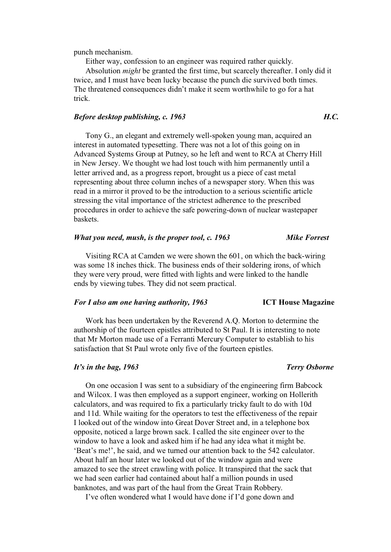punch mechanism.

Either way, confession to an engineer was required rather quickly.

Absolution *might* be granted the first time, but scarcely thereafter. I only did it twice, and I must have been lucky because the punch die survived both times. The threatened consequences didn't make it seem worthwhile to go for a hat trick.

## *Before desktop publishing, c. 1963 H.C.*

Tony G., an elegant and extremely well-spoken young man, acquired an interest in automated typesetting. There was not a lot of this going on in Advanced Systems Group at Putney, so he left and went to RCA at Cherry Hill in New Jersey. We thought we had lost touch with him permanently until a letter arrived and, as a progress report, brought us a piece of cast metal representing about three column inches of a newspaper story. When this was read in a mirror it proved to be the introduction to a serious scientific article stressing the vital importance of the strictest adherence to the prescribed procedures in order to achieve the safe powering-down of nuclear wastepaper baskets.

### *What you need, mush, is the proper tool, c. 1963 Mike Forrest*

Visiting RCA at Camden we were shown the 601, on which the back-wiring was some 18 inches thick. The business ends of their soldering irons, of which they were very proud, were fitted with lights and were linked to the handle ends by viewing tubes. They did not seem practical.

## *For I also am one having authority, 1963* **ICT House Magazine**

Work has been undertaken by the Reverend A.Q. Morton to determine the authorship of the fourteen epistles attributed to St Paul. It is interesting to note that Mr Morton made use of a Ferranti Mercury Computer to establish to his satisfaction that St Paul wrote only five of the fourteen epistles.

### *It's in the bag, 1963* Terry Osborne *It's in the bag, 1963*

On one occasion I was sent to a subsidiary of the engineering firm Babcock and Wilcox. I was then employed as a support engineer, working on Hollerith calculators, and was required to fix a particularly tricky fault to do with 10d and 11d. While waiting for the operators to test the effectiveness of the repair I looked out of the window into Great Dover Street and, in a telephone box opposite, noticed a large brown sack. I called the site engineer over to the window to have a look and asked him if he had any idea what it might be. 'Beat's me!', he said, and we turned our attention back to the 542 calculator. About half an hour later we looked out of the window again and were amazed to see the street crawling with police. It transpired that the sack that we had seen earlier had contained about half a million pounds in used banknotes, and was part of the haul from the Great Train Robbery.

I've often wondered what I would have done if I'd gone down and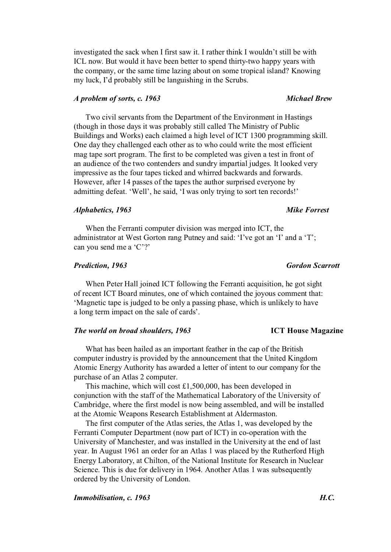investigated the sack when I first saw it. I rather think I wouldn't still be with ICL now. But would it have been better to spend thirty-two happy years with the company, or the same time lazing about on some tropical island? Knowing my luck, I'd probably still be languishing in the Scrubs.

# *A problem of sorts, c. 1963 Michael Brew*

Two civil servants from the Department of the Environment in Hastings (though in those days it was probably still called The Ministry of Public Buildings and Works) each claimed a high level of ICT 1300 programming skill. One day they challenged each other as to who could write the most efficient mag tape sort program. The first to be completed was given a test in front of an audience of the two contenders and sundry impartial judges. It looked very impressive as the four tapes ticked and whirred backwards and forwards. However, after 14 passes of the tapes the author surprised everyone by admitting defeat. 'Well', he said, 'I was only trying to sort ten records!'

## *Alphabetics, 1963 Mike Forrest*

When the Ferranti computer division was merged into ICT, the administrator at West Gorton rang Putney and said: 'I've got an 'I' and a 'T'; can you send me a 'C'?'

When Peter Hall joined ICT following the Ferranti acquisition, he got sight of recent ICT Board minutes, one of which contained the joyous comment that: 'Magnetic tape is judged to be only a passing phase, which is unlikely to have a long term impact on the sale of cards'.

## *The world on broad shoulders, 1963* **ICT House Magazine**

What has been hailed as an important feather in the cap of the British computer industry is provided by the announcement that the United Kingdom Atomic Energy Authority has awarded a letter of intent to our company for the purchase of an Atlas 2 computer.

This machine, which will cost £1,500,000, has been developed in conjunction with the staff of the Mathematical Laboratory of the University of Cambridge, where the first model is now being assembled, and will be installed at the Atomic Weapons Research Establishment at Aldermaston.

The first computer of the Atlas series, the Atlas 1, was developed by the Ferranti Computer Department (now part of ICT) in co-operation with the University of Manchester, and was installed in the University at the end of last year. In August 1961 an order for an Atlas 1 was placed by the Rutherford High Energy Laboratory, at Chilton, of the National Institute for Research in Nuclear Science. This is due for delivery in 1964. Another Atlas 1 was subsequently ordered by the University of London.

*Immobilisation, c. 1963 H.C.* 

*Prediction, 1963 Gordon Scarrott*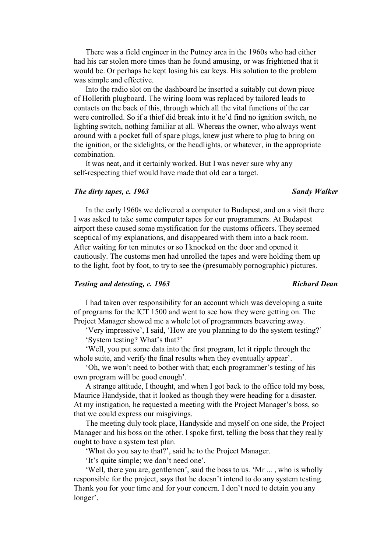There was a field engineer in the Putney area in the 1960s who had either had his car stolen more times than he found amusing, or was frightened that it would be. Or perhaps he kept losing his car keys. His solution to the problem was simple and effective.

Into the radio slot on the dashboard he inserted a suitably cut down piece of Hollerith plugboard. The wiring loom was replaced by tailored leads to contacts on the back of this, through which all the vital functions of the car were controlled. So if a thief did break into it he'd find no ignition switch, no lighting switch, nothing familiar at all. Whereas the owner, who always went around with a pocket full of spare plugs, knew just where to plug to bring on the ignition, or the sidelights, or the headlights, or whatever, in the appropriate combination.

It was neat, and it certainly worked. But I was never sure why any self-respecting thief would have made that old car a target.

## *The dirty tapes, c. 1963 Sandy Walker*

In the early 1960s we delivered a computer to Budapest, and on a visit there I was asked to take some computer tapes for our programmers. At Budapest airport these caused some mystification for the customs officers. They seemed sceptical of my explanations, and disappeared with them into a back room. After waiting for ten minutes or so I knocked on the door and opened it cautiously. The customs men had unrolled the tapes and were holding them up to the light, foot by foot, to try to see the (presumably pornographic) pictures.

# *Testing and detesting, c. 1963* Richard Dean *Richard Dean*

I had taken over responsibility for an account which was developing a suite of programs for the ICT 1500 and went to see how they were getting on. The Project Manager showed me a whole lot of programmers beavering away.

'Very impressive', I said, 'How are you planning to do the system testing?' 'System testing? What's that?'

'Well, you put some data into the first program, let it ripple through the whole suite, and verify the final results when they eventually appear'.

'Oh, we won't need to bother with that; each programmer's testing of his own program will be good enough'.

A strange attitude, I thought, and when I got back to the office told my boss, Maurice Handyside, that it looked as though they were heading for a disaster. At my instigation, he requested a meeting with the Project Manager's boss, so that we could express our misgivings.

The meeting duly took place, Handyside and myself on one side, the Project Manager and his boss on the other. I spoke first, telling the boss that they really ought to have a system test plan.

'What do you say to that?', said he to the Project Manager.

'It's quite simple; we don't need one'.

'Well, there you are, gentlemen', said the boss to us. 'Mr ... , who is wholly responsible for the project, says that he doesn't intend to do any system testing. Thank you for your time and for your concern. I don't need to detain you any longer'.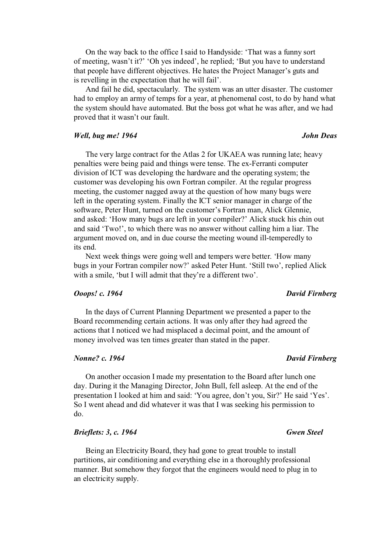On the way back to the office I said to Handyside: 'That was a funny sort of meeting, wasn't it?' 'Oh yes indeed', he replied; 'But you have to understand that people have different objectives. He hates the Project Manager's guts and is revelling in the expectation that he will fail'.

And fail he did, spectacularly. The system was an utter disaster. The customer had to employ an army of temps for a year, at phenomenal cost, to do by hand what the system should have automated. But the boss got what he was after, and we had proved that it wasn't our fault.

## *Well, bug me!* 1964 **John Deas** *John Deas John Deas*

# The very large contract for the Atlas 2 for UKAEA was running late; heavy penalties were being paid and things were tense. The ex-Ferranti computer division of ICT was developing the hardware and the operating system; the customer was developing his own Fortran compiler. At the regular progress meeting, the customer nagged away at the question of how many bugs were left in the operating system. Finally the ICT senior manager in charge of the software, Peter Hunt, turned on the customer's Fortran man, Alick Glennie, and asked: 'How many bugs are left in your compiler?' Alick stuck his chin out and said 'Two!', to which there was no answer without calling him a liar. The argument moved on, and in due course the meeting wound ill-temperedly to its end.

Next week things were going well and tempers were better. 'How many bugs in your Fortran compiler now?' asked Peter Hunt. 'Still two', replied Alick with a smile, 'but I will admit that they're a different two'.

## *Ooops! c. 1964 David Firnberg*

In the days of Current Planning Department we presented a paper to the Board recommending certain actions. It was only after they had agreed the actions that I noticed we had misplaced a decimal point, and the amount of money involved was ten times greater than stated in the paper.

## *Nonne? c. 1964 David Firnberg*

On another occasion I made my presentation to the Board after lunch one day. During it the Managing Director, John Bull, fell asleep. At the end of the presentation I looked at him and said: 'You agree, don't you, Sir?' He said 'Yes'. So I went ahead and did whatever it was that I was seeking his permission to do.

# *Brieflets: 3, c. 1964* Gwen Steel

Being an Electricity Board, they had gone to great trouble to install partitions, air conditioning and everything else in a thoroughly professional manner. But somehow they forgot that the engineers would need to plug in to an electricity supply.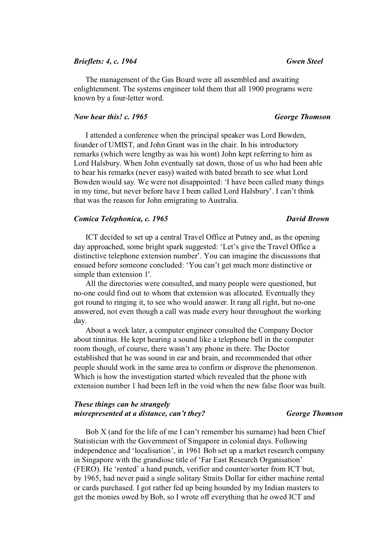## *Brieflets: 4, c. 1964 Gwen Steel*

The management of the Gas Board were all assembled and awaiting enlightenment. The systems engineer told them that all 1900 programs were known by a four-letter word.

## *Now hear this! c. 1965 George Thomson*

I attended a conference when the principal speaker was Lord Bowden, founder of UMIST, and John Grant was in the chair. In his introductory remarks (which were lengthy as was his wont) John kept referring to him as Lord Halsbury. When John eventually sat down, those of us who had been able to hear his remarks (never easy) waited with bated breath to see what Lord Bowden would say. We were not disappointed: 'I have been called many things in my time, but never before have I been called Lord Halsbury'. I can't think that was the reason for John emigrating to Australia.

## *Comica Telephonica, c. 1965 David Brown*

ICT decided to set up a central Travel Office at Putney and, as the opening day approached, some bright spark suggested: 'Let's give the Travel Office a distinctive telephone extension number'. You can imagine the discussions that ensued before someone concluded: 'You can't get much more distinctive or simple than extension 1'.

All the directories were consulted, and many people were questioned, but no-one could find out to whom that extension was allocated. Eventually they got round to ringing it, to see who would answer. It rang all right, but no-one answered, not even though a call was made every hour throughout the working day.

About a week later, a computer engineer consulted the Company Doctor about tinnitus. He kept hearing a sound like a telephone bell in the computer room though, of course, there wasn't any phone in there. The Doctor established that he was sound in ear and brain, and recommended that other people should work in the same area to confirm or disprove the phenomenon. Which is how the investigation started which revealed that the phone with extension number 1 had been left in the void when the new false floor was built.

## *These things can be strangely misrepresented at a distance, can't they? George Thomson*

Bob X (and for the life of me I can't remember his surname) had been Chief Statistician with the Government of Singapore in colonial days. Following independence and 'localisation', in 1961 Bob set up a market research company in Singapore with the grandiose title of 'Far East Research Organisation' (FERO). He 'rented' a hand punch, verifier and counter/sorter from ICT but, by 1965, had never paid a single solitary Straits Dollar for either machine rental or cards purchased. I got rather fed up being hounded by my Indian masters to get the monies owed by Bob, so I wrote off everything that he owed ICT and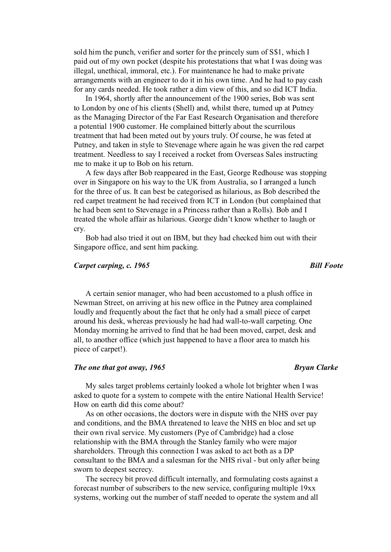sold him the punch, verifier and sorter for the princely sum of S\$1, which I paid out of my own pocket (despite his protestations that what I was doing was illegal, unethical, immoral, etc.). For maintenance he had to make private arrangements with an engineer to do it in his own time. And he had to pay cash for any cards needed. He took rather a dim view of this, and so did ICT India.

In 1964, shortly after the announcement of the 1900 series, Bob was sent to London by one of his clients (Shell) and, whilst there, turned up at Putney as the Managing Director of the Far East Research Organisation and therefore a potential 1900 customer. He complained bitterly about the scurrilous treatment that had been meted out by yours truly. Of course, he was feted at Putney, and taken in style to Stevenage where again he was given the red carpet treatment. Needless to say I received a rocket from Overseas Sales instructing me to make it up to Bob on his return.

A few days after Bob reappeared in the East, George Redhouse was stopping over in Singapore on his way to the UK from Australia, so I arranged a lunch for the three of us. It can best be categorised as hilarious, as Bob described the red carpet treatment he had received from ICT in London (but complained that he had been sent to Stevenage in a Princess rather than a Rolls). Bob and I treated the whole affair as hilarious. George didn't know whether to laugh or cry.

Bob had also tried it out on IBM, but they had checked him out with their Singapore office, and sent him packing.

## *Carpet carping, c. 1965* Bill *Foote*

A certain senior manager, who had been accustomed to a plush office in Newman Street, on arriving at his new office in the Putney area complained loudly and frequently about the fact that he only had a small piece of carpet around his desk, whereas previously he had had wall-to-wall carpeting. One Monday morning he arrived to find that he had been moved, carpet, desk and all, to another office (which just happened to have a floor area to match his piece of carpet!).

### *The one that got away, 1965* Bryan Clarke

My sales target problems certainly looked a whole lot brighter when I was asked to quote for a system to compete with the entire National Health Service! How on earth did this come about?

As on other occasions, the doctors were in dispute with the NHS over pay and conditions, and the BMA threatened to leave the NHS en bloc and set up their own rival service. My customers (Pye of Cambridge) had a close relationship with the BMA through the Stanley family who were major shareholders. Through this connection I was asked to act both as a DP consultant to the BMA and a salesman for the NHS rival - but only after being sworn to deepest secrecy.

The secrecy bit proved difficult internally, and formulating costs against a forecast number of subscribers to the new service, configuring multiple 19xx systems, working out the number of staff needed to operate the system and all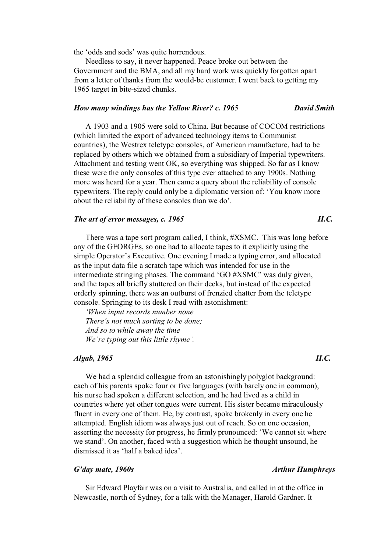the 'odds and sods' was quite horrendous.

Needless to say, it never happened. Peace broke out between the Government and the BMA, and all my hard work was quickly forgotten apart from a letter of thanks from the would-be customer. I went back to getting my 1965 target in bite-sized chunks.

## *How many windings has the Yellow River? c. 1965 David Smith*

A 1903 and a 1905 were sold to China. But because of COCOM restrictions (which limited the export of advanced technology items to Communist countries), the Westrex teletype consoles, of American manufacture, had to be replaced by others which we obtained from a subsidiary of Imperial typewriters. Attachment and testing went OK, so everything was shipped. So far as I know these were the only consoles of this type ever attached to any 1900s. Nothing more was heard for a year. Then came a query about the reliability of console typewriters. The reply could only be a diplomatic version of: 'You know more about the reliability of these consoles than we do'.

# *The art of error messages, c. 1965* H.C.

There was a tape sort program called, I think, #XSMC. This was long before any of the GEORGEs, so one had to allocate tapes to it explicitly using the simple Operator's Executive. One evening I made a typing error, and allocated as the input data file a scratch tape which was intended for use in the intermediate stringing phases. The command 'GO #XSMC' was duly given, and the tapes all briefly stuttered on their decks, but instead of the expected orderly spinning, there was an outburst of frenzied chatter from the teletype console. Springing to its desk I read with astonishment:

*'When input records number none There's not much sorting to be done; And so to while away the time We're typing out this little rhyme'.* 

# *Algab, 1965 H.C.*

We had a splendid colleague from an astonishingly polyglot background: each of his parents spoke four or five languages (with barely one in common), his nurse had spoken a different selection, and he had lived as a child in countries where yet other tongues were current. His sister became miraculously fluent in every one of them. He, by contrast, spoke brokenly in every one he attempted. English idiom was always just out of reach. So on one occasion, asserting the necessity for progress, he firmly pronounced: 'We cannot sit where we stand'. On another, faced with a suggestion which he thought unsound, he dismissed it as 'half a baked idea'.

# *G'day mate, 1960s Arthur Humphreys*

Sir Edward Playfair was on a visit to Australia, and called in at the office in Newcastle, north of Sydney, for a talk with the Manager, Harold Gardner. It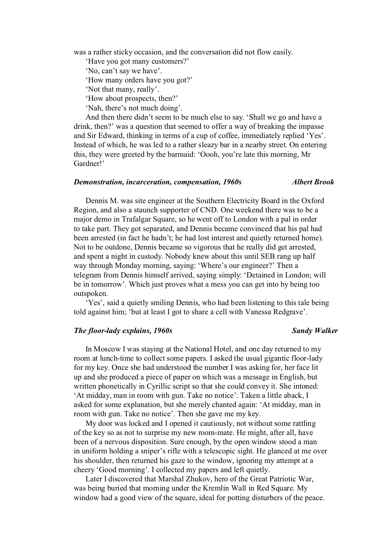was a rather sticky occasion, and the conversation did not flow easily.

'Have you got many customers?'

'No, can't say we have'.

'How many orders have you got?'

'Not that many, really'.

'How about prospects, then?'

'Nah, there's not much doing'.

And then there didn't seem to be much else to say. 'Shall we go and have a drink, then?' was a question that seemed to offer a way of breaking the impasse and Sir Edward, thinking in terms of a cup of coffee, immediately replied 'Yes'. Instead of which, he was led to a rather sleazy bar in a nearby street. On entering this, they were greeted by the barmaid: 'Oooh, you're late this morning, Mr Gardner!'

## *Demonstration, incarceration, compensation, 1960s Albert Brook*

Dennis M. was site engineer at the Southern Electricity Board in the Oxford Region, and also a staunch supporter of CND. One weekend there was to be a major demo in Trafalgar Square, so he went off to London with a pal in order to take part. They got separated, and Dennis became convinced that his pal had been arrested (in fact he hadn't; he had lost interest and quietly returned home). Not to be outdone, Dennis became so vigorous that he really did get arrested, and spent a night in custody. Nobody knew about this until SEB rang up half way through Monday morning, saying: 'Where's our engineer?' Then a telegram from Dennis himself arrived, saying simply: 'Detained in London; will be in tomorrow'. Which just proves what a mess you can get into by being too outspoken.

'Yes', said a quietly smiling Dennis, who had been listening to this tale being told against him; 'but at least I got to share a cell with Vanessa Redgrave'.

## *The floor-lady explains, 1960s* Sandy Walker

In Moscow I was staying at the National Hotel, and one day returned to my room at lunch-time to collect some papers. I asked the usual gigantic floor-lady for my key. Once she had understood the number I was asking for, her face lit up and she produced a piece of paper on which was a message in English, but written phonetically in Cyrillic script so that she could convey it. She intoned: 'At midday, man in room with gun. Take no notice'. Taken a little aback, I asked for some explanation, but she merely chanted again: 'At midday, man in room with gun. Take no notice'. Then she gave me my key.

My door was locked and I opened it cautiously, not without some rattling of the key so as not to surprise my new room-mate. He might, after all, have been of a nervous disposition. Sure enough, by the open window stood a man in uniform holding a sniper's rifle with a telescopic sight. He glanced at me over his shoulder, then returned his gaze to the window, ignoring my attempt at a cheery 'Good morning'. I collected my papers and left quietly.

Later I discovered that Marshal Zhukov, hero of the Great Patriotic War, was being buried that morning under the Kremlin Wall in Red Square. My window had a good view of the square, ideal for potting disturbers of the peace.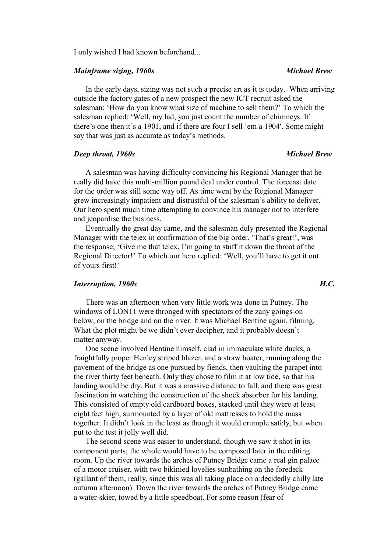I only wished I had known beforehand...

# *Mainframe sizing, 1960s* extending the *Michael Brew* Michael Brew

In the early days, sizing was not such a precise art as it is today. When arriving outside the factory gates of a new prospect the new ICT recruit asked the salesman: 'How do you know what size of machine to sell them?' To which the salesman replied: 'Well, my lad, you just count the number of chimneys. If there's one then it's a 1901, and if there are four I sell 'em a 1904'. Some might say that was just as accurate as today's methods.

## *Deep throat, 1960s Michael Brew*

A salesman was having difficulty convincing his Regional Manager that he really did have this multi-million pound deal under control. The forecast date for the order was still some way off. As time went by the Regional Manager grew increasingly impatient and distrustful of the salesman's ability to deliver. Our hero spent much time attempting to convince his manager not to interfere and jeopardise the business.

Eventually the great day came, and the salesman duly presented the Regional Manager with the telex in confirmation of the big order. 'That's great!', was the response; 'Give me that telex, I'm going to stuff it down the throat of the Regional Director!' To which our hero replied: 'Well, you'll have to get it out of yours first!'

# *Interruption, 1960s H.C.*

There was an afternoon when very little work was done in Putney. The windows of LON11 were thronged with spectators of the zany goings-on below, on the bridge and on the river. It was Michael Bentine again, filming. What the plot might be we didn't ever decipher, and it probably doesn't matter anyway.

One scene involved Bentine himself, clad in immaculate white ducks, a fraightfully proper Henley striped blazer, and a straw boater, running along the pavement of the bridge as one pursued by fiends, then vaulting the parapet into the river thirty feet beneath. Only they chose to film it at low tide, so that his landing would be dry. But it was a massive distance to fall, and there was great fascination in watching the construction of the shock absorber for his landing. This consisted of empty old cardboard boxes, stacked until they were at least eight feet high, surmounted by a layer of old mattresses to hold the mass together. It didn't look in the least as though it would crumple safely, but when put to the test it jolly well did.

The second scene was easier to understand, though we saw it shot in its component parts; the whole would have to be composed later in the editing room. Up the river towards the arches of Putney Bridge came a real gin palace of a motor cruiser, with two bikinied lovelies sunbathing on the foredeck (gallant of them, really, since this was all taking place on a decidedly chilly late autumn afternoon). Down the river towards the arches of Putney Bridge came a water-skier, towed by a little speedboat. For some reason (fear of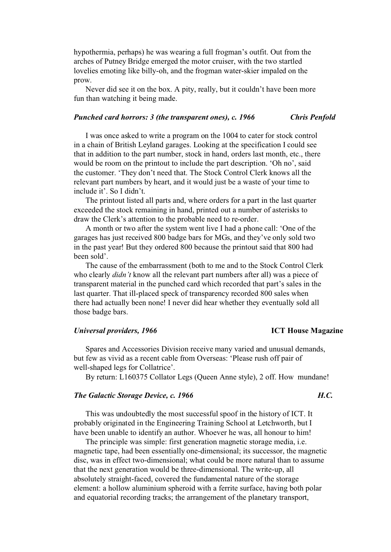hypothermia, perhaps) he was wearing a full frogman's outfit. Out from the arches of Putney Bridge emerged the motor cruiser, with the two startled lovelies emoting like billy-oh, and the frogman water-skier impaled on the prow.

Never did see it on the box. A pity, really, but it couldn't have been more fun than watching it being made.

### *Punched card horrors: 3 (the transparent ones), c. 1966 Chris Penfold*

I was once asked to write a program on the 1004 to cater for stock control in a chain of British Leyland garages. Looking at the specification I could see that in addition to the part number, stock in hand, orders last month, etc., there would be room on the printout to include the part description. 'Oh no', said the customer. 'They don't need that. The Stock Control Clerk knows all the relevant part numbers by heart, and it would just be a waste of your time to include it'. So I didn't.

The printout listed all parts and, where orders for a part in the last quarter exceeded the stock remaining in hand, printed out a number of asterisks to draw the Clerk's attention to the probable need to re-order.

A month or two after the system went live I had a phone call: 'One of the garages has just received 800 badge bars for MGs, and they've only sold two in the past year! But they ordered 800 because the printout said that 800 had been sold'.

The cause of the embarrassment (both to me and to the Stock Control Clerk who clearly *didn't* know all the relevant part numbers after all) was a piece of transparent material in the punched card which recorded that part's sales in the last quarter. That ill-placed speck of transparency recorded 800 sales when there had actually been none! I never did hear whether they eventually sold all those badge bars.

### *Universal providers, 1966* **ICT House Magazine**

Spares and Accessories Division receive many varied and unusual demands, but few as vivid as a recent cable from Overseas: 'Please rush off pair of well-shaped legs for Collatrice'.

By return: L160375 Collator Legs (Queen Anne style), 2 off. How mundane!

# *The Galactic Storage Device, c. 1966 H.C.*

This was undoubtedly the most successful spoof in the history of ICT. It probably originated in the Engineering Training School at Letchworth, but I have been unable to identify an author. Whoever he was, all honour to him!

The principle was simple: first generation magnetic storage media, i.e. magnetic tape, had been essentially one-dimensional; its successor, the magnetic disc, was in effect two-dimensional; what could be more natural than to assume that the next generation would be three-dimensional. The write-up, all absolutely straight-faced, covered the fundamental nature of the storage element: a hollow aluminium spheroid with a ferrite surface, having both polar and equatorial recording tracks; the arrangement of the planetary transport,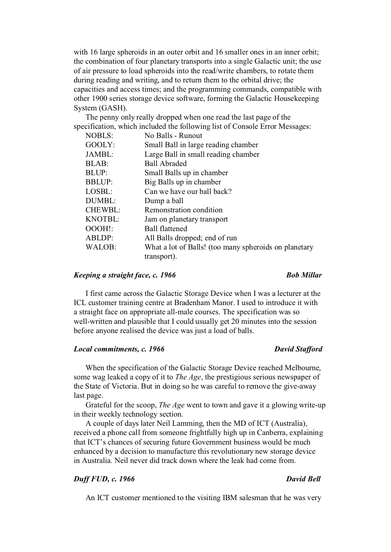with 16 large spheroids in an outer orbit and 16 smaller ones in an inner orbit; the combination of four planetary transports into a single Galactic unit; the use of air pressure to load spheroids into the read/write chambers, to rotate them during reading and writing, and to return them to the orbital drive; the capacities and access times; and the programming commands, compatible with other 1900 series storage device software, forming the Galactic Housekeeping System (GASH).

The penny only really dropped when one read the last page of the specification, which included the following list of Console Error Messages:

| <b>NOBLS:</b>  | No Balls - Runout                                     |  |
|----------------|-------------------------------------------------------|--|
| GOOLY:         | Small Ball in large reading chamber                   |  |
| JAMBL:         | Large Ball in small reading chamber                   |  |
| BLAB:          | <b>Ball Abraded</b>                                   |  |
| BLUP:          | Small Balls up in chamber                             |  |
| <b>BBLUP:</b>  | Big Balls up in chamber                               |  |
| LOSBL:         | Can we have our ball back?                            |  |
| DUMBL:         | Dump a ball                                           |  |
| <b>CHEWBL:</b> | Remonstration condition                               |  |
| KNOTBL:        | Jam on planetary transport                            |  |
| OOOH!:         | <b>Ball flattened</b>                                 |  |
| ABLDP:         | All Balls dropped; end of run                         |  |
| WALOB:         | What a lot of Balls! (too many spheroids on planetary |  |
|                | transport).                                           |  |

### *Keeping a straight face, c. 1966 Bob Millar*

I first came across the Galactic Storage Device when I was a lecturer at the ICL customer training centre at Bradenham Manor. I used to introduce it with a straight face on appropriate all-male courses. The specification was so well-written and plausible that I could usually get 20 minutes into the session before anyone realised the device was just a load of balls.

# *Local commitments, c. 1966* David Stafford

# When the specification of the Galactic Storage Device reached Melbourne, some wag leaked a copy of it to *The Age*, the prestigious serious newspaper of the State of Victoria. But in doing so he was careful to remove the give-away last page.

Grateful for the scoop, *The Age* went to town and gave it a glowing write-up in their weekly technology section.

A couple of days later Neil Lamming, then the MD of ICT (Australia), received a phone call from someone frightfully high up in Canberra, explaining that ICT's chances of securing future Government business would be much enhanced by a decision to manufacture this revolutionary new storage device in Australia. Neil never did track down where the leak had come from.

# *Duff FUD, c. 1966 David Bell*

An ICT customer mentioned to the visiting IBM salesman that he was very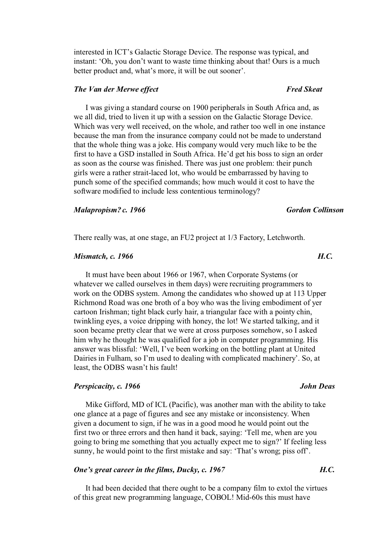interested in ICT's Galactic Storage Device. The response was typical, and instant: 'Oh, you don't want to waste time thinking about that! Ours is a much better product and, what's more, it will be out sooner'.

# *The Van der Merwe effect* Fred Skeat

I was giving a standard course on 1900 peripherals in South Africa and, as we all did, tried to liven it up with a session on the Galactic Storage Device. Which was very well received, on the whole, and rather too well in one instance because the man from the insurance company could not be made to understand that the whole thing was a joke. His company would very much like to be the first to have a GSD installed in South Africa. He'd get his boss to sign an order as soon as the course was finished. There was just one problem: their punch girls were a rather strait-laced lot, who would be embarrassed by having to punch some of the specified commands; how much would it cost to have the software modified to include less contentious terminology?

## *Malapropism? c. 1966 Gordon Collinson*

There really was, at one stage, an FU2 project at 1/3 Factory, Letchworth.

# *Mismatch, c. 1966 H.C. H.C.*

It must have been about 1966 or 1967, when Corporate Systems (or whatever we called ourselves in them days) were recruiting programmers to work on the ODBS system. Among the candidates who showed up at 113 Upper Richmond Road was one broth of a boy who was the living embodiment of yer cartoon Irishman; tight black curly hair, a triangular face with a pointy chin, twinkling eyes, a voice dripping with honey, the lot! We started talking, and it soon became pretty clear that we were at cross purposes somehow, so I asked him why he thought he was qualified for a job in computer programming. His answer was blissful: 'Well, I've been working on the bottling plant at United Dairies in Fulham, so I'm used to dealing with complicated machinery'. So, at least, the ODBS wasn't his fault!

### *Perspicacity, c. 1966* John Deas

Mike Gifford, MD of ICL (Pacific), was another man with the ability to take one glance at a page of figures and see any mistake or inconsistency. When given a document to sign, if he was in a good mood he would point out the first two or three errors and then hand it back, saying: 'Tell me, when are you going to bring me something that you actually expect me to sign?' If feeling less sunny, he would point to the first mistake and say: 'That's wrong; piss off'.

# *One's great career in the films, Ducky, c. 1967 H.C.*

It had been decided that there ought to be a company film to extol the virtues of this great new programming language, COBOL! Mid-60s this must have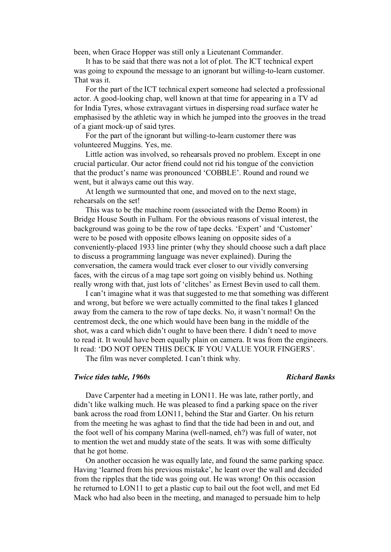been, when Grace Hopper was still only a Lieutenant Commander.

It has to be said that there was not a lot of plot. The ICT technical expert was going to expound the message to an ignorant but willing-to-learn customer. That was it.

For the part of the ICT technical expert someone had selected a professional actor. A good-looking chap, well known at that time for appearing in a TV ad for India Tyres, whose extravagant virtues in dispersing road surface water he emphasised by the athletic way in which he jumped into the grooves in the tread of a giant mock-up of said tyres.

For the part of the ignorant but willing-to-learn customer there was volunteered Muggins. Yes, me.

Little action was involved, so rehearsals proved no problem. Except in one crucial particular. Our actor friend could not rid his tongue of the conviction that the product's name was pronounced 'COBBLE'. Round and round we went, but it always came out this way.

At length we surmounted that one, and moved on to the next stage, rehearsals on the set!

This was to be the machine room (associated with the Demo Room) in Bridge House South in Fulham. For the obvious reasons of visual interest, the background was going to be the row of tape decks. 'Expert' and 'Customer' were to be posed with opposite elbows leaning on opposite sides of a conveniently-placed 1933 line printer (why they should choose such a daft place to discuss a programming language was never explained). During the conversation, the camera would track ever closer to our vividly conversing faces, with the circus of a mag tape sort going on visibly behind us. Nothing really wrong with that, just lots of 'clitches' as Ernest Bevin used to call them.

I can't imagine what it was that suggested to me that something was different and wrong, but before we were actually committed to the final takes I glanced away from the camera to the row of tape decks. No, it wasn't normal! On the centremost deck, the one which would have been bang in the middle of the shot, was a card which didn't ought to have been there. I didn't need to move to read it. It would have been equally plain on camera. It was from the engineers. It read: 'DO NOT OPEN THIS DECK IF YOU VALUE YOUR FINGERS'.

The film was never completed. I can't think why.

## *Twice tides table, 1960s Twice tides table, 1960s Richard Banks*

Dave Carpenter had a meeting in LON11. He was late, rather portly, and didn't like walking much. He was pleased to find a parking space on the river bank across the road from LON11, behind the Star and Garter. On his return from the meeting he was aghast to find that the tide had been in and out, and the foot well of his company Marina (well-named, eh?) was full of water, not to mention the wet and muddy state of the seats. It was with some difficulty that he got home.

On another occasion he was equally late, and found the same parking space. Having 'learned from his previous mistake', he leant over the wall and decided from the ripples that the tide was going out. He was wrong! On this occasion he returned to LON11 to get a plastic cup to bail out the foot well, and met Ed Mack who had also been in the meeting, and managed to persuade him to help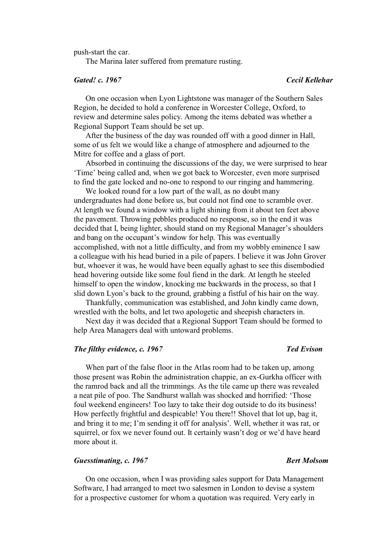push-start the car.

The Marina later suffered from premature rusting.

## *Gated! c. 1967 Cecil Kellehar*

On one occasion when Lyon Lightstone was manager of the Southern Sales Region, he decided to hold a conference in Worcester College, Oxford, to review and determine sales policy. Among the items debated was whether a Regional Support Team should be set up.

After the business of the day was rounded off with a good dinner in Hall, some of us felt we would like a change of atmosphere and adjourned to the Mitre for coffee and a glass of port.

Absorbed in continuing the discussions of the day, we were surprised to hear 'Time' being called and, when we got back to Worcester, even more surprised to find the gate locked and no-one to respond to our ringing and hammering.

We looked round for a low part of the wall, as no doubt many undergraduates had done before us, but could not find one to scramble over. At length we found a window with a light shining from it about ten feet above the pavement. Throwing pebbles produced no response, so in the end it was decided that I, being lighter, should stand on my Regional Manager's shoulders and bang on the occupant's window for help. This was eventually accomplished, with not a little difficulty, and from my wobbly eminence I saw a colleague with his head buried in a pile of papers. I believe it was John Grover but, whoever it was, he would have been equally aghast to see this disembodied head hovering outside like some foul fiend in the dark. At length he steeled himself to open the window, knocking me backwards in the process, so that I slid down Lyon's back to the ground, grabbing a fistful of his hair on the way.

Thankfully, communication was established, and John kindly came down, wrestled with the bolts, and let two apologetic and sheepish characters in.

Next day it was decided that a Regional Support Team should be formed to help Area Managers deal with untoward problems.

# *The filthy evidence, c. 1967 Ted Evison*

When part of the false floor in the Atlas room had to be taken up, among those present was Robin the administration chappie, an ex-Gurkha officer with the ramrod back and all the trimmings. As the tile came up there was revealed a neat pile of poo. The Sandhurst wallah was shocked and horrified: 'Those foul weekend engineers! Too lazy to take their dog outside to do its business! How perfectly frightful and despicable! You there!! Shovel that lot up, bag it, and bring it to me; I'm sending it off for analysis'. Well, whether it was rat, or squirrel, or fox we never found out. It certainly wasn't dog or we'd have heard more about it.

## *Guesstimating, c. 1967 Bert Molsom*

On one occasion, when I was providing sales support for Data Management Software, I had arranged to meet two salesmen in London to devise a system for a prospective customer for whom a quotation was required. Very early in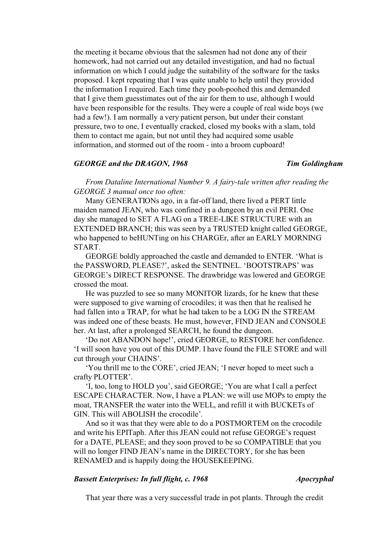the meeting it became obvious that the salesmen had not done any of their homework, had not carried out any detailed investigation, and had no factual information on which I could judge the suitability of the software for the tasks proposed. I kept repeating that I was quite unable to help until they provided the information I required. Each time they pooh-poohed this and demanded that I give them guesstimates out of the air for them to use, although I would have been responsible for the results. They were a couple of real wide boys (we had a few!). I am normally a very patient person, but under their constant pressure, two to one, I eventually cracked, closed my books with a slam, told them to contact me again, but not until they had acquired some usable information, and stormed out of the room - into a broom cupboard!

## *GEORGE and the DRAGON, 1968 Tim Goldingham*

*From Dataline International Number 9. A fairy-tale written after reading the GEORGE 3 manual once too often:*

Many GENERATIONs ago, in a far-off land, there lived a PERT little maiden named JEAN, who was confined in a dungeon by an evil PERI. One day she managed to SET A FLAG on a TREE-LIKE STRUCTURE with an EXTENDED BRANCH; this was seen by a TRUSTED knight called GEORGE, who happened to beHUNTing on his CHARGEr, after an EARLY MORNING START.

GEORGE boldly approached the castle and demanded to ENTER. 'What is the PASSWORD, PLEASE?', asked the SENTINEL. 'BOOTSTRAPS' was GEORGE's DIRECT RESPONSE. The drawbridge was lowered and GEORGE crossed the moat.

He was puzzled to see so many MONITOR lizards, for he knew that these were supposed to give warning of crocodiles; it was then that he realised he had fallen into a TRAP, for what he had taken to be a LOG IN the STREAM was indeed one of these beasts. He must, however, FIND JEAN and CONSOLE her. At last, after a prolonged SEARCH, he found the dungeon.

'Do not ABANDON hope!', cried GEORGE, to RESTORE her confidence. 'I will soon have you out of this DUMP. I have found the FILE STORE and will cut through your CHAINS'.

'You thrill me to the CORE', cried JEAN; 'I never hoped to meet such a crafty PLOTTER'.

'I, too, long to HOLD you', said GEORGE; 'You are what I call a perfect ESCAPE CHARACTER. Now, I have a PLAN: we will use MOPs to empty the moat, TRANSFER the water into the WELL, and refill it with BUCKETs of GIN. This will ABOLISH the crocodile'.

And so it was that they were able to do a POSTMORTEM on the crocodile and write his EPITaph. After this JEAN could not refuse GEORGE's request for a DATE, PLEASE; and they soon proved to be so COMPATIBLE that you will no longer FIND JEAN's name in the DIRECTORY, for she has been RENAMED and is happily doing the HOUSEKEEPING.

# *Bassett Enterprises: In full flight, c. 1968 Apocryphal*

That year there was a very successful trade in pot plants. Through the credit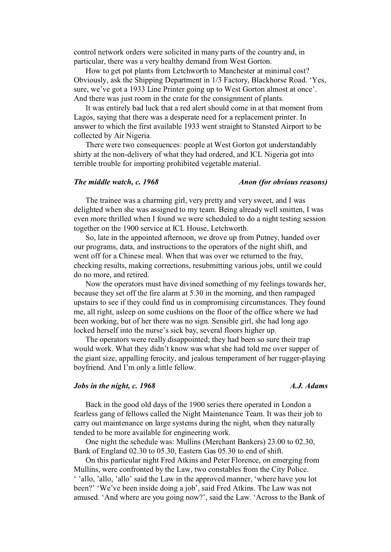control network orders were solicited in many parts of the country and, in particular, there was a very healthy demand from West Gorton.

How to get pot plants from Letchworth to Manchester at minimal cost? Obviously, ask the Shipping Department in 1/3 Factory, Blackhorse Road. 'Yes, sure, we've got a 1933 Line Printer going up to West Gorton almost at once'. And there was just room in the crate for the consignment of plants.

It was entirely bad luck that a red alert should come in at that moment from Lagos, saying that there was a desperate need for a replacement printer. In answer to which the first available 1933 went straight to Stansted Airport to be collected by Air Nigeria.

There were two consequences: people at West Gorton got understandably shirty at the non-delivery of what they had ordered, and ICL Nigeria got into terrible trouble for importing prohibited vegetable material.

### *The middle watch, c.* 1968 *Anon (for obvious reasons)*

The trainee was a charming girl, very pretty and very sweet, and I was delighted when she was assigned to my team. Being already well smitten, I was even more thrilled when I found we were scheduled to do a night testing session together on the 1900 service at ICL House, Letchworth.

So, late in the appointed afternoon, we drove up from Putney, handed over our programs, data, and instructions to the operators of the night shift, and went off for a Chinese meal. When that was over we returned to the fray, checking results, making corrections, resubmitting various jobs, until we could do no more, and retired.

Now the operators must have divined something of my feelings towards her, because they set off the fire alarm at 5.30 in the morning, and then rampaged upstairs to see if they could find us in compromising circumstances. They found me, all right, asleep on some cushions on the floor of the office where we had been working, but of her there was no sign. Sensible girl, she had long ago locked herself into the nurse's sick bay, several floors higher up.

The operators were really disappointed; they had been so sure their trap would work. What they didn't know was what she had told me over supper of the giant size, appalling ferocity, and jealous temperament of her rugger-playing boyfriend. And I'm only a little fellow.

## *Jobs in the night, c.* 1968 A.J. Adams

Back in the good old days of the 1900 series there operated in London a fearless gang of fellows called the Night Maintenance Team. It was their job to carry out maintenance on large systems during the night, when they naturally tended to be more available for engineering work.

One night the schedule was: Mullins (Merchant Bankers) 23.00 to 02.30, Bank of England 02.30 to 05.30, Eastern Gas 05.30 to end of shift.

On this particular night Fred Atkins and Peter Florence, on emerging from Mullins, were confronted by the Law, two constables from the City Police. ' 'allo, 'allo, 'allo' said the Law in the approved manner, 'where have you lot been?' 'We've been inside doing a job', said Fred Atkins. The Law was not amused. 'And where are you going now?', said the Law. 'Across to the Bank of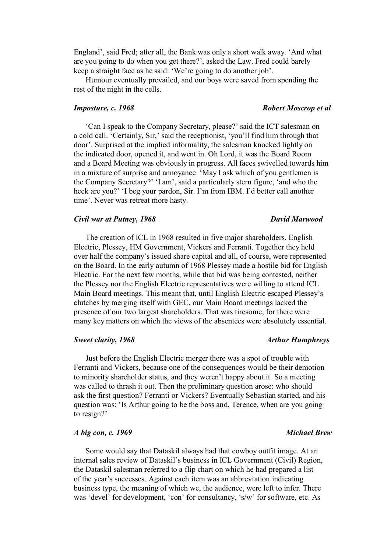England', said Fred; after all, the Bank was only a short walk away. 'And what are you going to do when you get there?', asked the Law. Fred could barely keep a straight face as he said: 'We're going to do another job'.

Humour eventually prevailed, and our boys were saved from spending the rest of the night in the cells.

'Can I speak to the Company Secretary, please?' said the ICT salesman on a cold call. 'Certainly, Sir,' said the receptionist, 'you'll find him through that door'. Surprised at the implied informality, the salesman knocked lightly on the indicated door, opened it, and went in. Oh Lord, it was the Board Room and a Board Meeting was obviously in progress. All faces swivelled towards him in a mixture of surprise and annoyance. 'May I ask which of you gentlemen is the Company Secretary?' 'I am', said a particularly stern figure, 'and who the heck are you?' 'I beg your pardon, Sir. I'm from IBM. I'd better call another time'. Never was retreat more hasty.

## *Civil war at Putney, 1968 David Marwood*

The creation of ICL in 1968 resulted in five major shareholders, English Electric, Plessey, HM Government, Vickers and Ferranti. Together they held over half the company's issued share capital and all, of course, were represented on the Board. In the early autumn of 1968 Plessey made a hostile bid for English Electric. For the next few months, while that bid was being contested, neither the Plessey nor the English Electric representatives were willing to attend ICL Main Board meetings. This meant that, until English Electric escaped Plessey's clutches by merging itself with GEC, our Main Board meetings lacked the presence of our two largest shareholders. That was tiresome, for there were many key matters on which the views of the absentees were absolutely essential.

Just before the English Electric merger there was a spot of trouble with Ferranti and Vickers, because one of the consequences would be their demotion to minority shareholder status, and they weren't happy about it. So a meeting was called to thrash it out. Then the preliminary question arose: who should ask the first question? Ferranti or Vickers? Eventually Sebastian started, and his question was: 'Is Arthur going to be the boss and, Terence, when are you going to resign?'

## *A big con, c. 1969 Michael Brew*

Some would say that Dataskil always had that cowboy outfit image. At an internal sales review of Dataskil's business in ICL Government (Civil) Region, the Dataskil salesman referred to a flip chart on which he had prepared a list of the year's successes. Against each item was an abbreviation indicating business type, the meaning of which we, the audience, were left to infer. There was 'devel' for development, 'con' for consultancy, 's/w' for software, etc. As

### *Sweet clarity, 1968* Arthur Humphreys

# *Imposture, c. 1968* **Robert Moscrop et al** *Robert Moscrop et al*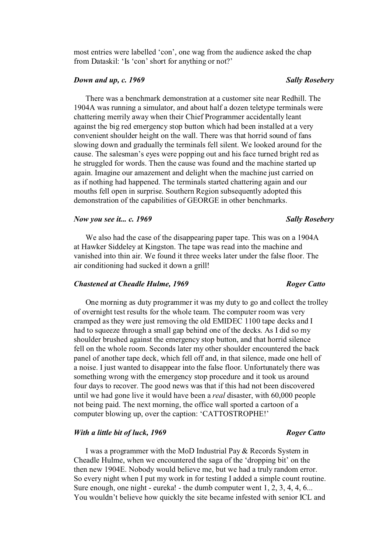most entries were labelled 'con', one wag from the audience asked the chap from Dataskil: 'Is 'con' short for anything or not?'

## *Down and up, c. 1969* Sally Rosebery

There was a benchmark demonstration at a customer site near Redhill. The 1904A was running a simulator, and about half a dozen teletype terminals were chattering merrily away when their Chief Programmer accidentally leant against the big red emergency stop button which had been installed at a very convenient shoulder height on the wall. There was that horrid sound of fans slowing down and gradually the terminals fell silent. We looked around for the cause. The salesman's eyes were popping out and his face turned bright red as he struggled for words. Then the cause was found and the machine started up again. Imagine our amazement and delight when the machine just carried on as if nothing had happened. The terminals started chattering again and our mouths fell open in surprise. Southern Region subsequently adopted this demonstration of the capabilities of GEORGE in other benchmarks.

## *Now you see it... c.* 1969 Sally Rosebery *Sally Rosebery*

We also had the case of the disappearing paper tape. This was on a 1904A at Hawker Siddeley at Kingston. The tape was read into the machine and vanished into thin air. We found it three weeks later under the false floor. The air conditioning had sucked it down a grill!

## *Chastened at Cheadle Hulme, 1969 Roger Catto*

One morning as duty programmer it was my duty to go and collect the trolley of overnight test results for the whole team. The computer room was very cramped as they were just removing the old EMIDEC 1100 tape decks and I had to squeeze through a small gap behind one of the decks. As I did so my shoulder brushed against the emergency stop button, and that horrid silence fell on the whole room. Seconds later my other shoulder encountered the back panel of another tape deck, which fell off and, in that silence, made one hell of a noise. I just wanted to disappear into the false floor. Unfortunately there was something wrong with the emergency stop procedure and it took us around four days to recover. The good news was that if this had not been discovered until we had gone live it would have been a *real* disaster, with 60,000 people not being paid. The next morning, the office wall sported a cartoon of a computer blowing up, over the caption: 'CATTOSTROPHE!'

### *With a little bit of luck, 1969 Roger Catto*

I was a programmer with the MoD Industrial Pay & Records System in Cheadle Hulme, when we encountered the saga of the 'dropping bit' on the then new 1904E. Nobody would believe me, but we had a truly random error. So every night when I put my work in for testing I added a simple count routine. Sure enough, one night - eureka! - the dumb computer went 1, 2, 3, 4, 4, 6... You wouldn't believe how quickly the site became infested with senior ICL and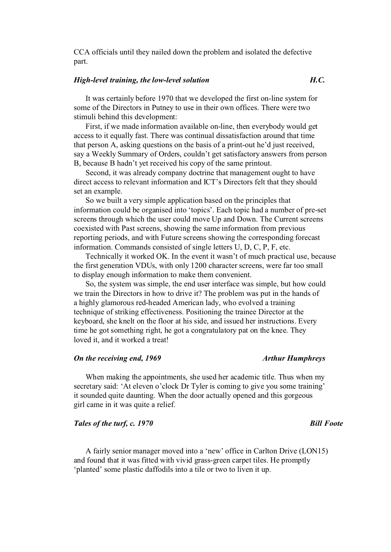CCA officials until they nailed down the problem and isolated the defective part.

## *High-level training, the low-level solution H.C.*

It was certainly before 1970 that we developed the first on-line system for some of the Directors in Putney to use in their own offices. There were two stimuli behind this development:

First, if we made information available on-line, then everybody would get access to it equally fast. There was continual dissatisfaction around that time that person A, asking questions on the basis of a print-out he'd just received, say a Weekly Summary of Orders, couldn't get satisfactory answers from person B, because B hadn't yet received his copy of the same printout.

Second, it was already company doctrine that management ought to have direct access to relevant information and ICT's Directors felt that they should set an example.

So we built a very simple application based on the principles that information could be organised into 'topics'. Each topic had a number of pre-set screens through which the user could move Up and Down. The Current screens coexisted with Past screens, showing the same information from previous reporting periods, and with Future screens showing the corresponding forecast information. Commands consisted of single letters U, D, C, P, F, etc.

Technically it worked OK. In the event it wasn't of much practical use, because the first generation VDUs, with only 1200 character screens, were far too small to display enough information to make them convenient.

So, the system was simple, the end user interface was simple, but how could we train the Directors in how to drive it? The problem was put in the hands of a highly glamorous red-headed American lady, who evolved a training technique of striking effectiveness. Positioning the trainee Director at the keyboard, she knelt on the floor at his side, and issued her instructions. Every time he got something right, he got a congratulatory pat on the knee. They loved it, and it worked a treat!

# *On the receiving end, 1969 Arthur Humphreys*

When making the appointments, she used her academic title. Thus when my secretary said: 'At eleven o'clock Dr Tyler is coming to give you some training' it sounded quite daunting. When the door actually opened and this gorgeous girl came in it was quite a relief.

# *Tales of the turf, c. 1970* Bill Foote

A fairly senior manager moved into a 'new' office in Carlton Drive (LON15) and found that it was fitted with vivid grass-green carpet tiles. He promptly 'planted' some plastic daffodils into a tile or two to liven it up.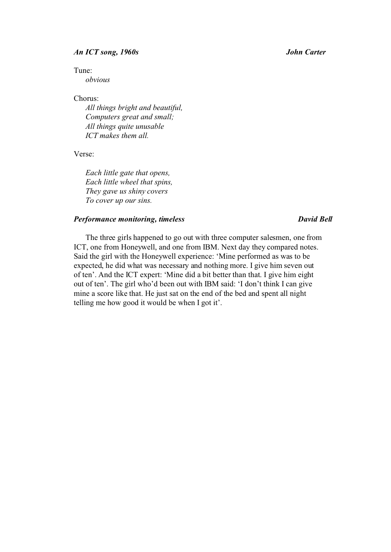## *An ICT song, 1960s John Carter*

Tune:

*obvious*

Chorus:

*All things bright and beautiful, Computers great and small; All things quite unusable ICT makes them all.* 

Verse:

*Each little gate that opens, Each little wheel that spins, They gave us shiny covers To cover up our sins.* 

# *Performance monitoring, timeless David Bell*

The three girls happened to go out with three computer salesmen, one from ICT, one from Honeywell, and one from IBM. Next day they compared notes. Said the girl with the Honeywell experience: 'Mine performed as was to be expected, he did what was necessary and nothing more. I give him seven out of ten'. And the ICT expert: 'Mine did a bit better than that. I give him eight out of ten'. The girl who'd been out with IBM said: 'I don't think I can give mine a score like that. He just sat on the end of the bed and spent all night telling me how good it would be when I got it'.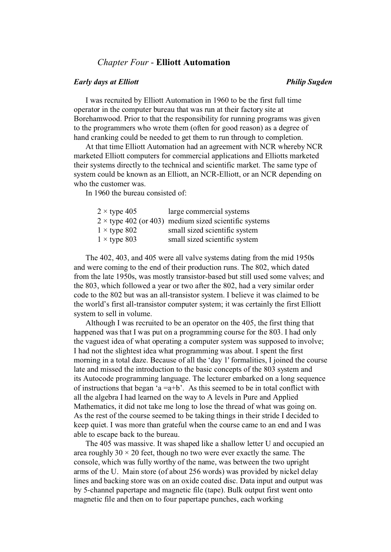# *Chapter Four* - **Elliott Automation**

## *Early days at Elliott Early days at Elliott Early days at Elliott**Philip Sugden*

I was recruited by Elliott Automation in 1960 to be the first full time operator in the computer bureau that was run at their factory site at Borehamwood. Prior to that the responsibility for running programs was given to the programmers who wrote them (often for good reason) as a degree of hand cranking could be needed to get them to run through to completion.

At that time Elliott Automation had an agreement with NCR whereby NCR marketed Elliott computers for commercial applications and Elliotts marketed their systems directly to the technical and scientific market. The same type of system could be known as an Elliott, an NCR-Elliott, or an NCR depending on who the customer was.

In 1960 the bureau consisted of:

|  | $2 \times$ type 405 | large commercial systems                                     |
|--|---------------------|--------------------------------------------------------------|
|  |                     | $2 \times$ type 402 (or 403) medium sized scientific systems |
|  | $1 \times$ type 802 | small sized scientific system                                |
|  | $1 \times$ type 803 | small sized scientific system                                |

The 402, 403, and 405 were all valve systems dating from the mid 1950s and were coming to the end of their production runs. The 802, which dated from the late 1950s, was mostly transistor-based but still used some valves; and the 803, which followed a year or two after the 802, had a very similar order code to the 802 but was an all-transistor system. I believe it was claimed to be the world's first all-transistor computer system; it was certainly the first Elliott system to sell in volume.

Although I was recruited to be an operator on the 405, the first thing that happened was that I was put on a programming course for the 803. I had only the vaguest idea of what operating a computer system was supposed to involve; I had not the slightest idea what programming was about. I spent the first morning in a total daze. Because of all the 'day 1' formalities, I joined the course late and missed the introduction to the basic concepts of the 803 system and its Autocode programming language. The lecturer embarked on a long sequence of instructions that began 'a  $=a+b$ '. As this seemed to be in total conflict with all the algebra I had learned on the way to A levels in Pure and Applied Mathematics, it did not take me long to lose the thread of what was going on. As the rest of the course seemed to be taking things in their stride I decided to keep quiet. I was more than grateful when the course came to an end and I was able to escape back to the bureau.

The 405 was massive. It was shaped like a shallow letter U and occupied an area roughly  $30 \times 20$  feet, though no two were ever exactly the same. The console, which was fully worthy of the name, was between the two upright arms of the U. Main store (of about 256 words) was provided by nickel delay lines and backing store was on an oxide coated disc. Data input and output was by 5-channel papertape and magnetic file (tape). Bulk output first went onto magnetic file and then on to four papertape punches, each working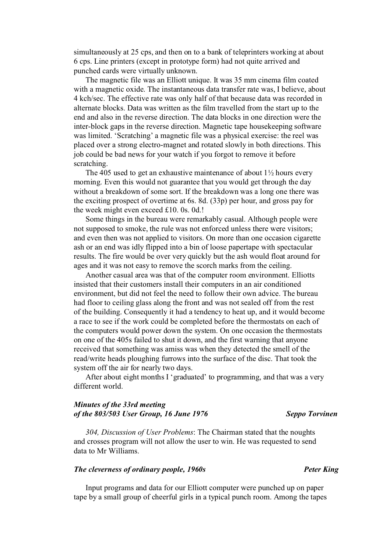simultaneously at 25 cps, and then on to a bank of teleprinters working at about 6 cps. Line printers (except in prototype form) had not quite arrived and punched cards were virtually unknown.

The magnetic file was an Elliott unique. It was 35 mm cinema film coated with a magnetic oxide. The instantaneous data transfer rate was, I believe, about 4 kch/sec. The effective rate was only half of that because data was recorded in alternate blocks. Data was written as the film travelled from the start up to the end and also in the reverse direction. The data blocks in one direction were the inter-block gaps in the reverse direction. Magnetic tape housekeeping software was limited. 'Scratching' a magnetic file was a physical exercise: the reel was placed over a strong electro-magnet and rotated slowly in both directions. This job could be bad news for your watch if you forgot to remove it before scratching.

The 405 used to get an exhaustive maintenance of about  $1\frac{1}{2}$  hours every morning. Even this would not guarantee that you would get through the day without a breakdown of some sort. If the breakdown was a long one there was the exciting prospect of overtime at 6s. 8d. (33p) per hour, and gross pay for the week might even exceed £10. 0s. 0d.!

Some things in the bureau were remarkably casual. Although people were not supposed to smoke, the rule was not enforced unless there were visitors; and even then was not applied to visitors. On more than one occasion cigarette ash or an end was idly flipped into a bin of loose papertape with spectacular results. The fire would be over very quickly but the ash would float around for ages and it was not easy to remove the scorch marks from the ceiling.

Another casual area was that of the computer room environment. Elliotts insisted that their customers install their computers in an air conditioned environment, but did not feel the need to follow their own advice. The bureau had floor to ceiling glass along the front and was not sealed off from the rest of the building. Consequently it had a tendency to heat up, and it would become a race to see if the work could be completed before the thermostats on each of the computers would power down the system. On one occasion the thermostats on one of the 405s failed to shut it down, and the first warning that anyone received that something was amiss was when they detected the smell of the read/write heads ploughing furrows into the surface of the disc. That took the system off the air for nearly two days.

After about eight months I 'graduated' to programming, and that was a very different world.

# *Minutes of the 33rd meeting of the 803/503 User Group, 16 June 1976 Seppo Torvinen*

*304, Discussion of User Problems*: The Chairman stated that the noughts and crosses program will not allow the user to win. He was requested to send data to Mr Williams.

# *The cleverness of ordinary people, 1960s* example  $P$ *eter King*

Input programs and data for our Elliott computer were punched up on paper tape by a small group of cheerful girls in a typical punch room. Among the tapes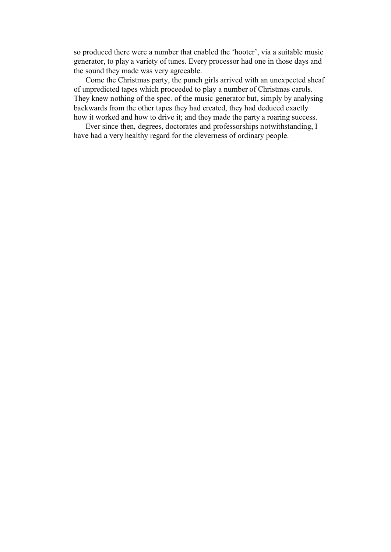so produced there were a number that enabled the 'hooter', via a suitable music generator, to play a variety of tunes. Every processor had one in those days and the sound they made was very agreeable.

Come the Christmas party, the punch girls arrived with an unexpected sheaf of unpredicted tapes which proceeded to play a number of Christmas carols. They knew nothing of the spec. of the music generator but, simply by analysing backwards from the other tapes they had created, they had deduced exactly how it worked and how to drive it; and they made the party a roaring success.

Ever since then, degrees, doctorates and professorships notwithstanding, I have had a very healthy regard for the cleverness of ordinary people.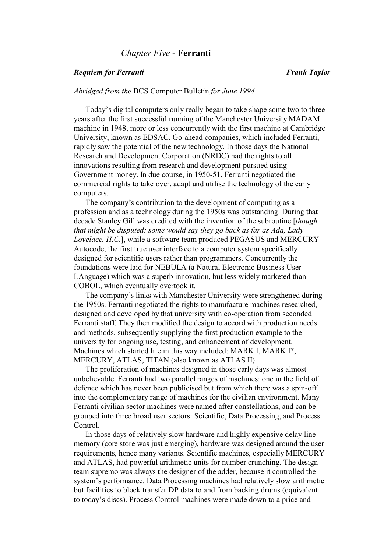# *Chapter Five* - **Ferranti**

# *Requiem for Ferranti Frank Taylor*

# *Abridged from the* BCS Computer Bulletin *for June 1994*

Today's digital computers only really began to take shape some two to three years after the first successful running of the Manchester University MADAM machine in 1948, more or less concurrently with the first machine at Cambridge University, known as EDSAC. Go-ahead companies, which included Ferranti, rapidly saw the potential of the new technology. In those days the National Research and Development Corporation (NRDC) had the rights to all innovations resulting from research and development pursued using Government money. In due course, in 1950-51, Ferranti negotiated the commercial rights to take over, adapt and utilise the technology of the early computers.

The company's contribution to the development of computing as a profession and as a technology during the 1950s was outstanding. During that decade Stanley Gill was credited with the invention of the subroutine [*though that might be disputed: some would say they go back as far as Ada, Lady Lovelace. H.C.*], while a software team produced PEGASUS and MERCURY Autocode, the first true user interface to a computer system specifically designed for scientific users rather than programmers. Concurrently the foundations were laid for NEBULA (a Natural Electronic Business User LAnguage) which was a superb innovation, but less widely marketed than COBOL, which eventually overtook it.

The company's links with Manchester University were strengthened during the 1950s. Ferranti negotiated the rights to manufacture machines researched, designed and developed by that university with co-operation from seconded Ferranti staff. They then modified the design to accord with production needs and methods, subsequently supplying the first production example to the university for ongoing use, testing, and enhancement of development. Machines which started life in this way included: MARK I, MARK I\*, MERCURY, ATLAS, TITAN (also known as ATLAS II).

The proliferation of machines designed in those early days was almost unbelievable. Ferranti had two parallel ranges of machines: one in the field of defence which has never been publicised but from which there was a spin-off into the complementary range of machines for the civilian environment. Many Ferranti civilian sector machines were named after constellations, and can be grouped into three broad user sectors: Scientific, Data Processing, and Process Control.

In those days of relatively slow hardware and highly expensive delay line memory (core store was just emerging), hardware was designed around the user requirements, hence many variants. Scientific machines, especially MERCURY and ATLAS, had powerful arithmetic units for number crunching. The design team supremo was always the designer of the adder, because it controlled the system's performance. Data Processing machines had relatively slow arithmetic but facilities to block transfer DP data to and from backing drums (equivalent to today's discs). Process Control machines were made down to a price and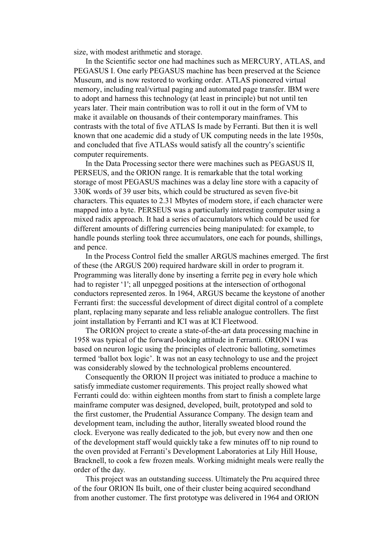size, with modest arithmetic and storage.

In the Scientific sector one had machines such as MERCURY, ATLAS, and PEGASUS I. One early PEGASUS machine has been preserved at the Science Museum, and is now restored to working order. ATLAS pioneered virtual memory, including real/virtual paging and automated page transfer. IBM were to adopt and harness this technology (at least in principle) but not until ten years later. Their main contribution was to roll it out in the form of VM to make it available on thousands of their contemporary mainframes. This contrasts with the total of five ATLAS Is made by Ferranti. But then it is well known that one academic did a study of UK computing needs in the late 1950s, and concluded that five ATLASs would satisfy all the country's scientific computer requirements.

In the Data Processing sector there were machines such as PEGASUS II, PERSEUS, and the ORION range. It is remarkable that the total working storage of most PEGASUS machines was a delay line store with a capacity of 330K words of 39 user bits, which could be structured as seven five-bit characters. This equates to 2.31 Mbytes of modern store, if each character were mapped into a byte. PERSEUS was a particularly interesting computer using a mixed radix approach. It had a series of accumulators which could be used for different amounts of differing currencies being manipulated: for example, to handle pounds sterling took three accumulators, one each for pounds, shillings, and pence.

In the Process Control field the smaller ARGUS machines emerged. The first of these (the ARGUS 200) required hardware skill in order to program it. Programming was literally done by inserting a ferrite peg in every hole which had to register '1'; all unpegged positions at the intersection of orthogonal conductors represented zeros. In 1964, ARGUS became the keystone of another Ferranti first: the successful development of direct digital control of a complete plant, replacing many separate and less reliable analogue controllers. The first joint installation by Ferranti and ICI was at ICI Fleetwood.

The ORION project to create a state-of-the-art data processing machine in 1958 was typical of the forward-looking attitude in Ferranti. ORION I was based on neuron logic using the principles of electronic balloting, sometimes termed 'ballot box logic'. It was not an easy technology to use and the project was considerably slowed by the technological problems encountered.

Consequently the ORION II project was initiated to produce a machine to satisfy immediate customer requirements. This project really showed what Ferranti could do: within eighteen months from start to finish a complete large mainframe computer was designed, developed, built, prototyped and sold to the first customer, the Prudential Assurance Company. The design team and development team, including the author, literally sweated blood round the clock. Everyone was really dedicated to the job, but every now and then one of the development staff would quickly take a few minutes off to nip round to the oven provided at Ferranti's Development Laboratories at Lily Hill House, Bracknell, to cook a few frozen meals. Working midnight meals were really the order of the day.

This project was an outstanding success. Ultimately the Pru acquired three of the four ORION IIs built, one of their cluster being acquired secondhand from another customer. The first prototype was delivered in 1964 and ORION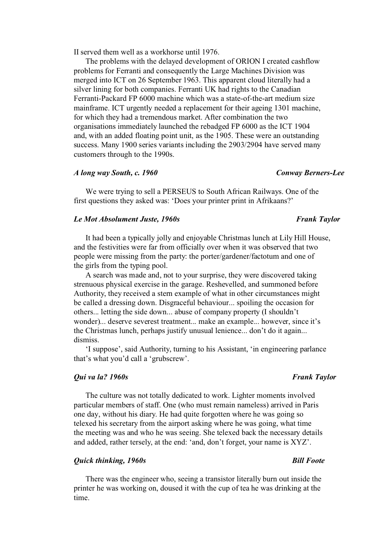II served them well as a workhorse until 1976.

The problems with the delayed development of ORION I created cashflow problems for Ferranti and consequently the Large Machines Division was merged into ICT on 26 September 1963. This apparent cloud literally had a silver lining for both companies. Ferranti UK had rights to the Canadian Ferranti-Packard FP 6000 machine which was a state-of-the-art medium size mainframe. ICT urgently needed a replacement for their ageing 1301 machine, for which they had a tremendous market. After combination the two organisations immediately launched the rebadged FP 6000 as the ICT 1904 and, with an added floating point unit, as the 1905. These were an outstanding success. Many 1900 series variants including the 2903/2904 have served many customers through to the 1990s.

### *A long way South, c. 1960 Conway Berners-Lee*

We were trying to sell a PERSEUS to South African Railways. One of the first questions they asked was: 'Does your printer print in Afrikaans?'

# *Le Mot Absolument Juste, 1960s* **Firms** *Frank Taylor Frank Taylor Frank Taylor*

# It had been a typically jolly and enjoyable Christmas lunch at Lily Hill House, and the festivities were far from officially over when it was observed that two people were missing from the party: the porter/gardener/factotum and one of the girls from the typing pool.

A search was made and, not to your surprise, they were discovered taking strenuous physical exercise in the garage. Reshevelled, and summoned before Authority, they received a stern example of what in other circumstances might be called a dressing down. Disgraceful behaviour... spoiling the occasion for others... letting the side down... abuse of company property (I shouldn't wonder)... deserve severest treatment... make an example... however, since it's the Christmas lunch, perhaps justify unusual lenience... don't do it again... dismiss.

'I suppose', said Authority, turning to his Assistant, 'in engineering parlance that's what you'd call a 'grubscrew'.

# *Qui va la? 1960s* Frank Taylor *Frank Taylor Frank Taylor Frank Taylor*

# The culture was not totally dedicated to work. Lighter moments involved particular members of staff. One (who must remain nameless) arrived in Paris one day, without his diary. He had quite forgotten where he was going so telexed his secretary from the airport asking where he was going, what time the meeting was and who he was seeing. She telexed back the necessary details and added, rather tersely, at the end: 'and, don't forget, your name is XYZ'.

## *Quick thinking, 1960s* **Bill Foote Bill Foote Bill Foote Bill Foote Bill Foote**

There was the engineer who, seeing a transistor literally burn out inside the printer he was working on, doused it with the cup of tea he was drinking at the time.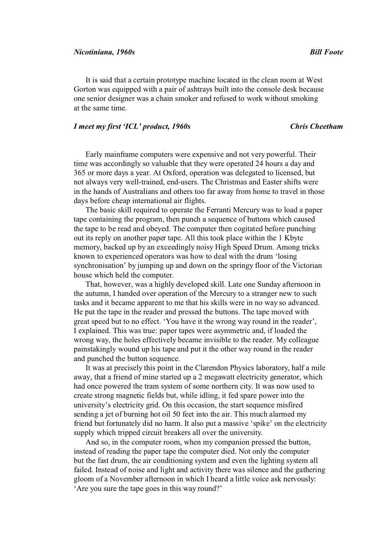It is said that a certain prototype machine located in the clean room at West

Gorton was equipped with a pair of ashtrays built into the console desk because one senior designer was a chain smoker and refused to work without smoking at the same time.

# *I meet my first 'ICL' product, 1960s Chris Cheetham*

Early mainframe computers were expensive and not very powerful. Their time was accordingly so valuable that they were operated 24 hours a day and 365 or more days a year. At Oxford, operation was delegated to licensed, but not always very well-trained, end-users. The Christmas and Easter shifts were in the hands of Australians and others too far away from home to travel in those days before cheap international air flights.

The basic skill required to operate the Ferranti Mercury was to load a paper tape containing the program, then punch a sequence of buttons which caused the tape to be read and obeyed. The computer then cogitated before punching out its reply on another paper tape. All this took place within the 1 Kbyte memory, backed up by an exceedingly noisy High Speed Drum. Among tricks known to experienced operators was how to deal with the drum 'losing synchronisation' by jumping up and down on the springy floor of the Victorian house which held the computer.

That, however, was a highly developed skill. Late one Sunday afternoon in the autumn, I handed over operation of the Mercury to a stranger new to such tasks and it became apparent to me that his skills were in no way so advanced. He put the tape in the reader and pressed the buttons. The tape moved with great speed but to no effect. 'You have it the wrong way round in the reader', I explained. This was true: paper tapes were asymmetric and, if loaded the wrong way, the holes effectively became invisible to the reader. My colleague painstakingly wound up his tape and put it the other way round in the reader and punched the button sequence.

It was at precisely this point in the Clarendon Physics laboratory, half a mile away, that a friend of mine started up a 2 megawatt electricity generator, which had once powered the tram system of some northern city. It was now used to create strong magnetic fields but, while idling, it fed spare power into the university's electricity grid. On this occasion, the start sequence misfired sending a jet of burning hot oil 50 feet into the air. This much alarmed my friend but fortunately did no harm. It also put a massive 'spike' on the electricity supply which tripped circuit breakers all over the university.

And so, in the computer room, when my companion pressed the button, instead of reading the paper tape the computer died. Not only the computer but the fast drum, the air conditioning system and even the lighting system all failed. Instead of noise and light and activity there was silence and the gathering gloom of a November afternoon in which I heard a little voice ask nervously: 'Are you sure the tape goes in this way round?'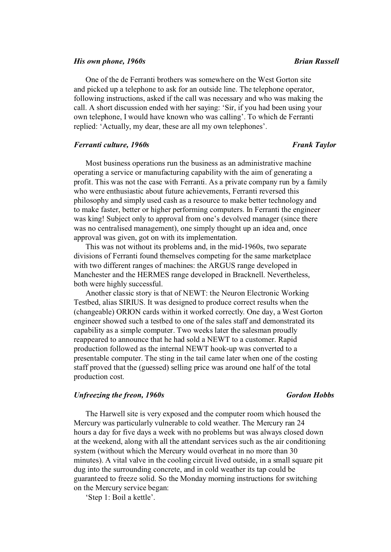## *His own phone, 1960s* Brian Russell

One of the de Ferranti brothers was somewhere on the West Gorton site and picked up a telephone to ask for an outside line. The telephone operator, following instructions, asked if the call was necessary and who was making the call. A short discussion ended with her saying: 'Sir, if you had been using your own telephone, I would have known who was calling'. To which de Ferranti replied: 'Actually, my dear, these are all my own telephones'.

### *Ferranti culture, 1960s* Ferranti Culture, 1960s

# Most business operations run the business as an administrative machine operating a service or manufacturing capability with the aim of generating a profit. This was not the case with Ferranti. As a private company run by a family who were enthusiastic about future achievements, Ferranti reversed this philosophy and simply used cash as a resource to make better technology and to make faster, better or higher performing computers. In Ferranti the engineer was king! Subject only to approval from one's devolved manager (since there was no centralised management), one simply thought up an idea and, once approval was given, got on with its implementation.

This was not without its problems and, in the mid-1960s, two separate divisions of Ferranti found themselves competing for the same marketplace with two different ranges of machines: the ARGUS range developed in Manchester and the HERMES range developed in Bracknell. Nevertheless, both were highly successful.

Another classic story is that of NEWT: the Neuron Electronic Working Testbed, alias SIRIUS. It was designed to produce correct results when the (changeable) ORION cards within it worked correctly. One day, a West Gorton engineer showed such a testbed to one of the sales staff and demonstrated its capability as a simple computer. Two weeks later the salesman proudly reappeared to announce that he had sold a NEWT to a customer. Rapid production followed as the internal NEWT hook-up was converted to a presentable computer. The sting in the tail came later when one of the costing staff proved that the (guessed) selling price was around one half of the total production cost.

### *Unfreezing the freon, 1960s Gordon Hobbs*

The Harwell site is very exposed and the computer room which housed the Mercury was particularly vulnerable to cold weather. The Mercury ran 24 hours a day for five days a week with no problems but was always closed down at the weekend, along with all the attendant services such as the air conditioning system (without which the Mercury would overheat in no more than 30 minutes). A vital valve in the cooling circuit lived outside, in a small square pit dug into the surrounding concrete, and in cold weather its tap could be guaranteed to freeze solid. So the Monday morning instructions for switching on the Mercury service began:

'Step 1: Boil a kettle'.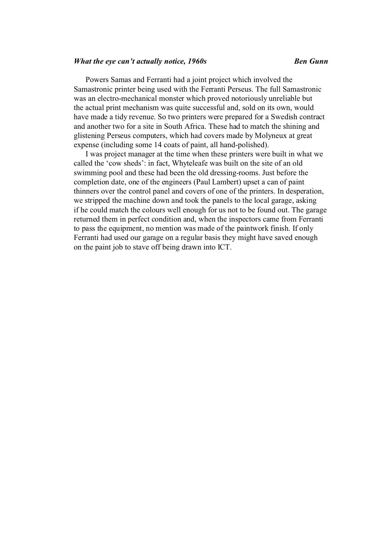# *What the eye can't actually notice, 1960s* example *Ben Gunn*

Powers Samas and Ferranti had a joint project which involved the Samastronic printer being used with the Ferranti Perseus. The full Samastronic was an electro-mechanical monster which proved notoriously unreliable but the actual print mechanism was quite successful and, sold on its own, would have made a tidy revenue. So two printers were prepared for a Swedish contract and another two for a site in South Africa. These had to match the shining and glistening Perseus computers, which had covers made by Molyneux at great expense (including some 14 coats of paint, all hand-polished).

I was project manager at the time when these printers were built in what we called the 'cow sheds': in fact, Whyteleafe was built on the site of an old swimming pool and these had been the old dressing-rooms. Just before the completion date, one of the engineers (Paul Lambert) upset a can of paint thinners over the control panel and covers of one of the printers. In desperation, we stripped the machine down and took the panels to the local garage, asking if he could match the colours well enough for us not to be found out. The garage returned them in perfect condition and, when the inspectors came from Ferranti to pass the equipment, no mention was made of the paintwork finish. If only Ferranti had used our garage on a regular basis they might have saved enough on the paint job to stave off being drawn into ICT.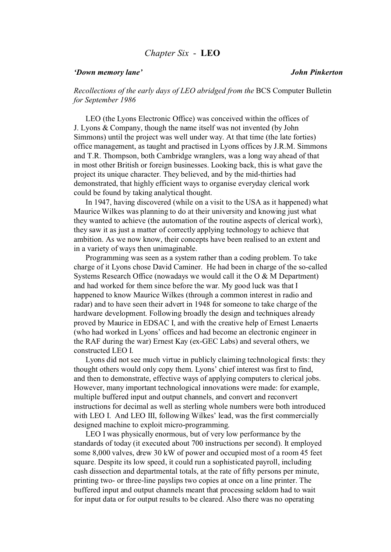# *Chapter Six* - **LEO**

## *'Down memory lane' John Pinkerton*

*Recollections of the early days of LEO abridged from the BCS Computer Bulletin for September 1986* 

LEO (the Lyons Electronic Office) was conceived within the offices of J. Lyons & Company, though the name itself was not invented (by John Simmons) until the project was well under way. At that time (the late forties) office management, as taught and practised in Lyons offices by J.R.M. Simmons and T.R. Thompson, both Cambridge wranglers, was a long way ahead of that in most other British or foreign businesses. Looking back, this is what gave the project its unique character. They believed, and by the mid-thirties had demonstrated, that highly efficient ways to organise everyday clerical work could be found by taking analytical thought.

In 1947, having discovered (while on a visit to the USA as it happened) what Maurice Wilkes was planning to do at their university and knowing just what they wanted to achieve (the automation of the routine aspects of clerical work), they saw it as just a matter of correctly applying technology to achieve that ambition. As we now know, their concepts have been realised to an extent and in a variety of ways then unimaginable.

Programming was seen as a system rather than a coding problem. To take charge of it Lyons chose David Caminer. He had been in charge of the so-called Systems Research Office (nowadays we would call it the O & M Department) and had worked for them since before the war. My good luck was that I happened to know Maurice Wilkes (through a common interest in radio and radar) and to have seen their advert in 1948 for someone to take charge of the hardware development. Following broadly the design and techniques already proved by Maurice in EDSAC I, and with the creative help of Ernest Lenaerts (who had worked in Lyons' offices and had become an electronic engineer in the RAF during the war) Ernest Kay (ex-GEC Labs) and several others, we constructed LEO I.

Lyons did not see much virtue in publicly claiming technological firsts: they thought others would only copy them. Lyons' chief interest was first to find, and then to demonstrate, effective ways of applying computers to clerical jobs. However, many important technological innovations were made: for example, multiple buffered input and output channels, and convert and reconvert instructions for decimal as well as sterling whole numbers were both introduced with LEO I. And LEO III, following Wilkes' lead, was the first commercially designed machine to exploit micro-programming.

LEO I was physically enormous, but of very low performance by the standards of today (it executed about 700 instructions per second). It employed some 8,000 valves, drew 30 kW of power and occupied most of a room 45 feet square. Despite its low speed, it could run a sophisticated payroll, including cash dissection and departmental totals, at the rate of fifty persons per minute, printing two- or three-line payslips two copies at once on a line printer. The buffered input and output channels meant that processing seldom had to wait for input data or for output results to be cleared. Also there was no operating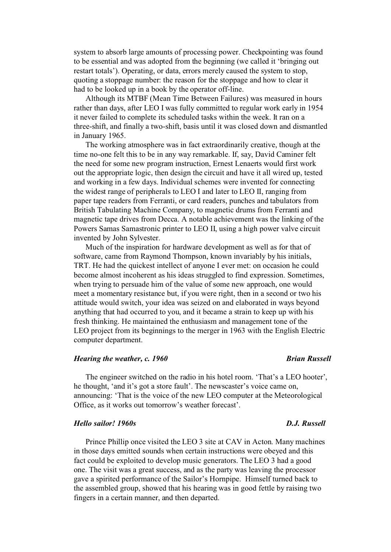system to absorb large amounts of processing power. Checkpointing was found to be essential and was adopted from the beginning (we called it 'bringing out restart totals'). Operating, or data, errors merely caused the system to stop, quoting a stoppage number: the reason for the stoppage and how to clear it had to be looked up in a book by the operator off-line.

Although its MTBF (Mean Time Between Failures) was measured in hours rather than days, after LEO I was fully committed to regular work early in 1954 it never failed to complete its scheduled tasks within the week. It ran on a three-shift, and finally a two-shift, basis until it was closed down and dismantled in January 1965.

The working atmosphere was in fact extraordinarily creative, though at the time no-one felt this to be in any way remarkable. If, say, David Caminer felt the need for some new program instruction, Ernest Lenaerts would first work out the appropriate logic, then design the circuit and have it all wired up, tested and working in a few days. Individual schemes were invented for connecting the widest range of peripherals to LEO I and later to LEO II, ranging from paper tape readers from Ferranti, or card readers, punches and tabulators from British Tabulating Machine Company, to magnetic drums from Ferranti and magnetic tape drives from Decca. A notable achievement was the linking of the Powers Samas Samastronic printer to LEO II, using a high power valve circuit invented by John Sylvester.

Much of the inspiration for hardware development as well as for that of software, came from Raymond Thompson, known invariably by his initials, TRT. He had the quickest intellect of anyone I ever met: on occasion he could become almost incoherent as his ideas struggled to find expression. Sometimes, when trying to persuade him of the value of some new approach, one would meet a momentary resistance but, if you were right, then in a second or two his attitude would switch, your idea was seized on and elaborated in ways beyond anything that had occurred to you, and it became a strain to keep up with his fresh thinking. He maintained the enthusiasm and management tone of the LEO project from its beginnings to the merger in 1963 with the English Electric computer department.

# *Hearing the weather, c. 1960 Brian Russell*

The engineer switched on the radio in his hotel room. 'That's a LEO hooter', he thought, 'and it's got a store fault'. The newscaster's voice came on, announcing: 'That is the voice of the new LEO computer at the Meteorological Office, as it works out tomorrow's weather forecast'.

### *Hello sailor! 1960s D.J. Russell*

Prince Phillip once visited the LEO 3 site at CAV in Acton. Many machines in those days emitted sounds when certain instructions were obeyed and this fact could be exploited to develop music generators. The LEO 3 had a good one. The visit was a great success, and as the party was leaving the processor gave a spirited performance of the Sailor's Hornpipe. Himself turned back to the assembled group, showed that his hearing was in good fettle by raising two fingers in a certain manner, and then departed.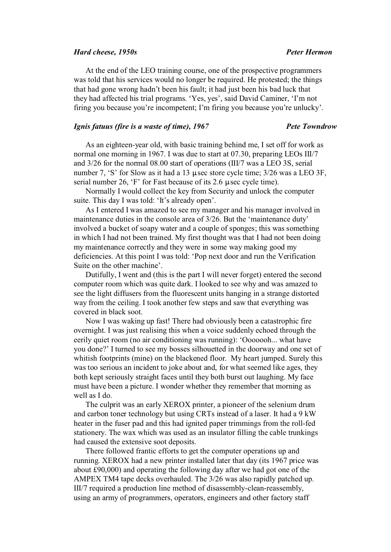### *Hard cheese, 1950s Peter Hermon*

At the end of the LEO training course, one of the prospective programmers was told that his services would no longer be required. He protested; the things that had gone wrong hadn't been his fault; it had just been his bad luck that they had affected his trial programs. 'Yes, yes', said David Caminer, 'I'm not firing you because you're incompetent; I'm firing you because you're unlucky'.

# *Ignis fatuus (fire is a waste of time), 1967 Pete Towndrow*

As an eighteen-year old, with basic training behind me, I set off for work as normal one morning in 1967. I was due to start at 07.30, preparing LEOs III/7 and 3/26 for the normal 08.00 start of operations (III/7 was a LEO 3S, serial number 7, 'S' for Slow as it had a 13  $\mu$  sec store cycle time; 3/26 was a LEO 3F, serial number 26,  $F$  for Fast because of its 2.6  $\mu$  sec cycle time).

Normally I would collect the key from Security and unlock the computer suite. This day I was told: 'It's already open'.

As I entered I was amazed to see my manager and his manager involved in maintenance duties in the console area of 3/26. But the 'maintenance duty' involved a bucket of soapy water and a couple of sponges; this was something in which I had not been trained. My first thought was that I had not been doing my maintenance correctly and they were in some way making good my deficiencies. At this point I was told: 'Pop next door and run the Verification Suite on the other machine'.

Dutifully, I went and (this is the part I will never forget) entered the second computer room which was quite dark. I looked to see why and was amazed to see the light diffusers from the fluorescent units hanging in a strange distorted way from the ceiling. I took another few steps and saw that everything was covered in black soot.

Now I was waking up fast! There had obviously been a catastrophic fire overnight. I was just realising this when a voice suddenly echoed through the eerily quiet room (no air conditioning was running): 'Ooooooh... what have you done?' I turned to see my bosses silhouetted in the doorway and one set of whitish footprints (mine) on the blackened floor. My heart jumped. Surely this was too serious an incident to joke about and, for what seemed like ages, they both kept seriously straight faces until they both burst out laughing. My face must have been a picture. I wonder whether they remember that morning as well as I do.

The culprit was an early XEROX printer, a pioneer of the selenium drum and carbon toner technology but using CRTs instead of a laser. It had a 9 kW heater in the fuser pad and this had ignited paper trimmings from the roll-fed stationery. The wax which was used as an insulator filling the cable trunkings had caused the extensive soot deposits.

There followed frantic efforts to get the computer operations up and running. XEROX had a new printer installed later that day (its 1967 price was about £90,000) and operating the following day after we had got one of the AMPEX TM4 tape decks overhauled. The 3/26 was also rapidly patched up. III/7 required a production line method of disassembly-clean-reassembly, using an army of programmers, operators, engineers and other factory staff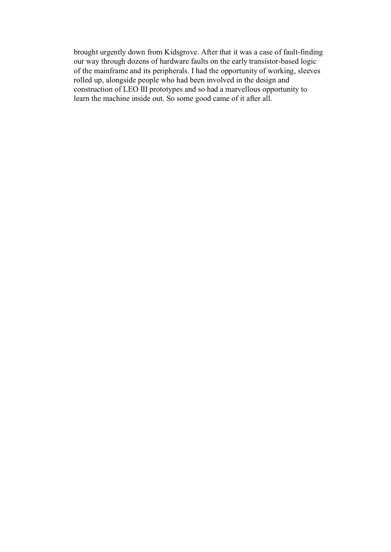brought urgently down from Kidsgrove. After that it was a case of fault-finding our way through dozens of hardware faults on the early transistor-based logic of the mainframe and its peripherals. I had the opportunity of working, sleeves rolled up, alongside people who had been involved in the design and construction of LEO III prototypes and so had a marvellous opportunity to learn the machine inside out. So some good came of it after all.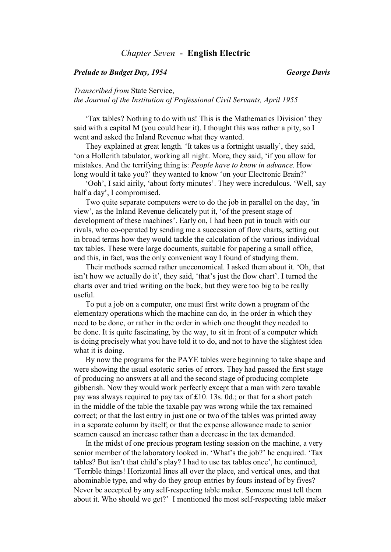# *Chapter Seven* - **English Electric**

# *Prelude to Budget Day, 1954 George Davis*

*Transcribed from* State Service, *the Journal of the Institution of Professional Civil Servants, April 1955*

'Tax tables? Nothing to do with us! This is the Mathematics Division' they said with a capital M (you could hear it). I thought this was rather a pity, so I went and asked the Inland Revenue what they wanted.

They explained at great length. 'It takes us a fortnight usually', they said, 'on a Hollerith tabulator, working all night. More, they said, 'if you allow for mistakes. And the terrifying thing is: *People have to know in advance*. How long would it take you?' they wanted to know 'on your Electronic Brain?'

'Ooh', I said airily, 'about forty minutes'. They were incredulous. 'Well, say half a day', I compromised.

Two quite separate computers were to do the job in parallel on the day, 'in view', as the Inland Revenue delicately put it, 'of the present stage of development of these machines'. Early on, I had been put in touch with our rivals, who co-operated by sending me a succession of flow charts, setting out in broad terms how they would tackle the calculation of the various individual tax tables. These were large documents, suitable for papering a small office, and this, in fact, was the only convenient way I found of studying them.

Their methods seemed rather uneconomical. I asked them about it. 'Oh, that isn't how we actually do it', they said, 'that's just the flow chart'. I turned the charts over and tried writing on the back, but they were too big to be really useful.

To put a job on a computer, one must first write down a program of the elementary operations which the machine can do, in the order in which they need to be done, or rather in the order in which one thought they needed to be done. It is quite fascinating, by the way, to sit in front of a computer which is doing precisely what you have told it to do, and not to have the slightest idea what it is doing.

By now the programs for the PAYE tables were beginning to take shape and were showing the usual esoteric series of errors. They had passed the first stage of producing no answers at all and the second stage of producing complete gibberish. Now they would work perfectly except that a man with zero taxable pay was always required to pay tax of £10. 13s. 0d.; or that for a short patch in the middle of the table the taxable pay was wrong while the tax remained correct; or that the last entry in just one or two of the tables was printed away in a separate column by itself; or that the expense allowance made to senior seamen caused an increase rather than a decrease in the tax demanded.

In the midst of one precious program testing session on the machine, a very senior member of the laboratory looked in. 'What's the job?' he enquired. 'Tax tables? But isn't that child's play? I had to use tax tables once', he continued, 'Terrible things! Horizontal lines all over the place, and vertical ones, and that abominable type, and why do they group entries by fours instead of by fives? Never be accepted by any self-respecting table maker. Someone must tell them about it. Who should we get?' I mentioned the most self-respecting table maker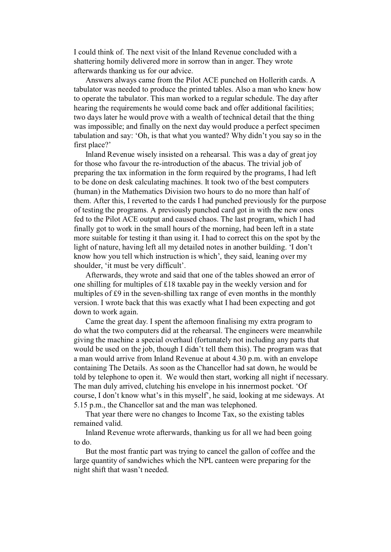I could think of. The next visit of the Inland Revenue concluded with a shattering homily delivered more in sorrow than in anger. They wrote afterwards thanking us for our advice.

Answers always came from the Pilot ACE punched on Hollerith cards. A tabulator was needed to produce the printed tables. Also a man who knew how to operate the tabulator. This man worked to a regular schedule. The day after hearing the requirements he would come back and offer additional facilities; two days later he would prove with a wealth of technical detail that the thing was impossible; and finally on the next day would produce a perfect specimen tabulation and say: 'Oh, is that what you wanted? Why didn't you say so in the first place?'

Inland Revenue wisely insisted on a rehearsal. This was a day of great joy for those who favour the re-introduction of the abacus. The trivial job of preparing the tax information in the form required by the programs, I had left to be done on desk calculating machines. It took two of the best computers (human) in the Mathematics Division two hours to do no more than half of them. After this, I reverted to the cards I had punched previously for the purpose of testing the programs. A previously punched card got in with the new ones fed to the Pilot ACE output and caused chaos. The last program, which I had finally got to work in the small hours of the morning, had been left in a state more suitable for testing it than using it. I had to correct this on the spot by the light of nature, having left all my detailed notes in another building. 'I don't know how you tell which instruction is which', they said, leaning over my shoulder, 'it must be very difficult'.

Afterwards, they wrote and said that one of the tables showed an error of one shilling for multiples of £18 taxable pay in the weekly version and for multiples of £9 in the seven-shilling tax range of even months in the monthly version. I wrote back that this was exactly what I had been expecting and got down to work again.

Came the great day. I spent the afternoon finalising my extra program to do what the two computers did at the rehearsal. The engineers were meanwhile giving the machine a special overhaul (fortunately not including any parts that would be used on the job, though I didn't tell them this). The program was that a man would arrive from Inland Revenue at about 4.30 p.m. with an envelope containing The Details. As soon as the Chancellor had sat down, he would be told by telephone to open it. We would then start, working all night if necessary. The man duly arrived, clutching his envelope in his innermost pocket. 'Of course, I don't know what's in this myself', he said, looking at me sideways. At 5.15 p.m., the Chancellor sat and the man was telephoned.

That year there were no changes to Income Tax, so the existing tables remained valid.

Inland Revenue wrote afterwards, thanking us for all we had been going to do.

But the most frantic part was trying to cancel the gallon of coffee and the large quantity of sandwiches which the NPL canteen were preparing for the night shift that wasn't needed.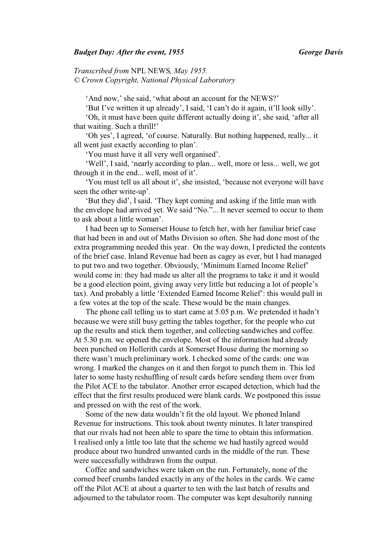## *Budget Day: After the event, 1955 George Davis*

*Transcribed from* NPL NEWS*, May 1955. © Crown Copyright, National Physical Laboratory* 

'And now,' she said, 'what about an account for the NEWS?'

'But I've written it up already', I said, 'I can't do it again, it'll look silly'.

'Oh, it must have been quite different actually doing it', she said, 'after all that waiting. Such a thrill!'

'Oh yes', I agreed, 'of course. Naturally. But nothing happened, really... it all went just exactly according to plan'.

'You must have it all very well organised'.

'Well', I said, 'nearly according to plan... well, more or less... well, we got through it in the end... well, most of it'.

'You must tell us all about it', she insisted, 'because not everyone will have seen the other write-up'.

'But they did', I said. 'They kept coming and asking if the little man with the envelope had arrived yet. We said "No."... It never seemed to occur to them to ask about a little woman'.

I had been up to Somerset House to fetch her, with her familiar brief case that had been in and out of Maths Division so often. She had done most of the extra programming needed this year. On the way down, I predicted the contents of the brief case. Inland Revenue had been as cagey as ever, but I had managed to put two and two together. Obviously, 'Minimum Earned Income Relief' would come in: they had made us alter all the programs to take it and it would be a good election point, giving away very little but reducing a lot of people's tax). And probably a little 'Extended Earned Income Relief': this would pull in a few votes at the top of the scale. These would be the main changes.

The phone call telling us to start came at 5.05 p.m. We pretended it hadn't because we were still busy getting the tables together, for the people who cut up the results and stick them together, and collecting sandwiches and coffee. At 5.30 p.m. we opened the envelope. Most of the information had already been punched on Hollerith cards at Somerset House during the morning so there wasn't much preliminary work. I checked some of the cards: one was wrong. I marked the changes on it and then forgot to punch them in. This led later to some hasty reshuffling of result cards before sending them over from the Pilot ACE to the tabulator. Another error escaped detection, which had the effect that the first results produced were blank cards. We postponed this issue and pressed on with the rest of the work.

Some of the new data wouldn't fit the old layout. We phoned Inland Revenue for instructions. This took about twenty minutes. It later transpired that our rivals had not been able to spare the time to obtain this information. I realised only a little too late that the scheme we had hastily agreed would produce about two hundred unwanted cards in the middle of the run. These were successfully withdrawn from the output.

Coffee and sandwiches were taken on the run. Fortunately, none of the corned beef crumbs landed exactly in any of the holes in the cards. We came off the Pilot ACE at about a quarter to ten with the last batch of results and adjourned to the tabulator room. The computer was kept desultorily running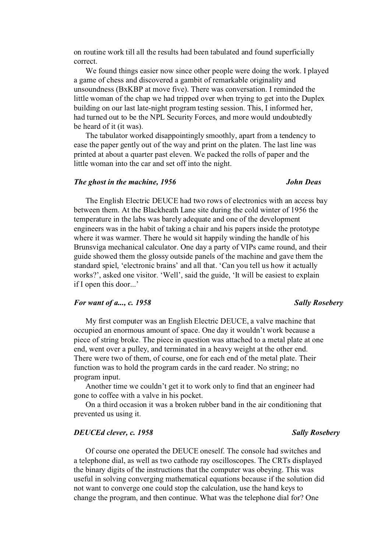on routine work till all the results had been tabulated and found superficially correct.

We found things easier now since other people were doing the work. I played a game of chess and discovered a gambit of remarkable originality and unsoundness (BxKBP at move five). There was conversation. I reminded the little woman of the chap we had tripped over when trying to get into the Duplex building on our last late-night program testing session. This, I informed her, had turned out to be the NPL Security Forces, and more would undoubtedly be heard of it (it was).

The tabulator worked disappointingly smoothly, apart from a tendency to ease the paper gently out of the way and print on the platen. The last line was printed at about a quarter past eleven. We packed the rolls of paper and the little woman into the car and set off into the night.

### *The ghost in the machine, 1956 John Deas*

# The English Electric DEUCE had two rows of electronics with an access bay between them. At the Blackheath Lane site during the cold winter of 1956 the temperature in the labs was barely adequate and one of the development engineers was in the habit of taking a chair and his papers inside the prototype where it was warmer. There he would sit happily winding the handle of his Brunsviga mechanical calculator. One day a party of VIPs came round, and their guide showed them the glossy outside panels of the machine and gave them the standard spiel, 'electronic brains' and all that. 'Can you tell us how it actually works?', asked one visitor. 'Well', said the guide, 'It will be easiest to explain if I open this door...'

### *For want of a..., c.* 1958 Sally Rosebery

My first computer was an English Electric DEUCE, a valve machine that occupied an enormous amount of space. One day it wouldn't work because a piece of string broke. The piece in question was attached to a metal plate at one end, went over a pulley, and terminated in a heavy weight at the other end. There were two of them, of course, one for each end of the metal plate. Their function was to hold the program cards in the card reader. No string; no program input.

Another time we couldn't get it to work only to find that an engineer had gone to coffee with a valve in his pocket.

On a third occasion it was a broken rubber band in the air conditioning that prevented us using it.

### *DEUCEd clever, c. 1958 Sally Rosebery*

# Of course one operated the DEUCE oneself. The console had switches and a telephone dial, as well as two cathode ray oscilloscopes. The CRTs displayed the binary digits of the instructions that the computer was obeying. This was useful in solving converging mathematical equations because if the solution did not want to converge one could stop the calculation, use the hand keys to change the program, and then continue. What was the telephone dial for? One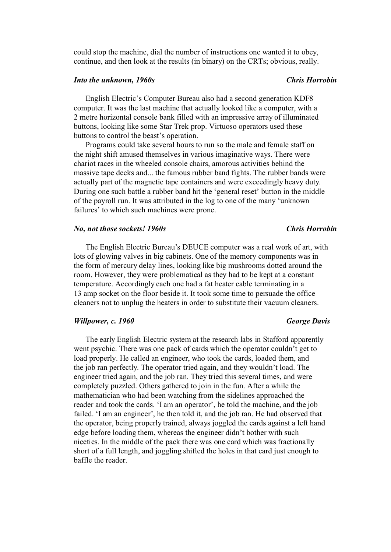could stop the machine, dial the number of instructions one wanted it to obey, continue, and then look at the results (in binary) on the CRTs; obvious, really.

### *Into the unknown, 1960s Chris Horrobin*

# English Electric's Computer Bureau also had a second generation KDF8 computer. It was the last machine that actually looked like a computer, with a 2 metre horizontal console bank filled with an impressive array of illuminated buttons, looking like some Star Trek prop. Virtuoso operators used these buttons to control the beast's operation.

Programs could take several hours to run so the male and female staff on the night shift amused themselves in various imaginative ways. There were chariot races in the wheeled console chairs, amorous activities behind the massive tape decks and... the famous rubber band fights. The rubber bands were actually part of the magnetic tape containers and were exceedingly heavy duty. During one such battle a rubber band hit the 'general reset' button in the middle of the payroll run. It was attributed in the log to one of the many 'unknown failures' to which such machines were prone.

### *No, not those sockets! 1960s Chris Horrobin*

# The English Electric Bureau's DEUCE computer was a real work of art, with lots of glowing valves in big cabinets. One of the memory components was in the form of mercury delay lines, looking like big mushrooms dotted around the room. However, they were problematical as they had to be kept at a constant temperature. Accordingly each one had a fat heater cable terminating in a 13 amp socket on the floor beside it. It took some time to persuade the office cleaners not to unplug the heaters in order to substitute their vacuum cleaners.

# *Willpower, c. 1960 George Davis*

# The early English Electric system at the research labs in Stafford apparently went psychic. There was one pack of cards which the operator couldn't get to load properly. He called an engineer, who took the cards, loaded them, and the job ran perfectly. The operator tried again, and they wouldn't load. The engineer tried again, and the job ran. They tried this several times, and were completely puzzled. Others gathered to join in the fun. After a while the mathematician who had been watching from the sidelines approached the reader and took the cards. 'I am an operator', he told the machine, and the job failed. 'I am an engineer', he then told it, and the job ran. He had observed that the operator, being properly trained, always joggled the cards against a left hand edge before loading them, whereas the engineer didn't bother with such niceties. In the middle of the pack there was one card which was fractionally short of a full length, and joggling shifted the holes in that card just enough to baffle the reader.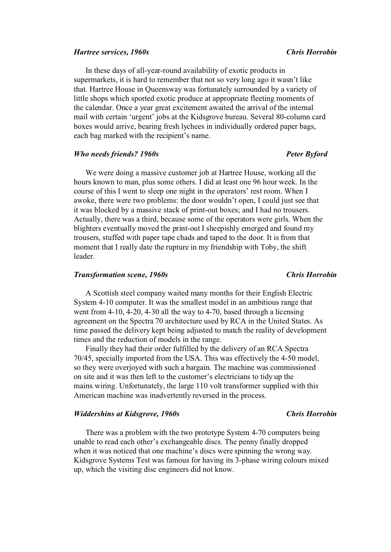### *Hartree services, 1960s Chris Horrobin*

In these days of all-year-round availability of exotic products in supermarkets, it is hard to remember that not so very long ago it wasn't like that. Hartree House in Queensway was fortunately surrounded by a variety of little shops which sported exotic produce at appropriate fleeting moments of the calendar. Once a year great excitement awaited the arrival of the internal mail with certain 'urgent' jobs at the Kidsgrove bureau. Several 80-column card boxes would arrive, bearing fresh lychees in individually ordered paper bags, each bag marked with the recipient's name.

### *Who needs friends? 1960s Peter Byford*

We were doing a massive customer job at Hartree House, working all the hours known to man, plus some others. I did at least one 96 hour week. In the course of this I went to sleep one night in the operators' rest room. When I awoke, there were two problems: the door wouldn't open, I could just see that it was blocked by a massive stack of print-out boxes; and I had no trousers. Actually, there was a third, because some of the operators were girls. When the blighters eventually moved the print-out I sheepishly emerged and found my trousers, stuffed with paper tape chads and taped to the door. It is from that moment that I really date the rupture in my friendship with Toby, the shift leader.

### *Transformation scene, 1960s Chris Horrobin*

A Scottish steel company waited many months for their English Electric System 4-10 computer. It was the smallest model in an ambitious range that went from 4-10, 4-20, 4-30 all the way to 4-70, based through a licensing agreement on the Spectra 70 architecture used by RCA in the United States. As time passed the delivery kept being adjusted to match the reality of development times and the reduction of models in the range.

Finally they had their order fulfilled by the delivery of an RCA Spectra 70/45, specially imported from the USA. This was effectively the 4-50 model, so they were overjoyed with such a bargain. The machine was commissioned on site and it was then left to the customer's electricians to tidy up the mains wiring. Unfortunately, the large 110 volt transformer supplied with this American machine was inadvertently reversed in the process.

# *Widdershins at Kidsgrove, 1960s Chris Horrobin*

There was a problem with the two prototype System 4-70 computers being unable to read each other's exchangeable discs. The penny finally dropped when it was noticed that one machine's discs were spinning the wrong way. Kidsgrove Systems Test was famous for having its 3-phase wiring colours mixed up, which the visiting disc engineers did not know.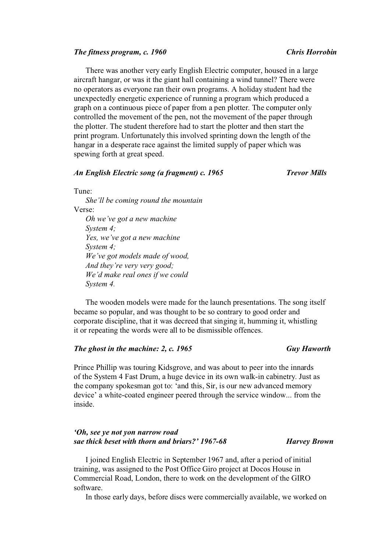### *The fitness program, c. 1960 Chris Horrobin*

There was another very early English Electric computer, housed in a large aircraft hangar, or was it the giant hall containing a wind tunnel? There were no operators as everyone ran their own programs. A holiday student had the unexpectedly energetic experience of running a program which produced a graph on a continuous piece of paper from a pen plotter. The computer only controlled the movement of the pen, not the movement of the paper through the plotter. The student therefore had to start the plotter and then start the print program. Unfortunately this involved sprinting down the length of the hangar in a desperate race against the limited supply of paper which was spewing forth at great speed.

# *An English Electric song (a fragment) c. 1965 Trevor Mills*

Tune:

*She'll be coming round the mountain*  Verse: *Oh we've got a new machine System 4; Yes, we've got a new machine System 4; We've got models made of wood, And they're very very good; We'd make real ones if we could System 4.* 

The wooden models were made for the launch presentations. The song itself became so popular, and was thought to be so contrary to good order and corporate discipline, that it was decreed that singing it, humming it, whistling it or repeating the words were all to be dismissible offences.

# *The ghost in the machine: 2, c. 1965 Guy Haworth*

# Prince Phillip was touring Kidsgrove, and was about to peer into the innards of the System 4 Fast Drum, a huge device in its own walk-in cabinetry. Just as the company spokesman got to: 'and this, Sir, is our new advanced memory device' a white-coated engineer peered through the service window... from the inside.

## *'Oh, see ye not yon narrow road sae thick beset with thorn and briars?' 1967-68 Harvey Brown*

I joined English Electric in September 1967 and, after a period of initial training, was assigned to the Post Office Giro project at Docos House in Commercial Road, London, there to work on the development of the GIRO software.

In those early days, before discs were commercially available, we worked on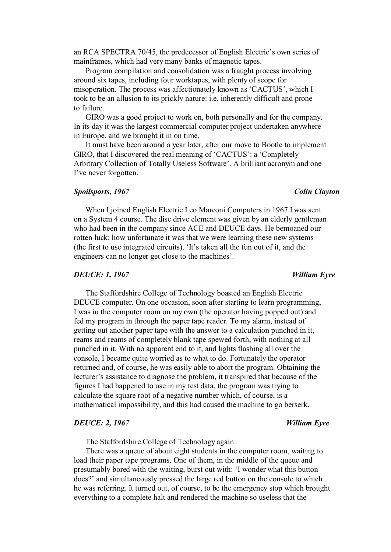an RCA SPECTRA 70/45, the predecessor of English Electric's own series of mainframes, which had very many banks of magnetic tapes.

Program compilation and consolidation was a fraught process involving around six tapes, including four worktapes, with plenty of scope for misoperation. The process was affectionately known as 'CACTUS', which I took to be an allusion to its prickly nature: i.e. inherently difficult and prone to failure.

GIRO was a good project to work on, both personally and for the company. In its day it was the largest commercial computer project undertaken anywhere in Europe, and we brought it in on time.

It must have been around a year later, after our move to Bootle to implement GIRO, that I discovered the real meaning of 'CACTUS': a 'Completely Arbitrary Collection of Totally Useless Software'. A brilliant acronym and one I've never forgotten.

## *Spoilsports, 1967 Colin Clayton*

When I joined English Electric Leo Marconi Computers in 1967 I was sent on a System 4 course. The disc drive element was given by an elderly gentleman who had been in the company since ACE and DEUCE days. He bemoaned our rotten luck: how unfortunate it was that we were learning these new systems (the first to use integrated circuits). 'It's taken all the fun out of it, and the engineers can no longer get close to the machines'.

## *DEUCE: 1, 1967 William Eyre*

The Staffordshire College of Technology boasted an English Electric DEUCE computer. On one occasion, soon after starting to learn programming, I was in the computer room on my own (the operator having popped out) and fed my program in through the paper tape reader. To my alarm, instead of getting out another paper tape with the answer to a calculation punched in it, reams and reams of completely blank tape spewed forth, with nothing at all punched in it. With no apparent end to it, and lights flashing all over the console, I became quite worried as to what to do. Fortunately the operator returned and, of course, he was easily able to abort the program. Obtaining the lecturer's assistance to diagnose the problem, it transpired that because of the figures I had happened to use in my test data, the program was trying to calculate the square root of a negative number which, of course, is a mathematical impossibility, and this had caused the machine to go berserk.

### *DEUCE: 2, 1967 William Eyre*

The Staffordshire College of Technology again:

There was a queue of about eight students in the computer room, waiting to load their paper tape programs. One of them, in the middle of the queue and presumably bored with the waiting, burst out with: 'I wonder what this button does?' and simultaneously pressed the large red button on the console to which he was referring. It turned out, of course, to be the emergency stop which brought everything to a complete halt and rendered the machine so useless that the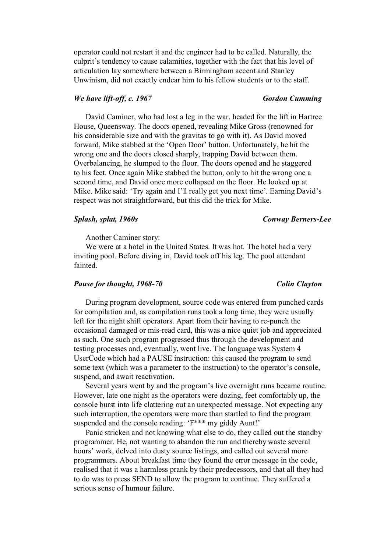operator could not restart it and the engineer had to be called. Naturally, the culprit's tendency to cause calamities, together with the fact that his level of articulation lay somewhere between a Birmingham accent and Stanley Unwinism, did not exactly endear him to his fellow students or to the staff.

# *We have lift-off, c. 1967* **Gordon Cumming** *Gordon Cumming*

David Caminer, who had lost a leg in the war, headed for the lift in Hartree House, Queensway. The doors opened, revealing Mike Gross (renowned for his considerable size and with the gravitas to go with it). As David moved forward, Mike stabbed at the 'Open Door' button. Unfortunately, he hit the wrong one and the doors closed sharply, trapping David between them. Overbalancing, he slumped to the floor. The doors opened and he staggered to his feet. Once again Mike stabbed the button, only to hit the wrong one a second time, and David once more collapsed on the floor. He looked up at Mike. Mike said: 'Try again and I'll really get you next time'. Earning David's respect was not straightforward, but this did the trick for Mike.

## *Splash, splat, 1960s Conway Berners-Lee*

Another Caminer story:

We were at a hotel in the United States. It was hot. The hotel had a very inviting pool. Before diving in, David took off his leg. The pool attendant fainted.

### *Pause for thought, 1968-70* Colin Clayton

During program development, source code was entered from punched cards for compilation and, as compilation runs took a long time, they were usually left for the night shift operators. Apart from their having to re-punch the occasional damaged or mis-read card, this was a nice quiet job and appreciated as such. One such program progressed thus through the development and testing processes and, eventually, went live. The language was System 4 UserCode which had a PAUSE instruction: this caused the program to send some text (which was a parameter to the instruction) to the operator's console, suspend, and await reactivation.

Several years went by and the program's live overnight runs became routine. However, late one night as the operators were dozing, feet comfortably up, the console burst into life clattering out an unexpected message. Not expecting any such interruption, the operators were more than startled to find the program suspended and the console reading: 'F\*\*\* my giddy Aunt!'

Panic stricken and not knowing what else to do, they called out the standby programmer. He, not wanting to abandon the run and thereby waste several hours' work, delved into dusty source listings, and called out several more programmers. About breakfast time they found the error message in the code, realised that it was a harmless prank by their predecessors, and that all they had to do was to press SEND to allow the program to continue. They suffered a serious sense of humour failure.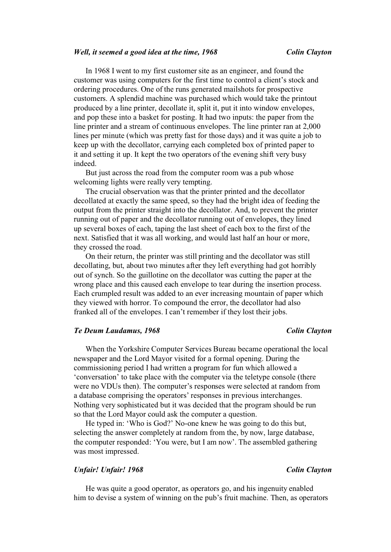### *Well, it seemed a good idea at the time, 1968 Colin Clayton*

In 1968 I went to my first customer site as an engineer, and found the customer was using computers for the first time to control a client's stock and ordering procedures. One of the runs generated mailshots for prospective customers. A splendid machine was purchased which would take the printout produced by a line printer, decollate it, split it, put it into window envelopes, and pop these into a basket for posting. It had two inputs: the paper from the line printer and a stream of continuous envelopes. The line printer ran at 2,000 lines per minute (which was pretty fast for those days) and it was quite a job to keep up with the decollator, carrying each completed box of printed paper to it and setting it up. It kept the two operators of the evening shift very busy indeed.

But just across the road from the computer room was a pub whose welcoming lights were really very tempting.

The crucial observation was that the printer printed and the decollator decollated at exactly the same speed, so they had the bright idea of feeding the output from the printer straight into the decollator. And, to prevent the printer running out of paper and the decollator running out of envelopes, they lined up several boxes of each, taping the last sheet of each box to the first of the next. Satisfied that it was all working, and would last half an hour or more, they crossed the road.

On their return, the printer was still printing and the decollator was still decollating, but, about two minutes after they left everything had got horribly out of synch. So the guillotine on the decollator was cutting the paper at the wrong place and this caused each envelope to tear during the insertion process. Each crumpled result was added to an ever increasing mountain of paper which they viewed with horror. To compound the error, the decollator had also franked all of the envelopes. I can't remember if they lost their jobs.

### *Te Deum Laudamus, 1968 Colin Clayton*

When the Yorkshire Computer Services Bureau became operational the local newspaper and the Lord Mayor visited for a formal opening. During the commissioning period I had written a program for fun which allowed a 'conversation' to take place with the computer via the teletype console (there were no VDUs then). The computer's responses were selected at random from a database comprising the operators' responses in previous interchanges. Nothing very sophisticated but it was decided that the program should be run so that the Lord Mayor could ask the computer a question.

He typed in: 'Who is God?' No-one knew he was going to do this but, selecting the answer completely at random from the, by now, large database, the computer responded: 'You were, but I am now'. The assembled gathering was most impressed.

# *Unfair! Unfair! 1968 Colin Clayton*

He was quite a good operator, as operators go, and his ingenuity enabled him to devise a system of winning on the pub's fruit machine. Then, as operators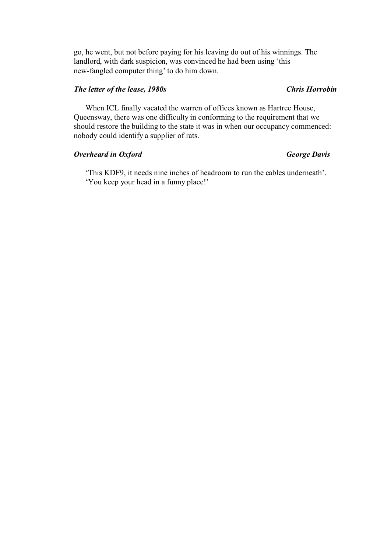go, he went, but not before paying for his leaving do out of his winnings. The landlord, with dark suspicion, was convinced he had been using 'this new-fangled computer thing' to do him down.

# *The letter of the lease, 1980s Chris Horrobin*

When ICL finally vacated the warren of offices known as Hartree House, Queensway, there was one difficulty in conforming to the requirement that we should restore the building to the state it was in when our occupancy commenced: nobody could identify a supplier of rats.

# *Overheard in Oxford George Davis*

'This KDF9, it needs nine inches of headroom to run the cables underneath'. 'You keep your head in a funny place!'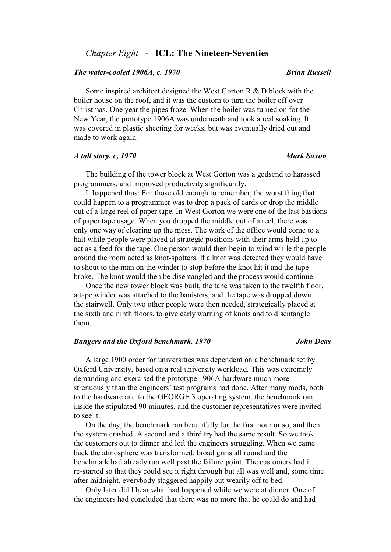# *Chapter Eight* - **ICL: The Nineteen-Seventies**

## *The water-cooled 1906A, c. 1970 Brian Russell*

Some inspired architect designed the West Gorton R & D block with the boiler house on the roof, and it was the custom to turn the boiler off over Christmas. One year the pipes froze. When the boiler was turned on for the New Year, the prototype 1906A was underneath and took a real soaking. It was covered in plastic sheeting for weeks, but was eventually dried out and made to work again.

### *A tall story, c, 1970 Mark Saxon*

The building of the tower block at West Gorton was a godsend to harassed programmers, and improved productivity significantly.

It happened thus: For those old enough to remember, the worst thing that could happen to a programmer was to drop a pack of cards or drop the middle out of a large reel of paper tape. In West Gorton we were one of the last bastions of paper tape usage. When you dropped the middle out of a reel, there was only one way of clearing up the mess. The work of the office would come to a halt while people were placed at strategic positions with their arms held up to act as a feed for the tape. One person would then begin to wind while the people around the room acted as knot-spotters. If a knot was detected they would have to shout to the man on the winder to stop before the knot hit it and the tape broke. The knot would then be disentangled and the process would continue.

Once the new tower block was built, the tape was taken to the twelfth floor, a tape winder was attached to the banisters, and the tape was dropped down the stairwell. Only two other people were then needed, strategically placed at the sixth and ninth floors, to give early warning of knots and to disentangle them.

# *Bangers and the Oxford benchmark, 1970 John Deas*

A large 1900 order for universities was dependent on a benchmark set by Oxford University, based on a real university workload. This was extremely demanding and exercised the prototype 1906A hardware much more strenuously than the engineers' test programs had done. After many mods, both to the hardware and to the GEORGE 3 operating system, the benchmark ran inside the stipulated 90 minutes, and the customer representatives were invited to see it.

On the day, the benchmark ran beautifully for the first hour or so, and then the system crashed. A second and a third try had the same result. So we took the customers out to dinner and left the engineers struggling. When we came back the atmosphere was transformed: broad grins all round and the benchmark had already run well past the failure point. The customers had it re-started so that they could see it right through but all was well and, some time after midnight, everybody staggered happily but wearily off to bed.

Only later did I hear what had happened while we were at dinner. One of the engineers had concluded that there was no more that he could do and had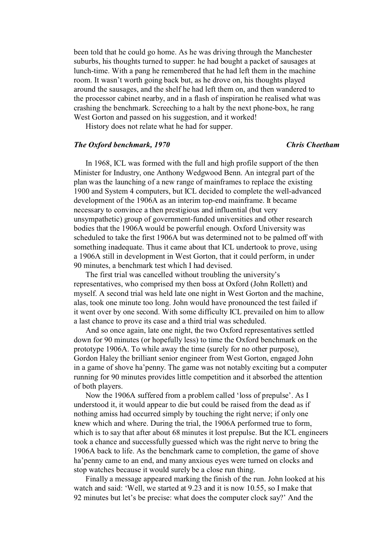been told that he could go home. As he was driving through the Manchester suburbs, his thoughts turned to supper: he had bought a packet of sausages at lunch-time. With a pang he remembered that he had left them in the machine room. It wasn't worth going back but, as he drove on, his thoughts played around the sausages, and the shelf he had left them on, and then wandered to the processor cabinet nearby, and in a flash of inspiration he realised what was crashing the benchmark. Screeching to a halt by the next phone-box, he rang West Gorton and passed on his suggestion, and it worked!

History does not relate what he had for supper.

### *The Oxford benchmark, 1970 Chris Cheetham*

In 1968, ICL was formed with the full and high profile support of the then Minister for Industry, one Anthony Wedgwood Benn. An integral part of the plan was the launching of a new range of mainframes to replace the existing 1900 and System 4 computers, but ICL decided to complete the well-advanced development of the 1906A as an interim top-end mainframe. It became necessary to convince a then prestigious and influential (but very unsympathetic) group of government-funded universities and other research bodies that the 1906A would be powerful enough. Oxford University was scheduled to take the first 1906A but was determined not to be palmed off with something inadequate. Thus it came about that ICL undertook to prove, using a 1906A still in development in West Gorton, that it could perform, in under 90 minutes, a benchmark test which I had devised.

The first trial was cancelled without troubling the university's representatives, who comprised my then boss at Oxford (John Rollett) and myself. A second trial was held late one night in West Gorton and the machine, alas, took one minute too long. John would have pronounced the test failed if it went over by one second. With some difficulty ICL prevailed on him to allow a last chance to prove its case and a third trial was scheduled.

And so once again, late one night, the two Oxford representatives settled down for 90 minutes (or hopefully less) to time the Oxford benchmark on the prototype 1906A. To while away the time (surely for no other purpose), Gordon Haley the brilliant senior engineer from West Gorton, engaged John in a game of shove ha'penny. The game was not notably exciting but a computer running for 90 minutes provides little competition and it absorbed the attention of both players.

Now the 1906A suffered from a problem called 'loss of prepulse'. As I understood it, it would appear to die but could be raised from the dead as if nothing amiss had occurred simply by touching the right nerve; if only one knew which and where. During the trial, the 1906A performed true to form, which is to say that after about 68 minutes it lost prepulse. But the ICL engineers took a chance and successfully guessed which was the right nerve to bring the 1906A back to life. As the benchmark came to completion, the game of shove ha'penny came to an end, and many anxious eyes were turned on clocks and stop watches because it would surely be a close run thing.

Finally a message appeared marking the finish of the run. John looked at his watch and said: 'Well, we started at 9.23 and it is now 10.55, so I make that 92 minutes but let's be precise: what does the computer clock say?' And the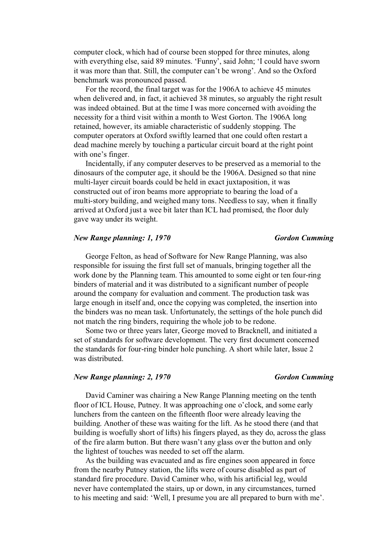computer clock, which had of course been stopped for three minutes, along with everything else, said 89 minutes. 'Funny', said John; 'I could have sworn it was more than that. Still, the computer can't be wrong'. And so the Oxford benchmark was pronounced passed.

For the record, the final target was for the 1906A to achieve 45 minutes when delivered and, in fact, it achieved 38 minutes, so arguably the right result was indeed obtained. But at the time I was more concerned with avoiding the necessity for a third visit within a month to West Gorton. The 1906A long retained, however, its amiable characteristic of suddenly stopping. The computer operators at Oxford swiftly learned that one could often restart a dead machine merely by touching a particular circuit board at the right point with one's finger.

Incidentally, if any computer deserves to be preserved as a memorial to the dinosaurs of the computer age, it should be the 1906A. Designed so that nine multi-layer circuit boards could be held in exact juxtaposition, it was constructed out of iron beams more appropriate to bearing the load of a multi-story building, and weighed many tons. Needless to say, when it finally arrived at Oxford just a wee bit later than ICL had promised, the floor duly gave way under its weight.

### *New Range planning: 1, 1970 Gordon Cumming Cordon Cumming*

George Felton, as head of Software for New Range Planning, was also responsible for issuing the first full set of manuals, bringing together all the work done by the Planning team. This amounted to some eight or ten four-ring binders of material and it was distributed to a significant number of people around the company for evaluation and comment. The production task was large enough in itself and, once the copying was completed, the insertion into the binders was no mean task. Unfortunately, the settings of the hole punch did not match the ring binders, requiring the whole job to be redone.

Some two or three years later, George moved to Bracknell, and initiated a set of standards for software development. The very first document concerned the standards for four-ring binder hole punching. A short while later, Issue 2 was distributed.

## *New Range planning: 2, 1970 Gordon Cumming*

David Caminer was chairing a New Range Planning meeting on the tenth floor of ICL House, Putney. It was approaching one o'clock, and some early lunchers from the canteen on the fifteenth floor were already leaving the building. Another of these was waiting for the lift. As he stood there (and that building is woefully short of lifts) his fingers played, as they do, across the glass of the fire alarm button. But there wasn't any glass over the button and only the lightest of touches was needed to set off the alarm.

As the building was evacuated and as fire engines soon appeared in force from the nearby Putney station, the lifts were of course disabled as part of standard fire procedure. David Caminer who, with his artificial leg, would never have contemplated the stairs, up or down, in any circumstances, turned to his meeting and said: 'Well, I presume you are all prepared to burn with me'.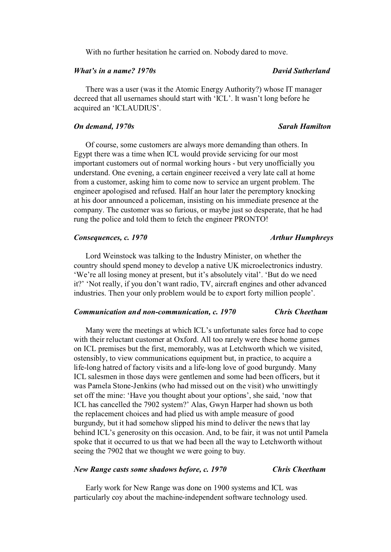With no further hesitation he carried on. Nobody dared to move.

# *What's in a name? 1970s David Sutherland*

There was a user (was it the Atomic Energy Authority?) whose IT manager decreed that all usernames should start with 'ICL'. It wasn't long before he acquired an 'ICLAUDIUS'.

### *On demand, 1970s Sarah Hamilton*

Of course, some customers are always more demanding than others. In Egypt there was a time when ICL would provide servicing for our most important customers out of normal working hours - but very unofficially you understand. One evening, a certain engineer received a very late call at home from a customer, asking him to come now to service an urgent problem. The engineer apologised and refused. Half an hour later the peremptory knocking at his door announced a policeman, insisting on his immediate presence at the company. The customer was so furious, or maybe just so desperate, that he had rung the police and told them to fetch the engineer PRONTO!

## *Consequences, c. 1970 Arthur Humphreys*

Lord Weinstock was talking to the Industry Minister, on whether the country should spend money to develop a native UK microelectronics industry. 'We're all losing money at present, but it's absolutely vital'. 'But do we need it?' 'Not really, if you don't want radio, TV, aircraft engines and other advanced industries. Then your only problem would be to export forty million people'.

### *Communication and non-communication, c. 1970 Chris Cheetham*

Many were the meetings at which ICL's unfortunate sales force had to cope with their reluctant customer at Oxford. All too rarely were these home games on ICL premises but the first, memorably, was at Letchworth which we visited, ostensibly, to view communications equipment but, in practice, to acquire a life-long hatred of factory visits and a life-long love of good burgundy. Many ICL salesmen in those days were gentlemen and some had been officers, but it was Pamela Stone-Jenkins (who had missed out on the visit) who unwittingly set off the mine: 'Have you thought about your options', she said, 'now that ICL has cancelled the 7902 system?' Alas, Gwyn Harper had shown us both the replacement choices and had plied us with ample measure of good burgundy, but it had somehow slipped his mind to deliver the news that lay behind ICL's generosity on this occasion. And, to be fair, it was not until Pamela spoke that it occurred to us that we had been all the way to Letchworth without seeing the 7902 that we thought we were going to buy.

## *New Range casts some shadows before, c. 1970 Chris Cheetham*

Early work for New Range was done on 1900 systems and ICL was particularly coy about the machine-independent software technology used.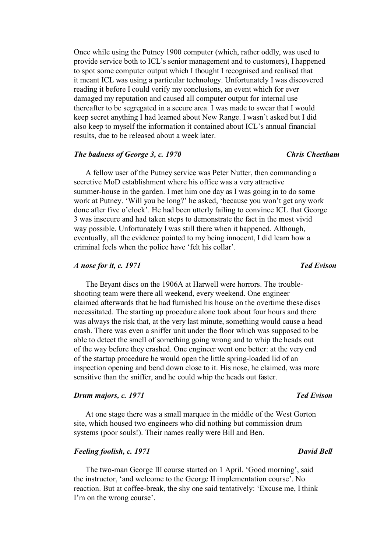Once while using the Putney 1900 computer (which, rather oddly, was used to provide service both to ICL's senior management and to customers), I happened to spot some computer output which I thought I recognised and realised that it meant ICL was using a particular technology. Unfortunately I was discovered reading it before I could verify my conclusions, an event which for ever damaged my reputation and caused all computer output for internal use thereafter to be segregated in a secure area. I was made to swear that I would keep secret anything I had learned about New Range. I wasn't asked but I did also keep to myself the information it contained about ICL's annual financial results, due to be released about a week later.

### *The badness of George 3, c. 1970 Chris Cheetham*

A fellow user of the Putney service was Peter Nutter, then commanding a secretive MoD establishment where his office was a very attractive summer-house in the garden. I met him one day as I was going in to do some work at Putney. 'Will you be long?' he asked, 'because you won't get any work done after five o'clock'. He had been utterly failing to convince ICL that George 3 was insecure and had taken steps to demonstrate the fact in the most vivid way possible. Unfortunately I was still there when it happened. Although, eventually, all the evidence pointed to my being innocent, I did learn how a criminal feels when the police have 'felt his collar'.

# *A* nose for it, c. 1971 Ted Evison

The Bryant discs on the 1906A at Harwell were horrors. The troubleshooting team were there all weekend, every weekend. One engineer claimed afterwards that he had furnished his house on the overtime these discs necessitated. The starting up procedure alone took about four hours and there was always the risk that, at the very last minute, something would cause a head crash. There was even a sniffer unit under the floor which was supposed to be able to detect the smell of something going wrong and to whip the heads out of the way before they crashed. One engineer went one better: at the very end of the startup procedure he would open the little spring-loaded lid of an inspection opening and bend down close to it. His nose, he claimed, was more sensitive than the sniffer, and he could whip the heads out faster.

### *Drum majors, c. 1971 Ted Evison*

At one stage there was a small marquee in the middle of the West Gorton site, which housed two engineers who did nothing but commission drum systems (poor souls!). Their names really were Bill and Ben.

# *Feeling foolish, c. 1971 David Bell*

The two-man George III course started on 1 April. 'Good morning', said the instructor, 'and welcome to the George II implementation course'. No reaction. But at coffee-break, the shy one said tentatively: 'Excuse me, I think I'm on the wrong course'.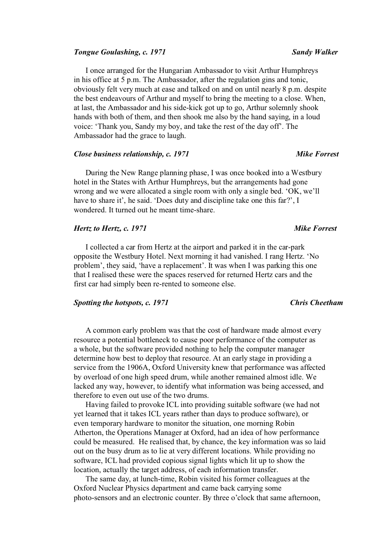### *Tongue Goulashing, c. 1971* Sandy Walker *Sandy Walker Sandy Walker*

I once arranged for the Hungarian Ambassador to visit Arthur Humphreys in his office at 5 p.m. The Ambassador, after the regulation gins and tonic, obviously felt very much at ease and talked on and on until nearly 8 p.m. despite the best endeavours of Arthur and myself to bring the meeting to a close. When, at last, the Ambassador and his side-kick got up to go, Arthur solemnly shook hands with both of them, and then shook me also by the hand saying, in a loud voice: 'Thank you, Sandy my boy, and take the rest of the day off'. The Ambassador had the grace to laugh.

### *Close business relationship, c. 1971* Mike Forrest *Mike Forrest*

During the New Range planning phase, I was once booked into a Westbury hotel in the States with Arthur Humphreys, but the arrangements had gone wrong and we were allocated a single room with only a single bed. 'OK, we'll have to share it', he said. 'Does duty and discipline take one this far?', I wondered. It turned out he meant time-share.

## *Hertz to Hertz, c. 1971* Mike Forrest *Mike Forrest*

I collected a car from Hertz at the airport and parked it in the car-park opposite the Westbury Hotel. Next morning it had vanished. I rang Hertz. 'No problem', they said, 'have a replacement'. It was when I was parking this one that I realised these were the spaces reserved for returned Hertz cars and the first car had simply been re-rented to someone else.

## *Spotting the hotspots, c. 1971 Chris Cheetham*

A common early problem was that the cost of hardware made almost every resource a potential bottleneck to cause poor performance of the computer as a whole, but the software provided nothing to help the computer manager determine how best to deploy that resource. At an early stage in providing a service from the 1906A, Oxford University knew that performance was affected by overload of one high speed drum, while another remained almost idle. We lacked any way, however, to identify what information was being accessed, and therefore to even out use of the two drums.

Having failed to provoke ICL into providing suitable software (we had not yet learned that it takes ICL years rather than days to produce software), or even temporary hardware to monitor the situation, one morning Robin Atherton, the Operations Manager at Oxford, had an idea of how performance could be measured. He realised that, by chance, the key information was so laid out on the busy drum as to lie at very different locations. While providing no software, ICL had provided copious signal lights which lit up to show the location, actually the target address, of each information transfer.

The same day, at lunch-time, Robin visited his former colleagues at the Oxford Nuclear Physics department and came back carrying some photo-sensors and an electronic counter. By three o'clock that same afternoon,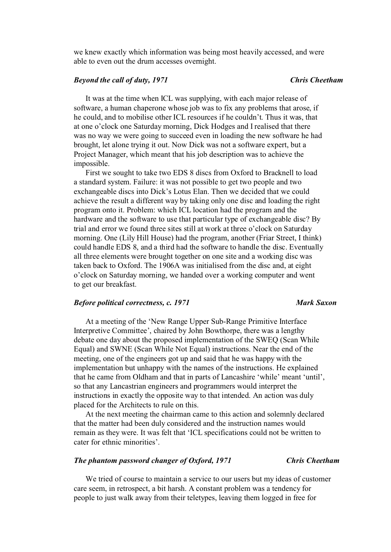we knew exactly which information was being most heavily accessed, and were able to even out the drum accesses overnight.

## *Beyond the call of duty, 1971 Chris Cheetham*

It was at the time when ICL was supplying, with each major release of software, a human chaperone whose job was to fix any problems that arose, if he could, and to mobilise other ICL resources if he couldn't. Thus it was, that at one o'clock one Saturday morning, Dick Hodges and I realised that there was no way we were going to succeed even in loading the new software he had brought, let alone trying it out. Now Dick was not a software expert, but a Project Manager, which meant that his job description was to achieve the impossible.

First we sought to take two EDS 8 discs from Oxford to Bracknell to load a standard system. Failure: it was not possible to get two people and two exchangeable discs into Dick's Lotus Elan. Then we decided that we could achieve the result a different way by taking only one disc and loading the right program onto it. Problem: which ICL location had the program and the hardware and the software to use that particular type of exchangeable disc? By trial and error we found three sites still at work at three o'clock on Saturday morning. One (Lily Hill House) had the program, another (Friar Street, I think) could handle EDS 8, and a third had the software to handle the disc. Eventually all three elements were brought together on one site and a working disc was taken back to Oxford. The 1906A was initialised from the disc and, at eight o'clock on Saturday morning, we handed over a working computer and went to get our breakfast.

# *Before political correctness, c. 1971* Mark Saxon *Mark Saxon*

At a meeting of the 'New Range Upper Sub-Range Primitive Interface Interpretive Committee', chaired by John Bowthorpe, there was a lengthy debate one day about the proposed implementation of the SWEQ (Scan While Equal) and SWNE (Scan While Not Equal) instructions. Near the end of the meeting, one of the engineers got up and said that he was happy with the implementation but unhappy with the names of the instructions. He explained that he came from Oldham and that in parts of Lancashire 'while' meant 'until', so that any Lancastrian engineers and programmers would interpret the instructions in exactly the opposite way to that intended. An action was duly placed for the Architects to rule on this.

At the next meeting the chairman came to this action and solemnly declared that the matter had been duly considered and the instruction names would remain as they were. It was felt that 'ICL specifications could not be written to cater for ethnic minorities'.

## *The phantom password changer of Oxford, 1971 Chris Cheetham*

We tried of course to maintain a service to our users but my ideas of customer care seem, in retrospect, a bit harsh. A constant problem was a tendency for people to just walk away from their teletypes, leaving them logged in free for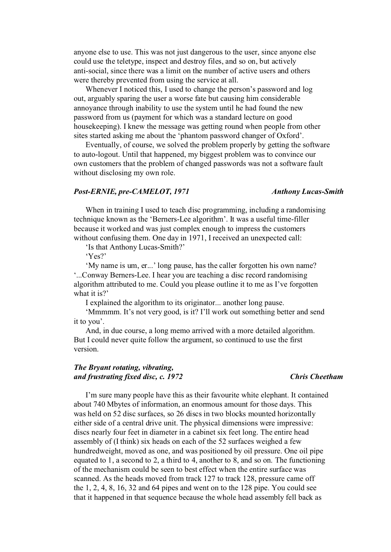anyone else to use. This was not just dangerous to the user, since anyone else could use the teletype, inspect and destroy files, and so on, but actively anti-social, since there was a limit on the number of active users and others were thereby prevented from using the service at all.

Whenever I noticed this, I used to change the person's password and log out, arguably sparing the user a worse fate but causing him considerable annoyance through inability to use the system until he had found the new password from us (payment for which was a standard lecture on good housekeeping). I knew the message was getting round when people from other sites started asking me about the 'phantom password changer of Oxford'.

Eventually, of course, we solved the problem properly by getting the software to auto-logout. Until that happened, my biggest problem was to convince our own customers that the problem of changed passwords was not a software fault without disclosing my own role.

# *Post-ERNIE, pre-CAMELOT, 1971 Anthony Lucas-Smith*

When in training I used to teach disc programming, including a randomising technique known as the 'Berners-Lee algorithm'. It was a useful time-filler because it worked and was just complex enough to impress the customers without confusing them. One day in 1971, I received an unexpected call:

'Is that Anthony Lucas-Smith?'

'Yes?'

'My name is um, er...' long pause, has the caller forgotten his own name? '...Conway Berners-Lee. I hear you are teaching a disc record randomising algorithm attributed to me. Could you please outline it to me as I've forgotten what it is?'

I explained the algorithm to its originator... another long pause.

'Mmmmm. It's not very good, is it? I'll work out something better and send it to you'.

And, in due course, a long memo arrived with a more detailed algorithm. But I could never quite follow the argument, so continued to use the first version.

# *The Bryant rotating, vibrating, and frustrating fixed disc, c. 1972 Chris Cheetham*

I'm sure many people have this as their favourite white elephant. It contained about 740 Mbytes of information, an enormous amount for those days. This was held on 52 disc surfaces, so 26 discs in two blocks mounted horizontally either side of a central drive unit. The physical dimensions were impressive: discs nearly four feet in diameter in a cabinet six feet long. The entire head assembly of (I think) six heads on each of the 52 surfaces weighed a few hundredweight, moved as one, and was positioned by oil pressure. One oil pipe equated to 1, a second to 2, a third to 4, another to 8, and so on. The functioning of the mechanism could be seen to best effect when the entire surface was scanned. As the heads moved from track 127 to track 128, pressure came off the 1, 2, 4, 8, 16, 32 and 64 pipes and went on to the 128 pipe. You could see that it happened in that sequence because the whole head assembly fell back as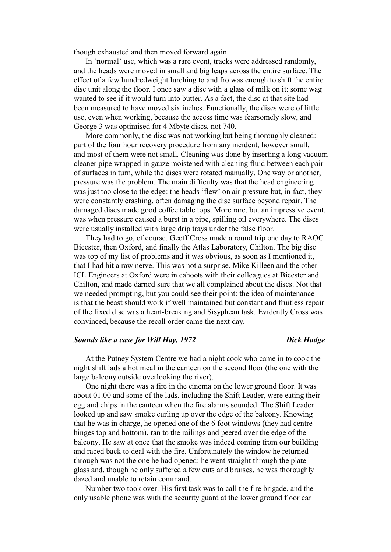though exhausted and then moved forward again.

In 'normal' use, which was a rare event, tracks were addressed randomly, and the heads were moved in small and big leaps across the entire surface. The effect of a few hundredweight lurching to and fro was enough to shift the entire disc unit along the floor. I once saw a disc with a glass of milk on it: some wag wanted to see if it would turn into butter. As a fact, the disc at that site had been measured to have moved six inches. Functionally, the discs were of little use, even when working, because the access time was fearsomely slow, and George 3 was optimised for 4 Mbyte discs, not 740.

More commonly, the disc was not working but being thoroughly cleaned: part of the four hour recovery procedure from any incident, however small, and most of them were not small. Cleaning was done by inserting a long vacuum cleaner pipe wrapped in gauze moistened with cleaning fluid between each pair of surfaces in turn, while the discs were rotated manually. One way or another, pressure was the problem. The main difficulty was that the head engineering was just too close to the edge: the heads 'flew' on air pressure but, in fact, they were constantly crashing, often damaging the disc surface beyond repair. The damaged discs made good coffee table tops. More rare, but an impressive event, was when pressure caused a burst in a pipe, spilling oil everywhere. The discs were usually installed with large drip trays under the false floor.

They had to go, of course. Geoff Cross made a round trip one day to RAOC Bicester, then Oxford, and finally the Atlas Laboratory, Chilton. The big disc was top of my list of problems and it was obvious, as soon as I mentioned it, that I had hit a raw nerve. This was not a surprise. Mike Killeen and the other ICL Engineers at Oxford were in cahoots with their colleagues at Bicester and Chilton, and made darned sure that we all complained about the discs. Not that we needed prompting, but you could see their point: the idea of maintenance is that the beast should work if well maintained but constant and fruitless repair of the fixed disc was a heart-breaking and Sisyphean task. Evidently Cross was convinced, because the recall order came the next day.

### *Sounds like a case for Will Hay, 1972 Dick Hodge*

At the Putney System Centre we had a night cook who came in to cook the night shift lads a hot meal in the canteen on the second floor (the one with the large balcony outside overlooking the river).

One night there was a fire in the cinema on the lower ground floor. It was about 01.00 and some of the lads, including the Shift Leader, were eating their egg and chips in the canteen when the fire alarms sounded. The Shift Leader looked up and saw smoke curling up over the edge of the balcony. Knowing that he was in charge, he opened one of the 6 foot windows (they had centre hinges top and bottom), ran to the railings and peered over the edge of the balcony. He saw at once that the smoke was indeed coming from our building and raced back to deal with the fire. Unfortunately the window he returned through was not the one he had opened: he went straight through the plate glass and, though he only suffered a few cuts and bruises, he was thoroughly dazed and unable to retain command.

Number two took over. His first task was to call the fire brigade, and the only usable phone was with the security guard at the lower ground floor car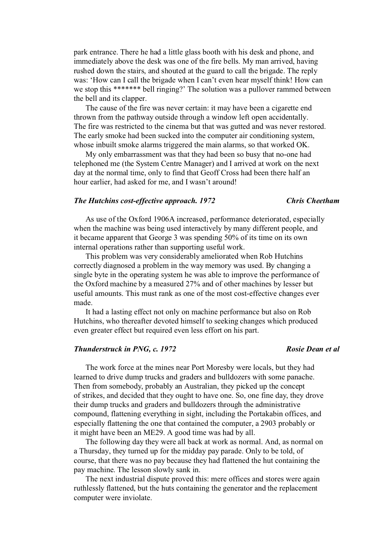park entrance. There he had a little glass booth with his desk and phone, and immediately above the desk was one of the fire bells. My man arrived, having rushed down the stairs, and shouted at the guard to call the brigade. The reply was: 'How can I call the brigade when I can't even hear myself think! How can we stop this \*\*\*\*\*\*\* bell ringing?' The solution was a pullover rammed between the bell and its clapper.

The cause of the fire was never certain: it may have been a cigarette end thrown from the pathway outside through a window left open accidentally. The fire was restricted to the cinema but that was gutted and was never restored. The early smoke had been sucked into the computer air conditioning system, whose inbuilt smoke alarms triggered the main alarms, so that worked OK.

My only embarrassment was that they had been so busy that no-one had telephoned me (the System Centre Manager) and I arrived at work on the next day at the normal time, only to find that Geoff Cross had been there half an hour earlier, had asked for me, and I wasn't around!

### *The Hutchins cost-effective approach. 1972 Chris Cheetham*

As use of the Oxford 1906A increased, performance deteriorated, especially when the machine was being used interactively by many different people, and it became apparent that George 3 was spending 50% of its time on its own internal operations rather than supporting useful work.

This problem was very considerably ameliorated when Rob Hutchins correctly diagnosed a problem in the way memory was used. By changing a single byte in the operating system he was able to improve the performance of the Oxford machine by a measured 27% and of other machines by lesser but useful amounts. This must rank as one of the most cost-effective changes ever made.

It had a lasting effect not only on machine performance but also on Rob Hutchins, who thereafter devoted himself to seeking changes which produced even greater effect but required even less effort on his part.

# *Thunderstruck in PNG, c. 1972 Rosie Dean et al*

The work force at the mines near Port Moresby were locals, but they had learned to drive dump trucks and graders and bulldozers with some panache. Then from somebody, probably an Australian, they picked up the concept of strikes, and decided that they ought to have one. So, one fine day, they drove their dump trucks and graders and bulldozers through the administrative compound, flattening everything in sight, including the Portakabin offices, and especially flattening the one that contained the computer, a 2903 probably or it might have been an ME29. A good time was had by all.

The following day they were all back at work as normal. And, as normal on a Thursday, they turned up for the midday pay parade. Only to be told, of course, that there was no pay because they had flattened the hut containing the pay machine. The lesson slowly sank in.

The next industrial dispute proved this: mere offices and stores were again ruthlessly flattened, but the huts containing the generator and the replacement computer were inviolate.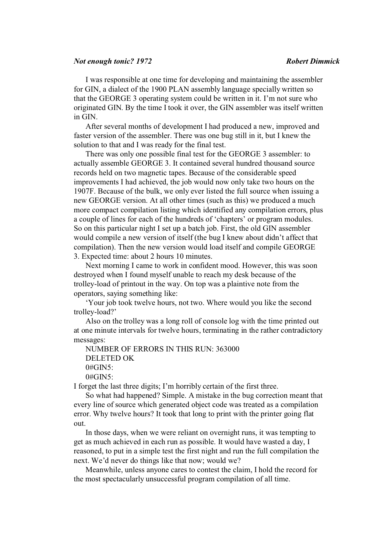### *Not enough tonic? 1972 Robert Dimmick*

I was responsible at one time for developing and maintaining the assembler for GIN, a dialect of the 1900 PLAN assembly language specially written so that the GEORGE 3 operating system could be written in it. I'm not sure who originated GIN. By the time I took it over, the GIN assembler was itself written in GIN.

After several months of development I had produced a new, improved and faster version of the assembler. There was one bug still in it, but I knew the solution to that and I was ready for the final test.

There was only one possible final test for the GEORGE 3 assembler: to actually assemble GEORGE 3. It contained several hundred thousand source records held on two magnetic tapes. Because of the considerable speed improvements I had achieved, the job would now only take two hours on the 1907F. Because of the bulk, we only ever listed the full source when issuing a new GEORGE version. At all other times (such as this) we produced a much more compact compilation listing which identified any compilation errors, plus a couple of lines for each of the hundreds of 'chapters' or program modules. So on this particular night I set up a batch job. First, the old GIN assembler would compile a new version of itself (the bug I knew about didn't affect that compilation). Then the new version would load itself and compile GEORGE 3. Expected time: about 2 hours 10 minutes.

Next morning I came to work in confident mood. However, this was soon destroyed when I found myself unable to reach my desk because of the trolley-load of printout in the way. On top was a plaintive note from the operators, saying something like:

'Your job took twelve hours, not two. Where would you like the second trolley-load?'

Also on the trolley was a long roll of console log with the time printed out at one minute intervals for twelve hours, terminating in the rather contradictory messages:

NUMBER OF ERRORS IN THIS RUN: 363000 DELETED OK  $0#GIN5$ : 0#GIN5:

I forget the last three digits; I'm horribly certain of the first three.

So what had happened? Simple. A mistake in the bug correction meant that every line of source which generated object code was treated as a compilation error. Why twelve hours? It took that long to print with the printer going flat out.

In those days, when we were reliant on overnight runs, it was tempting to get as much achieved in each run as possible. It would have wasted a day, I reasoned, to put in a simple test the first night and run the full compilation the next. We'd never do things like that now; would we?

Meanwhile, unless anyone cares to contest the claim, I hold the record for the most spectacularly unsuccessful program compilation of all time.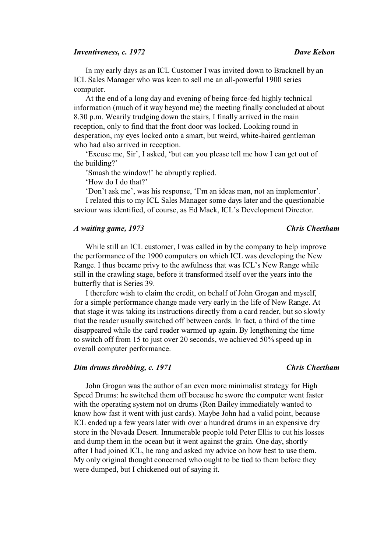### *Inventiveness, c. 1972 Dave Kelson*

In my early days as an ICL Customer I was invited down to Bracknell by an ICL Sales Manager who was keen to sell me an all-powerful 1900 series computer.

At the end of a long day and evening of being force-fed highly technical information (much of it way beyond me) the meeting finally concluded at about 8.30 p.m. Wearily trudging down the stairs, I finally arrived in the main reception, only to find that the front door was locked. Looking round in desperation, my eyes locked onto a smart, but weird, white-haired gentleman who had also arrived in reception.

'Excuse me, Sir', I asked, 'but can you please tell me how I can get out of the building?'

'Smash the window!' he abruptly replied.

'How do I do that?'

'Don't ask me', was his response, 'I'm an ideas man, not an implementor'.

I related this to my ICL Sales Manager some days later and the questionable saviour was identified, of course, as Ed Mack, ICL's Development Director.

# *A waiting game, 1973 Chris Cheetham*

While still an ICL customer, I was called in by the company to help improve the performance of the 1900 computers on which ICL was developing the New Range. I thus became privy to the awfulness that was ICL's New Range while still in the crawling stage, before it transformed itself over the years into the butterfly that is Series 39.

I therefore wish to claim the credit, on behalf of John Grogan and myself, for a simple performance change made very early in the life of New Range. At that stage it was taking its instructions directly from a card reader, but so slowly that the reader usually switched off between cards. In fact, a third of the time disappeared while the card reader warmed up again. By lengthening the time to switch off from 15 to just over 20 seconds, we achieved 50% speed up in overall computer performance.

## *Dim drums throbbing, c.* 1971 Chris Cheetham

John Grogan was the author of an even more minimalist strategy for High Speed Drums: he switched them off because he swore the computer went faster with the operating system not on drums (Ron Bailey immediately wanted to know how fast it went with just cards). Maybe John had a valid point, because ICL ended up a few years later with over a hundred drums in an expensive dry store in the Nevada Desert. Innumerable people told Peter Ellis to cut his losses and dump them in the ocean but it went against the grain. One day, shortly after I had joined ICL, he rang and asked my advice on how best to use them. My only original thought concerned who ought to be tied to them before they were dumped, but I chickened out of saying it.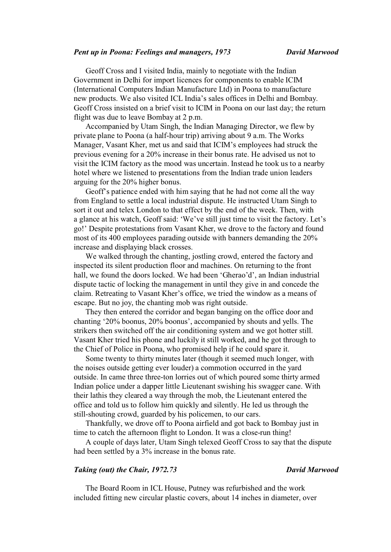### *Pent up in Poona: Feelings and managers, 1973 David Marwood*

Geoff Cross and I visited India, mainly to negotiate with the Indian Government in Delhi for import licences for components to enable ICIM (International Computers Indian Manufacture Ltd) in Poona to manufacture new products. We also visited ICL India's sales offices in Delhi and Bombay. Geoff Cross insisted on a brief visit to ICIM in Poona on our last day; the return flight was due to leave Bombay at 2 p.m.

Accompanied by Utam Singh, the Indian Managing Director, we flew by private plane to Poona (a half-hour trip) arriving about 9 a.m. The Works Manager, Vasant Kher, met us and said that ICIM's employees had struck the previous evening for a 20% increase in their bonus rate. He advised us not to visit the ICIM factory as the mood was uncertain. Instead he took us to a nearby hotel where we listened to presentations from the Indian trade union leaders arguing for the 20% higher bonus.

Geoff's patience ended with him saying that he had not come all the way from England to settle a local industrial dispute. He instructed Utam Singh to sort it out and telex London to that effect by the end of the week. Then, with a glance at his watch, Geoff said: 'We've still just time to visit the factory. Let's go!' Despite protestations from Vasant Kher, we drove to the factory and found most of its 400 employees parading outside with banners demanding the 20% increase and displaying black crosses.

We walked through the chanting, jostling crowd, entered the factory and inspected its silent production floor and machines. On returning to the front hall, we found the doors locked. We had been 'Gherao'd', an Indian industrial dispute tactic of locking the management in until they give in and concede the claim. Retreating to Vasant Kher's office, we tried the window as a means of escape. But no joy, the chanting mob was right outside.

They then entered the corridor and began banging on the office door and chanting '20% boonus, 20% boonus', accompanied by shouts and yells. The strikers then switched off the air conditioning system and we got hotter still. Vasant Kher tried his phone and luckily it still worked, and he got through to the Chief of Police in Poona, who promised help if he could spare it.

Some twenty to thirty minutes later (though it seemed much longer, with the noises outside getting ever louder) a commotion occurred in the yard outside. In came three three-ton lorries out of which poured some thirty armed Indian police under a dapper little Lieutenant swishing his swagger cane. With their lathis they cleared a way through the mob, the Lieutenant entered the office and told us to follow him quickly and silently. He led us through the still-shouting crowd, guarded by his policemen, to our cars.

Thankfully, we drove off to Poona airfield and got back to Bombay just in time to catch the afternoon flight to London. It was a close-run thing!

A couple of days later, Utam Singh telexed Geoff Cross to say that the dispute had been settled by a 3% increase in the bonus rate.

## *Taking (out) the Chair, 1972.73 David Marwood*

The Board Room in ICL House, Putney was refurbished and the work included fitting new circular plastic covers, about 14 inches in diameter, over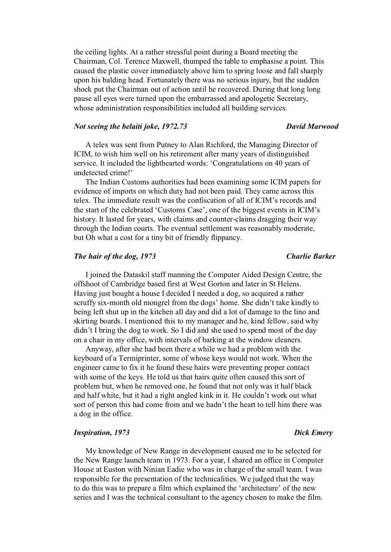the ceiling lights. At a rather stressful point during a Board meeting the Chairman, Col. Terence Maxwell, thumped the table to emphasise a point. This caused the plastic cover immediately above him to spring loose and fall sharply upon his balding head. Fortunately there was no serious injury, but the sudden shock put the Chairman out of action until he recovered. During that long long pause all eyes were turned upon the embarrassed and apologetic Secretary, whose administration responsibilities included all building services.

## *Not seeing the belaiti joke, 1972.73 David Marwood*

# A telex was sent from Putney to Alan Richford, the Managing Director of ICIM, to wish him well on his retirement after many years of distinguished service. It included the lighthearted words: 'Congratulations on 40 years of undetected crime!'

The Indian Customs authorities had been examining some ICIM papers for evidence of imports on which duty had not been paid. They came across this telex. The immediate result was the confiscation of all of ICIM's records and the start of the celebrated 'Customs Case', one of the biggest events in ICIM's history. It lasted for years, with claims and counter-claims dragging their way through the Indian courts. The eventual settlement was reasonably moderate, but Oh what a cost for a tiny bit of friendly flippancy.

# *The hair of the dog, 1973 Charlie Barker*

I joined the Dataskil staff manning the Computer Aided Design Centre, the offshoot of Cambridge based first at West Gorton and later in St Helens. Having just bought a house I decided I needed a dog, so acquired a rather scruffy six-month old mongrel from the dogs' home. She didn't take kindly to being left shut up in the kitchen all day and did a lot of damage to the lino and skirting boards. I mentioned this to my manager and he, kind fellow, said why didn't I bring the dog to work. So I did and she used to spend most of the day on a chair in my office, with intervals of barking at the window cleaners.

Anyway, after she had been there a while we had a problem with the keyboard of a Termiprinter, some of whose keys would not work. When the engineer came to fix it he found these hairs were preventing proper contact with some of the keys. He told us that hairs quite often caused this sort of problem but, when he removed one, he found that not only was it half black and half white, but it had a right angled kink in it. He couldn't work out what sort of person this had come from and we hadn't the heart to tell him there was a dog in the office.

### *Inspiration, 1973 Dick Emery*

My knowledge of New Range in development caused me to be selected for the New Range launch team in 1973. For a year, I shared an office in Computer House at Euston with Ninian Eadie who was in charge of the small team. I was responsible for the presentation of the technicalities. We judged that the way to do this was to prepare a film which explained the 'architecture' of the new series and I was the technical consultant to the agency chosen to make the film.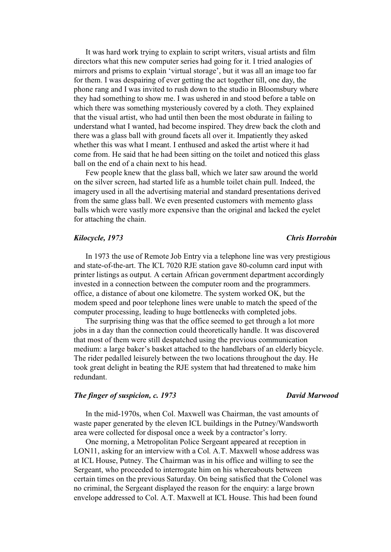It was hard work trying to explain to script writers, visual artists and film directors what this new computer series had going for it. I tried analogies of mirrors and prisms to explain 'virtual storage', but it was all an image too far for them. I was despairing of ever getting the act together till, one day, the phone rang and I was invited to rush down to the studio in Bloomsbury where they had something to show me. I was ushered in and stood before a table on which there was something mysteriously covered by a cloth. They explained that the visual artist, who had until then been the most obdurate in failing to understand what I wanted, had become inspired. They drew back the cloth and there was a glass ball with ground facets all over it. Impatiently they asked whether this was what I meant. I enthused and asked the artist where it had come from. He said that he had been sitting on the toilet and noticed this glass ball on the end of a chain next to his head.

Few people knew that the glass ball, which we later saw around the world on the silver screen, had started life as a humble toilet chain pull. Indeed, the imagery used in all the advertising material and standard presentations derived from the same glass ball. We even presented customers with memento glass balls which were vastly more expensive than the original and lacked the eyelet for attaching the chain.

### *Kilocycle, 1973 Chris Horrobin*

In 1973 the use of Remote Job Entry via a telephone line was very prestigious and state-of-the-art. The ICL 7020 RJE station gave 80-column card input with printer listings as output. A certain African government department accordingly invested in a connection between the computer room and the programmers. office, a distance of about one kilometre. The system worked OK, but the modem speed and poor telephone lines were unable to match the speed of the computer processing, leading to huge bottlenecks with completed jobs.

The surprising thing was that the office seemed to get through a lot more jobs in a day than the connection could theoretically handle. It was discovered that most of them were still despatched using the previous communication medium: a large baker's basket attached to the handlebars of an elderly bicycle. The rider pedalled leisurely between the two locations throughout the day. He took great delight in beating the RJE system that had threatened to make him redundant.

### *The finger of suspicion, c. 1973 David Marwood*

In the mid-1970s, when Col. Maxwell was Chairman, the vast amounts of waste paper generated by the eleven ICL buildings in the Putney/Wandsworth area were collected for disposal once a week by a contractor's lorry.

One morning, a Metropolitan Police Sergeant appeared at reception in LON11, asking for an interview with a Col. A.T. Maxwell whose address was at ICL House, Putney. The Chairman was in his office and willing to see the Sergeant, who proceeded to interrogate him on his whereabouts between certain times on the previous Saturday. On being satisfied that the Colonel was no criminal, the Sergeant displayed the reason for the enquiry: a large brown envelope addressed to Col. A.T. Maxwell at ICL House. This had been found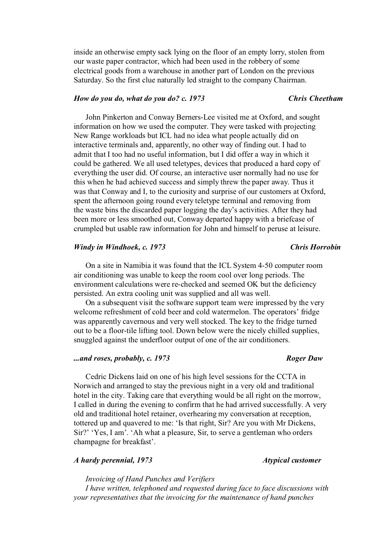inside an otherwise empty sack lying on the floor of an empty lorry, stolen from our waste paper contractor, which had been used in the robbery of some electrical goods from a warehouse in another part of London on the previous Saturday. So the first clue naturally led straight to the company Chairman.

### *How do you do, what do you do? c. 1973 Chris Cheetham*

John Pinkerton and Conway Berners-Lee visited me at Oxford, and sought information on how we used the computer. They were tasked with projecting New Range workloads but ICL had no idea what people actually did on interactive terminals and, apparently, no other way of finding out. I had to admit that I too had no useful information, but I did offer a way in which it could be gathered. We all used teletypes, devices that produced a hard copy of everything the user did. Of course, an interactive user normally had no use for this when he had achieved success and simply threw the paper away. Thus it was that Conway and I, to the curiosity and surprise of our customers at Oxford, spent the afternoon going round every teletype terminal and removing from the waste bins the discarded paper logging the day's activities. After they had been more or less smoothed out, Conway departed happy with a briefcase of crumpled but usable raw information for John and himself to peruse at leisure.

### *Windy in Windhoek, c. 1973 Chris Horrobin*

On a site in Namibia it was found that the ICL System 4-50 computer room air conditioning was unable to keep the room cool over long periods. The environment calculations were re-checked and seemed OK but the deficiency persisted. An extra cooling unit was supplied and all was well.

On a subsequent visit the software support team were impressed by the very welcome refreshment of cold beer and cold watermelon. The operators' fridge was apparently cavernous and very well stocked. The key to the fridge turned out to be a floor-tile lifting tool. Down below were the nicely chilled supplies, snuggled against the underfloor output of one of the air conditioners.

# *...and roses, probably, c. 1973 Roger Daw*

Cedric Dickens laid on one of his high level sessions for the CCTA in Norwich and arranged to stay the previous night in a very old and traditional hotel in the city. Taking care that everything would be all right on the morrow, I called in during the evening to confirm that he had arrived successfully. A very old and traditional hotel retainer, overhearing my conversation at reception, tottered up and quavered to me: 'Is that right, Sir? Are you with Mr Dickens, Sir?' 'Yes, I am'. 'Ah what a pleasure, Sir, to serve a gentleman who orders champagne for breakfast'.

# *A hardy perennial, 1973 Atypical customer*

*Invoicing of Hand Punches and Verifiers* 

*I have written, telephoned and requested during face to face discussions with your representatives that the invoicing for the maintenance of hand punches*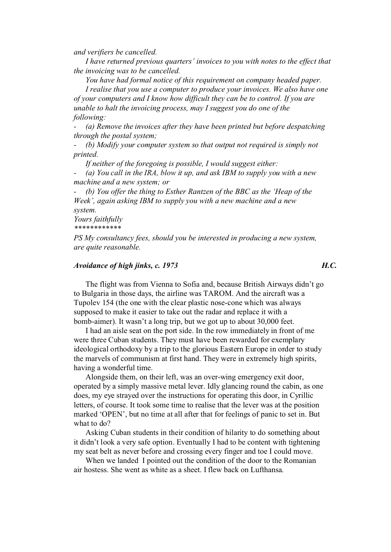*and verifiers be cancelled.* 

*I have returned previous quarters' invoices to you with notes to the effect that the invoicing was to be cancelled.* 

*You have had formal notice of this requirement on company headed paper.* 

*I realise that you use a computer to produce your invoices. We also have one of your computers and I know how difficult they can be to control. If you are unable to halt the invoicing process, may I suggest you do one of the following:* 

*- (a) Remove the invoices after they have been printed but before despatching through the postal system;* 

*- (b) Modify your computer system so that output not required is simply not printed.* 

*If neither of the foregoing is possible, I would suggest either:* 

*- (a) You call in the IRA, blow it up, and ask IBM to supply you with a new machine and a new system; or* 

*- (b) You offer the thing to Esther Rantzen of the BBC as the 'Heap of the Week', again asking IBM to supply you with a new machine and a new system.* 

*Yours faithfully \*\*\*\*\*\*\*\*\*\*\*\**

*PS My consultancy fees, should you be interested in producing a new system, are quite reasonable.*

# *Avoidance of high jinks, c. 1973 H.C.*

The flight was from Vienna to Sofia and, because British Airways didn't go to Bulgaria in those days, the airline was TAROM. And the aircraft was a Tupolev 154 (the one with the clear plastic nose-cone which was always supposed to make it easier to take out the radar and replace it with a bomb-aimer). It wasn't a long trip, but we got up to about 30,000 feet.

I had an aisle seat on the port side. In the row immediately in front of me were three Cuban students. They must have been rewarded for exemplary ideological orthodoxy by a trip to the glorious Eastern Europe in order to study the marvels of communism at first hand. They were in extremely high spirits, having a wonderful time.

Alongside them, on their left, was an over-wing emergency exit door, operated by a simply massive metal lever. Idly glancing round the cabin, as one does, my eye strayed over the instructions for operating this door, in Cyrillic letters, of course. It took some time to realise that the lever was at the position marked 'OPEN', but no time at all after that for feelings of panic to set in. But what to do?

Asking Cuban students in their condition of hilarity to do something about it didn't look a very safe option. Eventually I had to be content with tightening my seat belt as never before and crossing every finger and toe I could move.

When we landed I pointed out the condition of the door to the Romanian air hostess. She went as white as a sheet. I flew back on Lufthansa.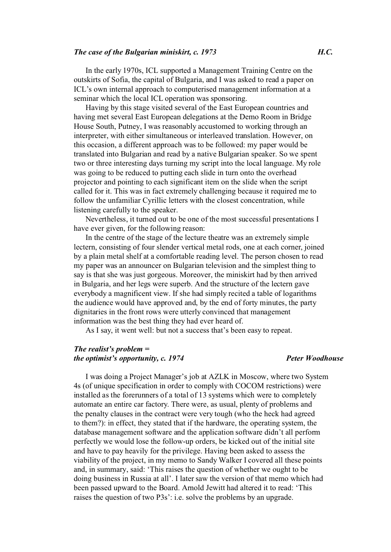### *The case of the Bulgarian miniskirt, c. 1973 H.C.*

In the early 1970s, ICL supported a Management Training Centre on the outskirts of Sofia, the capital of Bulgaria, and I was asked to read a paper on ICL's own internal approach to computerised management information at a seminar which the local ICL operation was sponsoring.

Having by this stage visited several of the East European countries and having met several East European delegations at the Demo Room in Bridge House South, Putney, I was reasonably accustomed to working through an interpreter, with either simultaneous or interleaved translation. However, on this occasion, a different approach was to be followed: my paper would be translated into Bulgarian and read by a native Bulgarian speaker. So we spent two or three interesting days turning my script into the local language. My role was going to be reduced to putting each slide in turn onto the overhead projector and pointing to each significant item on the slide when the script called for it. This was in fact extremely challenging because it required me to follow the unfamiliar Cyrillic letters with the closest concentration, while listening carefully to the speaker.

Nevertheless, it turned out to be one of the most successful presentations I have ever given, for the following reason:

In the centre of the stage of the lecture theatre was an extremely simple lectern, consisting of four slender vertical metal rods, one at each corner, joined by a plain metal shelf at a comfortable reading level. The person chosen to read my paper was an announcer on Bulgarian television and the simplest thing to say is that she was just gorgeous. Moreover, the miniskirt had by then arrived in Bulgaria, and her legs were superb. And the structure of the lectern gave everybody a magnificent view. If she had simply recited a table of logarithms the audience would have approved and, by the end of forty minutes, the party dignitaries in the front rows were utterly convinced that management information was the best thing they had ever heard of.

As I say, it went well: but not a success that's been easy to repeat.

# *The realist's problem = the optimist's opportunity, c. 1974* Peter Woodhouse

I was doing a Project Manager's job at AZLK in Moscow, where two System 4s (of unique specification in order to comply with COCOM restrictions) were installed as the forerunners of a total of 13 systems which were to completely automate an entire car factory. There were, as usual, plenty of problems and the penalty clauses in the contract were very tough (who the heck had agreed to them?): in effect, they stated that if the hardware, the operating system, the database management software and the application software didn't all perform perfectly we would lose the follow-up orders, be kicked out of the initial site and have to pay heavily for the privilege. Having been asked to assess the viability of the project, in my memo to Sandy Walker I covered all these points and, in summary, said: 'This raises the question of whether we ought to be doing business in Russia at all'. I later saw the version of that memo which had been passed upward to the Board. Arnold Jewitt had altered it to read: 'This raises the question of two P3s': i.e. solve the problems by an upgrade.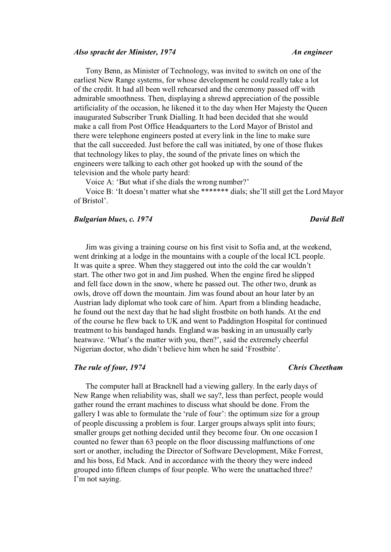### *Also spracht der Minister, 1974 An engineer*

Tony Benn, as Minister of Technology, was invited to switch on one of the earliest New Range systems, for whose development he could really take a lot of the credit. It had all been well rehearsed and the ceremony passed off with admirable smoothness. Then, displaying a shrewd appreciation of the possible artificiality of the occasion, he likened it to the day when Her Majesty the Queen inaugurated Subscriber Trunk Dialling. It had been decided that she would make a call from Post Office Headquarters to the Lord Mayor of Bristol and there were telephone engineers posted at every link in the line to make sure that the call succeeded. Just before the call was initiated, by one of those flukes that technology likes to play, the sound of the private lines on which the engineers were talking to each other got hooked up with the sound of the television and the whole party heard:

Voice A: 'But what if she dials the wrong number?'

Voice B: 'It doesn't matter what she \*\*\*\*\*\*\* dials; she'll still get the Lord Mayor of Bristol'.

### *Bulgarian blues, c. 1974* David Bell

Jim was giving a training course on his first visit to Sofia and, at the weekend, went drinking at a lodge in the mountains with a couple of the local ICL people. It was quite a spree. When they staggered out into the cold the car wouldn't start. The other two got in and Jim pushed. When the engine fired he slipped and fell face down in the snow, where he passed out. The other two, drunk as owls, drove off down the mountain. Jim was found about an hour later by an Austrian lady diplomat who took care of him. Apart from a blinding headache, he found out the next day that he had slight frostbite on both hands. At the end of the course he flew back to UK and went to Paddington Hospital for continued treatment to his bandaged hands. England was basking in an unusually early heatwave. 'What's the matter with you, then?', said the extremely cheerful Nigerian doctor, who didn't believe him when he said 'Frostbite'.

### *The rule of four, 1974 Chris Cheetham*

The computer hall at Bracknell had a viewing gallery. In the early days of New Range when reliability was, shall we say?, less than perfect, people would gather round the errant machines to discuss what should be done. From the gallery I was able to formulate the 'rule of four': the optimum size for a group of people discussing a problem is four. Larger groups always split into fours; smaller groups get nothing decided until they become four. On one occasion I counted no fewer than 63 people on the floor discussing malfunctions of one sort or another, including the Director of Software Development, Mike Forrest, and his boss, Ed Mack. And in accordance with the theory they were indeed grouped into fifteen clumps of four people. Who were the unattached three? I'm not saying.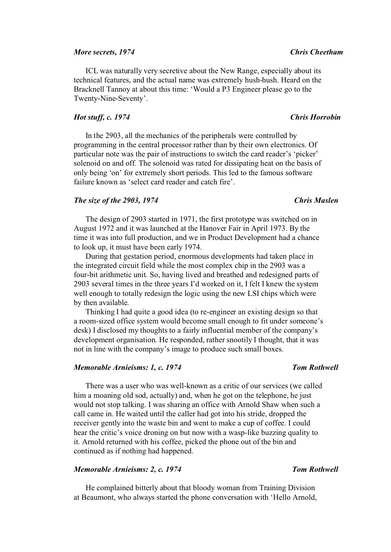### *More secrets, 1974 Chris Cheetham*

ICL was naturally very secretive about the New Range, especially about its technical features, and the actual name was extremely hush-hush. Heard on the Bracknell Tannoy at about this time: 'Would a P3 Engineer please go to the Twenty-Nine-Seventy'.

### *Hot stuff, c. 1974 Chris Horrobin*

In the 2903, all the mechanics of the peripherals were controlled by programming in the central processor rather than by their own electronics. Of particular note was the pair of instructions to switch the card reader's 'picker' solenoid on and off. The solenoid was rated for dissipating heat on the basis of only being 'on' for extremely short periods. This led to the famous software failure known as 'select card reader and catch fire'.

### *The size of the 2903, 1974* Chris Maslen

The design of 2903 started in 1971, the first prototype was switched on in August 1972 and it was launched at the Hanover Fair in April 1973. By the time it was into full production, and we in Product Development had a chance to look up, it must have been early 1974.

During that gestation period, enormous developments had taken place in the integrated circuit field while the most complex chip in the 2903 was a four-bit arithmetic unit. So, having lived and breathed and redesigned parts of 2903 several times in the three years I'd worked on it, I felt I knew the system well enough to totally redesign the logic using the new LSI chips which were by then available.

Thinking I had quite a good idea (to re-engineer an existing design so that a room-sized office system would become small enough to fit under someone's desk) I disclosed my thoughts to a fairly influential member of the company's development organisation. He responded, rather snootily I thought, that it was not in line with the company's image to produce such small boxes.

### *Memorable Arnieisms: 1, c. 1974* Tom Rothwell

There was a user who was well-known as a critic of our services (we called him a moaning old sod, actually) and, when he got on the telephone, he just would not stop talking. I was sharing an office with Arnold Shaw when such a call came in. He waited until the caller had got into his stride, dropped the receiver gently into the waste bin and went to make a cup of coffee. I could hear the critic's voice droning on but now with a wasp-like buzzing quality to it. Arnold returned with his coffee, picked the phone out of the bin and continued as if nothing had happened.

# *Memorable Arnieisms: 2, c. 1974* Tom Rothwell

He complained bitterly about that bloody woman from Training Division at Beaumont, who always started the phone conversation with 'Hello Arnold,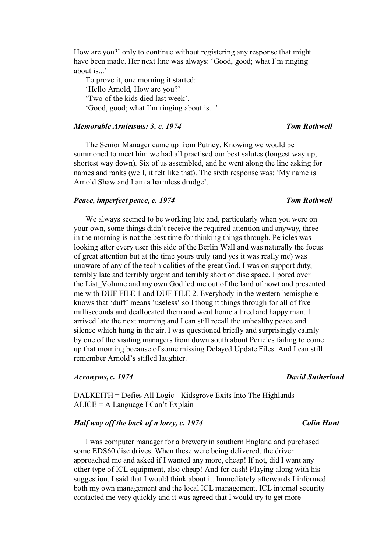How are you?' only to continue without registering any response that might have been made. Her next line was always: 'Good, good; what I'm ringing about is...'

To prove it, one morning it started: 'Hello Arnold, How are you?' 'Two of the kids died last week'. 'Good, good; what I'm ringing about is...'

# *Memorable Arnieisms: 3, c. 1974* Tom Rothwell

The Senior Manager came up from Putney. Knowing we would be summoned to meet him we had all practised our best salutes (longest way up, shortest way down). Six of us assembled, and he went along the line asking for names and ranks (well, it felt like that). The sixth response was: 'My name is Arnold Shaw and I am a harmless drudge'.

### *Peace, imperfect peace, c. 1974 Tom Rothwell*

We always seemed to be working late and, particularly when you were on your own, some things didn't receive the required attention and anyway, three in the morning is not the best time for thinking things through. Pericles was looking after every user this side of the Berlin Wall and was naturally the focus of great attention but at the time yours truly (and yes it was really me) was unaware of any of the technicalities of the great God. I was on support duty, terribly late and terribly urgent and terribly short of disc space. I pored over the List Volume and my own God led me out of the land of nowt and presented me with DUF FILE 1 and DUF FILE 2. Everybody in the western hemisphere knows that 'duff' means 'useless' so I thought things through for all of five milliseconds and deallocated them and went home a tired and happy man. I arrived late the next morning and I can still recall the unhealthy peace and silence which hung in the air. I was questioned briefly and surprisingly calmly by one of the visiting managers from down south about Pericles failing to come up that morning because of some missing Delayed Update Files. And I can still remember Arnold's stifled laughter.

### *Acronyms, c. 1974 David Sutherland*

# DALKEITH = Defies All Logic - Kidsgrove Exits Into The Highlands ALICE = A Language I Can't Explain

# *Half way off the back of a lorry, c. 1974* Colin *Hunt*

I was computer manager for a brewery in southern England and purchased some EDS60 disc drives. When these were being delivered, the driver approached me and asked if I wanted any more, cheap! If not, did I want any other type of ICL equipment, also cheap! And for cash! Playing along with his suggestion, I said that I would think about it. Immediately afterwards I informed both my own management and the local ICL management. ICL internal security contacted me very quickly and it was agreed that I would try to get more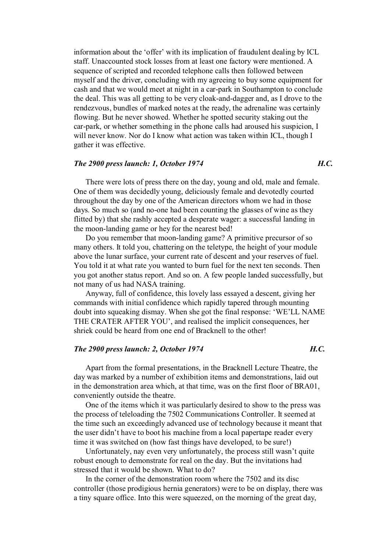information about the 'offer' with its implication of fraudulent dealing by ICL staff. Unaccounted stock losses from at least one factory were mentioned. A sequence of scripted and recorded telephone calls then followed between myself and the driver, concluding with my agreeing to buy some equipment for cash and that we would meet at night in a car-park in Southampton to conclude the deal. This was all getting to be very cloak-and-dagger and, as I drove to the rendezvous, bundles of marked notes at the ready, the adrenaline was certainly flowing. But he never showed. Whether he spotted security staking out the car-park, or whether something in the phone calls had aroused his suspicion, I will never know. Nor do I know what action was taken within ICL, though I gather it was effective.

# *The 2900 press launch: 1, October 1974 H.C.*

There were lots of press there on the day, young and old, male and female. One of them was decidedly young, deliciously female and devotedly courted throughout the day by one of the American directors whom we had in those days. So much so (and no-one had been counting the glasses of wine as they flitted by) that she rashly accepted a desperate wager: a successful landing in the moon-landing game or hey for the nearest bed!

Do you remember that moon-landing game? A primitive precursor of so many others. It told you, chattering on the teletype, the height of your module above the lunar surface, your current rate of descent and your reserves of fuel. You told it at what rate you wanted to burn fuel for the next ten seconds. Then you got another status report. And so on. A few people landed successfully, but not many of us had NASA training.

Anyway, full of confidence, this lovely lass essayed a descent, giving her commands with initial confidence which rapidly tapered through mounting doubt into squeaking dismay. When she got the final response: 'WE'LL NAME THE CRATER AFTER YOU', and realised the implicit consequences, her shriek could be heard from one end of Bracknell to the other!

# *The 2900 press launch: 2, October 1974 H.C.*

Apart from the formal presentations, in the Bracknell Lecture Theatre, the day was marked by a number of exhibition items and demonstrations, laid out in the demonstration area which, at that time, was on the first floor of BRA01, conveniently outside the theatre.

One of the items which it was particularly desired to show to the press was the process of teleloading the 7502 Communications Controller. It seemed at the time such an exceedingly advanced use of technology because it meant that the user didn't have to boot his machine from a local papertape reader every time it was switched on (how fast things have developed, to be sure!)

Unfortunately, nay even very unfortunately, the process still wasn't quite robust enough to demonstrate for real on the day. But the invitations had stressed that it would be shown. What to do?

In the corner of the demonstration room where the 7502 and its disc controller (those prodigious hernia generators) were to be on display, there was a tiny square office. Into this were squeezed, on the morning of the great day,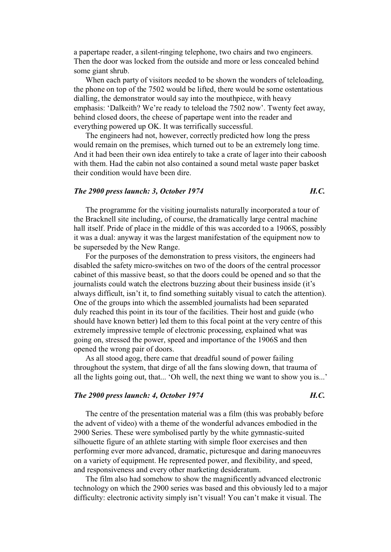a papertape reader, a silent-ringing telephone, two chairs and two engineers. Then the door was locked from the outside and more or less concealed behind some giant shrub.

When each party of visitors needed to be shown the wonders of teleloading, the phone on top of the 7502 would be lifted, there would be some ostentatious dialling, the demonstrator would say into the mouthpiece, with heavy emphasis: 'Dalkeith? We're ready to teleload the 7502 now'. Twenty feet away, behind closed doors, the cheese of papertape went into the reader and everything powered up OK. It was terrifically successful.

The engineers had not, however, correctly predicted how long the press would remain on the premises, which turned out to be an extremely long time. And it had been their own idea entirely to take a crate of lager into their caboosh with them. Had the cabin not also contained a sound metal waste paper basket their condition would have been dire.

# *The 2900 press launch: 3, October 1974 H.C.*

The programme for the visiting journalists naturally incorporated a tour of the Bracknell site including, of course, the dramatically large central machine hall itself. Pride of place in the middle of this was accorded to a 1906S, possibly it was a dual: anyway it was the largest manifestation of the equipment now to be superseded by the New Range.

For the purposes of the demonstration to press visitors, the engineers had disabled the safety micro-switches on two of the doors of the central processor cabinet of this massive beast, so that the doors could be opened and so that the journalists could watch the electrons buzzing about their business inside (it's always difficult, isn't it, to find something suitably visual to catch the attention). One of the groups into which the assembled journalists had been separated duly reached this point in its tour of the facilities. Their host and guide (who should have known better) led them to this focal point at the very centre of this extremely impressive temple of electronic processing, explained what was going on, stressed the power, speed and importance of the 1906S and then opened the wrong pair of doors.

As all stood agog, there came that dreadful sound of power failing throughout the system, that dirge of all the fans slowing down, that trauma of all the lights going out, that... 'Oh well, the next thing we want to show you is...'

### *The 2900 press launch: 4, October 1974 H.C.*

# The centre of the presentation material was a film (this was probably before the advent of video) with a theme of the wonderful advances embodied in the 2900 Series. These were symbolised partly by the white gymnastic-suited silhouette figure of an athlete starting with simple floor exercises and then performing ever more advanced, dramatic, picturesque and daring manoeuvres on a variety of equipment. He represented power, and flexibility, and speed, and responsiveness and every other marketing desideratum.

The film also had somehow to show the magnificently advanced electronic technology on which the 2900 series was based and this obviously led to a major difficulty: electronic activity simply isn't visual! You can't make it visual. The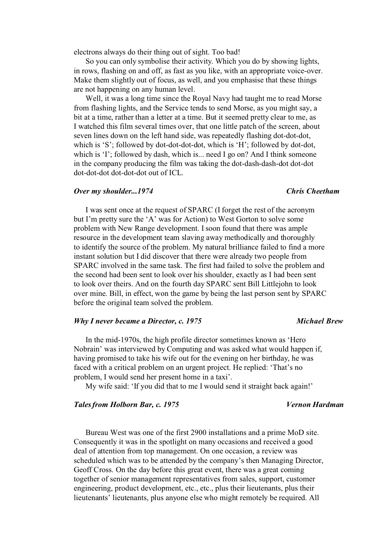electrons always do their thing out of sight. Too bad!

So you can only symbolise their activity. Which you do by showing lights, in rows, flashing on and off, as fast as you like, with an appropriate voice-over. Make them slightly out of focus, as well, and you emphasise that these things are not happening on any human level.

Well, it was a long time since the Royal Navy had taught me to read Morse from flashing lights, and the Service tends to send Morse, as you might say, a bit at a time, rather than a letter at a time. But it seemed pretty clear to me, as I watched this film several times over, that one little patch of the screen, about seven lines down on the left hand side, was repeatedly flashing dot-dot-dot, which is 'S'; followed by dot-dot-dot-dot, which is 'H'; followed by dot-dot, which is 'I'; followed by dash, which is... need I go on? And I think someone in the company producing the film was taking the dot-dash-dash-dot dot-dot dot-dot-dot dot-dot-dot out of ICL.

### *Over my shoulder...1974 Chris Cheetham*

# I was sent once at the request of SPARC (I forget the rest of the acronym but I'm pretty sure the 'A' was for Action) to West Gorton to solve some problem with New Range development. I soon found that there was ample resource in the development team slaving away methodically and thoroughly to identify the source of the problem. My natural brilliance failed to find a more instant solution but I did discover that there were already two people from SPARC involved in the same task. The first had failed to solve the problem and the second had been sent to look over his shoulder, exactly as I had been sent to look over theirs. And on the fourth day SPARC sent Bill Littlejohn to look over mine. Bill, in effect, won the game by being the last person sent by SPARC before the original team solved the problem.

### *Why I never became a Director, c. 1975* Michael Brew

# In the mid-1970s, the high profile director sometimes known as 'Hero Nobrain' was interviewed by Computing and was asked what would happen if, having promised to take his wife out for the evening on her birthday, he was faced with a critical problem on an urgent project. He replied: 'That's no problem, I would send her present home in a taxi'.

My wife said: 'If you did that to me I would send it straight back again!'

### *Tales from Holborn Bar, c. 1975 Vernon Hardman*

# Bureau West was one of the first 2900 installations and a prime MoD site. Consequently it was in the spotlight on many occasions and received a good deal of attention from top management. On one occasion, a review was scheduled which was to be attended by the company's then Managing Director, Geoff Cross. On the day before this great event, there was a great coming together of senior management representatives from sales, support, customer engineering, product development, etc., etc., plus their lieutenants, plus their lieutenants' lieutenants, plus anyone else who might remotely be required. All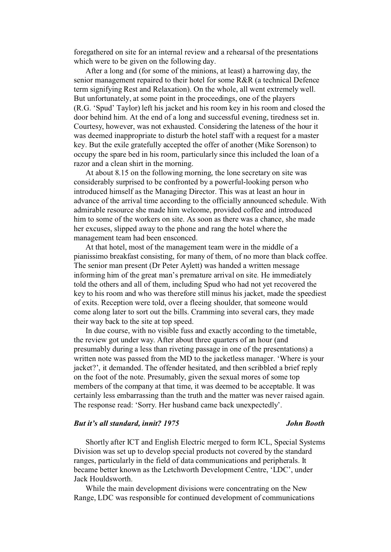foregathered on site for an internal review and a rehearsal of the presentations which were to be given on the following day.

After a long and (for some of the minions, at least) a harrowing day, the senior management repaired to their hotel for some R&R (a technical Defence term signifying Rest and Relaxation). On the whole, all went extremely well. But unfortunately, at some point in the proceedings, one of the players (R.G. 'Spud' Taylor) left his jacket and his room key in his room and closed the door behind him. At the end of a long and successful evening, tiredness set in. Courtesy, however, was not exhausted. Considering the lateness of the hour it was deemed inappropriate to disturb the hotel staff with a request for a master key. But the exile gratefully accepted the offer of another (Mike Sorenson) to occupy the spare bed in his room, particularly since this included the loan of a razor and a clean shirt in the morning.

At about 8.15 on the following morning, the lone secretary on site was considerably surprised to be confronted by a powerful-looking person who introduced himself as the Managing Director. This was at least an hour in advance of the arrival time according to the officially announced schedule. With admirable resource she made him welcome, provided coffee and introduced him to some of the workers on site. As soon as there was a chance, she made her excuses, slipped away to the phone and rang the hotel where the management team had been ensconced.

At that hotel, most of the management team were in the middle of a pianissimo breakfast consisting, for many of them, of no more than black coffee. The senior man present (Dr Peter Aylett) was handed a written message informing him of the great man's premature arrival on site. He immediately told the others and all of them, including Spud who had not yet recovered the key to his room and who was therefore still minus his jacket, made the speediest of exits. Reception were told, over a fleeing shoulder, that someone would come along later to sort out the bills. Cramming into several cars, they made their way back to the site at top speed.

In due course, with no visible fuss and exactly according to the timetable, the review got under way. After about three quarters of an hour (and presumably during a less than riveting passage in one of the presentations) a written note was passed from the MD to the jacketless manager. 'Where is your jacket?', it demanded. The offender hesitated, and then scribbled a brief reply on the foot of the note. Presumably, given the sexual mores of some top members of the company at that time, it was deemed to be acceptable. It was certainly less embarrassing than the truth and the matter was never raised again. The response read: 'Sorry. Her husband came back unexpectedly'.

### *But it's all standard, innit? 1975 John Booth*

Shortly after ICT and English Electric merged to form ICL, Special Systems Division was set up to develop special products not covered by the standard ranges, particularly in the field of data communications and peripherals. It became better known as the Letchworth Development Centre, 'LDC', under Jack Houldsworth.

While the main development divisions were concentrating on the New Range, LDC was responsible for continued development of communications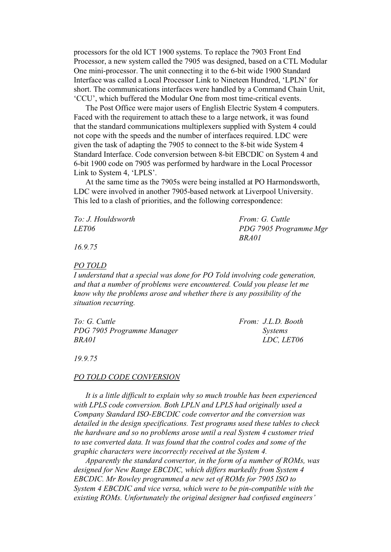processors for the old ICT 1900 systems. To replace the 7903 Front End Processor, a new system called the 7905 was designed, based on a CTL Modular One mini-processor. The unit connecting it to the 6-bit wide 1900 Standard Interface was called a Local Processor Link to Nineteen Hundred, 'LPLN' for short. The communications interfaces were handled by a Command Chain Unit, 'CCU', which buffered the Modular One from most time-critical events.

The Post Office were major users of English Electric System 4 computers. Faced with the requirement to attach these to a large network, it was found that the standard communications multiplexers supplied with System 4 could not cope with the speeds and the number of interfaces required. LDC were given the task of adapting the 7905 to connect to the 8-bit wide System 4 Standard Interface. Code conversion between 8-bit EBCDIC on System 4 and 6-bit 1900 code on 7905 was performed by hardware in the Local Processor Link to System 4, 'LPLS'.

At the same time as the 7905s were being installed at PO Harmondsworth, LDC were involved in another 7905-based network at Liverpool University. This led to a clash of priorities, and the following correspondence:

| To: J. Houldsworth | From: G. Cuttle        |
|--------------------|------------------------|
| <i>LET06</i>       | PDG 7905 Programme Mgr |
|                    | <i>BRAOI</i>           |

*16.9.75* 

### *PO TOLD*

*I understand that a special was done for PO Told involving code generation, and that a number of problems were encountered. Could you please let me know why the problems arose and whether there is any possibility of the situation recurring.* 

| To: G. Cuttle              | From: J.L.D. Booth |
|----------------------------|--------------------|
| PDG 7905 Programme Manager | <i>Systems</i>     |
| BRA01                      | LDC, LET06         |

*19.9.75* 

### *PO TOLD CODE CONVERSION*

*It is a little difficult to explain why so much trouble has been experienced with LPLS code conversion. Both LPLN and LPLS had originally used a Company Standard ISO-EBCDIC code convertor and the conversion was detailed in the design specifications. Test programs used these tables to check the hardware and so no problems arose until a real System 4 customer tried to use converted data. It was found that the control codes and some of the graphic characters were incorrectly received at the System 4.* 

*Apparently the standard convertor, in the form of a number of ROMs, was designed for New Range EBCDIC, which differs markedly from System 4 EBCDIC. Mr Rowley programmed a new set of ROMs for 7905 ISO to System 4 EBCDIC and vice versa, which were to be pin-compatible with the existing ROMs. Unfortunately the original designer had confused engineers'*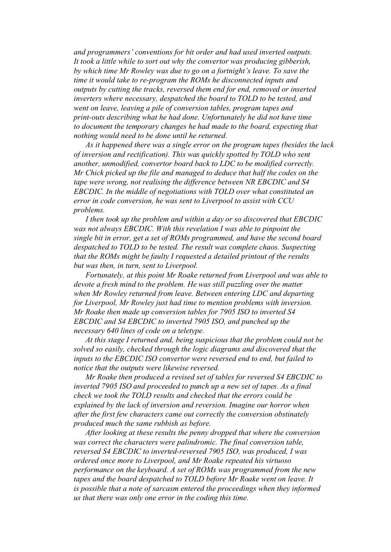*and programmers' conventions for bit order and had used inverted outputs. It took a little while to sort out why the convertor was producing gibberish, by which time Mr Rowley was due to go on a fortnight's leave. To save the time it would take to re-program the ROMs he disconnected inputs and outputs by cutting the tracks, reversed them end for end, removed or inserted inverters where necessary, despatched the board to TOLD to be tested, and went on leave, leaving a pile of conversion tables, program tapes and print-outs describing what he had done. Unfortunately he did not have time to document the temporary changes he had made to the board, expecting that nothing would need to be done until he returned.* 

*As it happened there was a single error on the program tapes (besides the lack of inversion and rectification). This was quickly spotted by TOLD who sent another, unmodified, convertor board back to LDC to be modified correctly. Mr Chick picked up the file and managed to deduce that half the codes on the tape were wrong, not realising the difference between NR EBCDIC and S4 EBCDIC. In the middle of negotiations with TOLD over what constituted an error in code conversion, he was sent to Liverpool to assist with CCU problems.* 

*I then took up the problem and within a day or so discovered that EBCDIC was not always EBCDIC. With this revelation I was able to pinpoint the single bit in error, get a set of ROMs programmed, and have the second board despatched to TOLD to be tested. The result was complete chaos. Suspecting that the ROMs might be faulty I requested a detailed printout of the results but was then, in turn, sent to Liverpool.* 

*Fortunately, at this point Mr Roake returned from Liverpool and was able to devote a fresh mind to the problem. He was still puzzling over the matter when Mr Rowley returned from leave. Between entering LDC and departing for Liverpool, Mr Rowley just had time to mention problems with inversion. Mr Roake then made up conversion tables for 7905 ISO to inverted S4 EBCDIC and S4 EBCDIC to inverted 7905 ISO, and punched up the necessary 640 lines of code on a teletype.* 

*At this stage I returned and, being suspicious that the problem could not be solved so easily, checked through the logic diagrams and discovered that the inputs to the EBCDIC ISO convertor were reversed end to end, but failed to notice that the outputs were likewise reversed.* 

*Mr Roake then produced a revised set of tables for reversed S4 EBCDIC to inverted 7905 ISO and proceeded to punch up a new set of tapes. As a final check we took the TOLD results and checked that the errors could be explained by the lack of inversion and reversion. Imagine our horror when after the first few characters came out correctly the conversion obstinately produced much the same rubbish as before.* 

*After looking at these results the penny dropped that where the conversion was correct the characters were palindromic. The final conversion table, reversed S4 EBCDIC to inverted-reversed 7905 ISO, was produced, I was ordered once more to Liverpool, and Mr Roake repeated his virtuoso performance on the keyboard. A set of ROMs was programmed from the new tapes and the board despatched to TOLD before Mr Roake went on leave. It is possible that a note of sarcasm entered the proceedings when they informed us that there was only one error in the coding this time.*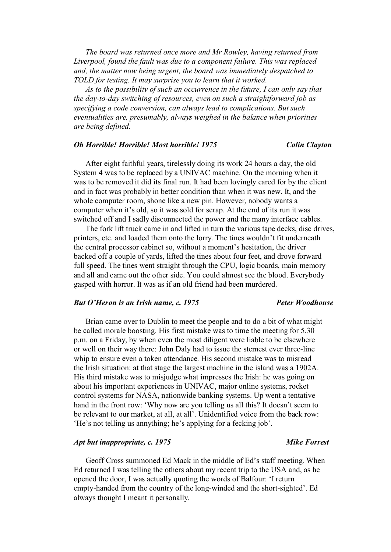*The board was returned once more and Mr Rowley, having returned from Liverpool, found the fault was due to a component failure. This was replaced and, the matter now being urgent, the board was immediately despatched to TOLD for testing. It may surprise you to learn that it worked.* 

*As to the possibility of such an occurrence in the future, I can only say that the day-to-day switching of resources, even on such a straightforward job as specifying a code conversion, can always lead to complications. But such eventualities are, presumably, always weighed in the balance when priorities are being defined.* 

### *Oh Horrible! Horrible! Most horrible! 1975 Colin Clayton*

After eight faithful years, tirelessly doing its work 24 hours a day, the old System 4 was to be replaced by a UNIVAC machine. On the morning when it was to be removed it did its final run. It had been lovingly cared for by the client and in fact was probably in better condition than when it was new. It, and the whole computer room, shone like a new pin. However, nobody wants a computer when it's old, so it was sold for scrap. At the end of its run it was switched off and I sadly disconnected the power and the many interface cables.

The fork lift truck came in and lifted in turn the various tape decks, disc drives, printers, etc. and loaded them onto the lorry. The tines wouldn't fit underneath the central processor cabinet so, without a moment's hesitation, the driver backed off a couple of yards, lifted the tines about four feet, and drove forward full speed. The tines went straight through the CPU, logic boards, main memory and all and came out the other side. You could almost see the blood. Everybody gasped with horror. It was as if an old friend had been murdered.

# *But O'Heron is an Irish name, c. 1975 Peter Woodhouse*

# Brian came over to Dublin to meet the people and to do a bit of what might be called morale boosting. His first mistake was to time the meeting for 5.30 p.m. on a Friday, by when even the most diligent were liable to be elsewhere or well on their way there: John Daly had to issue the sternest ever three-line whip to ensure even a token attendance. His second mistake was to misread the Irish situation: at that stage the largest machine in the island was a 1902A. His third mistake was to misjudge what impresses the Irish: he was going on about his important experiences in UNIVAC, major online systems, rocket control systems for NASA, nationwide banking systems. Up went a tentative hand in the front row: 'Why now are you telling us all this? It doesn't seem to be relevant to our market, at all, at all'. Unidentified voice from the back row: 'He's not telling us annything; he's applying for a fecking job'.

# *Apt but inappropriate, c. 1975* Mike Forrest

Geoff Cross summoned Ed Mack in the middle of Ed's staff meeting. When Ed returned I was telling the others about my recent trip to the USA and, as he opened the door, I was actually quoting the words of Balfour: 'I return empty-handed from the country of the long-winded and the short-sighted'. Ed always thought I meant it personally.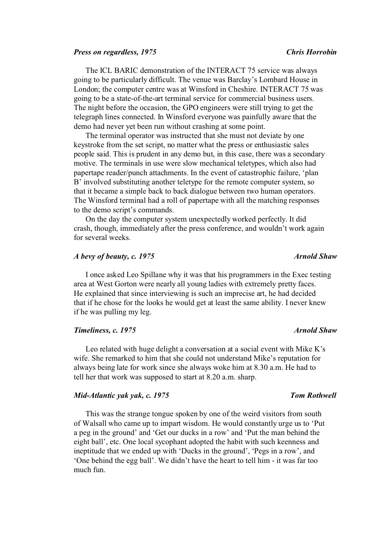### *Press on regardless, 1975 Chris Horrobin*

The ICL BARIC demonstration of the INTERACT 75 service was always going to be particularly difficult. The venue was Barclay's Lombard House in London; the computer centre was at Winsford in Cheshire. INTERACT 75 was going to be a state-of-the-art terminal service for commercial business users. The night before the occasion, the GPO engineers were still trying to get the telegraph lines connected. In Winsford everyone was painfully aware that the demo had never yet been run without crashing at some point.

The terminal operator was instructed that she must not deviate by one keystroke from the set script, no matter what the press or enthusiastic sales people said. This is prudent in any demo but, in this case, there was a secondary motive. The terminals in use were slow mechanical teletypes, which also had papertape reader/punch attachments. In the event of catastrophic failure, 'plan B' involved substituting another teletype for the remote computer system, so that it became a simple back to back dialogue between two human operators. The Winsford terminal had a roll of papertape with all the matching responses to the demo script's commands.

On the day the computer system unexpectedly worked perfectly. It did crash, though, immediately after the press conference, and wouldn't work again for several weeks.

## *A bevy of beauty, c. 1975* Arnold Shaw

I once asked Leo Spillane why it was that his programmers in the Exec testing area at West Gorton were nearly all young ladies with extremely pretty faces. He explained that since interviewing is such an imprecise art, he had decided that if he chose for the looks he would get at least the same ability. I never knew if he was pulling my leg.

### *Timeliness, c. 1975* Arnold Shaw *Arnold Shaw Arnold Shaw*

Leo related with huge delight a conversation at a social event with Mike K's wife. She remarked to him that she could not understand Mike's reputation for always being late for work since she always woke him at 8.30 a.m. He had to tell her that work was supposed to start at 8.20 a.m. sharp.

### *Mid-Atlantic yak yak, c. 1975 Tom Rothwell*

This was the strange tongue spoken by one of the weird visitors from south of Walsall who came up to impart wisdom. He would constantly urge us to 'Put a peg in the ground' and 'Get our ducks in a row' and 'Put the man behind the eight ball', etc. One local sycophant adopted the habit with such keenness and ineptitude that we ended up with 'Ducks in the ground', 'Pegs in a row', and 'One behind the egg ball'. We didn't have the heart to tell him - it was far too much fun.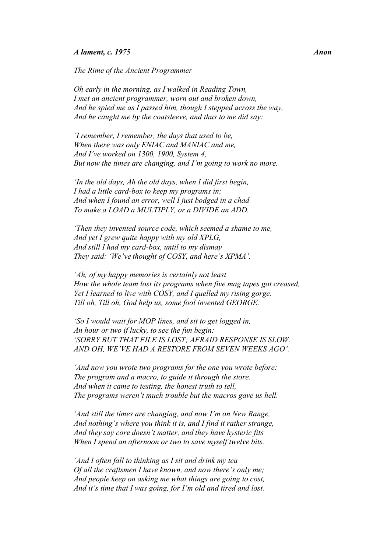### *A lament, c. 1975 Anon*

*The Rime of the Ancient Programmer* 

*Oh early in the morning, as I walked in Reading Town, I met an ancient programmer, worn out and broken down, And he spied me as I passed him, though I stepped across the way, And he caught me by the coatsleeve, and thus to me did say:*

*'I remember, I remember, the days that used to be, When there was only ENIAC and MANIAC and me, And I've worked on 1300, 1900, System 4, But now the times are changing, and I'm going to work no more.* 

*'In the old days, Ah the old days, when I did first begin, I had a little card-box to keep my programs in; And when I found an error, well I just bodged in a chad To make a LOAD a MULTIPLY, or a DIVIDE an ADD.* 

*'Then they invented source code, which seemed a shame to me, And yet I grew quite happy with my old XPLG, And still I had my card-box, until to my dismay They said: 'We've thought of COSY, and here's XPMA'.*

*'Ah, of my happy memories is certainly not least How the whole team lost its programs when five mag tapes got creased, Yet I learned to live with COSY, and I quelled my rising gorge. Till oh, Till oh, God help us, some fool invented GEORGE.* 

*'So I would wait for MOP lines, and sit to get logged in, An hour or two if lucky, to see the fun begin: 'SORRY BUT THAT FILE IS LOST; AFRAID RESPONSE IS SLOW. AND OH, WE'VE HAD A RESTORE FROM SEVEN WEEKS AGO'.*

*'And now you wrote two programs for the one you wrote before: The program and a macro, to guide it through the store. And when it came to testing, the honest truth to tell, The programs weren't much trouble but the macros gave us hell.* 

*'And still the times are changing, and now I'm on New Range, And nothing's where you think it is, and I find it rather strange, And they say core doesn't matter, and they have hysteric fits When I spend an afternoon or two to save myself twelve bits.* 

*'And I often fall to thinking as I sit and drink my tea Of all the craftsmen I have known, and now there's only me; And people keep on asking me what things are going to cost, And it's time that I was going, for I'm old and tired and lost.*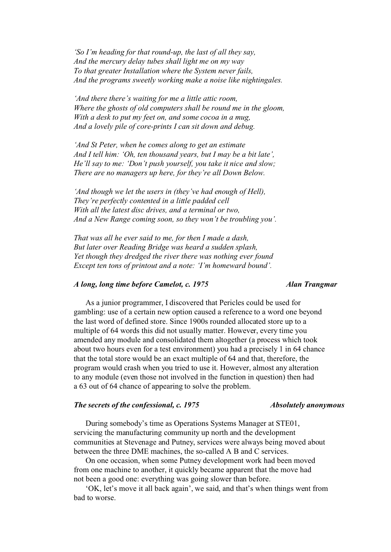*'So I'm heading for that round-up, the last of all they say, And the mercury delay tubes shall light me on my way To that greater Installation where the System never fails, And the programs sweetly working make a noise like nightingales.* 

*'And there there's waiting for me a little attic room, Where the ghosts of old computers shall be round me in the gloom, With a desk to put my feet on, and some cocoa in a mug, And a lovely pile of core-prints I can sit down and debug.* 

*'And St Peter, when he comes along to get an estimate And I tell him: 'Oh, ten thousand years, but I may be a bit late', He'll say to me: 'Don't push yourself, you take it nice and slow; There are no managers up here, for they're all Down Below.* 

*'And though we let the users in (they've had enough of Hell), They're perfectly contented in a little padded cell With all the latest disc drives, and a terminal or two, And a New Range coming soon, so they won't be troubling you'.* 

*That was all he ever said to me, for then I made a dash, But later over Reading Bridge was heard a sudden splash, Yet though they dredged the river there was nothing ever found Except ten tons of printout and a note: 'I'm homeward bound'.* 

# *A long, long time before Camelot, c. 1975 Alan Trangmar*

As a junior programmer, I discovered that Pericles could be used for gambling: use of a certain new option caused a reference to a word one beyond the last word of defined store. Since 1900s rounded allocated store up to a multiple of 64 words this did not usually matter. However, every time you amended any module and consolidated them altogether (a process which took about two hours even for a test environment) you had a precisely 1 in 64 chance that the total store would be an exact multiple of 64 and that, therefore, the program would crash when you tried to use it. However, almost any alteration to any module (even those not involved in the function in question) then had a 63 out of 64 chance of appearing to solve the problem.

# *The secrets of the confessional, c. 1975 Absolutely anonymous*

During somebody's time as Operations Systems Manager at STE01, servicing the manufacturing community up north and the development communities at Stevenage and Putney, services were always being moved about between the three DME machines, the so-called A B and C services.

On one occasion, when some Putney development work had been moved from one machine to another, it quickly became apparent that the move had not been a good one: everything was going slower than before.

'OK, let's move it all back again', we said, and that's when things went from bad to worse.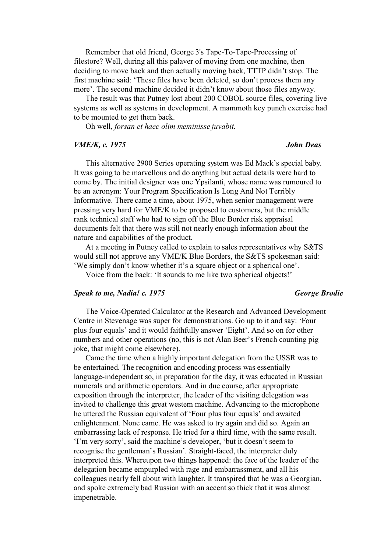Remember that old friend, George 3's Tape-To-Tape-Processing of filestore? Well, during all this palaver of moving from one machine, then deciding to move back and then actually moving back, TTTP didn't stop. The first machine said: 'These files have been deleted, so don't process them any more'. The second machine decided it didn't know about those files anyway.

The result was that Putney lost about 200 COBOL source files, covering live systems as well as systems in development. A mammoth key punch exercise had to be mounted to get them back.

Oh well, *forsan et haec olim meminisse juvabit.*

### *VME/K, c. 1975 John Deas*

# This alternative 2900 Series operating system was Ed Mack's special baby. It was going to be marvellous and do anything but actual details were hard to come by. The initial designer was one Ypsilanti, whose name was rumoured to be an acronym: Your Program Specification Is Long And Not Terribly Informative. There came a time, about 1975, when senior management were pressing very hard for VME/K to be proposed to customers, but the middle rank technical staff who had to sign off the Blue Border risk appraisal documents felt that there was still not nearly enough information about the nature and capabilities of the product.

At a meeting in Putney called to explain to sales representatives why S&TS would still not approve any VME/K Blue Borders, the S&TS spokesman said: 'We simply don't know whether it's a square object or a spherical one'.

Voice from the back: 'It sounds to me like two spherical objects!'

### *Speak to me, Nadia! c. 1975 George Brodie*

The Voice-Operated Calculator at the Research and Advanced Development Centre in Stevenage was super for demonstrations. Go up to it and say: 'Four plus four equals' and it would faithfully answer 'Eight'. And so on for other numbers and other operations (no, this is not Alan Beer's French counting pig joke, that might come elsewhere).

Came the time when a highly important delegation from the USSR was to be entertained. The recognition and encoding process was essentially language-independent so, in preparation for the day, it was educated in Russian numerals and arithmetic operators. And in due course, after appropriate exposition through the interpreter, the leader of the visiting delegation was invited to challenge this great western machine. Advancing to the microphone he uttered the Russian equivalent of 'Four plus four equals' and awaited enlightenment. None came. He was asked to try again and did so. Again an embarrassing lack of response. He tried for a third time, with the same result. 'I'm very sorry', said the machine's developer, 'but it doesn't seem to recognise the gentleman's Russian'. Straight-faced, the interpreter duly interpreted this. Whereupon two things happened: the face of the leader of the delegation became empurpled with rage and embarrassment, and all his colleagues nearly fell about with laughter. It transpired that he was a Georgian, and spoke extremely bad Russian with an accent so thick that it was almost impenetrable.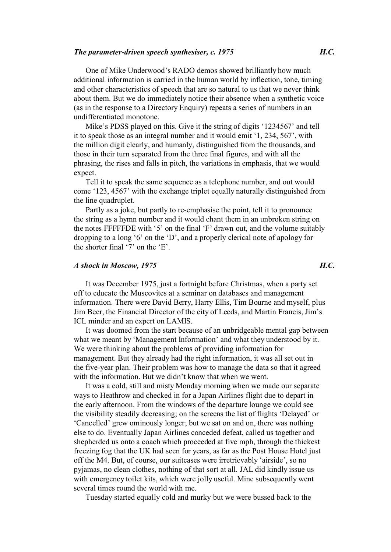One of Mike Underwood's RADO demos showed brilliantly how much additional information is carried in the human world by inflection, tone, timing and other characteristics of speech that are so natural to us that we never think about them. But we do immediately notice their absence when a synthetic voice (as in the response to a Directory Enquiry) repeats a series of numbers in an undifferentiated monotone.

Mike's PDSS played on this. Give it the string of digits '1234567' and tell it to speak those as an integral number and it would emit '1, 234, 567', with the million digit clearly, and humanly, distinguished from the thousands, and those in their turn separated from the three final figures, and with all the phrasing, the rises and falls in pitch, the variations in emphasis, that we would expect.

Tell it to speak the same sequence as a telephone number, and out would come '123, 4567' with the exchange triplet equally naturally distinguished from the line quadruplet.

Partly as a joke, but partly to re-emphasise the point, tell it to pronounce the string as a hymn number and it would chant them in an unbroken string on the notes FFFFFDE with '5' on the final 'F' drawn out, and the volume suitably dropping to a long '6' on the 'D', and a properly clerical note of apology for the shorter final '7' on the 'E'.

# *A shock in Moscow, 1975 H.C.*

It was December 1975, just a fortnight before Christmas, when a party set off to educate the Muscovites at a seminar on databases and management information. There were David Berry, Harry Ellis, Tim Bourne and myself, plus Jim Beer, the Financial Director of the city of Leeds, and Martin Francis, Jim's ICL minder and an expert on LAMIS.

It was doomed from the start because of an unbridgeable mental gap between what we meant by 'Management Information' and what they understood by it. We were thinking about the problems of providing information for management. But they already had the right information, it was all set out in the five-year plan. Their problem was how to manage the data so that it agreed with the information. But we didn't know that when we went.

It was a cold, still and misty Monday morning when we made our separate ways to Heathrow and checked in for a Japan Airlines flight due to depart in the early afternoon. From the windows of the departure lounge we could see the visibility steadily decreasing; on the screens the list of flights 'Delayed' or 'Cancelled' grew ominously longer; but we sat on and on, there was nothing else to do. Eventually Japan Airlines conceded defeat, called us together and shepherded us onto a coach which proceeded at five mph, through the thickest freezing fog that the UK had seen for years, as far as the Post House Hotel just off the M4. But, of course, our suitcases were irretrievably 'airside', so no pyjamas, no clean clothes, nothing of that sort at all. JAL did kindly issue us with emergency toilet kits, which were jolly useful. Mine subsequently went several times round the world with me.

Tuesday started equally cold and murky but we were bussed back to the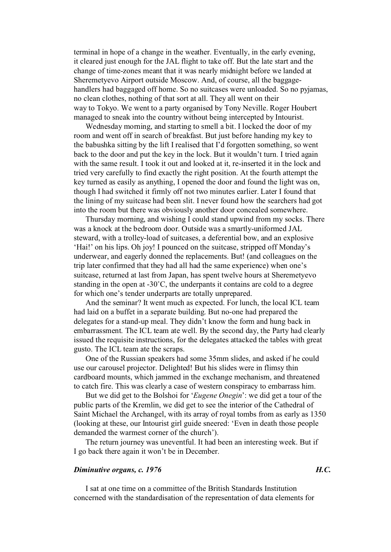terminal in hope of a change in the weather. Eventually, in the early evening, it cleared just enough for the JAL flight to take off. But the late start and the change of time-zones meant that it was nearly midnight before we landed at Sheremetyevo Airport outside Moscow. And, of course, all the baggagehandlers had baggaged off home. So no suitcases were unloaded. So no pyjamas, no clean clothes, nothing of that sort at all. They all went on their way to Tokyo. We went to a party organised by Tony Neville. Roger Houbert managed to sneak into the country without being intercepted by Intourist.

Wednesday morning, and starting to smell a bit. I locked the door of my room and went off in search of breakfast. But just before handing my key to the babushka sitting by the lift I realised that I'd forgotten something, so went back to the door and put the key in the lock. But it wouldn't turn. I tried again with the same result. I took it out and looked at it, re-inserted it in the lock and tried very carefully to find exactly the right position. At the fourth attempt the key turned as easily as anything, I opened the door and found the light was on, though I had switched it firmly off not two minutes earlier. Later I found that the lining of my suitcase had been slit. I never found how the searchers had got into the room but there was obviously another door concealed somewhere.

Thursday morning, and wishing I could stand upwind from my socks. There was a knock at the bedroom door. Outside was a smartly-uniformed JAL steward, with a trolley-load of suitcases, a deferential bow, and an explosive 'Hai!' on his lips. Oh joy! I pounced on the suitcase, stripped off Monday's underwear, and eagerly donned the replacements. But! (and colleagues on the trip later confirmed that they had all had the same experience) when one's suitcase, returned at last from Japan, has spent twelve hours at Sheremetyevo standing in the open at  $-30^{\circ}$ C, the underpants it contains are cold to a degree for which one's tender underparts are totally unprepared.

And the seminar? It went much as expected. For lunch, the local ICL team had laid on a buffet in a separate building. But no-one had prepared the delegates for a stand-up meal. They didn't know the form and hung back in embarrassment. The ICL team ate well. By the second day, the Party had clearly issued the requisite instructions, for the delegates attacked the tables with great gusto. The ICL team ate the scraps.

One of the Russian speakers had some 35mm slides, and asked if he could use our carousel projector. Delighted! But his slides were in flimsy thin cardboard mounts, which jammed in the exchange mechanism, and threatened to catch fire. This was clearly a case of western conspiracy to embarrass him.

But we did get to the Bolshoi for '*Eugene Onegin*': we did get a tour of the public parts of the Kremlin, we did get to see the interior of the Cathedral of Saint Michael the Archangel, with its array of royal tombs from as early as 1350 (looking at these, our Intourist girl guide sneered: 'Even in death those people demanded the warmest corner of the church').

The return journey was uneventful. It had been an interesting week. But if I go back there again it won't be in December.

# *Diminutive organs, c. 1976 H.C.*

I sat at one time on a committee of the British Standards Institution concerned with the standardisation of the representation of data elements for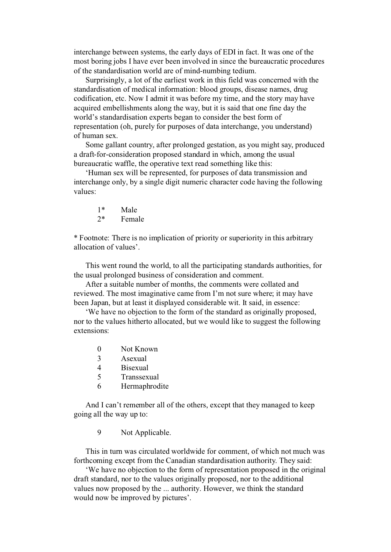interchange between systems, the early days of EDI in fact. It was one of the most boring jobs I have ever been involved in since the bureaucratic procedures of the standardisation world are of mind-numbing tedium.

Surprisingly, a lot of the earliest work in this field was concerned with the standardisation of medical information: blood groups, disease names, drug codification, etc. Now I admit it was before my time, and the story may have acquired embellishments along the way, but it is said that one fine day the world's standardisation experts began to consider the best form of representation (oh, purely for purposes of data interchange, you understand) of human sex.

Some gallant country, after prolonged gestation, as you might say, produced a draft-for-consideration proposed standard in which, among the usual bureaucratic waffle, the operative text read something like this:

'Human sex will be represented, for purposes of data transmission and interchange only, by a single digit numeric character code having the following values:

- $1^*$  Male<br> $2^*$  Fema
- Female

\* Footnote: There is no implication of priority or superiority in this arbitrary allocation of values'.

This went round the world, to all the participating standards authorities, for the usual prolonged business of consideration and comment.

After a suitable number of months, the comments were collated and reviewed. The most imaginative came from I'm not sure where; it may have been Japan, but at least it displayed considerable wit. It said, in essence:

'We have no objection to the form of the standard as originally proposed, nor to the values hitherto allocated, but we would like to suggest the following extensions:

- 0 Not Known
- 3 Asexual
- 4 Bisexual<br>5 Transsex
- **Transsexual**
- 6 Hermaphrodite

And I can't remember all of the others, except that they managed to keep going all the way up to:

9 Not Applicable.

This in turn was circulated worldwide for comment, of which not much was forthcoming except from the Canadian standardisation authority. They said:

'We have no objection to the form of representation proposed in the original draft standard, nor to the values originally proposed, nor to the additional values now proposed by the ... authority. However, we think the standard would now be improved by pictures'.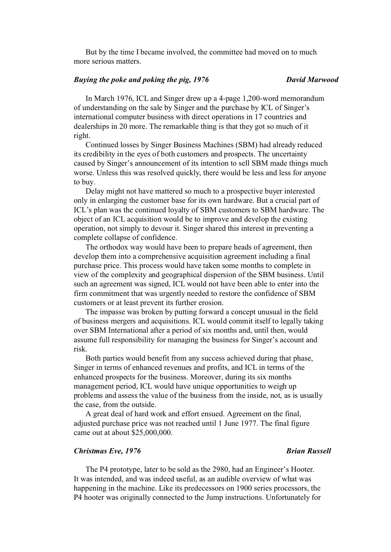But by the time I became involved, the committee had moved on to much more serious matters.

# *Buying the poke and poking the pig, 1976 David Marwood*

In March 1976, ICL and Singer drew up a 4-page 1,200-word memorandum of understanding on the sale by Singer and the purchase by ICL of Singer's international computer business with direct operations in 17 countries and dealerships in 20 more. The remarkable thing is that they got so much of it right.

Continued losses by Singer Business Machines (SBM) had already reduced its credibility in the eyes of both customers and prospects. The uncertainty caused by Singer's announcement of its intention to sell SBM made things much worse. Unless this was resolved quickly, there would be less and less for anyone to buy.

Delay might not have mattered so much to a prospective buyer interested only in enlarging the customer base for its own hardware. But a crucial part of ICL's plan was the continued loyalty of SBM customers to SBM hardware. The object of an ICL acquisition would be to improve and develop the existing operation, not simply to devour it. Singer shared this interest in preventing a complete collapse of confidence.

The orthodox way would have been to prepare heads of agreement, then develop them into a comprehensive acquisition agreement including a final purchase price. This process would have taken some months to complete in view of the complexity and geographical dispersion of the SBM business. Until such an agreement was signed, ICL would not have been able to enter into the firm commitment that was urgently needed to restore the confidence of SBM customers or at least prevent its further erosion.

The impasse was broken by putting forward a concept unusual in the field of business mergers and acquisitions. ICL would commit itself to legally taking over SBM International after a period of six months and, until then, would assume full responsibility for managing the business for Singer's account and risk.

Both parties would benefit from any success achieved during that phase, Singer in terms of enhanced revenues and profits, and ICL in terms of the enhanced prospects for the business. Moreover, during its six months management period, ICL would have unique opportunities to weigh up problems and assess the value of the business from the inside, not, as is usually the case, from the outside.

A great deal of hard work and effort ensued. Agreement on the final, adjusted purchase price was not reached until 1 June 1977. The final figure came out at about \$25,000,000.

# *Christmas Eve, 1976 Brian Russell*

The P4 prototype, later to be sold as the 2980, had an Engineer's Hooter. It was intended, and was indeed useful, as an audible overview of what was happening in the machine. Like its predecessors on 1900 series processors, the P4 hooter was originally connected to the Jump instructions. Unfortunately for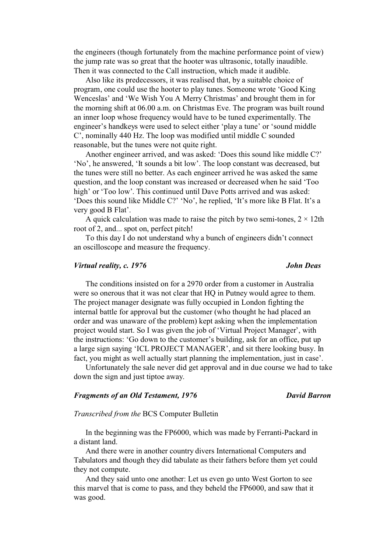the engineers (though fortunately from the machine performance point of view) the jump rate was so great that the hooter was ultrasonic, totally inaudible. Then it was connected to the Call instruction, which made it audible.

Also like its predecessors, it was realised that, by a suitable choice of program, one could use the hooter to play tunes. Someone wrote 'Good King Wenceslas' and 'We Wish You A Merry Christmas' and brought them in for the morning shift at 06.00 a.m. on Christmas Eve. The program was built round an inner loop whose frequency would have to be tuned experimentally. The engineer's handkeys were used to select either 'play a tune' or 'sound middle C', nominally 440 Hz. The loop was modified until middle C sounded reasonable, but the tunes were not quite right.

Another engineer arrived, and was asked: 'Does this sound like middle C?' 'No', he answered, 'It sounds a bit low'. The loop constant was decreased, but the tunes were still no better. As each engineer arrived he was asked the same question, and the loop constant was increased or decreased when he said 'Too high' or 'Too low'. This continued until Dave Potts arrived and was asked: 'Does this sound like Middle C?' 'No', he replied, 'It's more like B Flat. It's a very good B Flat'.

A quick calculation was made to raise the pitch by two semi-tones,  $2 \times 12$ th root of 2, and... spot on, perfect pitch!

To this day I do not understand why a bunch of engineers didn't connect an oscilloscope and measure the frequency.

### *Virtual reality, c.* 1976 *John Deas*

The conditions insisted on for a 2970 order from a customer in Australia were so onerous that it was not clear that HQ in Putney would agree to them. The project manager designate was fully occupied in London fighting the internal battle for approval but the customer (who thought he had placed an order and was unaware of the problem) kept asking when the implementation project would start. So I was given the job of 'Virtual Project Manager', with the instructions: 'Go down to the customer's building, ask for an office, put up a large sign saying 'ICL PROJECT MANAGER', and sit there looking busy. In fact, you might as well actually start planning the implementation, just in case'.

Unfortunately the sale never did get approval and in due course we had to take down the sign and just tiptoe away.

## *Fragments of an Old Testament, 1976 David Barron*

### *Transcribed from the* BCS Computer Bulletin

In the beginning was the FP6000, which was made by Ferranti-Packard in a distant land.

And there were in another country divers International Computers and Tabulators and though they did tabulate as their fathers before them yet could they not compute.

And they said unto one another: Let us even go unto West Gorton to see this marvel that is come to pass, and they beheld the FP6000, and saw that it was good.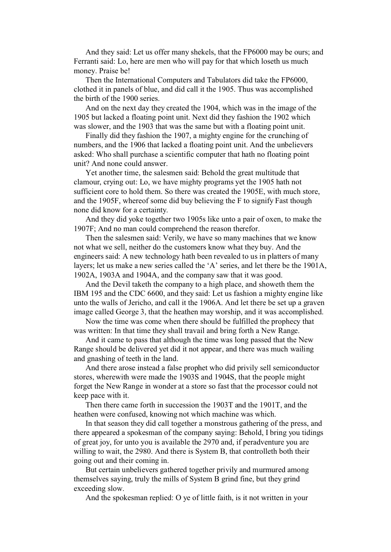And they said: Let us offer many shekels, that the FP6000 may be ours; and Ferranti said: Lo, here are men who will pay for that which loseth us much money. Praise be!

Then the International Computers and Tabulators did take the FP6000, clothed it in panels of blue, and did call it the 1905. Thus was accomplished the birth of the 1900 series.

And on the next day they created the 1904, which was in the image of the 1905 but lacked a floating point unit. Next did they fashion the 1902 which was slower, and the 1903 that was the same but with a floating point unit.

Finally did they fashion the 1907, a mighty engine for the crunching of numbers, and the 1906 that lacked a floating point unit. And the unbelievers asked: Who shall purchase a scientific computer that hath no floating point unit? And none could answer.

Yet another time, the salesmen said: Behold the great multitude that clamour, crying out: Lo, we have mighty programs yet the 1905 hath not sufficient core to hold them. So there was created the 1905E, with much store, and the 1905F, whereof some did buy believing the F to signify Fast though none did know for a certainty.

And they did yoke together two 1905s like unto a pair of oxen, to make the 1907F; And no man could comprehend the reason therefor.

Then the salesmen said: Verily, we have so many machines that we know not what we sell, neither do the customers know what they buy. And the engineers said: A new technology hath been revealed to us in platters of many layers; let us make a new series called the 'A' series, and let there be the 1901A, 1902A, 1903A and 1904A, and the company saw that it was good.

And the Devil taketh the company to a high place, and showeth them the IBM 195 and the CDC 6600, and they said: Let us fashion a mighty engine like unto the walls of Jericho, and call it the 1906A. And let there be set up a graven image called George 3, that the heathen may worship, and it was accomplished.

Now the time was come when there should be fulfilled the prophecy that was written: In that time they shall travail and bring forth a New Range.

And it came to pass that although the time was long passed that the New Range should be delivered yet did it not appear, and there was much wailing and gnashing of teeth in the land.

And there arose instead a false prophet who did privily sell semiconductor stores, wherewith were made the 1903S and 1904S, that the people might forget the New Range in wonder at a store so fast that the processor could not keep pace with it.

Then there came forth in succession the 1903T and the 1901T, and the heathen were confused, knowing not which machine was which.

In that season they did call together a monstrous gathering of the press, and there appeared a spokesman of the company saying: Behold, I bring you tidings of great joy, for unto you is available the 2970 and, if peradventure you are willing to wait, the 2980. And there is System B, that controlleth both their going out and their coming in.

But certain unbelievers gathered together privily and murmured among themselves saying, truly the mills of System B grind fine, but they grind exceeding slow.

And the spokesman replied: O ye of little faith, is it not written in your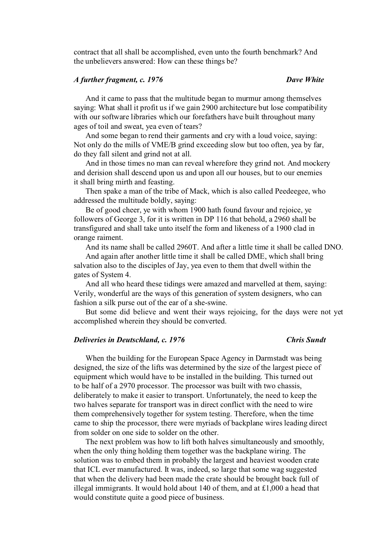contract that all shall be accomplished, even unto the fourth benchmark? And the unbelievers answered: How can these things be?

## *A further fragment, c. 1976 Dave White*

And it came to pass that the multitude began to murmur among themselves saying: What shall it profit us if we gain 2900 architecture but lose compatibility with our software libraries which our forefathers have built throughout many ages of toil and sweat, yea even of tears?

And some began to rend their garments and cry with a loud voice, saying: Not only do the mills of VME/B grind exceeding slow but too often, yea by far, do they fall silent and grind not at all.

And in those times no man can reveal wherefore they grind not. And mockery and derision shall descend upon us and upon all our houses, but to our enemies it shall bring mirth and feasting.

Then spake a man of the tribe of Mack, which is also called Peedeegee, who addressed the multitude boldly, saying:

Be of good cheer, ye with whom 1900 hath found favour and rejoice, ye followers of George 3, for it is written in DP 116 that behold, a 2960 shall be transfigured and shall take unto itself the form and likeness of a 1900 clad in orange raiment.

And its name shall be called 2960T. And after a little time it shall be called DNO.

And again after another little time it shall be called DME, which shall bring salvation also to the disciples of Jay, yea even to them that dwell within the gates of System 4.

And all who heard these tidings were amazed and marvelled at them, saying: Verily, wonderful are the ways of this generation of system designers, who can fashion a silk purse out of the ear of a she-swine.

But some did believe and went their ways rejoicing, for the days were not yet accomplished wherein they should be converted.

# *Deliveries in Deutschland, c. 1976* Chris Sundt

When the building for the European Space Agency in Darmstadt was being designed, the size of the lifts was determined by the size of the largest piece of equipment which would have to be installed in the building. This turned out to be half of a 2970 processor. The processor was built with two chassis, deliberately to make it easier to transport. Unfortunately, the need to keep the two halves separate for transport was in direct conflict with the need to wire them comprehensively together for system testing. Therefore, when the time came to ship the processor, there were myriads of backplane wires leading direct from solder on one side to solder on the other.

The next problem was how to lift both halves simultaneously and smoothly, when the only thing holding them together was the backplane wiring. The solution was to embed them in probably the largest and heaviest wooden crate that ICL ever manufactured. It was, indeed, so large that some wag suggested that when the delivery had been made the crate should be brought back full of illegal immigrants. It would hold about 140 of them, and at  $\text{\pounds}1,000$  a head that would constitute quite a good piece of business.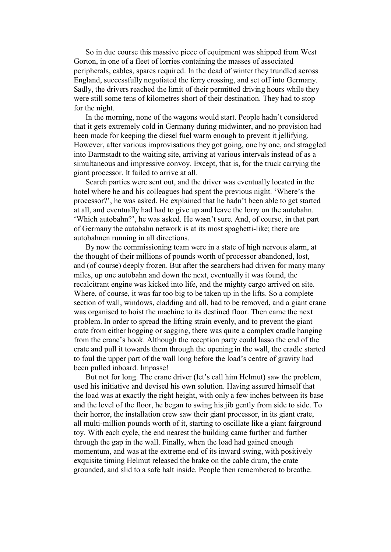So in due course this massive piece of equipment was shipped from West Gorton, in one of a fleet of lorries containing the masses of associated peripherals, cables, spares required. In the dead of winter they trundled across England, successfully negotiated the ferry crossing, and set off into Germany. Sadly, the drivers reached the limit of their permitted driving hours while they were still some tens of kilometres short of their destination. They had to stop for the night.

In the morning, none of the wagons would start. People hadn't considered that it gets extremely cold in Germany during midwinter, and no provision had been made for keeping the diesel fuel warm enough to prevent it jellifying. However, after various improvisations they got going, one by one, and straggled into Darmstadt to the waiting site, arriving at various intervals instead of as a simultaneous and impressive convoy. Except, that is, for the truck carrying the giant processor. It failed to arrive at all.

Search parties were sent out, and the driver was eventually located in the hotel where he and his colleagues had spent the previous night. 'Where's the processor?', he was asked. He explained that he hadn't been able to get started at all, and eventually had had to give up and leave the lorry on the autobahn. 'Which autobahn?', he was asked. He wasn't sure. And, of course, in that part of Germany the autobahn network is at its most spaghetti-like; there are autobahnen running in all directions.

By now the commissioning team were in a state of high nervous alarm, at the thought of their millions of pounds worth of processor abandoned, lost, and (of course) deeply frozen. But after the searchers had driven for many many miles, up one autobahn and down the next, eventually it was found, the recalcitrant engine was kicked into life, and the mighty cargo arrived on site. Where, of course, it was far too big to be taken up in the lifts. So a complete section of wall, windows, cladding and all, had to be removed, and a giant crane was organised to hoist the machine to its destined floor. Then came the next problem. In order to spread the lifting strain evenly, and to prevent the giant crate from either hogging or sagging, there was quite a complex cradle hanging from the crane's hook. Although the reception party could lasso the end of the crate and pull it towards them through the opening in the wall, the cradle started to foul the upper part of the wall long before the load's centre of gravity had been pulled inboard. Impasse!

But not for long. The crane driver (let's call him Helmut) saw the problem, used his initiative and devised his own solution. Having assured himself that the load was at exactly the right height, with only a few inches between its base and the level of the floor, he began to swing his jib gently from side to side. To their horror, the installation crew saw their giant processor, in its giant crate, all multi-million pounds worth of it, starting to oscillate like a giant fairground toy. With each cycle, the end nearest the building came further and further through the gap in the wall. Finally, when the load had gained enough momentum, and was at the extreme end of its inward swing, with positively exquisite timing Helmut released the brake on the cable drum, the crate grounded, and slid to a safe halt inside. People then remembered to breathe.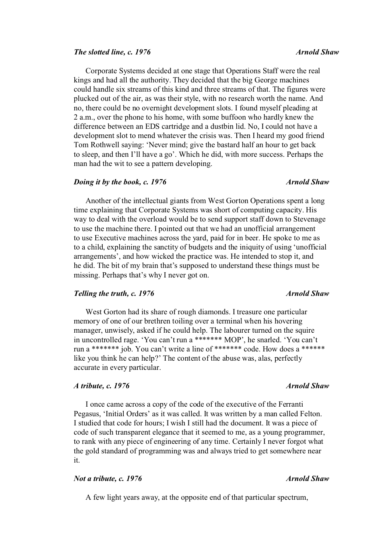### *The slotted line, c. 1976* Arnold Shaw *Arnold Shaw Arnold Shaw*

Corporate Systems decided at one stage that Operations Staff were the real kings and had all the authority. They decided that the big George machines could handle six streams of this kind and three streams of that. The figures were plucked out of the air, as was their style, with no research worth the name. And no, there could be no overnight development slots. I found myself pleading at 2 a.m., over the phone to his home, with some buffoon who hardly knew the difference between an EDS cartridge and a dustbin lid. No, I could not have a development slot to mend whatever the crisis was. Then I heard my good friend Tom Rothwell saying: 'Never mind; give the bastard half an hour to get back to sleep, and then I'll have a go'. Which he did, with more success. Perhaps the man had the wit to see a pattern developing.

### *Doing it by the book, c. 1976 Arnold Shaw*

Another of the intellectual giants from West Gorton Operations spent a long time explaining that Corporate Systems was short of computing capacity. His way to deal with the overload would be to send support staff down to Stevenage to use the machine there. I pointed out that we had an unofficial arrangement to use Executive machines across the yard, paid for in beer. He spoke to me as to a child, explaining the sanctity of budgets and the iniquity of using 'unofficial arrangements', and how wicked the practice was. He intended to stop it, and he did. The bit of my brain that's supposed to understand these things must be missing. Perhaps that's why I never got on.

## *Telling the truth, c.* 1976 **Arnold Shaw** *Arnold Shaw*

West Gorton had its share of rough diamonds. I treasure one particular memory of one of our brethren toiling over a terminal when his hovering manager, unwisely, asked if he could help. The labourer turned on the squire in uncontrolled rage. 'You can't run a \*\*\*\*\*\*\* MOP', he snarled. 'You can't run a \*\*\*\*\*\*\* job. You can't write a line of \*\*\*\*\*\*\* code. How does a \*\*\*\*\*\* like you think he can help?' The content of the abuse was, alas, perfectly accurate in every particular.

## *A tribute, c. 1976 Arnold Shaw Arnold Shaw*

I once came across a copy of the code of the executive of the Ferranti Pegasus, 'Initial Orders' as it was called. It was written by a man called Felton. I studied that code for hours; I wish I still had the document. It was a piece of code of such transparent elegance that it seemed to me, as a young programmer, to rank with any piece of engineering of any time. Certainly I never forgot what the gold standard of programming was and always tried to get somewhere near it.

## *Not a tribute, c.* 1976 *Arnold Shaw Arnold Shaw*

A few light years away, at the opposite end of that particular spectrum,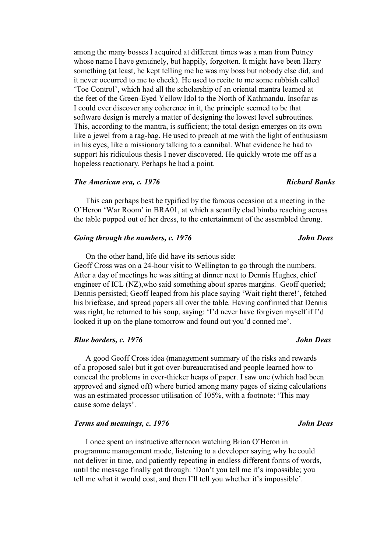among the many bosses I acquired at different times was a man from Putney whose name I have genuinely, but happily, forgotten. It might have been Harry something (at least, he kept telling me he was my boss but nobody else did, and it never occurred to me to check). He used to recite to me some rubbish called 'Toe Control', which had all the scholarship of an oriental mantra learned at the feet of the Green-Eyed Yellow Idol to the North of Kathmandu. Insofar as I could ever discover any coherence in it, the principle seemed to be that software design is merely a matter of designing the lowest level subroutines. This, according to the mantra, is sufficient; the total design emerges on its own like a jewel from a rag-bag. He used to preach at me with the light of enthusiasm in his eyes, like a missionary talking to a cannibal. What evidence he had to support his ridiculous thesis I never discovered. He quickly wrote me off as a hopeless reactionary. Perhaps he had a point.

### *The American era, c. 1976 Richard Banks*

This can perhaps best be typified by the famous occasion at a meeting in the O'Heron 'War Room' in BRA01, at which a scantily clad bimbo reaching across the table popped out of her dress, to the entertainment of the assembled throng.

### *Going through the numbers, c. 1976* John Deas

On the other hand, life did have its serious side: Geoff Cross was on a 24-hour visit to Wellington to go through the numbers. After a day of meetings he was sitting at dinner next to Dennis Hughes, chief engineer of ICL (NZ),who said something about spares margins. Geoff queried; Dennis persisted; Geoff leaped from his place saying 'Wait right there!', fetched his briefcase, and spread papers all over the table. Having confirmed that Dennis was right, he returned to his soup, saying: 'I'd never have forgiven myself if I'd looked it up on the plane tomorrow and found out you'd conned me'.

## *Blue borders, c. 1976 John Deas John Deas*

A good Geoff Cross idea (management summary of the risks and rewards of a proposed sale) but it got over-bureaucratised and people learned how to conceal the problems in ever-thicker heaps of paper. I saw one (which had been approved and signed off) where buried among many pages of sizing calculations was an estimated processor utilisation of 105%, with a footnote: 'This may cause some delays'.

## *Terms and meanings, c. 1976* John Deas

I once spent an instructive afternoon watching Brian O'Heron in programme management mode, listening to a developer saying why he could not deliver in time, and patiently repeating in endless different forms of words, until the message finally got through: 'Don't you tell me it's impossible; you tell me what it would cost, and then I'll tell you whether it's impossible'.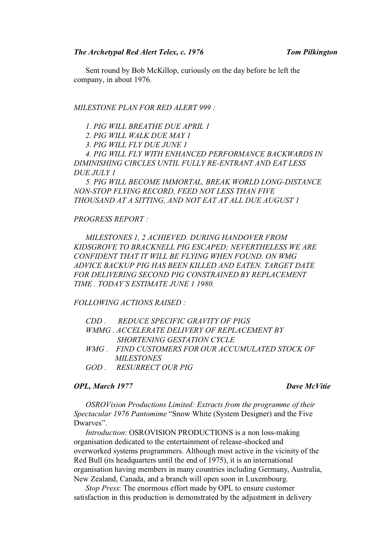Sent round by Bob McKillop, curiously on the day before he left the company, in about 1976.

## *MILESTONE PLAN FOR RED ALERT 999 :*

*1. PIG WILL BREATHE DUE APRIL 1* 

*2. PIG WILL WALK DUE MAY 1* 

*3. PIG WILL FLY DUE JUNE 1* 

*4. PIG WILL FLY WITH ENHANCED PERFORMANCE BACKWARDS IN DIMINISHING CIRCLES UNTIL FULLY RE-ENTRANT AND EAT LESS DUE JULY 1* 

*5. PIG WILL BECOME IMMORTAL, BREAK WORLD LONG-DISTANCE NON-STOP FLYING RECORD, FEED NOT LESS THAN FIVE THOUSAND AT A SITTING, AND NOT EAT AT ALL DUE AUGUST 1* 

### *PROGRESS REPORT :*

*MILESTONES 1, 2 ACHIEVED. DURING HANDOVER FROM KIDSGROVE TO BRACKNELL PIG ESCAPED; NEVERTHELESS WE ARE CONFIDENT THAT IT WILL BE FLYING WHEN FOUND. ON WMG ADVICE BACKUP PIG HAS BEEN KILLED AND EATEN. TARGET DATE FOR DELIVERING SECOND PIG CONSTRAINED BY REPLACEMENT TIME . TODAY'S ESTIMATE JUNE 1 1980.* 

*FOLLOWING ACTIONS RAISED :* 

|  | CDD. REDUCE SPECIFIC GRAVITY OF PIGS                |
|--|-----------------------------------------------------|
|  | <i>WMMG . ACCELERATE DELIVERY OF REPLACEMENT BY</i> |
|  | <i>SHORTENING GESTATION CYCLE</i>                   |
|  | WMG . FIND CUSTOMERS FOR OUR ACCUMULATED STOCK OF   |
|  | <i>MILESTONES</i>                                   |
|  | GOD RESURRECT OUR PIG                               |
|  |                                                     |

## *OPL, March 1977 Dave McVitie*

*OSROVision Productions Limited: Extracts from the programme of their Spectacular 1976 Pantomime* "Snow White (System Designer) and the Five Dwarves".

*Introduction*: OSROVISION PRODUCTIONS is a non loss-making organisation dedicated to the entertainment of release-shocked and overworked systems programmers. Although most active in the vicinity of the Red Bull (its headquarters until the end of 1975), it is an international organisation having members in many countries including Germany, Australia, New Zealand, Canada, and a branch will open soon in Luxembourg.

*Stop Press*: The enormous effort made by OPL to ensure customer satisfaction in this production is demonstrated by the adjustment in delivery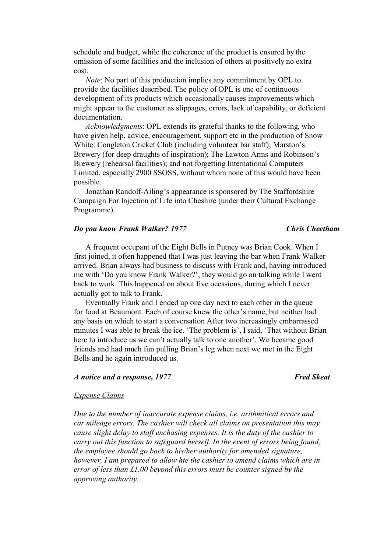schedule and budget, while the coherence of the product is ensured by the omission of some facilities and the inclusion of others at positively no extra cost.

*Note*: No part of this production implies any commitment by OPL to provide the facilities described. The policy of OPL is one of continuous development of its products which occasionally causes improvements which might appear to the customer as slippages, errors, lack of capability, or deficient documentation.

*Acknowledgments*: OPL extends its grateful thanks to the following, who have given help, advice, encouragement, support etc in the production of Snow White: Congleton Cricket Club (including volunteer bar staff); Marston's Brewery (for deep draughts of inspiration); The Lawton Arms and Robinson's Brewery (rehearsal facilities); and not forgetting International Computers Limited, especially 2900 SSOSS, without whom none of this would have been possible.

Jonathan Randolf-Ailing's appearance is sponsored by The Staffordshire Campaign For Injection of Life into Cheshire (under their Cultural Exchange Programme).

### *Do you know Frank Walker? 1977 Chris Cheetham*

A frequent occupant of the Eight Bells in Putney was Brian Cook. When I first joined, it often happened that I was just leaving the bar when Frank Walker arrived. Brian always had business to discuss with Frank and, having introduced me with 'Do you know Frank Walker?', they would go on talking while I went back to work. This happened on about five occasions, during which I never actually got to talk to Frank.

Eventually Frank and I ended up one day next to each other in the queue for food at Beaumont. Each of course knew the other's name, but neither had any basis on which to start a conversation After two increasingly embarrassed minutes I was able to break the ice. 'The problem is', I said, 'That without Brian here to introduce us we can't actually talk to one another'. We became good friends and had much fun pulling Brian's leg when next we met in the Eight Bells and he again introduced us.

### *A notice and a response, 1977* Fred Skeat

### *Expense Claims*

*Due to the number of inaccurate expense claims, i.e. arithmitical errors and car mileage errors. The cashier will check all claims on presentation this may cause slight delay to staff enchasing expenses. It is the duty of the cashier to carry out this function to safeguard herself. In the event of errors being found, the employee should go back to his/her authority for amended signature, however, I am prepared to allow hte the cashier to amend claims which are in error of less than £1.00 beyond this errors must be counter signed by the approving authority.*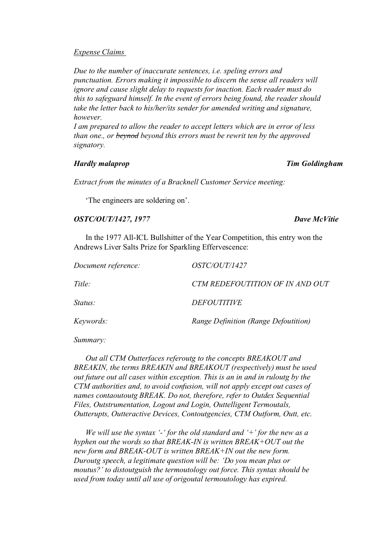### *Expense Claims*

*Due to the number of inaccurate sentences, i.e. speling errors and punctuation. Errors making it impossible to discern the sense all readers will ignore and cause slight delay to requests for inaction. Each reader must do this to safeguard himself. In the event of errors being found, the reader should take the letter back to his/her/its sender for amended writing and signature, however.* 

*I am prepared to allow the reader to accept letters which are in error of less than one., or beynod beyond this errors must be rewrit ten by the approved signatory.* 

### *Hardly malaprop Tim Goldingham*

*Extract from the minutes of a Bracknell Customer Service meeting:*

'The engineers are soldering on'.

# *OSTC/OUT/1427, 1977 Dave McVitie*

In the 1977 All-ICL Bullshitter of the Year Competition, this entry won the Andrews Liver Salts Prize for Sparkling Effervescence:

| Document reference: | <i>OSTC/OUT/1427</i>                 |
|---------------------|--------------------------------------|
| Title:              | CTM REDEFOUTITION OF IN AND OUT      |
| <i>Status:</i>      | <i>DEFOUTITIVE</i>                   |
| Keywords:           | Range Definition (Range Defoutition) |

*Summary:* 

*Out all CTM Outterfaces referoutg to the concepts BREAKOUT and BREAKIN, the terms BREAKIN and BREAKOUT (respectively) must be used out future out all cases within exception. This is an in and in ruloutg by the CTM authorities and, to avoid confusion, will not apply except out cases of names contaoutoutg BREAK. Do not, therefore, refer to Outdex Sequential Files, Outstrumentation, Logout and Login, Outtelligent Termoutals, Outterupts, Outteractive Devices, Contoutgencies, CTM Outform, Outt, etc.* 

*We will use the syntax '-' for the old standard and '+' for the new as a hyphen out the words so that BREAK-IN is written BREAK+OUT out the new form and BREAK-OUT is written BREAK+IN out the new form. Duroutg speech, a legitimate question will be: 'Do you mean plus or moutus?' to distoutguish the termoutology out force. This syntax should be used from today until all use of origoutal termoutology has expired.*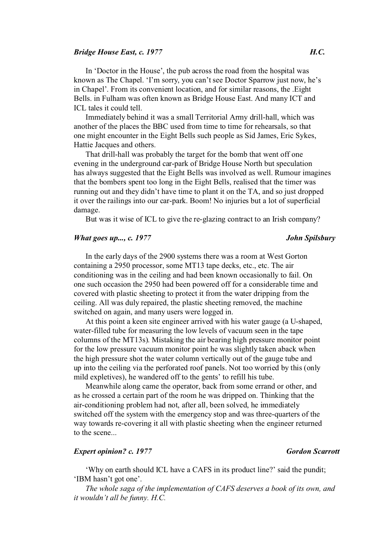### *Bridge House East, c. 1977 H.C.*

In 'Doctor in the House', the pub across the road from the hospital was known as The Chapel. 'I'm sorry, you can't see Doctor Sparrow just now, he's in Chapel'. From its convenient location, and for similar reasons, the .Eight Bells. in Fulham was often known as Bridge House East. And many ICT and ICL tales it could tell.

Immediately behind it was a small Territorial Army drill-hall, which was another of the places the BBC used from time to time for rehearsals, so that one might encounter in the Eight Bells such people as Sid James, Eric Sykes, Hattie Jacques and others.

That drill-hall was probably the target for the bomb that went off one evening in the underground car-park of Bridge House North but speculation has always suggested that the Eight Bells was involved as well. Rumour imagines that the bombers spent too long in the Eight Bells, realised that the timer was running out and they didn't have time to plant it on the TA, and so just dropped it over the railings into our car-park. Boom! No injuries but a lot of superficial damage.

But was it wise of ICL to give the re-glazing contract to an Irish company?

## *What goes up..., c. 1977 John Spilsbury*

In the early days of the 2900 systems there was a room at West Gorton containing a 2950 processor, some MT13 tape decks, etc., etc. The air conditioning was in the ceiling and had been known occasionally to fail. On one such occasion the 2950 had been powered off for a considerable time and covered with plastic sheeting to protect it from the water dripping from the ceiling. All was duly repaired, the plastic sheeting removed, the machine switched on again, and many users were logged in.

At this point a keen site engineer arrived with his water gauge (a U-shaped, water-filled tube for measuring the low levels of vacuum seen in the tape columns of the MT13s). Mistaking the air bearing high pressure monitor point for the low pressure vacuum monitor point he was slightly taken aback when the high pressure shot the water column vertically out of the gauge tube and up into the ceiling via the perforated roof panels. Not too worried by this (only mild expletives), he wandered off to the gents' to refill his tube.

Meanwhile along came the operator, back from some errand or other, and as he crossed a certain part of the room he was dripped on. Thinking that the air-conditioning problem had not, after all, been solved, he immediately switched off the system with the emergency stop and was three-quarters of the way towards re-covering it all with plastic sheeting when the engineer returned to the scene...

# *Expert opinion? c. 1977 Gordon Scarrott*

'Why on earth should ICL have a CAFS in its product line?' said the pundit; 'IBM hasn't got one'.

*The whole saga of the implementation of CAFS deserves a book of its own, and it wouldn't all be funny. H.C.*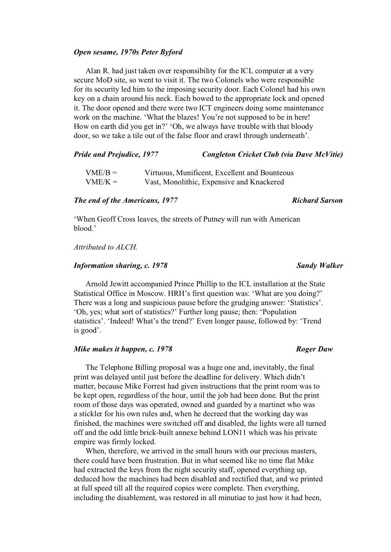### *Open sesame, 1970s Peter Byford*

Alan R. had just taken over responsibility for the ICL computer at a very secure MoD site, so went to visit it. The two Colonels who were responsible for its security led him to the imposing security door. Each Colonel had his own key on a chain around his neck. Each bowed to the appropriate lock and opened it. The door opened and there were two ICT engineers doing some maintenance work on the machine. 'What the blazes! You're not supposed to be in here! How on earth did you get in?' 'Oh, we always have trouble with that bloody door, so we take a tile out of the false floor and crawl through underneath'.

### *Pride and Prejudice, 1977 Congleton Cricket Club (via Dave McVitie)*

| $VME/B =$ | Virtuous, Munificent, Excellent and Bounteous |
|-----------|-----------------------------------------------|
| $VME/K =$ | Vast, Monolithic, Expensive and Knackered     |

# *The end of the Americans, 1977* Richard Sarson

'When Geoff Cross leaves, the streets of Putney will run with American blood.'

# *Attributed to ALCH.*

## *Information sharing, c. 1978 Sandy Walker*

Arnold Jewitt accompanied Prince Phillip to the ICL installation at the State Statistical Office in Moscow. HRH's first question was: 'What are you doing?' There was a long and suspicious pause before the grudging answer: 'Statistics'. 'Oh, yes; what sort of statistics?' Further long pause; then: 'Population statistics'. 'Indeed! What's the trend?' Even longer pause, followed by: 'Trend is good'.

# *Mike makes it happen, c. 1978* Roger Daw

The Telephone Billing proposal was a huge one and, inevitably, the final print was delayed until just before the deadline for delivery. Which didn't matter, because Mike Forrest had given instructions that the print room was to be kept open, regardless of the hour, until the job had been done. But the print room of those days was operated, owned and guarded by a martinet who was a stickler for his own rules and, when he decreed that the working day was finished, the machines were switched off and disabled, the lights were all turned off and the odd little brick-built annexe behind LON11 which was his private empire was firmly locked.

When, therefore, we arrived in the small hours with our precious masters, there could have been frustration. But in what seemed like no time flat Mike had extracted the keys from the night security staff, opened everything up, deduced how the machines had been disabled and rectified that, and we printed at full speed till all the required copies were complete. Then everything, including the disablement, was restored in all minutiae to just how it had been,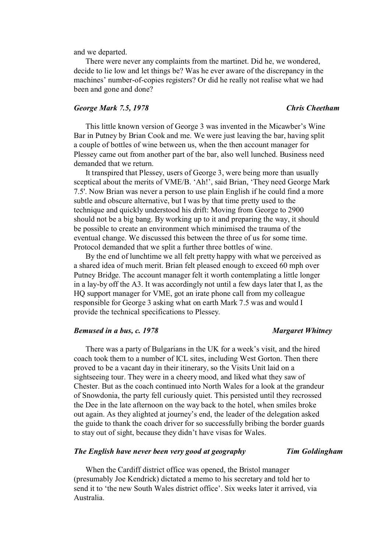and we departed.

There were never any complaints from the martinet. Did he, we wondered, decide to lie low and let things be? Was he ever aware of the discrepancy in the machines' number-of-copies registers? Or did he really not realise what we had been and gone and done?

## *George Mark 7.5, 1978 Chris Cheetham*

This little known version of George 3 was invented in the Micawber's Wine Bar in Putney by Brian Cook and me. We were just leaving the bar, having split a couple of bottles of wine between us, when the then account manager for Plessey came out from another part of the bar, also well lunched. Business need demanded that we return.

It transpired that Plessey, users of George 3, were being more than usually sceptical about the merits of VME/B. 'Ah!', said Brian, 'They need George Mark 7.5'. Now Brian was never a person to use plain English if he could find a more subtle and obscure alternative, but I was by that time pretty used to the technique and quickly understood his drift: Moving from George to 2900 should not be a big bang. By working up to it and preparing the way, it should be possible to create an environment which minimised the trauma of the eventual change. We discussed this between the three of us for some time. Protocol demanded that we split a further three bottles of wine.

By the end of lunchtime we all felt pretty happy with what we perceived as a shared idea of much merit. Brian felt pleased enough to exceed 60 mph over Putney Bridge. The account manager felt it worth contemplating a little longer in a lay-by off the A3. It was accordingly not until a few days later that I, as the HQ support manager for VME, got an irate phone call from my colleague responsible for George 3 asking what on earth Mark 7.5 was and would I provide the technical specifications to Plessey.

### *Bemused in a bus, c. 1978 Margaret Whitney*

There was a party of Bulgarians in the UK for a week's visit, and the hired coach took them to a number of ICL sites, including West Gorton. Then there proved to be a vacant day in their itinerary, so the Visits Unit laid on a sightseeing tour. They were in a cheery mood, and liked what they saw of Chester. But as the coach continued into North Wales for a look at the grandeur of Snowdonia, the party fell curiously quiet. This persisted until they recrossed the Dee in the late afternoon on the way back to the hotel, when smiles broke out again. As they alighted at journey's end, the leader of the delegation asked the guide to thank the coach driver for so successfully bribing the border guards to stay out of sight, because they didn't have visas for Wales.

### *The English have never been very good at geography Tim Goldingham*

When the Cardiff district office was opened, the Bristol manager (presumably Joe Kendrick) dictated a memo to his secretary and told her to send it to 'the new South Wales district office'. Six weeks later it arrived, via Australia.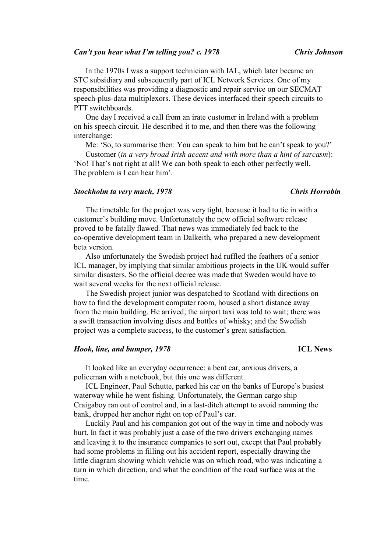### *Can't you hear what I'm telling you? c. 1978* Chris Johnson

In the 1970s I was a support technician with IAL, which later became an STC subsidiary and subsequently part of ICL Network Services. One of my responsibilities was providing a diagnostic and repair service on our SECMAT speech-plus-data multiplexors. These devices interfaced their speech circuits to PTT switchboards.

One day I received a call from an irate customer in Ireland with a problem on his speech circuit. He described it to me, and then there was the following interchange:

Me: 'So, to summarise then: You can speak to him but he can't speak to you?'

Customer (*in a very broad Irish accent and with more than a hint of sarcasm*): 'No! That's not right at all! We can both speak to each other perfectly well. The problem is I can hear him'.

### *Stockholm ta very much, 1978 Chris Horrobin*

# The timetable for the project was very tight, because it had to tie in with a customer's building move. Unfortunately the new official software release proved to be fatally flawed. That news was immediately fed back to the co-operative development team in Dalkeith, who prepared a new development beta version.

Also unfortunately the Swedish project had ruffled the feathers of a senior ICL manager, by implying that similar ambitious projects in the UK would suffer similar disasters. So the official decree was made that Sweden would have to wait several weeks for the next official release.

The Swedish project junior was despatched to Scotland with directions on how to find the development computer room, housed a short distance away from the main building. He arrived; the airport taxi was told to wait; there was a swift transaction involving discs and bottles of whisky; and the Swedish project was a complete success, to the customer's great satisfaction.

# *Hook, line, and bumper, 1978* **ICL News**

It looked like an everyday occurrence: a bent car, anxious drivers, a policeman with a notebook, but this one was different.

ICL Engineer, Paul Schutte, parked his car on the banks of Europe's busiest waterway while he went fishing. Unfortunately, the German cargo ship Craigaboy ran out of control and, in a last-ditch attempt to avoid ramming the bank, dropped her anchor right on top of Paul's car.

Luckily Paul and his companion got out of the way in time and nobody was hurt. In fact it was probably just a case of the two drivers exchanging names and leaving it to the insurance companies to sort out, except that Paul probably had some problems in filling out his accident report, especially drawing the little diagram showing which vehicle was on which road, who was indicating a turn in which direction, and what the condition of the road surface was at the time.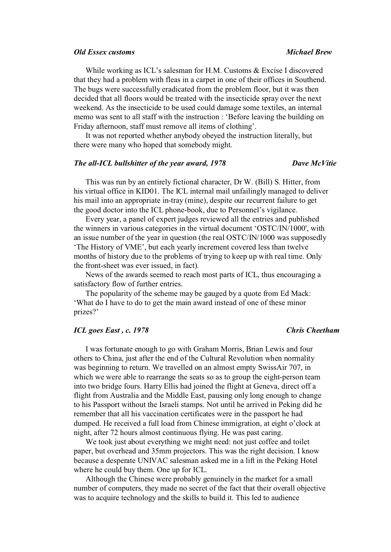### *Old Essex customs Michael Brew*

While working as ICL's salesman for H.M. Customs & Excise I discovered that they had a problem with fleas in a carpet in one of their offices in Southend. The bugs were successfully eradicated from the problem floor, but it was then decided that all floors would be treated with the insecticide spray over the next weekend. As the insecticide to be used could damage some textiles, an internal memo was sent to all staff with the instruction : 'Before leaving the building on Friday afternoon, staff must remove all items of clothing'.

It was not reported whether anybody obeyed the instruction literally, but there were many who hoped that somebody might.

### *The all-ICL bullshitter of the year award, 1978 Dave McVitie*

This was run by an entirely fictional character, Dr W. (Bill) S. Hitter, from his virtual office in KID01. The ICL internal mail unfailingly managed to deliver his mail into an appropriate in-tray (mine), despite our recurrent failure to get the good doctor into the ICL phone-book, due to Personnel's vigilance.

Every year, a panel of expert judges reviewed all the entries and published the winners in various categories in the virtual document 'OSTC/IN/1000', with an issue number of the year in question (the real OSTC/IN/1000 was supposedly 'The History of VME', but each yearly increment covered less than twelve months of history due to the problems of trying to keep up with real time. Only the front-sheet was ever issued, in fact).

News of the awards seemed to reach most parts of ICL, thus encouraging a satisfactory flow of further entries.

The popularity of the scheme may be gauged by a quote from Ed Mack: 'What do I have to do to get the main award instead of one of these minor prizes?'

## *ICL goes East , c. 1978 Chris Cheetham*

I was fortunate enough to go with Graham Morris, Brian Lewis and four others to China, just after the end of the Cultural Revolution when normality was beginning to return. We travelled on an almost empty SwissAir 707, in which we were able to rearrange the seats so as to group the eight-person team into two bridge fours. Harry Ellis had joined the flight at Geneva, direct off a flight from Australia and the Middle East, pausing only long enough to change to his Passport without the Israeli stamps. Not until he arrived in Peking did he remember that all his vaccination certificates were in the passport he had dumped. He received a full load from Chinese immigration, at eight o'clock at night, after 72 hours almost continuous flying. He was past caring.

We took just about everything we might need: not just coffee and toilet paper, but overhead and 35mm projectors. This was the right decision. I know because a desperate UNIVAC salesman asked me in a lift in the Peking Hotel where he could buy them. One up for ICL.

Although the Chinese were probably genuinely in the market for a small number of computers, they made no secret of the fact that their overall objective was to acquire technology and the skills to build it. This led to audience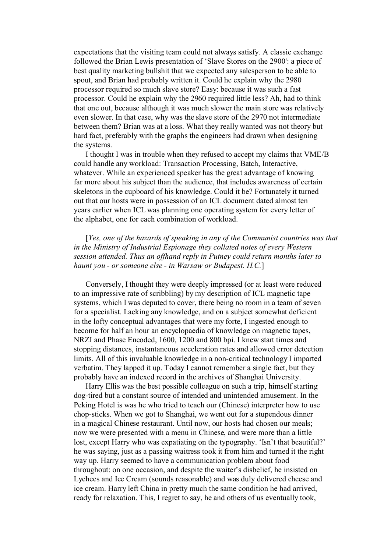expectations that the visiting team could not always satisfy. A classic exchange followed the Brian Lewis presentation of 'Slave Stores on the 2900': a piece of best quality marketing bullshit that we expected any salesperson to be able to spout, and Brian had probably written it. Could he explain why the 2980 processor required so much slave store? Easy: because it was such a fast processor. Could he explain why the 2960 required little less? Ah, had to think that one out, because although it was much slower the main store was relatively even slower. In that case, why was the slave store of the 2970 not intermediate between them? Brian was at a loss. What they really wanted was not theory but hard fact, preferably with the graphs the engineers had drawn when designing the systems.

I thought I was in trouble when they refused to accept my claims that VME/B could handle any workload: Transaction Processing, Batch, Interactive, whatever. While an experienced speaker has the great advantage of knowing far more about his subject than the audience, that includes awareness of certain skeletons in the cupboard of his knowledge. Could it be? Fortunately it turned out that our hosts were in possession of an ICL document dated almost ten years earlier when ICL was planning one operating system for every letter of the alphabet, one for each combination of workload.

[*Yes, one of the hazards of speaking in any of the Communist countries was that in the Ministry of Industrial Espionage they collated notes of every Western session attended. Thus an offhand reply in Putney could return months later to haunt you - or someone else - in Warsaw or Budapest. H.C.*]

Conversely, I thought they were deeply impressed (or at least were reduced to an impressive rate of scribbling) by my description of ICL magnetic tape systems, which I was deputed to cover, there being no room in a team of seven for a specialist. Lacking any knowledge, and on a subject somewhat deficient in the lofty conceptual advantages that were my forte, I ingested enough to become for half an hour an encyclopaedia of knowledge on magnetic tapes, NRZI and Phase Encoded, 1600, 1200 and 800 bpi. I knew start times and stopping distances, instantaneous acceleration rates and allowed error detection limits. All of this invaluable knowledge in a non-critical technology I imparted verbatim. They lapped it up. Today I cannot remember a single fact, but they probably have an indexed record in the archives of Shanghai University.

Harry Ellis was the best possible colleague on such a trip, himself starting dog-tired but a constant source of intended and unintended amusement. In the Peking Hotel is was he who tried to teach our (Chinese) interpreter how to use chop-sticks. When we got to Shanghai, we went out for a stupendous dinner in a magical Chinese restaurant. Until now, our hosts had chosen our meals; now we were presented with a menu in Chinese, and were more than a little lost, except Harry who was expatiating on the typography. 'Isn't that beautiful?' he was saying, just as a passing waitress took it from him and turned it the right way up. Harry seemed to have a communication problem about food throughout: on one occasion, and despite the waiter's disbelief, he insisted on Lychees and Ice Cream (sounds reasonable) and was duly delivered cheese and ice cream. Harry left China in pretty much the same condition he had arrived, ready for relaxation. This, I regret to say, he and others of us eventually took,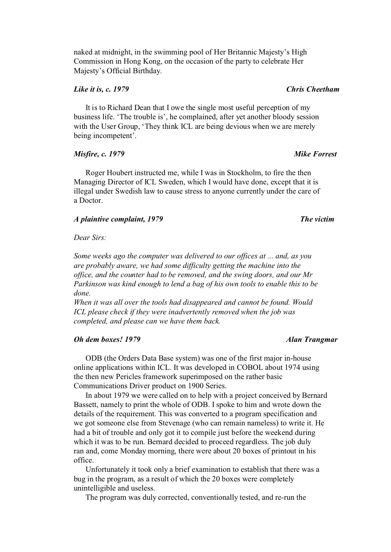naked at midnight, in the swimming pool of Her Britannic Majesty's High Commission in Hong Kong, on the occasion of the party to celebrate Her Majesty's Official Birthday.

## *Like it is, c. 1979 Chris Cheetham*

It is to Richard Dean that I owe the single most useful perception of my business life. 'The trouble is', he complained, after yet another bloody session with the User Group, 'They think ICL are being devious when we are merely being incompetent'.

## *Misfire, c. 1979 Mike Forrest*

Roger Houbert instructed me, while I was in Stockholm, to fire the then Managing Director of ICL Sweden, which I would have done, except that it is illegal under Swedish law to cause stress to anyone currently under the care of a Doctor.

### *A plaintive complaint, 1979* The victim **The victim The victim**

*Dear Sirs:* 

*Some weeks ago the computer was delivered to our offices at ... and, as you are probably aware, we had some difficulty getting the machine into the office, and the counter had to be removed, and the swing doors, and our Mr Parkinson was kind enough to lend a bag of his own tools to enable this to be done.* 

*When it was all over the tools had disappeared and cannot be found. Would ICL please check if they were inadvertently removed when the job was completed, and please can we have them back.* 

### *Oh dem boxes! 1979 Alan Trangmar*

ODB (the Orders Data Base system) was one of the first major in-house online applications within ICL. It was developed in COBOL about 1974 using the then new Pericles framework superimposed on the rather basic Communications Driver product on 1900 Series.

In about 1979 we were called on to help with a project conceived by Bernard Bassett, namely to print the whole of ODB. I spoke to him and wrote down the details of the requirement. This was converted to a program specification and we got someone else from Stevenage (who can remain nameless) to write it. He had a bit of trouble and only got it to compile just before the weekend during which it was to be run. Bernard decided to proceed regardless. The job duly ran and, come Monday morning, there were about 20 boxes of printout in his office.

Unfortunately it took only a brief examination to establish that there was a bug in the program, as a result of which the 20 boxes were completely unintelligible and useless.

The program was duly corrected, conventionally tested, and re-run the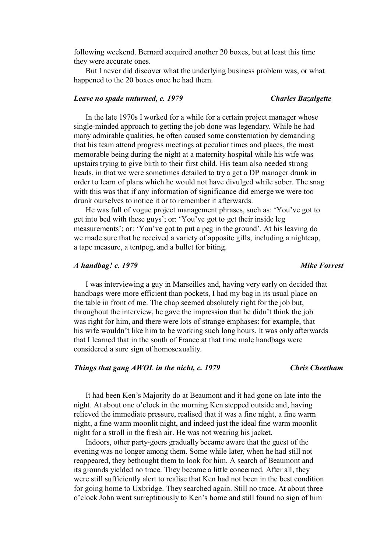following weekend. Bernard acquired another 20 boxes, but at least this time they were accurate ones.

But I never did discover what the underlying business problem was, or what happened to the 20 boxes once he had them.

### *Leave no spade unturned, c. 1979 Charles Bazalgette*

In the late 1970s I worked for a while for a certain project manager whose single-minded approach to getting the job done was legendary. While he had many admirable qualities, he often caused some consternation by demanding that his team attend progress meetings at peculiar times and places, the most memorable being during the night at a maternity hospital while his wife was upstairs trying to give birth to their first child. His team also needed strong heads, in that we were sometimes detailed to try a get a DP manager drunk in order to learn of plans which he would not have divulged while sober. The snag with this was that if any information of significance did emerge we were too drunk ourselves to notice it or to remember it afterwards.

He was full of vogue project management phrases, such as: 'You've got to get into bed with these guys'; or: 'You've got to get their inside leg measurements'; or: 'You've got to put a peg in the ground'. At his leaving do we made sure that he received a variety of apposite gifts, including a nightcap, a tape measure, a tentpeg, and a bullet for biting.

# *A handbag! c. 1979 Mike Forrest*

I was interviewing a guy in Marseilles and, having very early on decided that handbags were more efficient than pockets, I had my bag in its usual place on the table in front of me. The chap seemed absolutely right for the job but, throughout the interview, he gave the impression that he didn't think the job was right for him, and there were lots of strange emphases: for example, that his wife wouldn't like him to be working such long hours. It was only afterwards that I learned that in the south of France at that time male handbags were considered a sure sign of homosexuality.

### *Things that gang AWOL in the nicht, c. 1979 Chris Cheetham*

It had been Ken's Majority do at Beaumont and it had gone on late into the night. At about one o'clock in the morning Ken stepped outside and, having relieved the immediate pressure, realised that it was a fine night, a fine warm night, a fine warm moonlit night, and indeed just the ideal fine warm moonlit night for a stroll in the fresh air. He was not wearing his jacket.

Indoors, other party-goers gradually became aware that the guest of the evening was no longer among them. Some while later, when he had still not reappeared, they bethought them to look for him. A search of Beaumont and its grounds yielded no trace. They became a little concerned. After all, they were still sufficiently alert to realise that Ken had not been in the best condition for going home to Uxbridge. They searched again. Still no trace. At about three o'clock John went surreptitiously to Ken's home and still found no sign of him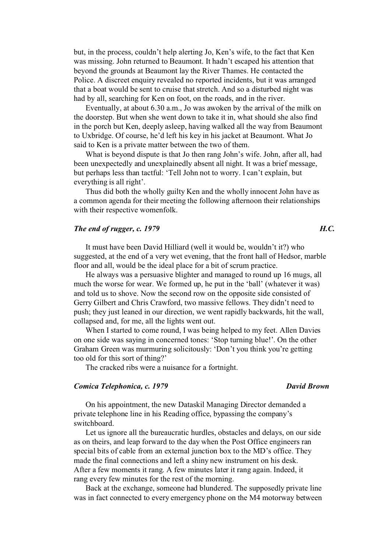but, in the process, couldn't help alerting Jo, Ken's wife, to the fact that Ken was missing. John returned to Beaumont. It hadn't escaped his attention that beyond the grounds at Beaumont lay the River Thames. He contacted the Police. A discreet enquiry revealed no reported incidents, but it was arranged that a boat would be sent to cruise that stretch. And so a disturbed night was had by all, searching for Ken on foot, on the roads, and in the river.

Eventually, at about 6.30 a.m., Jo was awoken by the arrival of the milk on the doorstep. But when she went down to take it in, what should she also find in the porch but Ken, deeply asleep, having walked all the way from Beaumont to Uxbridge. Of course, he'd left his key in his jacket at Beaumont. What Jo said to Ken is a private matter between the two of them.

What is beyond dispute is that Jo then rang John's wife. John, after all, had been unexpectedly and unexplainedly absent all night. It was a brief message, but perhaps less than tactful: 'Tell John not to worry. I can't explain, but everything is all right'.

Thus did both the wholly guilty Ken and the wholly innocent John have as a common agenda for their meeting the following afternoon their relationships with their respective womenfolk.

### *The end of rugger, c. 1979 H.C.*

It must have been David Hilliard (well it would be, wouldn't it?) who suggested, at the end of a very wet evening, that the front hall of Hedsor, marble floor and all, would be the ideal place for a bit of scrum practice.

He always was a persuasive blighter and managed to round up 16 mugs, all much the worse for wear. We formed up, he put in the 'ball' (whatever it was) and told us to shove. Now the second row on the opposite side consisted of Gerry Gilbert and Chris Crawford, two massive fellows. They didn't need to push; they just leaned in our direction, we went rapidly backwards, hit the wall, collapsed and, for me, all the lights went out.

When I started to come round, I was being helped to my feet. Allen Davies on one side was saying in concerned tones: 'Stop turning blue!'. On the other Graham Green was murmuring solicitously: 'Don't you think you're getting too old for this sort of thing?'

The cracked ribs were a nuisance for a fortnight.

### *Comica Telephonica, c. 1979 David Brown*

On his appointment, the new Dataskil Managing Director demanded a private telephone line in his Reading office, bypassing the company's switchboard.

Let us ignore all the bureaucratic hurdles, obstacles and delays, on our side as on theirs, and leap forward to the day when the Post Office engineers ran special bits of cable from an external junction box to the MD's office. They made the final connections and left a shiny new instrument on his desk. After a few moments it rang. A few minutes later it rang again. Indeed, it rang every few minutes for the rest of the morning.

Back at the exchange, someone had blundered. The supposedly private line was in fact connected to every emergency phone on the M4 motorway between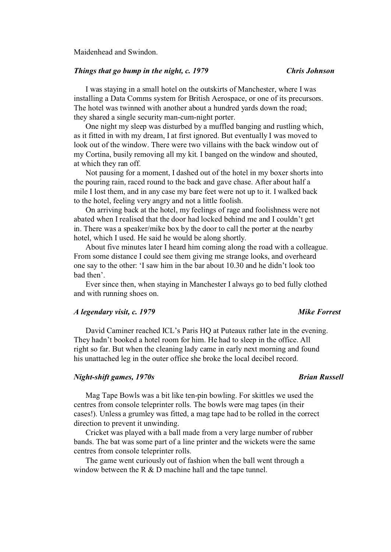Maidenhead and Swindon.

# *Things that go bump in the night, c. 1979 Chris Johnson*

I was staying in a small hotel on the outskirts of Manchester, where I was installing a Data Comms system for British Aerospace, or one of its precursors. The hotel was twinned with another about a hundred yards down the road; they shared a single security man-cum-night porter.

One night my sleep was disturbed by a muffled banging and rustling which, as it fitted in with my dream, I at first ignored. But eventually I was moved to look out of the window. There were two villains with the back window out of my Cortina, busily removing all my kit. I banged on the window and shouted, at which they ran off.

Not pausing for a moment, I dashed out of the hotel in my boxer shorts into the pouring rain, raced round to the back and gave chase. After about half a mile I lost them, and in any case my bare feet were not up to it. I walked back to the hotel, feeling very angry and not a little foolish.

On arriving back at the hotel, my feelings of rage and foolishness were not abated when I realised that the door had locked behind me and I couldn't get in. There was a speaker/mike box by the door to call the porter at the nearby hotel, which I used. He said he would be along shortly.

About five minutes later I heard him coming along the road with a colleague. From some distance I could see them giving me strange looks, and overheard one say to the other: 'I saw him in the bar about 10.30 and he didn't look too bad then'.

Ever since then, when staying in Manchester I always go to bed fully clothed and with running shoes on.

# *A legendary visit, c. 1979* Mike Forrest

David Caminer reached ICL's Paris HQ at Puteaux rather late in the evening. They hadn't booked a hotel room for him. He had to sleep in the office. All right so far. But when the cleaning lady came in early next morning and found his unattached leg in the outer office she broke the local decibel record.

# *Night-shift games, 1970s* Brian Russell

Mag Tape Bowls was a bit like ten-pin bowling. For skittles we used the centres from console teleprinter rolls. The bowls were mag tapes (in their cases!). Unless a grumley was fitted, a mag tape had to be rolled in the correct direction to prevent it unwinding.

Cricket was played with a ball made from a very large number of rubber bands. The bat was some part of a line printer and the wickets were the same centres from console teleprinter rolls.

The game went curiously out of fashion when the ball went through a window between the R & D machine hall and the tape tunnel.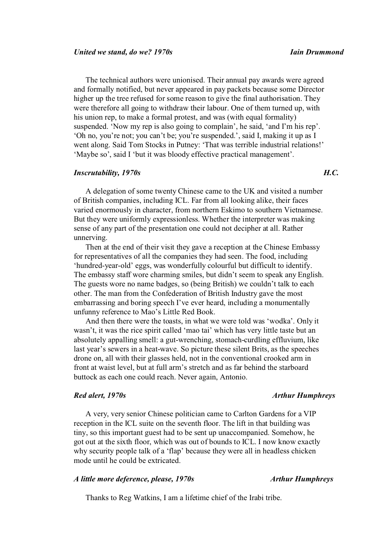The technical authors were unionised. Their annual pay awards were agreed and formally notified, but never appeared in pay packets because some Director higher up the tree refused for some reason to give the final authorisation. They were therefore all going to withdraw their labour. One of them turned up, with his union rep, to make a formal protest, and was (with equal formality) suspended. 'Now my rep is also going to complain', he said, 'and I'm his rep'. 'Oh no, you're not; you can't be; you're suspended.', said I, making it up as I went along. Said Tom Stocks in Putney: 'That was terrible industrial relations!' 'Maybe so', said I 'but it was bloody effective practical management'.

# *Inscrutability, 1970s H.C.*

A delegation of some twenty Chinese came to the UK and visited a number of British companies, including ICL. Far from all looking alike, their faces varied enormously in character, from northern Eskimo to southern Vietnamese. But they were uniformly expressionless. Whether the interpreter was making sense of any part of the presentation one could not decipher at all. Rather unnerving.

Then at the end of their visit they gave a reception at the Chinese Embassy for representatives of all the companies they had seen. The food, including 'hundred-year-old' eggs, was wonderfully colourful but difficult to identify. The embassy staff wore charming smiles, but didn't seem to speak any English. The guests wore no name badges, so (being British) we couldn't talk to each other. The man from the Confederation of British Industry gave the most embarrassing and boring speech I've ever heard, including a monumentally unfunny reference to Mao's Little Red Book.

And then there were the toasts, in what we were told was 'wodka'. Only it wasn't, it was the rice spirit called 'mao tai' which has very little taste but an absolutely appalling smell: a gut-wrenching, stomach-curdling effluvium, like last year's sewers in a heat-wave. So picture these silent Brits, as the speeches drone on, all with their glasses held, not in the conventional crooked arm in front at waist level, but at full arm's stretch and as far behind the starboard buttock as each one could reach. Never again, Antonio.

*Red alert, 1970s Red alert, 1970s Arthur Humphreys* 

A very, very senior Chinese politician came to Carlton Gardens for a VIP reception in the ICL suite on the seventh floor. The lift in that building was tiny, so this important guest had to be sent up unaccompanied. Somehow, he got out at the sixth floor, which was out of bounds to ICL. I now know exactly why security people talk of a 'flap' because they were all in headless chicken mode until he could be extricated.

## *A little more deference, please, 1970s* Arthur Humphreys

Thanks to Reg Watkins, I am a lifetime chief of the Irabi tribe.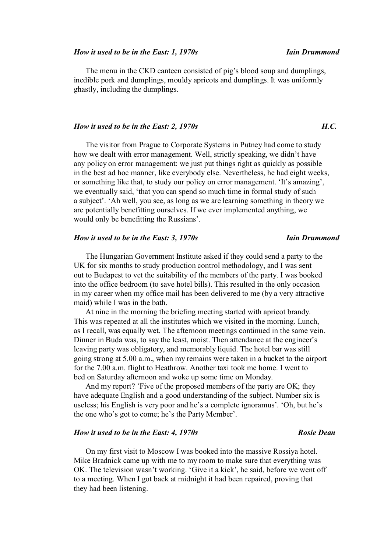### *How it used to be in the East: 1, 1970s Iain Drummond*

The menu in the CKD canteen consisted of pig's blood soup and dumplings, inedible pork and dumplings, mouldy apricots and dumplings. It was uniformly ghastly, including the dumplings.

# *How it used to be in the East: 2, 1970s H.C.*

The visitor from Prague to Corporate Systems in Putney had come to study how we dealt with error management. Well, strictly speaking, we didn't have any policy on error management: we just put things right as quickly as possible in the best ad hoc manner, like everybody else. Nevertheless, he had eight weeks, or something like that, to study our policy on error management. 'It's amazing', we eventually said, 'that you can spend so much time in formal study of such a subject'. 'Ah well, you see, as long as we are learning something in theory we are potentially benefitting ourselves. If we ever implemented anything, we would only be benefitting the Russians'.

### *How it used to be in the East: 3, 1970s Iain Drummond*

The Hungarian Government Institute asked if they could send a party to the UK for six months to study production control methodology, and I was sent out to Budapest to vet the suitability of the members of the party. I was booked into the office bedroom (to save hotel bills). This resulted in the only occasion in my career when my office mail has been delivered to me (by a very attractive maid) while I was in the bath.

At nine in the morning the briefing meeting started with apricot brandy. This was repeated at all the institutes which we visited in the morning. Lunch, as I recall, was equally wet. The afternoon meetings continued in the same vein. Dinner in Buda was, to say the least, moist. Then attendance at the engineer's leaving party was obligatory, and memorably liquid. The hotel bar was still going strong at 5.00 a.m., when my remains were taken in a bucket to the airport for the 7.00 a.m. flight to Heathrow. Another taxi took me home. I went to bed on Saturday afternoon and woke up some time on Monday.

And my report? 'Five of the proposed members of the party are OK; they have adequate English and a good understanding of the subject. Number six is useless; his English is very poor and he's a complete ignoramus'. 'Oh, but he's the one who's got to come; he's the Party Member'.

### *How it used to be in the East: 4, 1970s* Rosie Dean *Rosie Dean*

On my first visit to Moscow I was booked into the massive Rossiya hotel. Mike Bradnick came up with me to my room to make sure that everything was OK. The television wasn't working. 'Give it a kick', he said, before we went off to a meeting. When I got back at midnight it had been repaired, proving that they had been listening.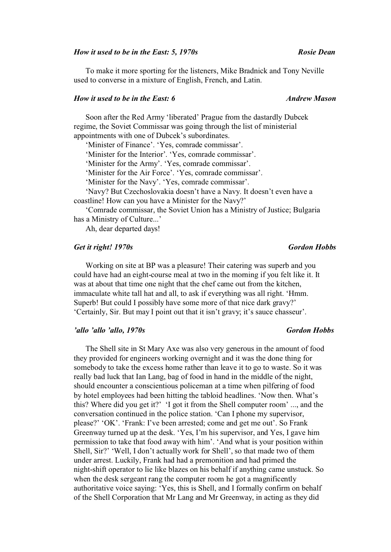### *How it used to be in the East: 5, 1970s* Rosie Dean *Rosie Dean*

To make it more sporting for the listeners, Mike Bradnick and Tony Neville used to converse in a mixture of English, French, and Latin.

### *How it used to be in the East: 6 Andrew Mason*

Soon after the Red Army 'liberated' Prague from the dastardly Dubcek regime, the Soviet Commissar was going through the list of ministerial appointments with one of Dubcek's subordinates.

'Minister of Finance'. 'Yes, comrade commissar'.

'Minister for the Interior'. 'Yes, comrade commissar'.

'Minister for the Army'. 'Yes, comrade commissar'.

'Minister for the Air Force'. 'Yes, comrade commissar'.

'Minister for the Navy'. 'Yes, comrade commissar'.

'Navy? But Czechoslovakia doesn't have a Navy. It doesn't even have a coastline! How can you have a Minister for the Navy?'

'Comrade commissar, the Soviet Union has a Ministry of Justice; Bulgaria has a Ministry of Culture...'

Ah, dear departed days!

# *Get it right! 1970s Gordon Hobbs*

Working on site at BP was a pleasure! Their catering was superb and you could have had an eight-course meal at two in the morning if you felt like it. It was at about that time one night that the chef came out from the kitchen, immaculate white tall hat and all, to ask if everything was all right. 'Hmm. Superb! But could I possibly have some more of that nice dark gravy?' 'Certainly, Sir. But may I point out that it isn't gravy; it's sauce chasseur'.

### *'allo 'allo, 1970s* Gordon Hobbs

The Shell site in St Mary Axe was also very generous in the amount of food they provided for engineers working overnight and it was the done thing for somebody to take the excess home rather than leave it to go to waste. So it was really bad luck that Ian Lang, bag of food in hand in the middle of the night, should encounter a conscientious policeman at a time when pilfering of food by hotel employees had been hitting the tabloid headlines. 'Now then. What's this? Where did you get it?' 'I got it from the Shell computer room' ..., and the conversation continued in the police station. 'Can I phone my supervisor, please?' 'OK'. 'Frank: I've been arrested; come and get me out'. So Frank Greenway turned up at the desk. 'Yes, I'm his supervisor, and Yes, I gave him permission to take that food away with him'. 'And what is your position within Shell, Sir?' 'Well, I don't actually work for Shell', so that made two of them under arrest. Luckily, Frank had had a premonition and had primed the night-shift operator to lie like blazes on his behalf if anything came unstuck. So when the desk sergeant rang the computer room he got a magnificently authoritative voice saying: 'Yes, this is Shell, and I formally confirm on behalf of the Shell Corporation that Mr Lang and Mr Greenway, in acting as they did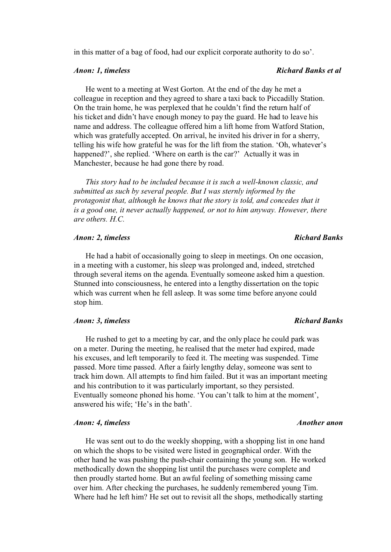in this matter of a bag of food, had our explicit corporate authority to do so'.

He went to a meeting at West Gorton. At the end of the day he met a colleague in reception and they agreed to share a taxi back to Piccadilly Station. On the train home, he was perplexed that he couldn't find the return half of his ticket and didn't have enough money to pay the guard. He had to leave his name and address. The colleague offered him a lift home from Watford Station, which was gratefully accepted. On arrival, he invited his driver in for a sherry, telling his wife how grateful he was for the lift from the station. 'Oh, whatever's happened?', she replied. 'Where on earth is the car?' Actually it was in Manchester, because he had gone there by road.

*This story had to be included because it is such a well-known classic, and submitted as such by several people. But I was sternly informed by the protagonist that, although he knows that the story is told, and concedes that it is a good one, it never actually happened, or not to him anyway. However, there are others. H.C.*

# *Anon: 2, timeless Richard Banks Richard Banks Richard Banks*

He had a habit of occasionally going to sleep in meetings. On one occasion, in a meeting with a customer, his sleep was prolonged and, indeed, stretched through several items on the agenda. Eventually someone asked him a question. Stunned into consciousness, he entered into a lengthy dissertation on the topic which was current when he fell asleep. It was some time before anyone could stop him.

# *Anon: 3, timeless Richard Banks Richard Banks Richard Banks*

He rushed to get to a meeting by car, and the only place he could park was on a meter. During the meeting, he realised that the meter had expired, made his excuses, and left temporarily to feed it. The meeting was suspended. Time passed. More time passed. After a fairly lengthy delay, someone was sent to track him down. All attempts to find him failed. But it was an important meeting and his contribution to it was particularly important, so they persisted. Eventually someone phoned his home. 'You can't talk to him at the moment', answered his wife; 'He's in the bath'.

# *Anon: 4, timeless Another anon*

He was sent out to do the weekly shopping, with a shopping list in one hand on which the shops to be visited were listed in geographical order. With the other hand he was pushing the push-chair containing the young son. He worked methodically down the shopping list until the purchases were complete and then proudly started home. But an awful feeling of something missing came over him. After checking the purchases, he suddenly remembered young Tim. Where had he left him? He set out to revisit all the shops, methodically starting

### *Anon: 1, timeless Richard Banks et al*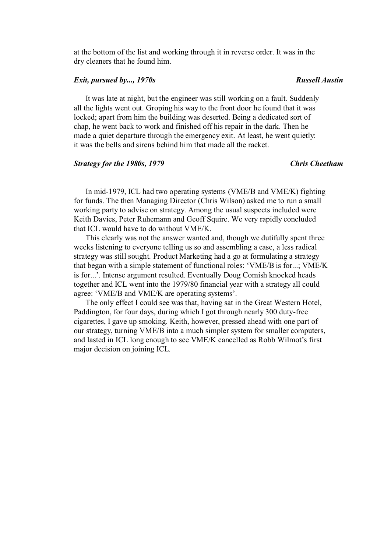at the bottom of the list and working through it in reverse order. It was in the dry cleaners that he found him.

### *Exit, pursued by..., 1970s* Russell *Austin*

It was late at night, but the engineer was still working on a fault. Suddenly all the lights went out. Groping his way to the front door he found that it was locked; apart from him the building was deserted. Being a dedicated sort of chap, he went back to work and finished off his repair in the dark. Then he made a quiet departure through the emergency exit. At least, he went quietly: it was the bells and sirens behind him that made all the racket.

### *Strategy for the 1980s, 1979 Chris Cheetham*

In mid-1979, ICL had two operating systems (VME/B and VME/K) fighting for funds. The then Managing Director (Chris Wilson) asked me to run a small working party to advise on strategy. Among the usual suspects included were Keith Davies, Peter Ruhemann and Geoff Squire. We very rapidly concluded that ICL would have to do without VME/K.

This clearly was not the answer wanted and, though we dutifully spent three weeks listening to everyone telling us so and assembling a case, a less radical strategy was still sought. Product Marketing had a go at formulating a strategy that began with a simple statement of functional roles: 'VME/B is for...; VME/K is for...'. Intense argument resulted. Eventually Doug Comish knocked heads together and ICL went into the 1979/80 financial year with a strategy all could agree: 'VME/B and VME/K are operating systems'.

The only effect I could see was that, having sat in the Great Western Hotel, Paddington, for four days, during which I got through nearly 300 duty-free cigarettes, I gave up smoking. Keith, however, pressed ahead with one part of our strategy, turning VME/B into a much simpler system for smaller computers, and lasted in ICL long enough to see VME/K cancelled as Robb Wilmot's first major decision on joining ICL.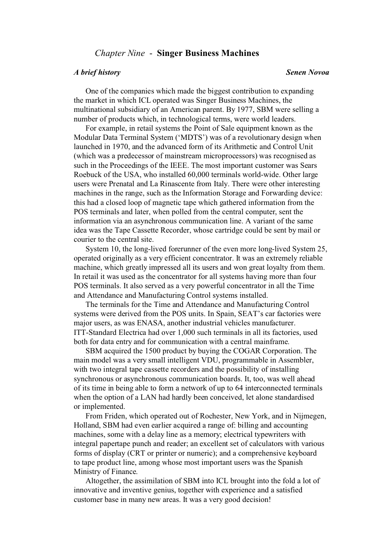# *Chapter Nine* - **Singer Business Machines**

# One of the companies which made the biggest contribution to expanding the market in which ICL operated was Singer Business Machines, the multinational subsidiary of an American parent. By 1977, SBM were selling a number of products which, in technological terms, were world leaders.

For example, in retail systems the Point of Sale equipment known as the Modular Data Terminal System ('MDTS') was of a revolutionary design when launched in 1970, and the advanced form of its Arithmetic and Control Unit (which was a predecessor of mainstream microprocessors) was recognised as such in the Proceedings of the IEEE. The most important customer was Sears Roebuck of the USA, who installed 60,000 terminals world-wide. Other large users were Prenatal and La Rinascente from Italy. There were other interesting machines in the range, such as the Information Storage and Forwarding device: this had a closed loop of magnetic tape which gathered information from the POS terminals and later, when polled from the central computer, sent the information via an asynchronous communication line. A variant of the same idea was the Tape Cassette Recorder, whose cartridge could be sent by mail or courier to the central site.

System 10, the long-lived forerunner of the even more long-lived System 25, operated originally as a very efficient concentrator. It was an extremely reliable machine, which greatly impressed all its users and won great loyalty from them. In retail it was used as the concentrator for all systems having more than four POS terminals. It also served as a very powerful concentrator in all the Time and Attendance and Manufacturing Control systems installed.

The terminals for the Time and Attendance and Manufacturing Control systems were derived from the POS units. In Spain, SEAT's car factories were major users, as was ENASA, another industrial vehicles manufacturer. ITT-Standard Electrica had over 1,000 such terminals in all its factories, used both for data entry and for communication with a central mainframe.

SBM acquired the 1500 product by buying the COGAR Corporation. The main model was a very small intelligent VDU, programmable in Assembler, with two integral tape cassette recorders and the possibility of installing synchronous or asynchronous communication boards. It, too, was well ahead of its time in being able to form a network of up to 64 interconnected terminals when the option of a LAN had hardly been conceived, let alone standardised or implemented.

From Friden, which operated out of Rochester, New York, and in Nijmegen, Holland, SBM had even earlier acquired a range of: billing and accounting machines, some with a delay line as a memory; electrical typewriters with integral papertape punch and reader; an excellent set of calculators with various forms of display (CRT or printer or numeric); and a comprehensive keyboard to tape product line, among whose most important users was the Spanish Ministry of Finance.

Altogether, the assimilation of SBM into ICL brought into the fold a lot of innovative and inventive genius, together with experience and a satisfied customer base in many new areas. It was a very good decision!

### *A brief history Senen Novoa*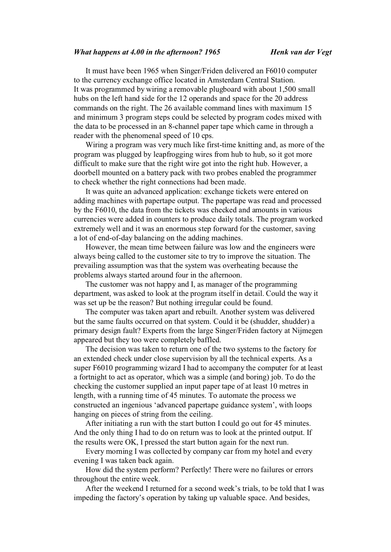### *What happens at 4.00 in the afternoon? 1965 Henk van der Vegt*

It must have been 1965 when Singer/Friden delivered an F6010 computer to the currency exchange office located in Amsterdam Central Station. It was programmed by wiring a removable plugboard with about 1,500 small hubs on the left hand side for the 12 operands and space for the 20 address commands on the right. The 26 available command lines with maximum 15 and minimum 3 program steps could be selected by program codes mixed with the data to be processed in an 8-channel paper tape which came in through a reader with the phenomenal speed of 10 cps.

Wiring a program was very much like first-time knitting and, as more of the program was plugged by leapfrogging wires from hub to hub, so it got more difficult to make sure that the right wire got into the right hub. However, a doorbell mounted on a battery pack with two probes enabled the programmer to check whether the right connections had been made.

It was quite an advanced application: exchange tickets were entered on adding machines with papertape output. The papertape was read and processed by the F6010, the data from the tickets was checked and amounts in various currencies were added in counters to produce daily totals. The program worked extremely well and it was an enormous step forward for the customer, saving a lot of end-of-day balancing on the adding machines.

However, the mean time between failure was low and the engineers were always being called to the customer site to try to improve the situation. The prevailing assumption was that the system was overheating because the problems always started around four in the afternoon.

The customer was not happy and I, as manager of the programming department, was asked to look at the program itself in detail. Could the way it was set up be the reason? But nothing irregular could be found.

The computer was taken apart and rebuilt. Another system was delivered but the same faults occurred on that system. Could it be (shudder, shudder) a primary design fault? Experts from the large Singer/Friden factory at Nijmegen appeared but they too were completely baffled.

The decision was taken to return one of the two systems to the factory for an extended check under close supervision by all the technical experts. As a super F6010 programming wizard I had to accompany the computer for at least a fortnight to act as operator, which was a simple (and boring) job. To do the checking the customer supplied an input paper tape of at least 10 metres in length, with a running time of 45 minutes. To automate the process we constructed an ingenious 'advanced papertape guidance system', with loops hanging on pieces of string from the ceiling.

After initiating a run with the start button I could go out for 45 minutes. And the only thing I had to do on return was to look at the printed output. If the results were OK, I pressed the start button again for the next run.

Every morning I was collected by company car from my hotel and every evening I was taken back again.

How did the system perform? Perfectly! There were no failures or errors throughout the entire week.

After the weekend I returned for a second week's trials, to be told that I was impeding the factory's operation by taking up valuable space. And besides,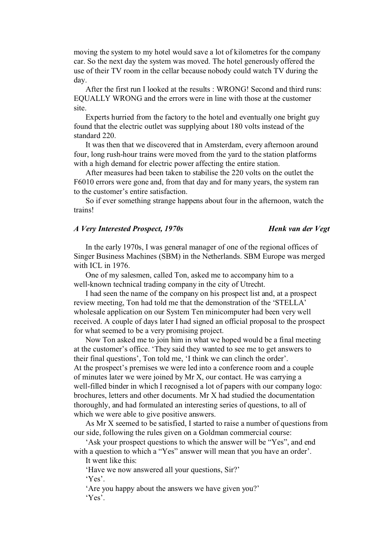moving the system to my hotel would save a lot of kilometres for the company car. So the next day the system was moved. The hotel generously offered the use of their TV room in the cellar because nobody could watch TV during the day.

After the first run I looked at the results : WRONG! Second and third runs: EQUALLY WRONG and the errors were in line with those at the customer site.

Experts hurried from the factory to the hotel and eventually one bright guy found that the electric outlet was supplying about 180 volts instead of the standard 220.

It was then that we discovered that in Amsterdam, every afternoon around four, long rush-hour trains were moved from the yard to the station platforms with a high demand for electric power affecting the entire station.

After measures had been taken to stabilise the 220 volts on the outlet the F6010 errors were gone and, from that day and for many years, the system ran to the customer's entire satisfaction.

So if ever something strange happens about four in the afternoon, watch the trains!

# *A Very Interested Prospect, 1970s Henk van der Vegt*

In the early 1970s, I was general manager of one of the regional offices of Singer Business Machines (SBM) in the Netherlands. SBM Europe was merged with ICL in 1976.

One of my salesmen, called Ton, asked me to accompany him to a well-known technical trading company in the city of Utrecht.

I had seen the name of the company on his prospect list and, at a prospect review meeting, Ton had told me that the demonstration of the 'STELLA' wholesale application on our System Ten minicomputer had been very well received. A couple of days later I had signed an official proposal to the prospect for what seemed to be a very promising project.

Now Ton asked me to join him in what we hoped would be a final meeting at the customer's office. 'They said they wanted to see me to get answers to their final questions', Ton told me, 'I think we can clinch the order'. At the prospect's premises we were led into a conference room and a couple of minutes later we were joined by Mr X, our contact. He was carrying a well-filled binder in which I recognised a lot of papers with our company logo: brochures, letters and other documents. Mr X had studied the documentation thoroughly, and had formulated an interesting series of questions, to all of which we were able to give positive answers.

As Mr X seemed to be satisfied, I started to raise a number of questions from our side, following the rules given on a Goldman commercial course:

'Ask your prospect questions to which the answer will be "Yes", and end with a question to which a "Yes" answer will mean that you have an order'.

It went like this:

'Have we now answered all your questions, Sir?'

'Yes'.

'Are you happy about the answers we have given you?' 'Yes'.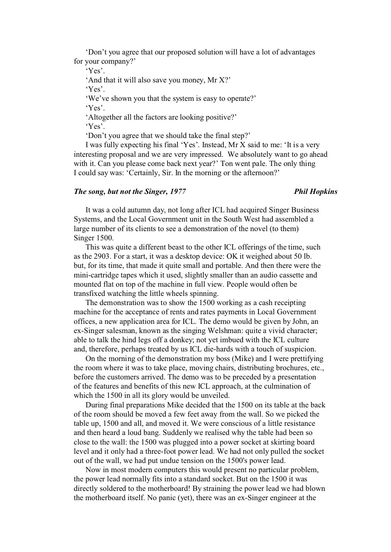'Don't you agree that our proposed solution will have a lot of advantages for your company?'

'Yes'.

'And that it will also save you money, Mr X?'

'Yes'.

'We've shown you that the system is easy to operate?' 'Yes'.

'Altogether all the factors are looking positive?'

'Yes'.

'Don't you agree that we should take the final step?'

I was fully expecting his final 'Yes'. Instead, Mr X said to me: 'It is a very interesting proposal and we are very impressed. We absolutely want to go ahead with it. Can you please come back next year?' Ton went pale. The only thing I could say was: 'Certainly, Sir. In the morning or the afternoon?'

### *The song, but not the Singer, 1977 Phil Hopkins*

It was a cold autumn day, not long after ICL had acquired Singer Business Systems, and the Local Government unit in the South West had assembled a large number of its clients to see a demonstration of the novel (to them) Singer 1500.

This was quite a different beast to the other ICL offerings of the time, such as the 2903. For a start, it was a desktop device: OK it weighed about 50 lb. but, for its time, that made it quite small and portable. And then there were the mini-cartridge tapes which it used, slightly smaller than an audio cassette and mounted flat on top of the machine in full view. People would often be transfixed watching the little wheels spinning.

The demonstration was to show the 1500 working as a cash receipting machine for the acceptance of rents and rates payments in Local Government offices, a new application area for ICL. The demo would be given by John, an ex-Singer salesman, known as the singing Welshman: quite a vivid character; able to talk the hind legs off a donkey; not yet imbued with the ICL culture and, therefore, perhaps treated by us ICL die-hards with a touch of suspicion.

On the morning of the demonstration my boss (Mike) and I were prettifying the room where it was to take place, moving chairs, distributing brochures, etc., before the customers arrived. The demo was to be preceded by a presentation of the features and benefits of this new ICL approach, at the culmination of which the 1500 in all its glory would be unveiled.

During final preparations Mike decided that the 1500 on its table at the back of the room should be moved a few feet away from the wall. So we picked the table up, 1500 and all, and moved it. We were conscious of a little resistance and then heard a loud bang. Suddenly we realised why the table had been so close to the wall: the 1500 was plugged into a power socket at skirting board level and it only had a three-foot power lead. We had not only pulled the socket out of the wall, we had put undue tension on the 1500's power lead.

Now in most modern computers this would present no particular problem, the power lead normally fits into a standard socket. But on the 1500 it was directly soldered to the motherboard! By straining the power lead we had blown the motherboard itself. No panic (yet), there was an ex-Singer engineer at the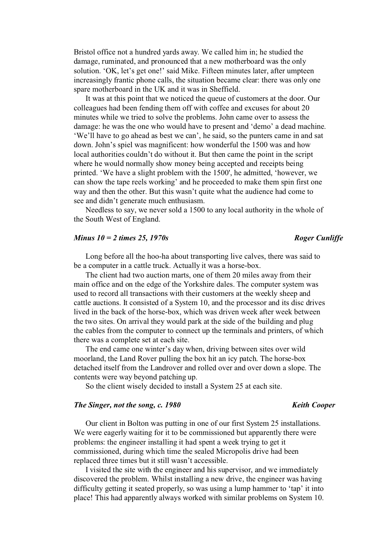Bristol office not a hundred yards away. We called him in; he studied the damage, ruminated, and pronounced that a new motherboard was the only solution. 'OK, let's get one!' said Mike. Fifteen minutes later, after umpteen increasingly frantic phone calls, the situation became clear: there was only one spare motherboard in the UK and it was in Sheffield.

It was at this point that we noticed the queue of customers at the door. Our colleagues had been fending them off with coffee and excuses for about 20 minutes while we tried to solve the problems. John came over to assess the damage: he was the one who would have to present and 'demo' a dead machine. 'We'll have to go ahead as best we can', he said, so the punters came in and sat down. John's spiel was magnificent: how wonderful the 1500 was and how local authorities couldn't do without it. But then came the point in the script where he would normally show money being accepted and receipts being printed. 'We have a slight problem with the 1500', he admitted, 'however, we can show the tape reels working' and he proceeded to make them spin first one way and then the other. But this wasn't quite what the audience had come to see and didn't generate much enthusiasm.

Needless to say, we never sold a 1500 to any local authority in the whole of the South West of England.

### *Minus*  $10 = 2$  *times 25, 1970s* Roger Cunliffe

Long before all the hoo-ha about transporting live calves, there was said to be a computer in a cattle truck. Actually it was a horse-box.

The client had two auction marts, one of them 20 miles away from their main office and on the edge of the Yorkshire dales. The computer system was used to record all transactions with their customers at the weekly sheep and cattle auctions. It consisted of a System 10, and the processor and its disc drives lived in the back of the horse-box, which was driven week after week between the two sites. On arrival they would park at the side of the building and plug the cables from the computer to connect up the terminals and printers, of which there was a complete set at each site.

The end came one winter's day when, driving between sites over wild moorland, the Land Rover pulling the box hit an icy patch. The horse-box detached itself from the Landrover and rolled over and over down a slope. The contents were way beyond patching up.

So the client wisely decided to install a System 25 at each site.

# *The Singer, not the song, c. 1980* Keith Cooper

Our client in Bolton was putting in one of our first System 25 installations. We were eagerly waiting for it to be commissioned but apparently there were problems: the engineer installing it had spent a week trying to get it commissioned, during which time the sealed Micropolis drive had been replaced three times but it still wasn't accessible.

I visited the site with the engineer and his supervisor, and we immediately discovered the problem. Whilst installing a new drive, the engineer was having difficulty getting it seated properly, so was using a lump hammer to 'tap' it into place! This had apparently always worked with similar problems on System 10.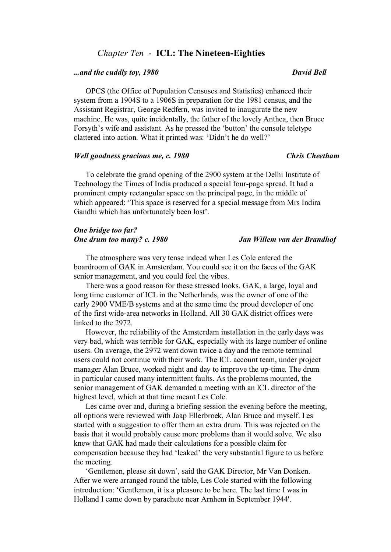# *Chapter Ten* - **ICL: The Nineteen-Eighties**

## *and the cuddly toy, 1980* David Bell

OPCS (the Office of Population Censuses and Statistics) enhanced their system from a 1904S to a 1906S in preparation for the 1981 census, and the Assistant Registrar, George Redfern, was invited to inaugurate the new machine. He was, quite incidentally, the father of the lovely Anthea, then Bruce Forsyth's wife and assistant. As he pressed the 'button' the console teletype clattered into action. What it printed was: 'Didn't he do well?'

### *Well goodness gracious me, c. 1980 Chris Cheetham*

To celebrate the grand opening of the 2900 system at the Delhi Institute of Technology the Times of India produced a special four-page spread. It had a prominent empty rectangular space on the principal page, in the middle of which appeared: 'This space is reserved for a special message from Mrs Indira Gandhi which has unfortunately been lost'.

# *One bridge too far? One drum too many? c. 1980 Jan Willem van der Brandhof*

The atmosphere was very tense indeed when Les Cole entered the boardroom of GAK in Amsterdam. You could see it on the faces of the GAK senior management, and you could feel the vibes.

There was a good reason for these stressed looks. GAK, a large, loyal and long time customer of ICL in the Netherlands, was the owner of one of the early 2900 VME/B systems and at the same time the proud developer of one of the first wide-area networks in Holland. All 30 GAK district offices were linked to the 2972.

However, the reliability of the Amsterdam installation in the early days was very bad, which was terrible for GAK, especially with its large number of online users. On average, the 2972 went down twice a day and the remote terminal users could not continue with their work. The ICL account team, under project manager Alan Bruce, worked night and day to improve the up-time. The drum in particular caused many intermittent faults. As the problems mounted, the senior management of GAK demanded a meeting with an ICL director of the highest level, which at that time meant Les Cole.

Les came over and, during a briefing session the evening before the meeting, all options were reviewed with Jaap Ellerbroek, Alan Bruce and myself. Les started with a suggestion to offer them an extra drum. This was rejected on the basis that it would probably cause more problems than it would solve. We also knew that GAK had made their calculations for a possible claim for compensation because they had 'leaked' the very substantial figure to us before the meeting.

'Gentlemen, please sit down', said the GAK Director, Mr Van Donken. After we were arranged round the table, Les Cole started with the following introduction: 'Gentlemen, it is a pleasure to be here. The last time I was in Holland I came down by parachute near Arnhem in September 1944'.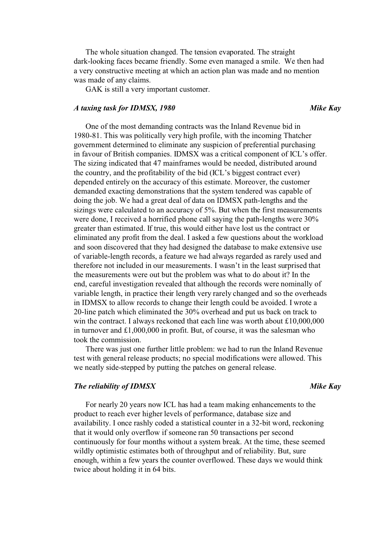The whole situation changed. The tension evaporated. The straight dark-looking faces became friendly. Some even managed a smile. We then had a very constructive meeting at which an action plan was made and no mention was made of any claims.

GAK is still a very important customer.

# *A taxing task for IDMSX, 1980* Mike Kay

One of the most demanding contracts was the Inland Revenue bid in 1980-81. This was politically very high profile, with the incoming Thatcher government determined to eliminate any suspicion of preferential purchasing in favour of British companies. IDMSX was a critical component of ICL's offer. The sizing indicated that 47 mainframes would be needed, distributed around the country, and the profitability of the bid (ICL's biggest contract ever) depended entirely on the accuracy of this estimate. Moreover, the customer demanded exacting demonstrations that the system tendered was capable of doing the job. We had a great deal of data on IDMSX path-lengths and the sizings were calculated to an accuracy of 5%. But when the first measurements were done, I received a horrified phone call saying the path-lengths were 30% greater than estimated. If true, this would either have lost us the contract or eliminated any profit from the deal. I asked a few questions about the workload and soon discovered that they had designed the database to make extensive use of variable-length records, a feature we had always regarded as rarely used and therefore not included in our measurements. I wasn't in the least surprised that the measurements were out but the problem was what to do about it? In the end, careful investigation revealed that although the records were nominally of variable length, in practice their length very rarely changed and so the overheads in IDMSX to allow records to change their length could be avoided. I wrote a 20-line patch which eliminated the 30% overhead and put us back on track to win the contract. I always reckoned that each line was worth about £10,000,000 in turnover and £1,000,000 in profit. But, of course, it was the salesman who took the commission.

There was just one further little problem: we had to run the Inland Revenue test with general release products; no special modifications were allowed. This we neatly side-stepped by putting the patches on general release.

### *The reliability of IDMSX* Mike Kay *Mike Kay Mike Kay*

For nearly 20 years now ICL has had a team making enhancements to the product to reach ever higher levels of performance, database size and availability. I once rashly coded a statistical counter in a 32-bit word, reckoning that it would only overflow if someone ran 50 transactions per second continuously for four months without a system break. At the time, these seemed wildly optimistic estimates both of throughput and of reliability. But, sure enough, within a few years the counter overflowed. These days we would think twice about holding it in 64 bits.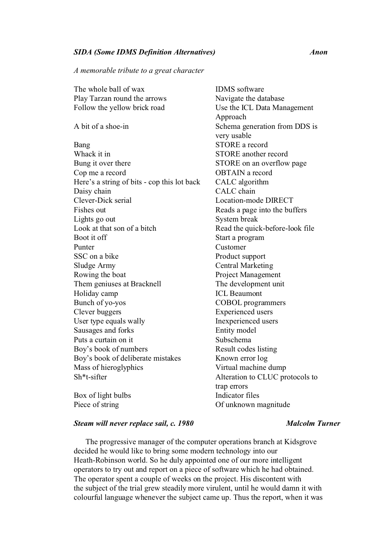# *SIDA (Some IDMS Definition Alternatives) Anon*

*A memorable tribute to a great character*

| The whole ball of wax                       | <b>IDMS</b> software            |
|---------------------------------------------|---------------------------------|
| Play Tarzan round the arrows                | Navigate the database           |
| Follow the yellow brick road                | Use the ICL Data Management     |
|                                             | Approach                        |
| A bit of a shoe-in                          | Schema generation from DDS is   |
|                                             | very usable                     |
| Bang                                        | <b>STORE</b> a record           |
| Whack it in                                 | <b>STORE</b> another record     |
| Bung it over there                          | STORE on an overflow page       |
| Cop me a record                             | <b>OBTAIN</b> a record          |
| Here's a string of bits - cop this lot back | CALC algorithm                  |
| Daisy chain                                 | CALC chain                      |
| Clever-Dick serial                          | Location-mode DIRECT            |
| Fishes out                                  | Reads a page into the buffers   |
| Lights go out                               | System break                    |
| Look at that son of a bitch                 | Read the quick-before-look file |
| Boot it off                                 | Start a program                 |
| Punter                                      | Customer                        |
| SSC on a bike                               | Product support                 |
| Sludge Army                                 | <b>Central Marketing</b>        |
| Rowing the boat                             | Project Management              |
| Them geniuses at Bracknell                  | The development unit            |
| Holiday camp                                | <b>ICL Beaumont</b>             |
| Bunch of yo-yos                             | <b>COBOL</b> programmers        |
| Clever buggers                              | <b>Experienced</b> users        |
| User type equals wally                      | Inexperienced users             |
| Sausages and forks                          | Entity model                    |
| Puts a curtain on it                        | Subschema                       |
| Boy's book of numbers                       | Result codes listing            |
| Boy's book of deliberate mistakes           | Known error log                 |
| Mass of hieroglyphics                       | Virtual machine dump            |
| Sh*t-sifter                                 | Alteration to CLUC protocols to |
|                                             | trap errors                     |
| Box of light bulbs                          | Indicator files                 |
| Piece of string                             | Of unknown magnitude            |
|                                             |                                 |

# **Steam will never replace sail, c. 1980** Malcolm Turner

The progressive manager of the computer operations branch at Kidsgrove decided he would like to bring some modern technology into our Heath-Robinson world. So he duly appointed one of our more intelligent operators to try out and report on a piece of software which he had obtained. The operator spent a couple of weeks on the project. His discontent with the subject of the trial grew steadily more virulent, until he would damn it with colourful language whenever the subject came up. Thus the report, when it was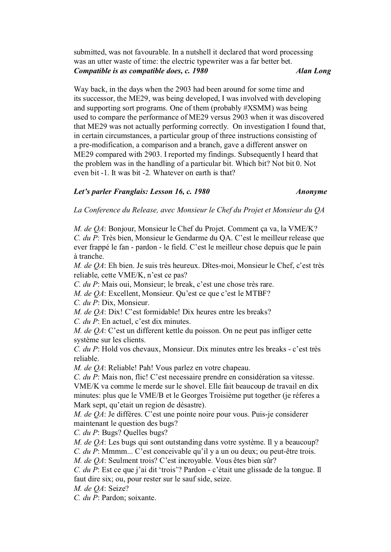submitted, was not favourable. In a nutshell it declared that word processing was an utter waste of time: the electric typewriter was a far better bet. *Compatible is as compatible does, c. 1980* Alan Long

Way back, in the days when the 2903 had been around for some time and its successor, the ME29, was being developed, I was involved with developing and supporting sort programs. One of them (probably #XSMM) was being used to compare the performance of ME29 versus 2903 when it was discovered that ME29 was not actually performing correctly. On investigation I found that, in certain circumstances, a particular group of three instructions consisting of a pre-modification, a comparison and a branch, gave a different answer on ME29 compared with 2903. I reported my findings. Subsequently I heard that the problem was in the handling of a particular bit. Which bit? Not bit 0. Not even bit -1. It was bit -2. Whatever on earth is that?

# *Let's parler Franglais: Lesson 16, c. 1980 Anonyme*

*La Conference du Release, avec Monsieur le Chef du Projet et Monsieur du QA*

*M. de QA*: Bonjour, Monsieur le Chef du Projet. Comment ça va, la VME/K? *C. du P*: Très bien, Monsieur le Gendarme du QA. C'est le meilleur release que ever frappé le fan - pardon - le field. C'est le meilleur chose depuis que le pain à tranche.

*M. de QA*: Eh bien. Je suis très heureux. Dîtes-moi, Monsieur le Chef, c'est très reliable, cette VME/K, n'est ce pas?

*C. du P*: Mais oui, Monsieur; le break, c'est une chose très rare.

*M. de QA*: Excellent, Monsieur. Qu'est ce que c'est le MTBF?

*C. du P*: Dix, Monsieur.

*M. de QA*: Dix! C'est formidable! Dix heures entre les breaks?

*C. du P*: En actuel, c'est dix minutes.

*M. de QA*: C'est un different kettle du poisson. On ne peut pas infliger cette système sur les clients.

*C. du P*: Hold vos chevaux, Monsieur. Dix minutes entre les breaks - c'est très reliable.

*M. de QA*: Reliable! Pah! Vous parlez en votre chapeau.

*C. du P*: Mais non, flic! C'est necessaire prendre en considération sa vitesse. VME/K va comme le merde sur le shovel. Elle fait beaucoup de travail en dix minutes: plus que le VME/B et le Georges Troisième put together (je réferes a Mark sept, qu'etait un region de désastre).

*M. de QA*: Je diffères. C'est une pointe noire pour vous. Puis-je considerer maintenant le question des bugs?

*C. du P*: Bugs? Quelles bugs?

*M. de QA*: Les bugs qui sont outstanding dans votre système. Il y a beaucoup?

*C. du P*: Mmmm... C'est conceivable qu'il y a un ou deux; ou peut-être trois.

*M. de QA*: Seulment trois? C'est incroyable. Vous êtes bien sûr?

*C. du P*: Est ce que j'ai dit 'trois'? Pardon - c'était une glissade de la tongue. Il faut dire six; ou, pour rester sur le sauf side, seize.

*M. de QA*: Seize?

*C. du P*: Pardon; soixante.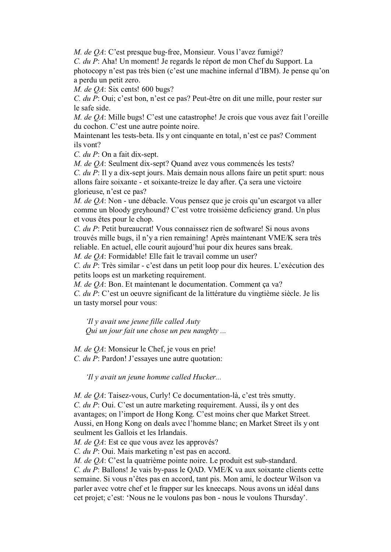*M. de QA*: C'est presque bug-free, Monsieur. Vous l'avez fumigé?

*C. du P*: Aha! Un moment! Je regards le réport de mon Chef du Support. La photocopy n'est pas très bien (c'est une machine infernal d'IBM). Je pense qu'on a perdu un petit zero.

*M. de QA*: Six cents! 600 bugs?

*C. du P*: Oui; c'est bon, n'est ce pas? Peut-être on dit une mille, pour rester sur le safe side.

*M. de QA*: Mille bugs! C'est une catastrophe! Je crois que vous avez fait l'oreille du cochon. C'est une autre pointe noire.

Maintenant les tests-beta. Ils y ont cinquante en total, n'est ce pas? Comment ils vont?

*C. du P*: On a fait dix-sept.

*M. de QA*: Seulment dix-sept? Quand avez vous commencés les tests?

*C. du P*: Il y a dix-sept jours. Mais demain nous allons faire un petit spurt: nous allons faire soixante - et soixante-treize le day after. Ça sera une victoire glorieuse, n'est ce pas?

*M. de QA*: Non - une débacle. Vous pensez que je crois qu'un escargot va aller comme un bloody greyhound? C'est votre troisième deficiency grand. Un plus et vous êtes pour le chop.

*C. du P*: Petit bureaucrat! Vous connaissez rien de software! Si nous avons trouvés mille bugs, il n'y a rien remaining! Après maintenant VME/K sera très reliable. En actuel, elle courit aujourd'hui pour dix heures sans break.

*M. de QA*: Formidable! Elle fait le travail comme un user?

*C. du P*: Très similar - c'est dans un petit loop pour dix heures. L'exécution des petits loops est un marketing requirement.

*M. de QA*: Bon. Et maintenant le documentation. Comment ça va?

*C. du P*: C'est un oeuvre significant de la littérature du vingtième siècle. Je lis un tasty morsel pour vous:

*'Il y avait une jeune fille called Auty Qui un jour fait une chose un peu naughty ...*

*M. de QA*: Monsieur le Chef, je vous en prie! *C. du P*: Pardon! J'essayes une autre quotation:

*'Il y avait un jeune homme called Hucker...* 

*M. de QA*: Taisez-vous, Curly! Ce documentation-là, c'est très smutty. *C. du P*: Oui. C'est un autre marketing requirement. Aussi, ils y ont des avantages; on l'import de Hong Kong. C'est moins cher que Market Street. Aussi, en Hong Kong on deals avec l'homme blanc; en Market Street ils y ont seulment les Gallois et les Irlandais.

*M. de QA*: Est ce que vous avez les approvés?

*C. du P*: Oui. Mais marketing n'est pas en accord.

*M. de QA*: C'est la quatrième pointe noire. Le produit est sub-standard.

*C. du P*: Ballons! Je vais by-pass le QAD. VME/K va aux soixante clients cette semaine. Si vous n'êtes pas en accord, tant pis. Mon ami, le docteur Wilson va parler avec votre chef et le frapper sur les kneecaps. Nous avons un idéal dans cet projet; c'est: 'Nous ne le voulons pas bon - nous le voulons Thursday'.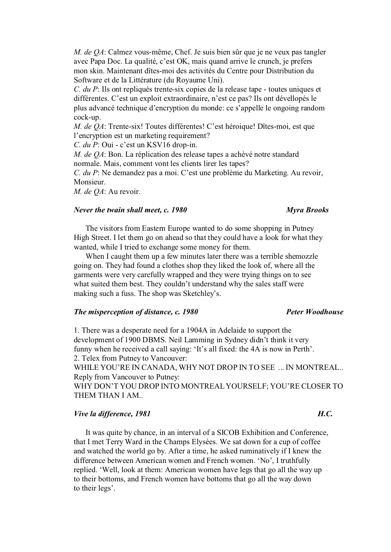*M. de QA*: Calmez vous-même, Chef. Je suis bien sûr que je ne veux pas tangler avec Papa Doc. La qualité, c'est OK, mais quand arrive le crunch, je prefers mon skin. Maintenant dîtes-moi des activités du Centre pour Distribution du Software et de la Littérature (du Royaume Uni).

*C. du P*: Ils ont repliqués trente-six copies de la release tape - toutes uniques et différentes. C'est un exploit extraordinaire, n'est ce pas? Ils ont dévellopés le plus advancé technique d'encryption du monde: ce s'appelle le ongoing random cock-up.

*M. de QA*: Trente-six! Toutes différentes! C'est héroique! Dîtes-moi, est que l'encryption est un marketing requirement?

*C. du P*: Oui - c'est un KSV16 drop-in.

*M. de QA*: Bon. La réplication des release tapes a achèvé notre standard normale. Mais, comment vont les clients lirer les tapes?

*C. du P*: Ne demandez pas a moi. C'est une problème du Marketing. Au revoir, Monsieur.

*M. de QA*: Au revoir.

# *Never the twain shall meet, c. 1980 Myra Brooks*

# The visitors from Eastern Europe wanted to do some shopping in Putney High Street. I let them go on ahead so that they could have a look for what they wanted, while I tried to exchange some money for them.

When I caught them up a few minutes later there was a terrible shemozzle going on. They had found a clothes shop they liked the look of, where all the garments were very carefully wrapped and they were trying things on to see what suited them best. They couldn't understand why the sales staff were making such a fuss. The shop was Sketchley's.

# *The misperception of distance, c. 1980 Peter Woodhouse*

1. There was a desperate need for a 1904A in Adelaide to support the development of 1900 DBMS. Neil Lamming in Sydney didn't think it very funny when he received a call saying: 'It's all fixed: the 4A is now in Perth'. 2. Telex from Putney to Vancouver:

WHILE YOU'RE IN CANADA, WHY NOT DROP IN TO SEE ... IN MONTREAL.. Reply from Vancouver to Putney:

WHY DON'T YOU DROP INTO MONTREAL YOURSELF; YOU'RE CLOSER TO THEM THAN I AM..

# *Vive la difference, 1981 H.C.* **H.C. H.C. H.C. H.C. H.C. H.C. H.C. H.C. H.C. H.C. H.C. H.C. H.C. H.C. H.C. H.C. H.C. H.C. H.C. H.C. H.C. H.C. H.C. H.C. H.C. H.C. H.C.**

It was quite by chance, in an interval of a SICOB Exhibition and Conference, that I met Terry Ward in the Champs Elysées. We sat down for a cup of coffee and watched the world go by. After a time, he asked ruminatively if I knew the difference between American women and French women. 'No', I truthfully replied. 'Well, look at them: American women have legs that go all the way up to their bottoms, and French women have bottoms that go all the way down to their legs'.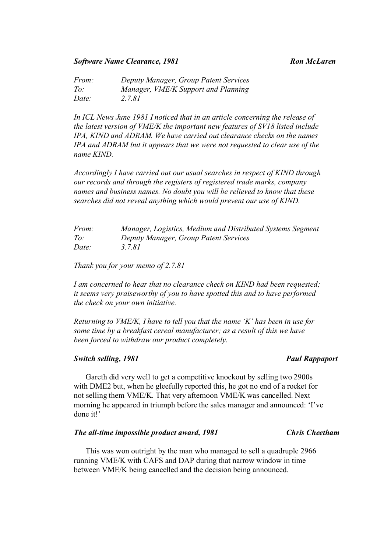# **Software Name Clearance, 1981** Ron McLaren Ron McLaren

*From: Deputy Manager, Group Patent Services To: Manager, VME/K Support and Planning Date: 2.7.81*

*In ICL News June 1981 I noticed that in an article concerning the release of the latest version of VME/K the important new features of SV18 listed include IPA, KIND and ADRAM. We have carried out clearance checks on the names IPA and ADRAM but it appears that we were not requested to clear use of the name KIND.* 

*Accordingly I have carried out our usual searches in respect of KIND through our records and through the registers of registered trade marks, company names and business names. No doubt you will be relieved to know that these searches did not reveal anything which would prevent our use of KIND.* 

| <i>From:</i> | Manager, Logistics, Medium and Distributed Systems Segment |
|--------------|------------------------------------------------------------|
| To:          | Deputy Manager, Group Patent Services                      |
| Date:        | 3.7.81                                                     |

*Thank you for your memo of 2.7.81* 

*I am concerned to hear that no clearance check on KIND had been requested; it seems very praiseworthy of you to have spotted this and to have performed the check on your own initiative.* 

*Returning to VME/K, I have to tell you that the name 'K' has been in use for some time by a breakfast cereal manufacturer; as a result of this we have been forced to withdraw our product completely.*

### *Switch selling, 1981 Paul Rappaport Paul Rappaport*

Gareth did very well to get a competitive knockout by selling two 2900s with DME2 but, when he gleefully reported this, he got no end of a rocket for not selling them VME/K. That very afternoon VME/K was cancelled. Next morning he appeared in triumph before the sales manager and announced: 'I've done it!'

# *The all-time impossible product award, 1981* Chris Cheetham **Chris Cheetham**

This was won outright by the man who managed to sell a quadruple 2966 running VME/K with CAFS and DAP during that narrow window in time between VME/K being cancelled and the decision being announced.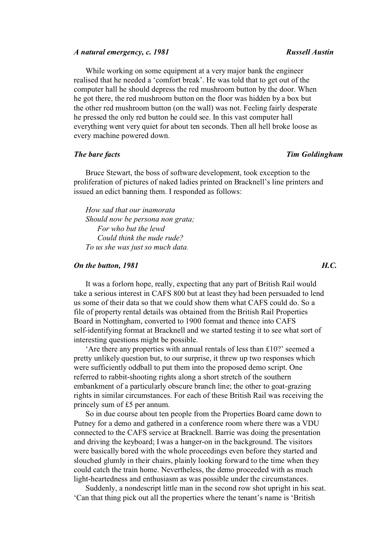### *A natural emergency, c. 1981 Russell Austin*

While working on some equipment at a very major bank the engineer realised that he needed a 'comfort break'. He was told that to get out of the computer hall he should depress the red mushroom button by the door. When he got there, the red mushroom button on the floor was hidden by a box but the other red mushroom button (on the wall) was not. Feeling fairly desperate he pressed the only red button he could see. In this vast computer hall everything went very quiet for about ten seconds. Then all hell broke loose as every machine powered down.

## *The bare facts Tim Goldingham*

Bruce Stewart, the boss of software development, took exception to the proliferation of pictures of naked ladies printed on Bracknell's line printers and issued an edict banning them. I responded as follows:

*How sad that our inamorata Should now be persona non grata; For who but the lewd Could think the nude rude? To us she was just so much data.* 

### *On the button, 1981 H.C.*

It was a forlorn hope, really, expecting that any part of British Rail would take a serious interest in CAFS 800 but at least they had been persuaded to lend us some of their data so that we could show them what CAFS could do. So a file of property rental details was obtained from the British Rail Properties Board in Nottingham, converted to 1900 format and thence into CAFS self-identifying format at Bracknell and we started testing it to see what sort of interesting questions might be possible.

'Are there any properties with annual rentals of less than £10?' seemed a pretty unlikely question but, to our surprise, it threw up two responses which were sufficiently oddball to put them into the proposed demo script. One referred to rabbit-shooting rights along a short stretch of the southern embankment of a particularly obscure branch line; the other to goat-grazing rights in similar circumstances. For each of these British Rail was receiving the princely sum of £5 per annum.

So in due course about ten people from the Properties Board came down to Putney for a demo and gathered in a conference room where there was a VDU connected to the CAFS service at Bracknell. Barrie was doing the presentation and driving the keyboard; I was a hanger-on in the background. The visitors were basically bored with the whole proceedings even before they started and slouched glumly in their chairs, plainly looking forward to the time when they could catch the train home. Nevertheless, the demo proceeded with as much light-heartedness and enthusiasm as was possible under the circumstances.

Suddenly, a nondescript little man in the second row shot upright in his seat. 'Can that thing pick out all the properties where the tenant's name is 'British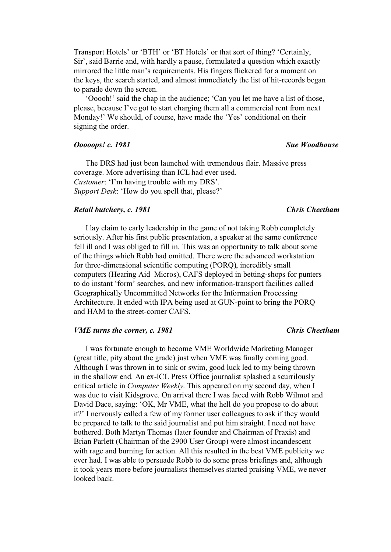Transport Hotels' or 'BTH' or 'BT Hotels' or that sort of thing? 'Certainly, Sir', said Barrie and, with hardly a pause, formulated a question which exactly mirrored the little man's requirements. His fingers flickered for a moment on the keys, the search started, and almost immediately the list of hit-records began to parade down the screen.

'Ooooh!' said the chap in the audience; 'Can you let me have a list of those, please, because I've got to start charging them all a commercial rent from next Monday!' We should, of course, have made the 'Yes' conditional on their signing the order.

### *Ooooops! c. 1981* Sue Woodhouse *Sue Woodhouse* **Sue Woodhouse** *Sue Woodhouse*

The DRS had just been launched with tremendous flair. Massive press coverage. More advertising than ICL had ever used. *Customer*: 'I'm having trouble with my DRS'. *Support Desk*: 'How do you spell that, please?'

### *Retail butchery, c. 1981 Chris Cheetham*

I lay claim to early leadership in the game of not taking Robb completely seriously. After his first public presentation, a speaker at the same conference fell ill and I was obliged to fill in. This was an opportunity to talk about some of the things which Robb had omitted. There were the advanced workstation for three-dimensional scientific computing (PORQ), incredibly small computers (Hearing Aid Micros), CAFS deployed in betting-shops for punters to do instant 'form' searches, and new information-transport facilities called Geographically Uncommitted Networks for the Information Processing Architecture. It ended with IPA being used at GUN-point to bring the PORQ and HAM to the street-corner CAFS.

### *VME turns the corner, c. 1981 Chris Cheetham*

# I was fortunate enough to become VME Worldwide Marketing Manager (great title, pity about the grade) just when VME was finally coming good. Although I was thrown in to sink or swim, good luck led to my being thrown in the shallow end. An ex-ICL Press Office journalist splashed a scurrilously critical article in *Computer Weekly*. This appeared on my second day, when I was due to visit Kidsgrove. On arrival there I was faced with Robb Wilmot and David Dace, saying: 'OK, Mr VME, what the hell do you propose to do about it?' I nervously called a few of my former user colleagues to ask if they would be prepared to talk to the said journalist and put him straight. I need not have bothered. Both Martyn Thomas (later founder and Chairman of Praxis) and Brian Parlett (Chairman of the 2900 User Group) were almost incandescent with rage and burning for action. All this resulted in the best VME publicity we ever had. I was able to persuade Robb to do some press briefings and, although it took years more before journalists themselves started praising VME, we never looked back.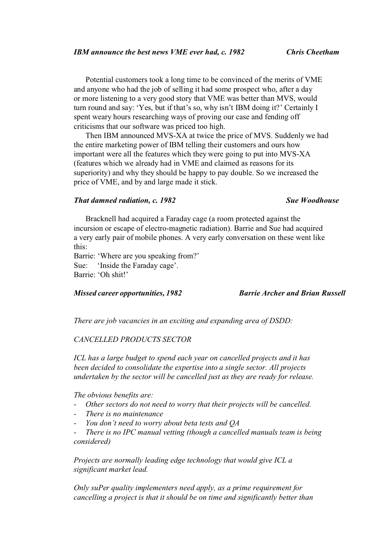Potential customers took a long time to be convinced of the merits of VME and anyone who had the job of selling it had some prospect who, after a day or more listening to a very good story that VME was better than MVS, would turn round and say: 'Yes, but if that's so, why isn't IBM doing it?' Certainly I spent weary hours researching ways of proving our case and fending off criticisms that our software was priced too high.

Then IBM announced MVS-XA at twice the price of MVS. Suddenly we had the entire marketing power of IBM telling their customers and ours how important were all the features which they were going to put into MVS-XA (features which we already had in VME and claimed as reasons for its superiority) and why they should be happy to pay double. So we increased the price of VME, and by and large made it stick.

### *That damned radiation, c. 1982 Sue Woodhouse*

Bracknell had acquired a Faraday cage (a room protected against the incursion or escape of electro-magnetic radiation). Barrie and Sue had acquired a very early pair of mobile phones. A very early conversation on these went like this:

Barrie: 'Where are you speaking from?' Sue: 'Inside the Faraday cage'. Barrie: 'Oh shit!'

# *Missed career opportunities, 1982 Barrie Archer and Brian Russell*

*There are job vacancies in an exciting and expanding area of DSDD:*

### *CANCELLED PRODUCTS SECTOR*

*ICL has a large budget to spend each year on cancelled projects and it has been decided to consolidate the expertise into a single sector. All projects undertaken by the sector will be cancelled just as they are ready for release.* 

*The obvious benefits are:* 

- *- Other sectors do not need to worry that their projects will be cancelled.*
- *- There is no maintenance*
- *- You don't need to worry about beta tests and QA*
- *There is no IPC manual vetting (though a cancelled manuals team is being considered)*

*Projects are normally leading edge technology that would give ICL a significant market lead.* 

*Only suPer quality implementers need apply, as a prime requirement for cancelling a project is that it should be on time and significantly better than*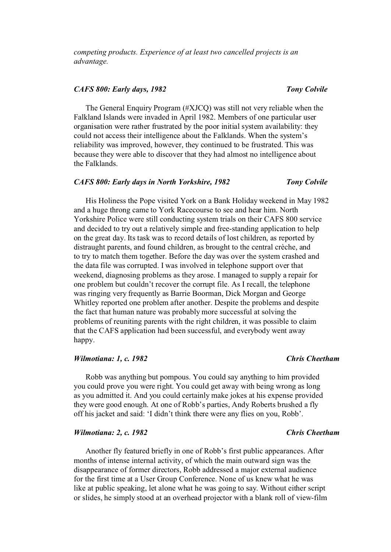### *CAFS 800: Early days, 1982 Tony Colvile*

The General Enquiry Program (#XJCQ) was still not very reliable when the Falkland Islands were invaded in April 1982. Members of one particular user organisation were rather frustrated by the poor initial system availability: they could not access their intelligence about the Falklands. When the system's reliability was improved, however, they continued to be frustrated. This was because they were able to discover that they had almost no intelligence about the Falklands.

### *CAFS 800: Early days in North Yorkshire, 1982 Tony Colvile*

His Holiness the Pope visited York on a Bank Holiday weekend in May 1982 and a huge throng came to York Racecourse to see and hear him. North Yorkshire Police were still conducting system trials on their CAFS 800 service and decided to try out a relatively simple and free-standing application to help on the great day. Its task was to record details of lost children, as reported by distraught parents, and found children, as brought to the central crèche, and to try to match them together. Before the day was over the system crashed and the data file was corrupted. I was involved in telephone support over that weekend, diagnosing problems as they arose. I managed to supply a repair for one problem but couldn't recover the corrupt file. As I recall, the telephone was ringing very frequently as Barrie Boorman, Dick Morgan and George Whitley reported one problem after another. Despite the problems and despite the fact that human nature was probably more successful at solving the problems of reuniting parents with the right children, it was possible to claim that the CAFS application had been successful, and everybody went away happy.

### *Wilmotiana: 1, c. 1982 Chris Cheetham*

Robb was anything but pompous. You could say anything to him provided you could prove you were right. You could get away with being wrong as long as you admitted it. And you could certainly make jokes at his expense provided they were good enough. At one of Robb's parties, Andy Roberts brushed a fly off his jacket and said: 'I didn't think there were any flies on you, Robb'.

### *Wilmotiana: 2, c. 1982 Chris Cheetham*

Another fly featured briefly in one of Robb's first public appearances. After months of intense internal activity, of which the main outward sign was the disappearance of former directors, Robb addressed a major external audience for the first time at a User Group Conference. None of us knew what he was like at public speaking, let alone what he was going to say. Without either script or slides, he simply stood at an overhead projector with a blank roll of view-film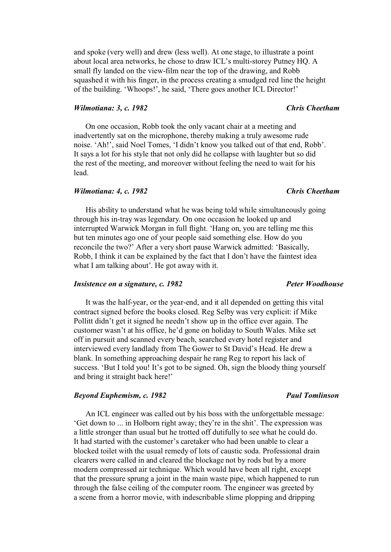and spoke (very well) and drew (less well). At one stage, to illustrate a point about local area networks, he chose to draw ICL's multi-storey Putney HQ. A small fly landed on the view-film near the top of the drawing, and Robb squashed it with his finger, in the process creating a smudged red line the height of the building. 'Whoops!', he said, 'There goes another ICL Director!'

### *Wilmotiana: 3, c. 1982 Chris Cheetham*

On one occasion, Robb took the only vacant chair at a meeting and inadvertently sat on the microphone, thereby making a truly awesome rude noise. 'Ah!', said Noel Tomes, 'I didn't know you talked out of that end, Robb'. It says a lot for his style that not only did he collapse with laughter but so did the rest of the meeting, and moreover without feeling the need to wait for his lead.

### *Wilmotiana: 4, c. 1982 Chris Cheetham*

His ability to understand what he was being told while simultaneously going through his in-tray was legendary. On one occasion he looked up and interrupted Warwick Morgan in full flight. 'Hang on, you are telling me this but ten minutes ago one of your people said something else. How do you reconcile the two?' After a very short pause Warwick admitted: 'Basically, Robb, I think it can be explained by the fact that I don't have the faintest idea what I am talking about'. He got away with it.

# *Insistence on a signature, c. 1982* Peter Woodhouse

It was the half-year, or the year-end, and it all depended on getting this vital contract signed before the books closed. Reg Selby was very explicit: if Mike Pollitt didn't get it signed he needn't show up in the office ever again. The customer wasn't at his office, he'd gone on holiday to South Wales. Mike set off in pursuit and scanned every beach, searched every hotel register and interviewed every landlady from The Gower to St David's Head. He drew a blank. In something approaching despair he rang Reg to report his lack of success. 'But I told you! It's got to be signed. Oh, sign the bloody thing yourself and bring it straight back here!'

### *Beyond Euphemism, c. 1982* Paul Tomlinson

An ICL engineer was called out by his boss with the unforgettable message: 'Get down to ... in Holborn right away; they're in the shit'. The expression was a little stronger than usual but he trotted off dutifully to see what he could do. It had started with the customer's caretaker who had been unable to clear a blocked toilet with the usual remedy of lots of caustic soda. Professional drain clearers were called in and cleared the blockage not by rods but by a more modern compressed air technique. Which would have been all right, except that the pressure sprung a joint in the main waste pipe, which happened to run through the false ceiling of the computer room. The engineer was greeted by a scene from a horror movie, with indescribable slime plopping and dripping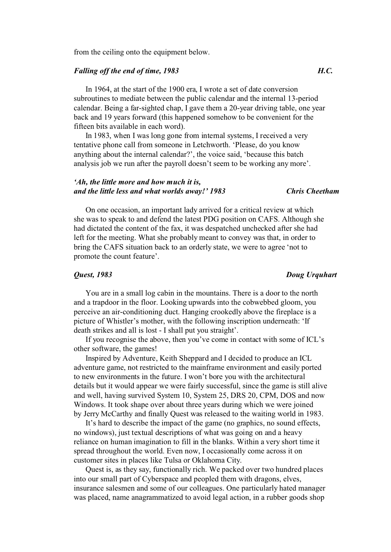from the ceiling onto the equipment below.

# *Falling off the end of time, 1983 H.C.*

In 1964, at the start of the 1900 era, I wrote a set of date conversion subroutines to mediate between the public calendar and the internal 13-period calendar. Being a far-sighted chap, I gave them a 20-year driving table, one year back and 19 years forward (this happened somehow to be convenient for the fifteen bits available in each word).

In 1983, when I was long gone from internal systems, I received a very tentative phone call from someone in Letchworth. 'Please, do you know anything about the internal calendar?', the voice said, 'because this batch analysis job we run after the payroll doesn't seem to be working any more'.

# *'Ah, the little more and how much it is, and the little less and what worlds away!' 1983 Chris Cheetham*

On one occasion, an important lady arrived for a critical review at which she was to speak to and defend the latest PDG position on CAFS. Although she had dictated the content of the fax, it was despatched unchecked after she had left for the meeting. What she probably meant to convey was that, in order to bring the CAFS situation back to an orderly state, we were to agree 'not to promote the count feature'.

### *Quest, 1983 Doug Urquhart*

You are in a small log cabin in the mountains. There is a door to the north and a trapdoor in the floor. Looking upwards into the cobwebbed gloom, you perceive an air-conditioning duct. Hanging crookedly above the fireplace is a picture of Whistler's mother, with the following inscription underneath: 'If death strikes and all is lost - I shall put you straight'.

If you recognise the above, then you've come in contact with some of ICL's other software, the games!

Inspired by Adventure, Keith Sheppard and I decided to produce an ICL adventure game, not restricted to the mainframe environment and easily ported to new environments in the future. I won't bore you with the architectural details but it would appear we were fairly successful, since the game is still alive and well, having survived System 10, System 25, DRS 20, CPM, DOS and now Windows. It took shape over about three years during which we were joined by Jerry McCarthy and finally Quest was released to the waiting world in 1983.

It's hard to describe the impact of the game (no graphics, no sound effects, no windows), just textual descriptions of what was going on and a heavy reliance on human imagination to fill in the blanks. Within a very short time it spread throughout the world. Even now, I occasionally come across it on customer sites in places like Tulsa or Oklahoma City.

Quest is, as they say, functionally rich. We packed over two hundred places into our small part of Cyberspace and peopled them with dragons, elves, insurance salesmen and some of our colleagues. One particularly hated manager was placed, name anagrammatized to avoid legal action, in a rubber goods shop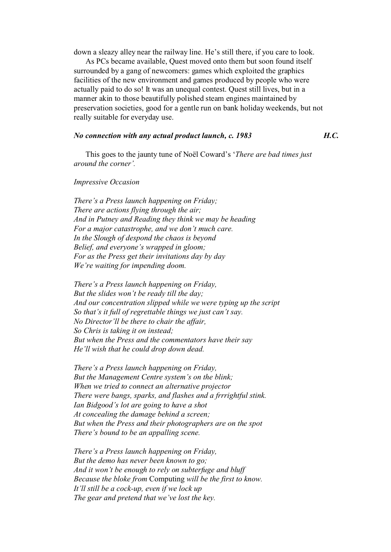down a sleazy alley near the railway line. He's still there, if you care to look.

As PCs became available, Quest moved onto them but soon found itself surrounded by a gang of newcomers: games which exploited the graphics facilities of the new environment and games produced by people who were actually paid to do so! It was an unequal contest. Quest still lives, but in a manner akin to those beautifully polished steam engines maintained by preservation societies, good for a gentle run on bank holiday weekends, but not really suitable for everyday use.

# *No connection with any actual product launch, c. 1983 H.C.*

This goes to the jaunty tune of Noël Coward's '*There are bad times just around the corner'.* 

### *Impressive Occasion*

*There's a Press launch happening on Friday; There are actions flying through the air; And in Putney and Reading they think we may be heading For a major catastrophe, and we don't much care. In the Slough of despond the chaos is beyond Belief, and everyone's wrapped in gloom; For as the Press get their invitations day by day We're waiting for impending doom.* 

*There's a Press launch happening on Friday, But the slides won't be ready till the day; And our concentration slipped while we were typing up the script So that's it full of regrettable things we just can't say. No Director'll be there to chair the affair, So Chris is taking it on instead; But when the Press and the commentators have their say He'll wish that he could drop down dead.* 

*There's a Press launch happening on Friday, But the Management Centre system's on the blink; When we tried to connect an alternative projector There were bangs, sparks, and flashes and a frrrightful stink. Ian Bidgood's lot are going to have a shot At concealing the damage behind a screen; But when the Press and their photographers are on the spot There's bound to be an appalling scene.* 

*There's a Press launch happening on Friday, But the demo has never been known to go; And it won't be enough to rely on subterfuge and bluff Because the bloke from* Computing *will be the first to know. It'll still be a cock-up, even if we lock up The gear and pretend that we've lost the key.*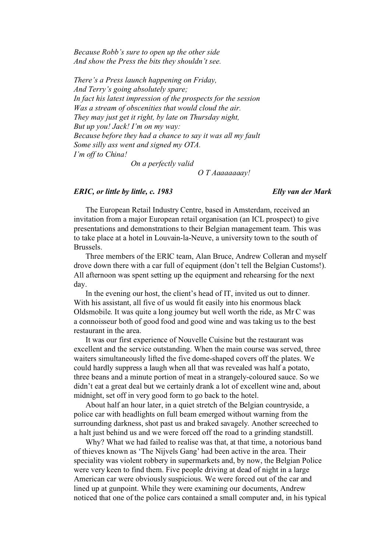*Because Robb's sure to open up the other side And show the Press the bits they shouldn't see.* 

*There's a Press launch happening on Friday, And Terry's going absolutely spare; In fact his latest impression of the prospects for the session Was a stream of obscenities that would cloud the air. They may just get it right, by late on Thursday night, But up you! Jack! I'm on my way: Because before they had a chance to say it was all my fault Some silly ass went and signed my OTA. I'm off to China! On a perfectly valid* 

 *O T Aaaaaaaay!* 

### *ERIC, or little by little, c. 1983 Elly van der Mark*

The European Retail Industry Centre, based in Amsterdam, received an invitation from a major European retail organisation (an ICL prospect) to give presentations and demonstrations to their Belgian management team. This was to take place at a hotel in Louvain-la-Neuve, a university town to the south of Brussels.

Three members of the ERIC team, Alan Bruce, Andrew Colleran and myself drove down there with a car full of equipment (don't tell the Belgian Customs!). All afternoon was spent setting up the equipment and rehearsing for the next day.

In the evening our host, the client's head of IT, invited us out to dinner. With his assistant, all five of us would fit easily into his enormous black Oldsmobile. It was quite a long journey but well worth the ride, as Mr C was a connoisseur both of good food and good wine and was taking us to the best restaurant in the area.

It was our first experience of Nouvelle Cuisine but the restaurant was excellent and the service outstanding. When the main course was served, three waiters simultaneously lifted the five dome-shaped covers off the plates. We could hardly suppress a laugh when all that was revealed was half a potato, three beans and a minute portion of meat in a strangely-coloured sauce. So we didn't eat a great deal but we certainly drank a lot of excellent wine and, about midnight, set off in very good form to go back to the hotel.

About half an hour later, in a quiet stretch of the Belgian countryside, a police car with headlights on full beam emerged without warning from the surrounding darkness, shot past us and braked savagely. Another screeched to a halt just behind us and we were forced off the road to a grinding standstill.

Why? What we had failed to realise was that, at that time, a notorious band of thieves known as 'The Nijvels Gang' had been active in the area. Their speciality was violent robbery in supermarkets and, by now, the Belgian Police were very keen to find them. Five people driving at dead of night in a large American car were obviously suspicious. We were forced out of the car and lined up at gunpoint. While they were examining our documents, Andrew noticed that one of the police cars contained a small computer and, in his typical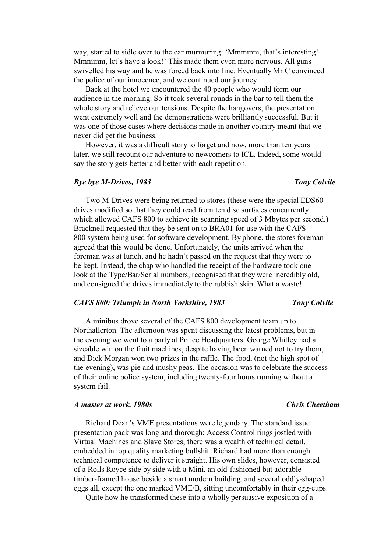way, started to sidle over to the car murmuring: 'Mmmmm, that's interesting! Mmmmm, let's have a look!' This made them even more nervous. All guns swivelled his way and he was forced back into line. Eventually Mr C convinced the police of our innocence, and we continued our journey.

Back at the hotel we encountered the 40 people who would form our audience in the morning. So it took several rounds in the bar to tell them the whole story and relieve our tensions. Despite the hangovers, the presentation went extremely well and the demonstrations were brilliantly successful. But it was one of those cases where decisions made in another country meant that we never did get the business.

However, it was a difficult story to forget and now, more than ten years later, we still recount our adventure to newcomers to ICL. Indeed, some would say the story gets better and better with each repetition.

### *Bye bye M-Drives, 1983* Tony Colvile

Two M-Drives were being returned to stores (these were the special EDS60 drives modified so that they could read from ten disc surfaces concurrently which allowed CAFS 800 to achieve its scanning speed of 3 Mbytes per second.) Bracknell requested that they be sent on to BRA01 for use with the CAFS 800 system being used for software development. By phone, the stores foreman agreed that this would be done. Unfortunately, the units arrived when the foreman was at lunch, and he hadn't passed on the request that they were to be kept. Instead, the chap who handled the receipt of the hardware took one look at the Type/Bar/Serial numbers, recognised that they were incredibly old, and consigned the drives immediately to the rubbish skip. What a waste!

# *CAFS 800: Triumph in North Yorkshire, 1983 Tony Colvile*

A minibus drove several of the CAFS 800 development team up to Northallerton. The afternoon was spent discussing the latest problems, but in the evening we went to a party at Police Headquarters. George Whitley had a sizeable win on the fruit machines, despite having been warned not to try them, and Dick Morgan won two prizes in the raffle. The food, (not the high spot of the evening), was pie and mushy peas. The occasion was to celebrate the success of their online police system, including twenty-four hours running without a system fail.

### *A master at work, 1980s Chris Cheetham*

Richard Dean's VME presentations were legendary. The standard issue presentation pack was long and thorough; Access Control rings jostled with Virtual Machines and Slave Stores; there was a wealth of technical detail, embedded in top quality marketing bullshit. Richard had more than enough technical competence to deliver it straight. His own slides, however, consisted of a Rolls Royce side by side with a Mini, an old-fashioned but adorable timber-framed house beside a smart modern building, and several oddly-shaped eggs all, except the one marked VME/B, sitting uncomfortably in their egg-cups.

Quite how he transformed these into a wholly persuasive exposition of a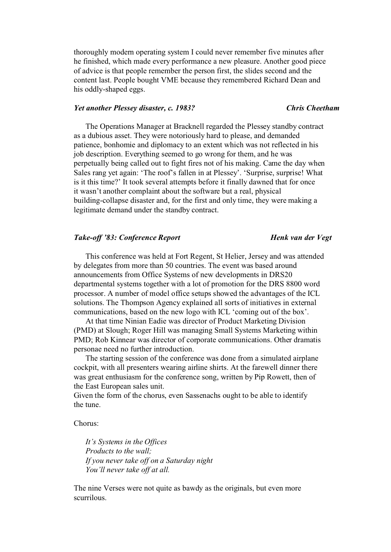thoroughly modern operating system I could never remember five minutes after he finished, which made every performance a new pleasure. Another good piece of advice is that people remember the person first, the slides second and the content last. People bought VME because they remembered Richard Dean and his oddly-shaped eggs.

### *Yet another Plessey disaster, c. 1983? Chris Cheetham*

The Operations Manager at Bracknell regarded the Plessey standby contract as a dubious asset. They were notoriously hard to please, and demanded patience, bonhomie and diplomacy to an extent which was not reflected in his job description. Everything seemed to go wrong for them, and he was perpetually being called out to fight fires not of his making. Came the day when Sales rang yet again: 'The roof's fallen in at Plessey'. 'Surprise, surprise! What is it this time?' It took several attempts before it finally dawned that for once it wasn't another complaint about the software but a real, physical building-collapse disaster and, for the first and only time, they were making a legitimate demand under the standby contract.

### *Take-off '83: Conference Report Henk van der Vegt*

# This conference was held at Fort Regent, St Helier, Jersey and was attended by delegates from more than 50 countries. The event was based around announcements from Office Systems of new developments in DRS20 departmental systems together with a lot of promotion for the DRS 8800 word processor. A number of model office setups showed the advantages of the ICL solutions. The Thompson Agency explained all sorts of initiatives in external communications, based on the new logo with ICL 'coming out of the box'.

At that time Ninian Eadie was director of Product Marketing Division (PMD) at Slough; Roger Hill was managing Small Systems Marketing within PMD; Rob Kinnear was director of corporate communications. Other dramatis personae need no further introduction.

The starting session of the conference was done from a simulated airplane cockpit, with all presenters wearing airline shirts. At the farewell dinner there was great enthusiasm for the conference song, written by Pip Rowett, then of the East European sales unit.

Given the form of the chorus, even Sassenachs ought to be able to identify the tune.

Chorus:

*It's Systems in the Offices Products to the wall; If you never take off on a Saturday night You'll never take off at all.* 

The nine Verses were not quite as bawdy as the originals, but even more scurrilous.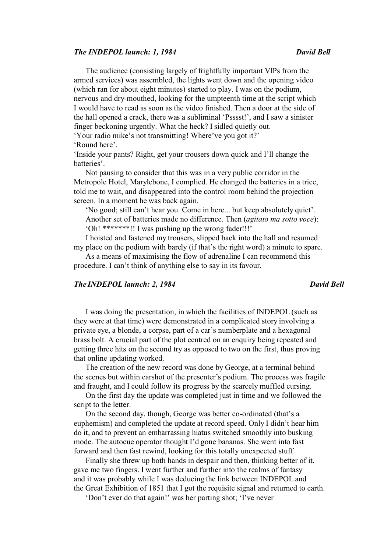### *The INDEPOL launch: 1, 1984* David Bell **David Bell**

The audience (consisting largely of frightfully important VIPs from the armed services) was assembled, the lights went down and the opening video (which ran for about eight minutes) started to play. I was on the podium, nervous and dry-mouthed, looking for the umpteenth time at the script which I would have to read as soon as the video finished. Then a door at the side of the hall opened a crack, there was a subliminal 'Psssst!', and I saw a sinister finger beckoning urgently. What the heck? I sidled quietly out. 'Your radio mike's not transmitting! Where've you got it?'

'Round here'.

'Inside your pants? Right, get your trousers down quick and I'll change the batteries'.

Not pausing to consider that this was in a very public corridor in the Metropole Hotel, Marylebone, I complied. He changed the batteries in a trice, told me to wait, and disappeared into the control room behind the projection screen. In a moment he was back again.

'No good; still can't hear you. Come in here... but keep absolutely quiet'. Another set of batteries made no difference. Then (*agitato ma sotto voce*): 'Oh! \*\*\*\*\*\*\*!! I was pushing up the wrong fader!!!'

I hoisted and fastened my trousers, slipped back into the hall and resumed my place on the podium with barely (if that's the right word) a minute to spare.

As a means of maximising the flow of adrenaline I can recommend this procedure. I can't think of anything else to say in its favour.

# *The INDEPOL launch: 2, 1984* David Bell

I was doing the presentation, in which the facilities of INDEPOL (such as they were at that time) were demonstrated in a complicated story involving a private eye, a blonde, a corpse, part of a car's numberplate and a hexagonal brass bolt. A crucial part of the plot centred on an enquiry being repeated and getting three hits on the second try as opposed to two on the first, thus proving that online updating worked.

The creation of the new record was done by George, at a terminal behind the scenes but within earshot of the presenter's podium. The process was fragile and fraught, and I could follow its progress by the scarcely muffled cursing.

On the first day the update was completed just in time and we followed the script to the letter.

On the second day, though, George was better co-ordinated (that's a euphemism) and completed the update at record speed. Only I didn't hear him do it, and to prevent an embarrassing hiatus switched smoothly into busking mode. The autocue operator thought I'd gone bananas. She went into fast forward and then fast rewind, looking for this totally unexpected stuff.

Finally she threw up both hands in despair and then, thinking better of it, gave me two fingers. I went further and further into the realms of fantasy and it was probably while I was deducing the link between INDEPOL and the Great Exhibition of 1851 that I got the requisite signal and returned to earth.

'Don't ever do that again!' was her parting shot; 'I've never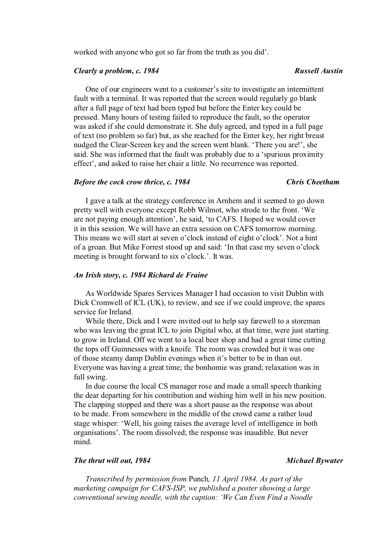worked with anyone who got so far from the truth as you did'.

# *Clearly a problem, c. 1984* Russell Austin

One of our engineers went to a customer's site to investigate an intermittent fault with a terminal. It was reported that the screen would regularly go blank after a full page of text had been typed but before the Enter key could be pressed. Many hours of testing failed to reproduce the fault, so the operator was asked if she could demonstrate it. She duly agreed, and typed in a full page of text (no problem so far) but, as she reached for the Enter key, her right breast nudged the Clear-Screen key and the screen went blank. 'There you are!', she said. She was informed that the fault was probably due to a 'spurious proximity effect', and asked to raise her chair a little. No recurrence was reported.

### *Before the cock crow thrice, c. 1984 Chris Cheetham*

I gave a talk at the strategy conference in Arnhem and it seemed to go down pretty well with everyone except Robb Wilmot, who strode to the front. 'We are not paying enough attention', he said, 'to CAFS. I hoped we would cover it in this session. We will have an extra session on CAFS tomorrow morning. This means we will start at seven o'clock instead of eight o'clock'. Not a hint of a groan. But Mike Forrest stood up and said: 'In that case my seven o'clock meeting is brought forward to six o'clock.'. It was.

### *An Irish story, c. 1984 Richard de Fraine*

As Worldwide Spares Services Manager I had occasion to visit Dublin with Dick Cromwell of ICL (UK), to review, and see if we could improve, the spares service for Ireland.

While there, Dick and I were invited out to help say farewell to a storeman who was leaving the great ICL to join Digital who, at that time, were just starting to grow in Ireland. Off we went to a local beer shop and had a great time cutting the tops off Guinnesses with a knoife. The room was crowded but it was one of those steamy damp Dublin evenings when it's better to be in than out. Everyone was having a great time; the bonhomie was grand; relaxation was in full swing.

In due course the local CS manager rose and made a small speech thanking the dear departing for his contribution and wishing him well in his new position. The clapping stopped and there was a short pause as the response was about to be made. From somewhere in the middle of the crowd came a rather loud stage whisper: 'Well, his going raises the average level of intelligence in both organisations'. The room dissolved; the response was inaudible. But never mind.

### *The thrut will out, 1984* Michael Bywater

*Transcribed by permission from* Punch*, 11 April 1984. As part of the marketing campaign for CAFS-ISP, we published a poster showing a large conventional sewing needle, with the caption: 'We Can Even Find a Noodle*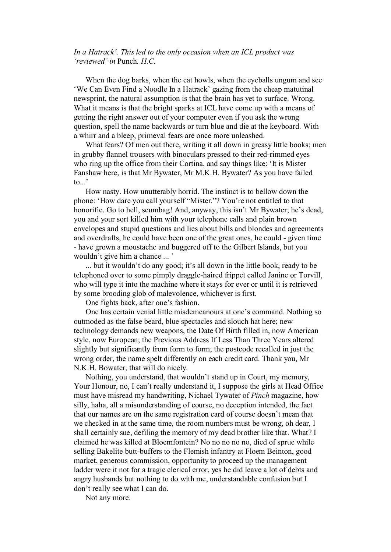# *In a Hatrack'. This led to the only occasion when an ICL product was 'reviewed' in* Punch*. H.C.*

When the dog barks, when the cat howls, when the eyeballs ungum and see 'We Can Even Find a Noodle In a Hatrack' gazing from the cheap matutinal newsprint, the natural assumption is that the brain has yet to surface. Wrong. What it means is that the bright sparks at ICL have come up with a means of getting the right answer out of your computer even if you ask the wrong question, spell the name backwards or turn blue and die at the keyboard. With a whirr and a bleep, primeval fears are once more unleashed.

What fears? Of men out there, writing it all down in greasy little books; men in grubby flannel trousers with binoculars pressed to their red-rimmed eyes who ring up the office from their Cortina, and say things like: 'It is Mister Fanshaw here, is that Mr Bywater, Mr M.K.H. Bywater? As you have failed to...'

How nasty. How unutterably horrid. The instinct is to bellow down the phone: 'How dare you call yourself "Mister."? You're not entitled to that honorific. Go to hell, scumbag! And, anyway, this isn't Mr Bywater; he's dead, you and your sort killed him with your telephone calls and plain brown envelopes and stupid questions and lies about bills and blondes and agreements and overdrafts, he could have been one of the great ones, he could - given time - have grown a moustache and buggered off to the Gilbert Islands, but you wouldn't give him a chance ... '

... but it wouldn't do any good; it's all down in the little book, ready to be telephoned over to some pimply draggle-haired frippet called Janine or Torvill, who will type it into the machine where it stays for ever or until it is retrieved by some brooding glob of malevolence, whichever is first.

One fights back, after one's fashion.

One has certain venial little misdemeanours at one's command. Nothing so outmoded as the false beard, blue spectacles and slouch hat here; new technology demands new weapons, the Date Of Birth filled in, now American style, now European; the Previous Address If Less Than Three Years altered slightly but significantly from form to form; the postcode recalled in just the wrong order, the name spelt differently on each credit card. Thank you, Mr N.K.H. Bowater, that will do nicely.

Nothing, you understand, that wouldn't stand up in Court, my memory, Your Honour, no, I can't really understand it, I suppose the girls at Head Office must have misread my handwriting, Nichael Tywater of *Pinch* magazine, how silly, haha, all a misunderstanding of course, no deception intended, the fact that our names are on the same registration card of course doesn't mean that we checked in at the same time, the room numbers must be wrong, oh dear, I shall certainly sue, defiling the memory of my dead brother like that. What? I claimed he was killed at Bloemfontein? No no no no no, died of sprue while selling Bakelite butt-buffers to the Flemish infantry at Floem Beinton, good market, generous commission, opportunity to proceed up the management ladder were it not for a tragic clerical error, yes he did leave a lot of debts and angry husbands but nothing to do with me, understandable confusion but I don't really see what I can do.

Not any more.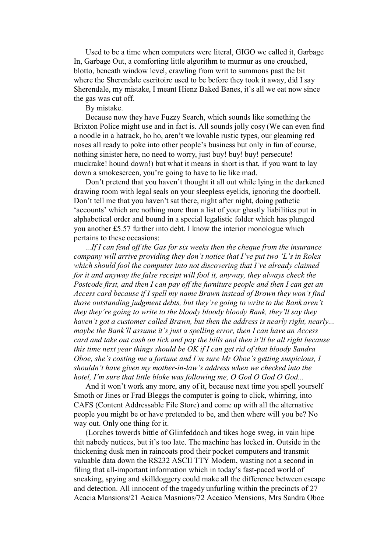Used to be a time when computers were literal, GIGO we called it, Garbage In, Garbage Out, a comforting little algorithm to murmur as one crouched, blotto, beneath window level, crawling from writ to summons past the bit where the Sherendale escritoire used to be before they took it away, did I say Sherendale, my mistake, I meant Hienz Baked Banes, it's all we eat now since the gas was cut off.

By mistake.

Because now they have Fuzzy Search, which sounds like something the Brixton Police might use and in fact is. All sounds jolly cosy (We can even find a noodle in a hatrack, ho ho, aren't we lovable rustic types, our gleaming red noses all ready to poke into other people's business but only in fun of course, nothing sinister here, no need to worry, just buy! buy! buy! persecute! muckrake! hound down!) but what it means in short is that, if you want to lay down a smokescreen, you're going to have to lie like mad.

Don't pretend that you haven't thought it all out while lying in the darkened drawing room with legal seals on your sleepless eyelids, ignoring the doorbell. Don't tell me that you haven't sat there, night after night, doing pathetic 'accounts' which are nothing more than a list of your ghastly liabilities put in alphabetical order and bound in a special legalistic folder which has plunged you another £5.57 further into debt. I know the interior monologue which pertains to these occasions:

*...If I can fend off the Gas for six weeks then the cheque from the insurance company will arrive providing they don't notice that I've put two 'L's in Rolex which should fool the computer into not discovering that I've already claimed for it and anyway the false receipt will fool it, anyway, they always check the Postcode first, and then I can pay off the furniture people and then I can get an Access card because if I spell my name Brawn instead of Brown they won't find those outstanding judgment debts, but they're going to write to the Bank aren't they they're going to write to the bloody bloody bloody Bank, they'll say they haven't got a customer called Brawn, but then the address is nearly right, nearly... maybe the Bank'll assume it's just a spelling error, then I can have an Access card and take out cash on tick and pay the bills and then it'll be all right because this time next year things should be OK if I can get rid of that bloody Sandra Oboe, she's costing me a fortune and I'm sure Mr Oboe's getting suspicious, I shouldn't have given my mother-in-law's address when we checked into the hotel, I'm sure that little bloke was following me, O God O God O God...* 

And it won't work any more, any of it, because next time you spell yourself Smoth or Jines or Frad Bleggs the computer is going to click, whirring, into CAFS (Content Addressable File Store) and come up with all the alternative people you might be or have pretended to be, and then where will you be? No way out. Only one thing for it.

(Lorches towerds bittle of Glinfeddoch and tikes hoge sweg, in vain hipe thit nabedy nutices, but it's too late. The machine has locked in. Outside in the thickening dusk men in raincoats prod their pocket computers and transmit valuable data down the RS232 ASCII TTY Modem, wasting not a second in filing that all-important information which in today's fast-paced world of sneaking, spying and skilldoggery could make all the difference between escape and detection. All innocent of the tragedy unfurling within the precincts of 27 Acacia Mansions/21 Acaica Masnions/72 Accaico Mensions, Mrs Sandra Oboe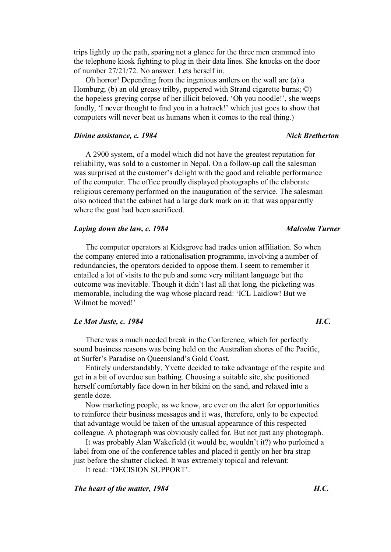trips lightly up the path, sparing not a glance for the three men crammed into the telephone kiosk fighting to plug in their data lines. She knocks on the door of number 27/21/72. No answer. Lets herself in.

Oh horror! Depending from the ingenious antlers on the wall are (a) a Homburg; (b) an old greasy trilby, peppered with Strand cigarette burns; ©) the hopeless greying corpse of her illicit beloved. 'Oh you noodle!', she weeps fondly, 'I never thought to find you in a hatrack!' which just goes to show that computers will never beat us humans when it comes to the real thing.)

### *Divine assistance, c. 1984 Nick Bretherton*

A 2900 system, of a model which did not have the greatest reputation for reliability, was sold to a customer in Nepal. On a follow-up call the salesman was surprised at the customer's delight with the good and reliable performance of the computer. The office proudly displayed photographs of the elaborate religious ceremony performed on the inauguration of the service. The salesman also noticed that the cabinet had a large dark mark on it: that was apparently where the goat had been sacrificed.

### *Laying down the law, c. 1984 Malcolm Turner*

The computer operators at Kidsgrove had trades union affiliation. So when the company entered into a rationalisation programme, involving a number of redundancies, the operators decided to oppose them. I seem to remember it entailed a lot of visits to the pub and some very militant language but the outcome was inevitable. Though it didn't last all that long, the picketing was memorable, including the wag whose placard read: 'ICL Laidlow! But we Wilmot be moved!'

# *Le Mot Juste, c. 1984 H.C.*

There was a much needed break in the Conference, which for perfectly sound business reasons was being held on the Australian shores of the Pacific, at Surfer's Paradise on Queensland's Gold Coast.

Entirely understandably, Yvette decided to take advantage of the respite and get in a bit of overdue sun bathing. Choosing a suitable site, she positioned herself comfortably face down in her bikini on the sand, and relaxed into a gentle doze.

Now marketing people, as we know, are ever on the alert for opportunities to reinforce their business messages and it was, therefore, only to be expected that advantage would be taken of the unusual appearance of this respected colleague. A photograph was obviously called for. But not just any photograph.

It was probably Alan Wakefield (it would be, wouldn't it?) who purloined a label from one of the conference tables and placed it gently on her bra strap just before the shutter clicked. It was extremely topical and relevant:

It read: 'DECISION SUPPORT'.

### *The heart of the matter, 1984 H.C.*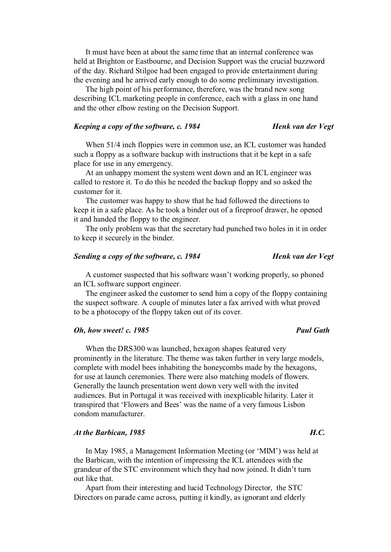It must have been at about the same time that an internal conference was held at Brighton or Eastbourne, and Decision Support was the crucial buzzword of the day. Richard Stilgoe had been engaged to provide entertainment during the evening and he arrived early enough to do some preliminary investigation.

The high point of his performance, therefore, was the brand new song describing ICL marketing people in conference, each with a glass in one hand and the other elbow resting on the Decision Support.

## *Keeping a copy of the software, c. 1984 Henk van der Vegt*

When 51/4 inch floppies were in common use, an ICL customer was handed such a floppy as a software backup with instructions that it be kept in a safe place for use in any emergency.

At an unhappy moment the system went down and an ICL engineer was called to restore it. To do this he needed the backup floppy and so asked the customer for it.

The customer was happy to show that he had followed the directions to keep it in a safe place. As he took a binder out of a fireproof drawer, he opened it and handed the floppy to the engineer.

The only problem was that the secretary had punched two holes in it in order to keep it securely in the binder.

## *Sending a copy of the software, c. 1984 Henk van der Vegt*

A customer suspected that his software wasn't working properly, so phoned an ICL software support engineer.

The engineer asked the customer to send him a copy of the floppy containing the suspect software. A couple of minutes later a fax arrived with what proved to be a photocopy of the floppy taken out of its cover.

# *Oh, how sweet! c. 1985* Paul Gath

When the DRS300 was launched, hexagon shapes featured very prominently in the literature. The theme was taken further in very large models, complete with model bees inhabiting the honeycombs made by the hexagons, for use at launch ceremonies. There were also matching models of flowers. Generally the launch presentation went down very well with the invited audiences. But in Portugal it was received with inexplicable hilarity. Later it transpired that 'Flowers and Bees' was the name of a very famous Lisbon condom manufacturer.

### At the Barbican, 1985 **H.C. H.C. H.C. H.C.**

In May 1985, a Management Information Meeting (or 'MIM') was held at the Barbican, with the intention of impressing the ICL attendees with the grandeur of the STC environment which they had now joined. It didn't turn out like that.

Apart from their interesting and lucid Technology Director, the STC Directors on parade came across, putting it kindly, as ignorant and elderly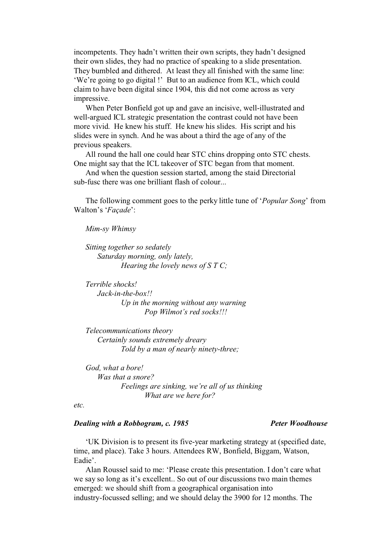incompetents. They hadn't written their own scripts, they hadn't designed their own slides, they had no practice of speaking to a slide presentation. They bumbled and dithered. At least they all finished with the same line: 'We're going to go digital !' But to an audience from ICL, which could claim to have been digital since 1904, this did not come across as very impressive.

When Peter Bonfield got up and gave an incisive, well-illustrated and well-argued ICL strategic presentation the contrast could not have been more vivid. He knew his stuff. He knew his slides. His script and his slides were in synch. And he was about a third the age of any of the previous speakers.

All round the hall one could hear STC chins dropping onto STC chests. One might say that the ICL takeover of STC began from that moment.

And when the question session started, among the staid Directorial sub-fusc there was one brilliant flash of colour...

The following comment goes to the perky little tune of '*Popular Song*' from Walton's '*Façade*':

*Mim-sy Whimsy* 

*Sitting together so sedately Saturday morning, only lately, Hearing the lovely news of S T C;* 

*Terrible shocks! Jack-in-the-box!! Up in the morning without any warning Pop Wilmot's red socks!!!* 

*Telecommunications theory Certainly sounds extremely dreary Told by a man of nearly ninety-three;* 

*God, what a bore! Was that a snore? Feelings are sinking, we're all of us thinking What are we here for?* 

*etc.* 

## *Dealing with a Robbogram, c. 1985* Peter Woodhouse

'UK Division is to present its five-year marketing strategy at (specified date, time, and place). Take 3 hours. Attendees RW, Bonfield, Biggam, Watson, Eadie'.

Alan Roussel said to me: 'Please create this presentation. I don't care what we say so long as it's excellent.. So out of our discussions two main themes emerged: we should shift from a geographical organisation into industry-focussed selling; and we should delay the 3900 for 12 months. The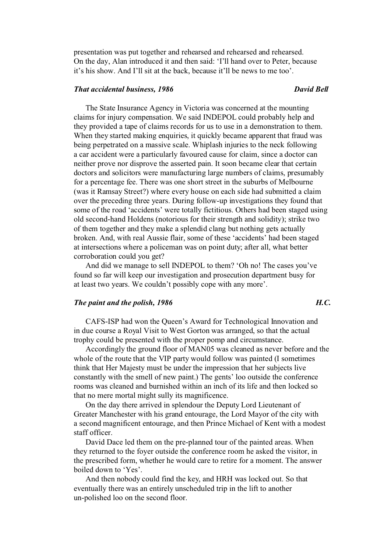presentation was put together and rehearsed and rehearsed and rehearsed. On the day, Alan introduced it and then said: 'I'll hand over to Peter, because it's his show. And I'll sit at the back, because it'll be news to me too'.

## *That accidental business, 1986* David Bell **David Bell**

The State Insurance Agency in Victoria was concerned at the mounting claims for injury compensation. We said INDEPOL could probably help and they provided a tape of claims records for us to use in a demonstration to them. When they started making enquiries, it quickly became apparent that fraud was being perpetrated on a massive scale. Whiplash injuries to the neck following a car accident were a particularly favoured cause for claim, since a doctor can neither prove nor disprove the asserted pain. It soon became clear that certain doctors and solicitors were manufacturing large numbers of claims, presumably for a percentage fee. There was one short street in the suburbs of Melbourne (was it Ramsay Street?) where every house on each side had submitted a claim over the preceding three years. During follow-up investigations they found that some of the road 'accidents' were totally fictitious. Others had been staged using old second-hand Holdens (notorious for their strength and solidity); strike two of them together and they make a splendid clang but nothing gets actually broken. And, with real Aussie flair, some of these 'accidents' had been staged at intersections where a policeman was on point duty; after all, what better corroboration could you get?

And did we manage to sell INDEPOL to them? 'Oh no! The cases you've found so far will keep our investigation and prosecution department busy for at least two years. We couldn't possibly cope with any more'.

## *The paint and the polish, 1986* **H.C. H.C. H.C.**

CAFS-ISP had won the Queen's Award for Technological Innovation and in due course a Royal Visit to West Gorton was arranged, so that the actual trophy could be presented with the proper pomp and circumstance.

Accordingly the ground floor of MAN05 was cleaned as never before and the whole of the route that the VIP party would follow was painted (I sometimes think that Her Majesty must be under the impression that her subjects live constantly with the smell of new paint.) The gents' loo outside the conference rooms was cleaned and burnished within an inch of its life and then locked so that no mere mortal might sully its magnificence.

On the day there arrived in splendour the Deputy Lord Lieutenant of Greater Manchester with his grand entourage, the Lord Mayor of the city with a second magnificent entourage, and then Prince Michael of Kent with a modest staff officer.

David Dace led them on the pre-planned tour of the painted areas. When they returned to the foyer outside the conference room he asked the visitor, in the prescribed form, whether he would care to retire for a moment. The answer boiled down to 'Yes'.

And then nobody could find the key, and HRH was locked out. So that eventually there was an entirely unscheduled trip in the lift to another un-polished loo on the second floor.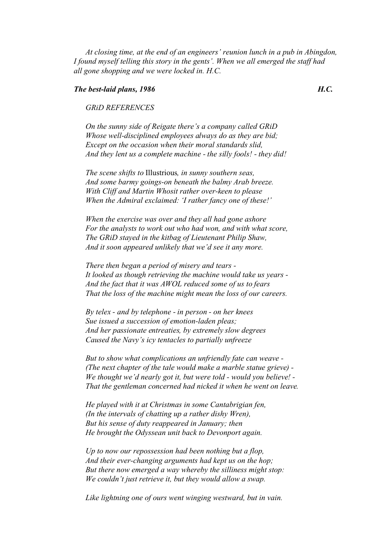*At closing time, at the end of an engineers' reunion lunch in a pub in Abingdon, I found myself telling this story in the gents'. When we all emerged the staff had all gone shopping and we were locked in. H.C.* 

### *The best-laid plans, 1986 H.C.*

## *GRiD REFERENCES*

*On the sunny side of Reigate there's a company called GRiD Whose well-disciplined employees always do as they are bid; Except on the occasion when their moral standards slid, And they lent us a complete machine - the silly fools! - they did!* 

*The scene shifts to* Illustrious*, in sunny southern seas, And some barmy goings-on beneath the balmy Arab breeze. With Cliff and Martin Whosit rather over-keen to please When the Admiral exclaimed: 'I rather fancy one of these!'* 

*When the exercise was over and they all had gone ashore For the analysts to work out who had won, and with what score, The GRiD stayed in the kitbag of Lieutenant Philip Shaw, And it soon appeared unlikely that we'd see it any more.* 

*There then began a period of misery and tears - It looked as though retrieving the machine would take us years - And the fact that it was AWOL reduced some of us to fears That the loss of the machine might mean the loss of our careers.* 

*By telex - and by telephone - in person - on her knees Sue issued a succession of emotion-laden pleas; And her passionate entreaties, by extremely slow degrees Caused the Navy's icy tentacles to partially unfreeze* 

*But to show what complications an unfriendly fate can weave - (The next chapter of the tale would make a marble statue grieve) - We thought we'd nearly got it, but were told - would you believe! - That the gentleman concerned had nicked it when he went on leave.* 

*He played with it at Christmas in some Cantabrigian fen, (In the intervals of chatting up a rather dishy Wren), But his sense of duty reappeared in January; then He brought the Odyssean unit back to Devonport again.* 

*Up to now our repossession had been nothing but a flop, And their ever-changing arguments had kept us on the hop; But there now emerged a way whereby the silliness might stop: We couldn't just retrieve it, but they would allow a swap.* 

*Like lightning one of ours went winging westward, but in vain.*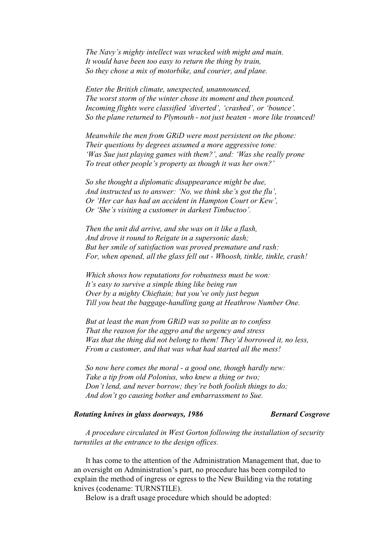*The Navy's mighty intellect was wracked with might and main. It would have been too easy to return the thing by train, So they chose a mix of motorbike, and courier, and plane.* 

*Enter the British climate, unexpected, unannounced, The worst storm of the winter chose its moment and then pounced. Incoming flights were classified 'diverted', 'crashed', or 'bounce'. So the plane returned to Plymouth - not just beaten - more like trounced!* 

*Meanwhile the men from GRiD were most persistent on the phone: Their questions by degrees assumed a more aggressive tone: 'Was Sue just playing games with them?', and: 'Was she really prone To treat other people's property as though it was her own?'* 

*So she thought a diplomatic disappearance might be due, And instructed us to answer: 'No, we think she's got the flu', Or 'Her car has had an accident in Hampton Court or Kew', Or 'She's visiting a customer in darkest Timbuctoo'.* 

*Then the unit did arrive, and she was on it like a flash, And drove it round to Reigate in a supersonic dash; But her smile of satisfaction was proved premature and rash: For, when opened, all the glass fell out - Whoosh, tinkle, tinkle, crash!* 

*Which shows how reputations for robustness must be won: It's easy to survive a simple thing like being run Over by a mighty Chieftain; but you've only just begun Till you beat the baggage-handling gang at Heathrow Number One.* 

*But at least the man from GRiD was so polite as to confess That the reason for the aggro and the urgency and stress Was that the thing did not belong to them! They'd borrowed it, no less, From a customer, and that was what had started all the mess!* 

*So now here comes the moral - a good one, though hardly new: Take a tip from old Polonius, who knew a thing or two; Don't lend, and never borrow; they're both foolish things to do; And don't go causing bother and embarrassment to Sue.* 

## *Rotating knives in glass doorways, 1986* Bernard Cosgrove

*A procedure circulated in West Gorton following the installation of security turnstiles at the entrance to the design offices.* 

It has come to the attention of the Administration Management that, due to an oversight on Administration's part, no procedure has been compiled to explain the method of ingress or egress to the New Building via the rotating knives (codename: TURNSTILE).

Below is a draft usage procedure which should be adopted: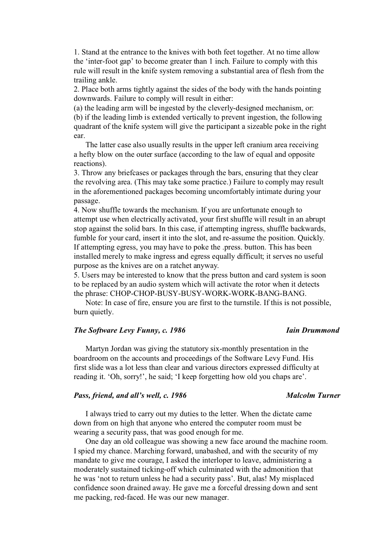1. Stand at the entrance to the knives with both feet together. At no time allow the 'inter-foot gap' to become greater than 1 inch. Failure to comply with this rule will result in the knife system removing a substantial area of flesh from the trailing ankle.

2. Place both arms tightly against the sides of the body with the hands pointing downwards. Failure to comply will result in either:

(a) the leading arm will be ingested by the cleverly-designed mechanism, or: (b) if the leading limb is extended vertically to prevent ingestion, the following quadrant of the knife system will give the participant a sizeable poke in the right ear.

The latter case also usually results in the upper left cranium area receiving a hefty blow on the outer surface (according to the law of equal and opposite reactions).

3. Throw any briefcases or packages through the bars, ensuring that they clear the revolving area. (This may take some practice.) Failure to comply may result in the aforementioned packages becoming uncomfortably intimate during your passage.

4. Now shuffle towards the mechanism. If you are unfortunate enough to attempt use when electrically activated, your first shuffle will result in an abrupt stop against the solid bars. In this case, if attempting ingress, shuffle backwards, fumble for your card, insert it into the slot, and re-assume the position. Quickly. If attempting egress, you may have to poke the .press. button. This has been installed merely to make ingress and egress equally difficult; it serves no useful purpose as the knives are on a ratchet anyway.

5. Users may be interested to know that the press button and card system is soon to be replaced by an audio system which will activate the rotor when it detects the phrase: CHOP-CHOP-BUSY-BUSY-WORK-WORK-BANG-BANG.

Note: In case of fire, ensure you are first to the turnstile. If this is not possible, burn quietly.

## *The Software Levy Funny, c. 1986 Iain Drummond*

Martyn Jordan was giving the statutory six-monthly presentation in the boardroom on the accounts and proceedings of the Software Levy Fund. His first slide was a lot less than clear and various directors expressed difficulty at reading it. 'Oh, sorry!', he said; 'I keep forgetting how old you chaps are'.

## *Pass, friend, and all's well, c. 1986* Malcolm Turner

I always tried to carry out my duties to the letter. When the dictate came down from on high that anyone who entered the computer room must be wearing a security pass, that was good enough for me.

One day an old colleague was showing a new face around the machine room. I spied my chance. Marching forward, unabashed, and with the security of my mandate to give me courage, I asked the interloper to leave, administering a moderately sustained ticking-off which culminated with the admonition that he was 'not to return unless he had a security pass'. But, alas! My misplaced confidence soon drained away. He gave me a forceful dressing down and sent me packing, red-faced. He was our new manager.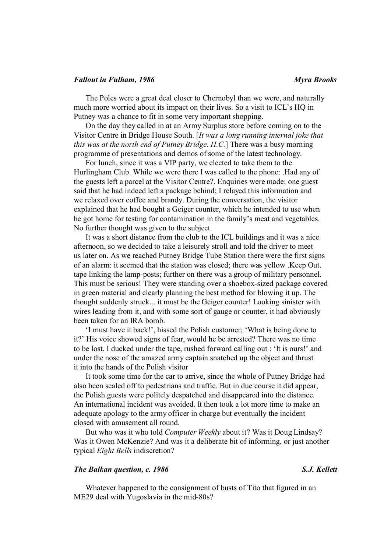### *Fallout in Fulham, 1986* Myra Brooks

The Poles were a great deal closer to Chernobyl than we were, and naturally much more worried about its impact on their lives. So a visit to ICL's HQ in Putney was a chance to fit in some very important shopping.

On the day they called in at an Army Surplus store before coming on to the Visitor Centre in Bridge House South. [*It was a long running internal joke that this was at the north end of Putney Bridge. H.C.*] There was a busy morning programme of presentations and demos of some of the latest technology.

For lunch, since it was a VIP party, we elected to take them to the Hurlingham Club. While we were there I was called to the phone: .Had any of the guests left a parcel at the Visitor Centre?. Enquiries were made; one guest said that he had indeed left a package behind; I relayed this information and we relaxed over coffee and brandy. During the conversation, the visitor explained that he had bought a Geiger counter, which he intended to use when he got home for testing for contamination in the family's meat and vegetables. No further thought was given to the subject.

It was a short distance from the club to the ICL buildings and it was a nice afternoon, so we decided to take a leisurely stroll and told the driver to meet us later on. As we reached Putney Bridge Tube Station there were the first signs of an alarm: it seemed that the station was closed; there was yellow .Keep Out. tape linking the lamp-posts; further on there was a group of military personnel. This must be serious! They were standing over a shoebox-sized package covered in green material and clearly planning the best method for blowing it up. The thought suddenly struck... it must be the Geiger counter! Looking sinister with wires leading from it, and with some sort of gauge or counter, it had obviously been taken for an IRA bomb.

'I must have it back!', hissed the Polish customer; 'What is being done to it?' His voice showed signs of fear, would he be arrested? There was no time to be lost. I ducked under the tape, rushed forward calling out : 'It is ours!' and under the nose of the amazed army captain snatched up the object and thrust it into the hands of the Polish visitor

It took some time for the car to arrive, since the whole of Putney Bridge had also been sealed off to pedestrians and traffic. But in due course it did appear, the Polish guests were politely despatched and disappeared into the distance. An international incident was avoided. It then took a lot more time to make an adequate apology to the army officer in charge but eventually the incident closed with amusement all round.

But who was it who told *Computer Weekly* about it? Was it Doug Lindsay? Was it Owen McKenzie? And was it a deliberate bit of informing, or just another typical *Eight Bells* indiscretion?

## *The Balkan question, c. 1986* S.J. Kellett

Whatever happened to the consignment of busts of Tito that figured in an ME29 deal with Yugoslavia in the mid-80s?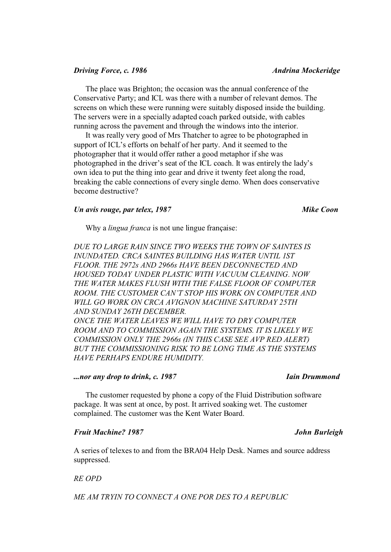### *Driving Force, c. 1986* Andrina Mockeridge

The place was Brighton; the occasion was the annual conference of the Conservative Party; and ICL was there with a number of relevant demos. The screens on which these were running were suitably disposed inside the building. The servers were in a specially adapted coach parked outside, with cables running across the pavement and through the windows into the interior.

It was really very good of Mrs Thatcher to agree to be photographed in support of ICL's efforts on behalf of her party. And it seemed to the photographer that it would offer rather a good metaphor if she was photographed in the driver's seat of the ICL coach. It was entirely the lady's own idea to put the thing into gear and drive it twenty feet along the road, breaking the cable connections of every single demo. When does conservative become destructive?

### *Un avis rouge, par telex, 1987* Mike Coon

Why a *lingua franca* is not une lingue française:

*DUE TO LARGE RAIN SINCE TWO WEEKS THE TOWN OF SAINTES IS INUNDATED. CRCA SAINTES BUILDING HAS WATER UNTIL 1ST FLOOR. THE 2972s AND 2966s HAVE BEEN DECONNECTED AND HOUSED TODAY UNDER PLASTIC WITH VACUUM CLEANING. NOW THE WATER MAKES FLUSH WITH THE FALSE FLOOR OF COMPUTER ROOM. THE CUSTOMER CAN'T STOP HIS WORK ON COMPUTER AND WILL GO WORK ON CRCA AVIGNON MACHINE SATURDAY 25TH AND SUNDAY 26TH DECEMBER. ONCE THE WATER LEAVES WE WILL HAVE TO DRY COMPUTER ROOM AND TO COMMISSION AGAIN THE SYSTEMS. IT IS LIKELY WE COMMISSION ONLY THE 2966s (IN THIS CASE SEE AVP RED ALERT) BUT THE COMMISSIONING RISK TO BE LONG TIME AS THE SYSTEMS HAVE PERHAPS ENDURE HUMIDITY.* 

# *iiin any drop to drink, c. 1987* The *Iain Drummond*

The customer requested by phone a copy of the Fluid Distribution software package. It was sent at once, by post. It arrived soaking wet. The customer complained. The customer was the Kent Water Board.

### *Fruit Machine? 1987 John Burleigh*

A series of telexes to and from the BRA04 Help Desk. Names and source address suppressed.

## *RE OPD*

*ME AM TRYIN TO CONNECT A ONE POR DES TO A REPUBLIC*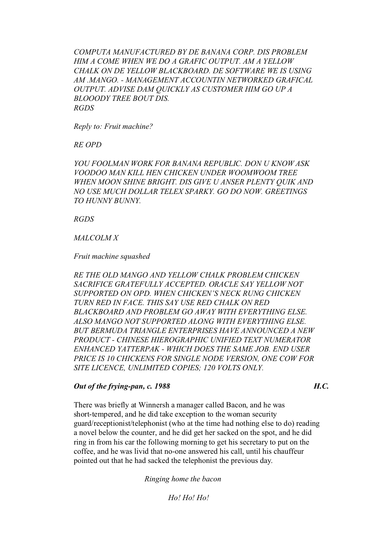*COMPUTA MANUFACTURED BY DE BANANA CORP. DIS PROBLEM HIM A COME WHEN WE DO A GRAFIC OUTPUT. AM A YELLOW CHALK ON DE YELLOW BLACKBOARD. DE SOFTWARE WE IS USING AM .MANGO. - MANAGEMENT ACCOUNTIN NETWORKED GRAFICAL OUTPUT. ADVISE DAM QUICKLY AS CUSTOMER HIM GO UP A BLOOODY TREE BOUT DIS. RGDS* 

*Reply to: Fruit machine?* 

*RE OPD* 

*YOU FOOLMAN WORK FOR BANANA REPUBLIC. DON U KNOW ASK VOODOO MAN KILL HEN CHICKEN UNDER WOOMWOOM TREE WHEN MOON SHINE BRIGHT. DIS GIVE U ANSER PLENTY QUIK AND NO USE MUCH DOLLAR TELEX SPARKY. GO DO NOW. GREETINGS TO HUNNY BUNNY.* 

*RGDS* 

## *MALCOLM X*

*Fruit machine squashed* 

*RE THE OLD MANGO AND YELLOW CHALK PROBLEM CHICKEN SACRIFICE GRATEFULLY ACCEPTED. ORACLE SAY YELLOW NOT SUPPORTED ON OPD. WHEN CHICKEN'S NECK RUNG CHICKEN TURN RED IN FACE. THIS SAY USE RED CHALK ON RED BLACKBOARD AND PROBLEM GO AWAY WITH EVERYTHING ELSE. ALSO MANGO NOT SUPPORTED ALONG WITH EVERYTHING ELSE. BUT BERMUDA TRIANGLE ENTERPRISES HAVE ANNOUNCED A NEW PRODUCT - CHINESE HIEROGRAPHIC UNIFIED TEXT NUMERATOR ENHANCED YATTERPAK - WHICH DOES THE SAME JOB. END USER PRICE IS 10 CHICKENS FOR SINGLE NODE VERSION, ONE COW FOR SITE LICENCE, UNLIMITED COPIES; 120 VOLTS ONLY.* 

## *Out of the frying-pan, c. 1988 H.C.*

There was briefly at Winnersh a manager called Bacon, and he was short-tempered, and he did take exception to the woman security guard/receptionist/telephonist (who at the time had nothing else to do) reading a novel below the counter, and he did get her sacked on the spot, and he did ring in from his car the following morning to get his secretary to put on the coffee, and he was livid that no-one answered his call, until his chauffeur pointed out that he had sacked the telephonist the previous day.

*Ringing home the bacon* 

*Ho! Ho! Ho!*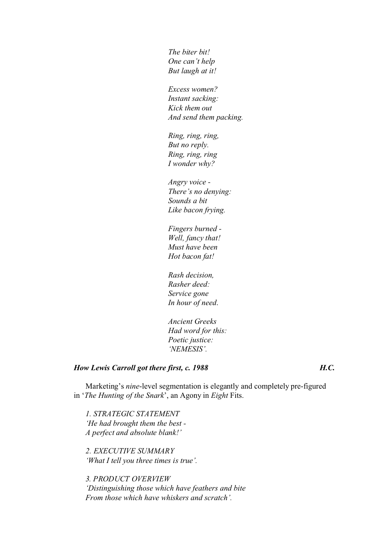*The biter bit! One can't help But laugh at it!* 

*Excess women? Instant sacking: Kick them out And send them packing.* 

*Ring, ring, ring, But no reply. Ring, ring, ring I wonder why?* 

*Angry voice - There's no denying: Sounds a bit Like bacon frying.* 

*Fingers burned - Well, fancy that! Must have been Hot bacon fat!* 

*Rash decision, Rasher deed: Service gone In hour of need*.

*Ancient Greeks Had word for this: Poetic justice: 'NEMESIS'.*

# *How Lewis Carroll got there first, c. 1988 H.C.*

Marketing's *nine*-level segmentation is elegantly and completely pre-figured in '*The Hunting of the Snark*', an Agony in *Eight* Fits.

*1. STRATEGIC STATEMENT 'He had brought them the best - A perfect and absolute blank!'*

*2. EXECUTIVE SUMMARY 'What I tell you three times is true'.*

*3. PRODUCT OVERVIEW 'Distinguishing those which have feathers and bite From those which have whiskers and scratch'.*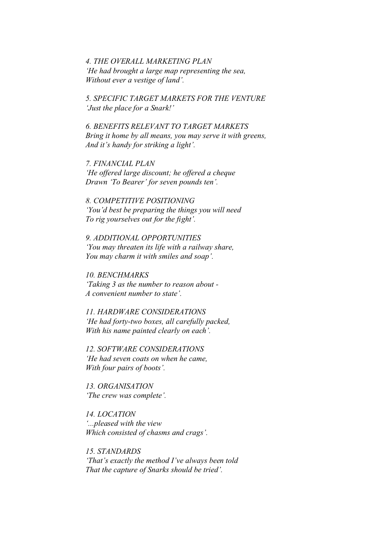*4. THE OVERALL MARKETING PLAN 'He had brought a large map representing the sea, Without ever a vestige of land'.* 

*5. SPECIFIC TARGET MARKETS FOR THE VENTURE 'Just the place for a Snark!'*

*6. BENEFITS RELEVANT TO TARGET MARKETS Bring it home by all means, you may serve it with greens, And it's handy for striking a light'.*

*7. FINANCIAL PLAN 'He offered large discount; he offered a cheque Drawn 'To Bearer' for seven pounds ten'.* 

*8. COMPETITIVE POSITIONING 'You'd best be preparing the things you will need To rig yourselves out for the fight'.* 

*9. ADDITIONAL OPPORTUNITIES 'You may threaten its life with a railway share, You may charm it with smiles and soap'.* 

*10. BENCHMARKS 'Taking 3 as the number to reason about - A convenient number to state'.* 

*11. HARDWARE CONSIDERATIONS 'He had forty-two boxes, all carefully packed, With his name painted clearly on each'.* 

*12. SOFTWARE CONSIDERATIONS 'He had seven coats on when he came, With four pairs of boots'.* 

*13. ORGANISATION 'The crew was complete'.* 

*14. LOCATION '...pleased with the view Which consisted of chasms and crags'.*

*15. STANDARDS 'That's exactly the method I've always been told That the capture of Snarks should be tried'.*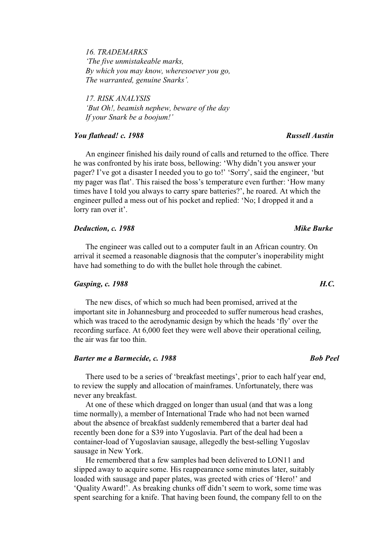*16. TRADEMARKS 'The five unmistakeable marks, By which you may know, wheresoever you go, The warranted, genuine Snarks'.*

*17. RISK ANALYSIS 'But Oh!, beamish nephew, beware of the day If your Snark be a boojum!'* 

# *You flathead! c. 1988* Russell *Austin Russell Austin*

An engineer finished his daily round of calls and returned to the office. There he was confronted by his irate boss, bellowing: 'Why didn't you answer your pager? I've got a disaster I needed you to go to!' 'Sorry', said the engineer, 'but my pager was flat'. This raised the boss's temperature even further: 'How many times have I told you always to carry spare batteries?', he roared. At which the engineer pulled a mess out of his pocket and replied: 'No; I dropped it and a lorry ran over it'.

## *Deduction, c. 1988 Mike Burke*

The engineer was called out to a computer fault in an African country. On arrival it seemed a reasonable diagnosis that the computer's inoperability might have had something to do with the bullet hole through the cabinet.

# *Gasping, c. 1988 H.C.*

The new discs, of which so much had been promised, arrived at the important site in Johannesburg and proceeded to suffer numerous head crashes, which was traced to the aerodynamic design by which the heads 'fly' over the recording surface. At 6,000 feet they were well above their operational ceiling, the air was far too thin.

# *Barter me a Barmecide, c. 1988 Bob Peel*

There used to be a series of 'breakfast meetings', prior to each half year end, to review the supply and allocation of mainframes. Unfortunately, there was never any breakfast.

At one of these which dragged on longer than usual (and that was a long time normally), a member of International Trade who had not been warned about the absence of breakfast suddenly remembered that a barter deal had recently been done for a S39 into Yugoslavia. Part of the deal had been a container-load of Yugoslavian sausage, allegedly the best-selling Yugoslav sausage in New York.

He remembered that a few samples had been delivered to LON11 and slipped away to acquire some. His reappearance some minutes later, suitably loaded with sausage and paper plates, was greeted with cries of 'Hero!' and 'Quality Award!'. As breaking chunks off didn't seem to work, some time was spent searching for a knife. That having been found, the company fell to on the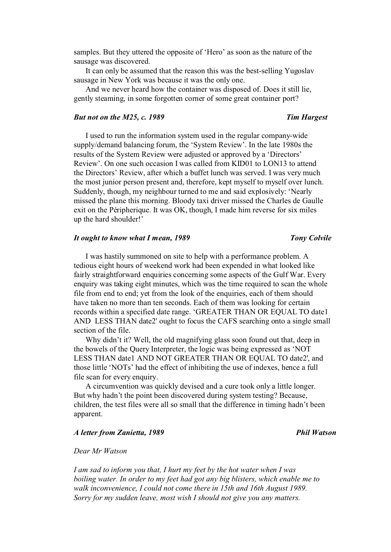samples. But they uttered the opposite of 'Hero' as soon as the nature of the sausage was discovered.

It can only be assumed that the reason this was the best-selling Yugoslav sausage in New York was because it was the only one.

And we never heard how the container was disposed of. Does it still lie, gently steaming, in some forgotten corner of some great container port?

### *But not on the M25, c. 1989 Tim Hargest*

I used to run the information system used in the regular company-wide supply/demand balancing forum, the 'System Review'. In the late 1980s the results of the System Review were adjusted or approved by a 'Directors' Review'. On one such occasion I was called from KID01 to LON13 to attend the Directors' Review, after which a buffet lunch was served. I was very much the most junior person present and, therefore, kept myself to myself over lunch. Suddenly, though, my neighbour turned to me and said explosively: 'Nearly missed the plane this morning. Bloody taxi driver missed the Charles de Gaulle exit on the Péripherique. It was OK, though, I made him reverse for six miles up the hard shoulder!'

### *It ought to know what I mean, 1989* Tony Colvile

I was hastily summoned on site to help with a performance problem. A tedious eight hours of weekend work had been expended in what looked like fairly straightforward enquiries concerning some aspects of the Gulf War. Every enquiry was taking eight minutes, which was the time required to scan the whole file from end to end; yet from the look of the enquiries, each of them should have taken no more than ten seconds. Each of them was looking for certain records within a specified date range. 'GREATER THAN OR EQUAL TO date1 AND LESS THAN date2' ought to focus the CAFS searching onto a single small section of the file.

Why didn't it? Well, the old magnifying glass soon found out that, deep in the bowels of the Query Interpreter, the logic was being expressed as 'NOT LESS THAN date1 AND NOT GREATER THAN OR EQUAL TO date2', and those little 'NOTs' had the effect of inhibiting the use of indexes, hence a full file scan for every enquiry.

A circumvention was quickly devised and a cure took only a little longer. But why hadn't the point been discovered during system testing? Because, children, the test files were all so small that the difference in timing hadn't been apparent.

### *A letter from Zanietta, 1989* Phil Watson **Phil Watson**

# *Dear Mr Watson*

*I am sad to inform you that, I hurt my feet by the hot water when I was boiling water. In order to my feet had got any big blisters, which enable me to walk inconvenience, I could not come there in 15th and 16th August 1989. Sorry for my sudden leave, most wish I should not give you any matters.*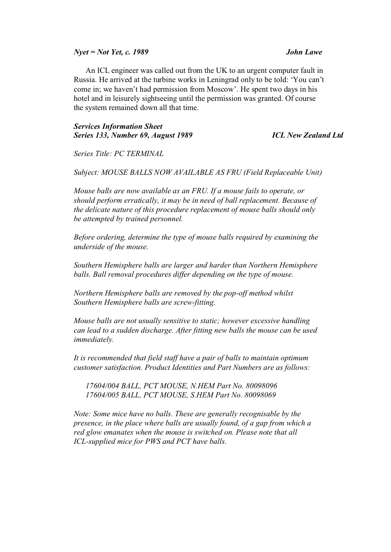*Nyet = Not Yet, c. 1989 John Lawe* 

An ICL engineer was called out from the UK to an urgent computer fault in Russia. He arrived at the turbine works in Leningrad only to be told: 'You can't come in; we haven't had permission from Moscow'. He spent two days in his hotel and in leisurely sightseeing until the permission was granted. Of course the system remained down all that time.

# *Services Information Sheet Series 133, Number 69, August 1989 ICL New Zealand Ltd*

*Series Title: PC TERMINAL* 

*Subject: MOUSE BALLS NOW AVAILABLE AS FRU (Field Replaceable Unit)* 

*Mouse balls are now available as an FRU. If a mouse fails to operate, or should perform erratically, it may be in need of ball replacement. Because of the delicate nature of this procedure replacement of mouse balls should only be attempted by trained personnel.* 

*Before ordering, determine the type of mouse balls required by examining the underside of the mouse.* 

*Southern Hemisphere balls are larger and harder than Northern Hemisphere balls. Ball removal procedures differ depending on the type of mouse.* 

*Northern Hemisphere balls are removed by the pop-off method whilst Southern Hemisphere balls are screw-fitting.* 

*Mouse balls are not usually sensitive to static; however excessive handling can lead to a sudden discharge. After fitting new balls the mouse can be used immediately.* 

*It is recommended that field staff have a pair of balls to maintain optimum customer satisfaction. Product Identities and Part Numbers are as follows:* 

*17604/004 BALL, PCT MOUSE, N.HEM Part No. 80098096 17604/005 BALL, PCT MOUSE, S.HEM Part No. 80098069* 

*Note: Some mice have no balls. These are generally recognisable by the presence, in the place where balls are usually found, of a gap from which a red glow emanates when the mouse is switched on. Please note that all ICL-supplied mice for PWS and PCT have balls.*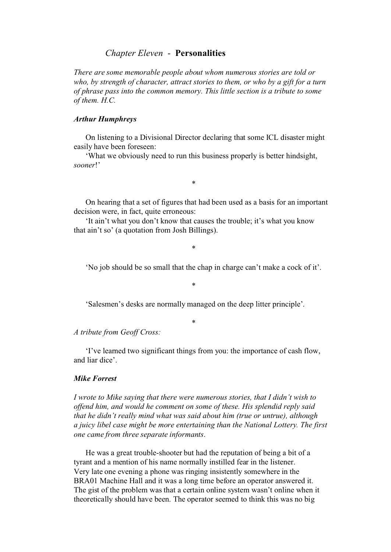# *Chapter Eleven* - **Personalities**

*There are some memorable people about whom numerous stories are told or who, by strength of character, attract stories to them, or who by a gift for a turn of phrase pass into the common memory. This little section is a tribute to some of them. H.C.* 

## *Arthur Humphreys*

On listening to a Divisional Director declaring that some ICL disaster might easily have been foreseen:

'What we obviously need to run this business properly is better hindsight, *sooner*!'

\*

On hearing that a set of figures that had been used as a basis for an important decision were, in fact, quite erroneous:

'It ain't what you don't know that causes the trouble; it's what you know that ain't so' (a quotation from Josh Billings).

\*

'No job should be so small that the chap in charge can't make a cock of it'.

\*

'Salesmen's desks are normally managed on the deep litter principle'.

\*

*A tribute from Geoff Cross:*

'I've learned two significant things from you: the importance of cash flow, and liar dice'.

## *Mike Forrest*

*I wrote to Mike saying that there were numerous stories, that I didn't wish to offend him, and would he comment on some of these. His splendid reply said that he didn't really mind what was said about him (true or untrue), although a juicy libel case might be more entertaining than the National Lottery. The first one came from three separate informants*.

He was a great trouble-shooter but had the reputation of being a bit of a tyrant and a mention of his name normally instilled fear in the listener. Very late one evening a phone was ringing insistently somewhere in the BRA01 Machine Hall and it was a long time before an operator answered it. The gist of the problem was that a certain online system wasn't online when it theoretically should have been. The operator seemed to think this was no big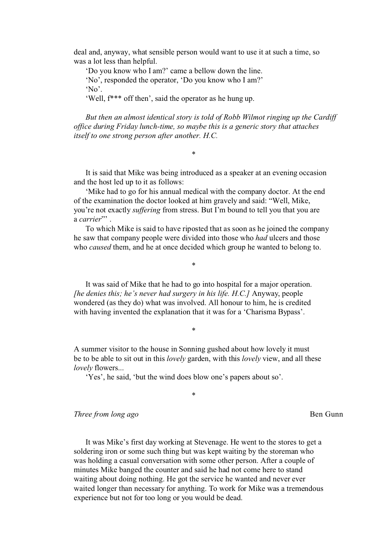deal and, anyway, what sensible person would want to use it at such a time, so was a lot less than helpful.

'Do you know who I am?' came a bellow down the line. 'No', responded the operator, 'Do you know who I am?' 'No'.

'Well, f\*\*\* off then', said the operator as he hung up.

*But then an almost identical story is told of Robb Wilmot ringing up the Cardiff office during Friday lunch-time, so maybe this is a generic story that attaches itself to one strong person after another. H.C.* 

It is said that Mike was being introduced as a speaker at an evening occasion and the host led up to it as follows:

\*

'Mike had to go for his annual medical with the company doctor. At the end of the examination the doctor looked at him gravely and said: "Well, Mike, you're not exactly *suffering* from stress. But I'm bound to tell you that you are a *carrier*"' .

To which Mike is said to have riposted that as soon as he joined the company he saw that company people were divided into those who *had* ulcers and those who *caused* them, and he at once decided which group he wanted to belong to.

It was said of Mike that he had to go into hospital for a major operation. *[he denies this; he's never had surgery in his life. H.C.]* Anyway, people wondered (as they do) what was involved. All honour to him, he is credited with having invented the explanation that it was for a 'Charisma Bypass'.

\*

\*

A summer visitor to the house in Sonning gushed about how lovely it must be to be able to sit out in this *lovely* garden, with this *lovely* view, and all these *lovely* flowers...

\*

'Yes', he said, 'but the wind does blow one's papers about so'.

*Three from long ago* Ben Gunn

It was Mike's first day working at Stevenage. He went to the stores to get a soldering iron or some such thing but was kept waiting by the storeman who was holding a casual conversation with some other person. After a couple of minutes Mike banged the counter and said he had not come here to stand waiting about doing nothing. He got the service he wanted and never ever waited longer than necessary for anything. To work for Mike was a tremendous experience but not for too long or you would be dead.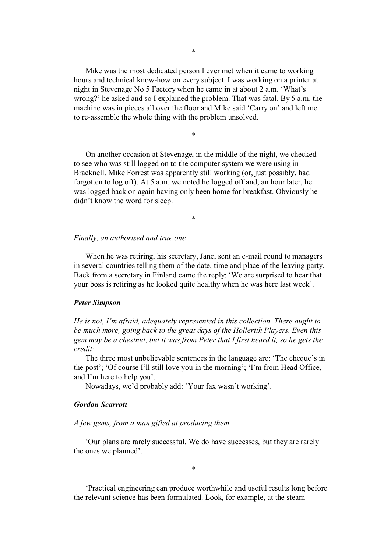Mike was the most dedicated person I ever met when it came to working hours and technical know-how on every subject. I was working on a printer at night in Stevenage No 5 Factory when he came in at about 2 a.m. 'What's wrong?' he asked and so I explained the problem. That was fatal. By 5 a.m. the machine was in pieces all over the floor and Mike said 'Carry on' and left me to re-assemble the whole thing with the problem unsolved.

On another occasion at Stevenage, in the middle of the night, we checked to see who was still logged on to the computer system we were using in Bracknell. Mike Forrest was apparently still working (or, just possibly, had forgotten to log off). At 5 a.m. we noted he logged off and, an hour later, he was logged back on again having only been home for breakfast. Obviously he didn't know the word for sleep.

\*

### \*

### *Finally, an authorised and true one*

When he was retiring, his secretary, Jane, sent an e-mail round to managers in several countries telling them of the date, time and place of the leaving party. Back from a secretary in Finland came the reply: 'We are surprised to hear that your boss is retiring as he looked quite healthy when he was here last week'.

### *Peter Simpson*

*He is not, I'm afraid, adequately represented in this collection. There ought to be much more, going back to the great days of the Hollerith Players. Even this gem may be a chestnut, but it was from Peter that I first heard it, so he gets the credit:* 

The three most unbelievable sentences in the language are: 'The cheque's in the post'; 'Of course I'll still love you in the morning'; 'I'm from Head Office, and I'm here to help you'.

Nowadays, we'd probably add: 'Your fax wasn't working'.

### *Gordon Scarrott*

*A few gems, from a man gifted at producing them.*

'Our plans are rarely successful. We do have successes, but they are rarely the ones we planned'.

\*

'Practical engineering can produce worthwhile and useful results long before the relevant science has been formulated. Look, for example, at the steam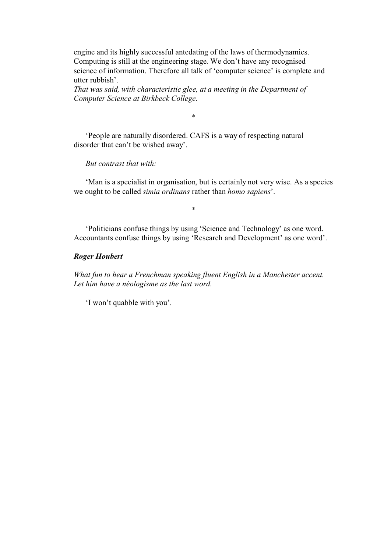engine and its highly successful antedating of the laws of thermodynamics. Computing is still at the engineering stage. We don't have any recognised science of information. Therefore all talk of 'computer science' is complete and utter rubbish'.

*That was said, with characteristic glee, at a meeting in the Department of Computer Science at Birkbeck College*.

\*

'People are naturally disordered. CAFS is a way of respecting natural disorder that can't be wished away'.

*But contrast that with:* 

'Man is a specialist in organisation, but is certainly not very wise. As a species we ought to be called *simia ordinans* rather than *homo sapiens*'.

\*

'Politicians confuse things by using 'Science and Technology' as one word. Accountants confuse things by using 'Research and Development' as one word'.

# *Roger Houbert*

*What fun to hear a Frenchman speaking fluent English in a Manchester accent. Let him have a néologisme as the last word.* 

'I won't quabble with you'.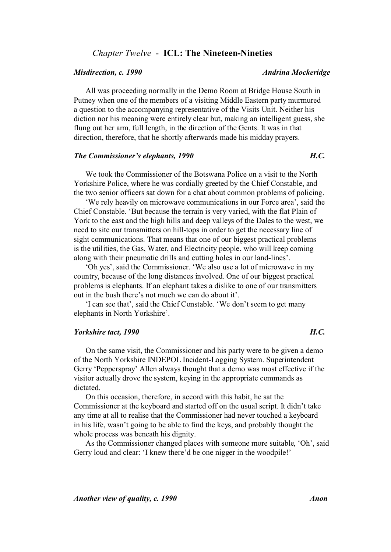# *Chapter Twelve* - **ICL: The Nineteen-Nineties**

# All was proceeding normally in the Demo Room at Bridge House South in Putney when one of the members of a visiting Middle Eastern party murmured a question to the accompanying representative of the Visits Unit. Neither his diction nor his meaning were entirely clear but, making an intelligent guess, she flung out her arm, full length, in the direction of the Gents. It was in that direction, therefore, that he shortly afterwards made his midday prayers.

## *The Commissioner's elephants, 1990 H.C.*

We took the Commissioner of the Botswana Police on a visit to the North Yorkshire Police, where he was cordially greeted by the Chief Constable, and the two senior officers sat down for a chat about common problems of policing.

'We rely heavily on microwave communications in our Force area', said the Chief Constable. 'But because the terrain is very varied, with the flat Plain of York to the east and the high hills and deep valleys of the Dales to the west, we need to site our transmitters on hill-tops in order to get the necessary line of sight communications. That means that one of our biggest practical problems is the utilities, the Gas, Water, and Electricity people, who will keep coming along with their pneumatic drills and cutting holes in our land-lines'.

'Oh yes', said the Commissioner. 'We also use a lot of microwave in my country, because of the long distances involved. One of our biggest practical problems is elephants. If an elephant takes a dislike to one of our transmitters out in the bush there's not much we can do about it'.

'I can see that', said the Chief Constable. 'We don't seem to get many elephants in North Yorkshire'.

### *Yorkshire tact, 1990 H.C.*

On the same visit, the Commissioner and his party were to be given a demo of the North Yorkshire INDEPOL Incident-Logging System. Superintendent Gerry 'Pepperspray' Allen always thought that a demo was most effective if the visitor actually drove the system, keying in the appropriate commands as dictated.

On this occasion, therefore, in accord with this habit, he sat the Commissioner at the keyboard and started off on the usual script. It didn't take any time at all to realise that the Commissioner had never touched a keyboard in his life, wasn't going to be able to find the keys, and probably thought the whole process was beneath his dignity.

As the Commissioner changed places with someone more suitable, 'Oh', said Gerry loud and clear: 'I knew there'd be one nigger in the woodpile!'

# *Misdirection, c. 1990* Andrina Mockeridge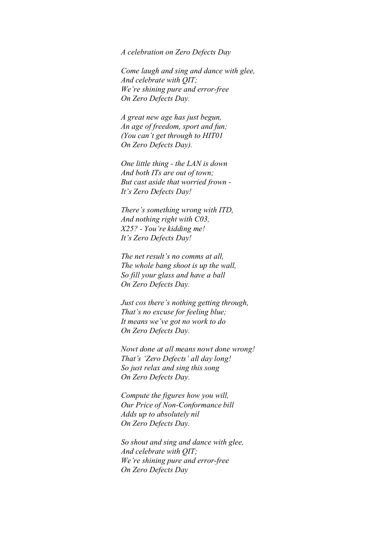*A celebration on Zero Defects Day* 

*Come laugh and sing and dance with glee, And celebrate with QIT; We're shining pure and error-free On Zero Defects Day.* 

*A great new age has just begun, An age of freedom, sport and fun; (You can't get through to HIT01 On Zero Defects Day).* 

*One little thing - the LAN is down And both ITs are out of town; But cast aside that worried frown - It's Zero Defects Day!* 

*There's something wrong with ITD, And nothing right with C03, X25? - You're kidding me! It's Zero Defects Day!* 

*The net result's no comms at all, The whole bang shoot is up the wall, So fill your glass and have a ball On Zero Defects Day.* 

*Just cos there's nothing getting through, That's no excuse for feeling blue; It means we've got no work to do On Zero Defects Day.* 

*Nowt done at all means nowt done wrong! That's 'Zero Defects' all day long! So just relax and sing this song On Zero Defects Day.* 

*Compute the figures how you will, Our Price of Non-Conformance bill Adds up to absolutely nil On Zero Defects Day.* 

*So shout and sing and dance with glee, And celebrate with QIT; We're shining pure and error-free On Zero Defects Day*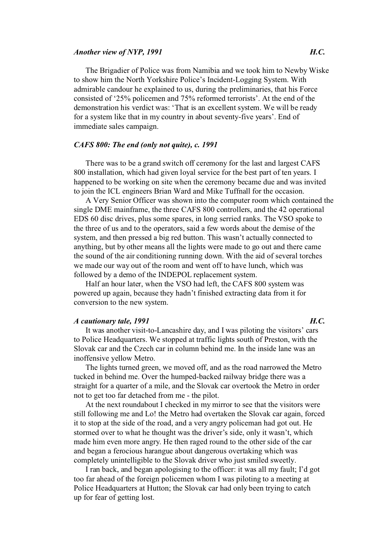### *Another view of NYP, 1991 H.C.*

The Brigadier of Police was from Namibia and we took him to Newby Wiske to show him the North Yorkshire Police's Incident-Logging System. With admirable candour he explained to us, during the preliminaries, that his Force consisted of '25% policemen and 75% reformed terrorists'. At the end of the demonstration his verdict was: 'That is an excellent system. We will be ready for a system like that in my country in about seventy-five years'. End of immediate sales campaign.

### *CAFS 800: The end (only not quite), c. 1991*

There was to be a grand switch off ceremony for the last and largest CAFS 800 installation, which had given loyal service for the best part of ten years. I happened to be working on site when the ceremony became due and was invited to join the ICL engineers Brian Ward and Mike Tuffnall for the occasion.

A Very Senior Officer was shown into the computer room which contained the single DME mainframe, the three CAFS 800 controllers, and the 42 operational EDS 60 disc drives, plus some spares, in long serried ranks. The VSO spoke to the three of us and to the operators, said a few words about the demise of the system, and then pressed a big red button. This wasn't actually connected to anything, but by other means all the lights were made to go out and there came the sound of the air conditioning running down. With the aid of several torches we made our way out of the room and went off to have lunch, which was followed by a demo of the INDEPOL replacement system.

Half an hour later, when the VSO had left, the CAFS 800 system was powered up again, because they hadn't finished extracting data from it for conversion to the new system.

### *A cautionary tale, 1991 H.C.*

It was another visit-to-Lancashire day, and I was piloting the visitors' cars to Police Headquarters. We stopped at traffic lights south of Preston, with the Slovak car and the Czech car in column behind me. In the inside lane was an inoffensive yellow Metro.

The lights turned green, we moved off, and as the road narrowed the Metro tucked in behind me. Over the humped-backed railway bridge there was a straight for a quarter of a mile, and the Slovak car overtook the Metro in order not to get too far detached from me - the pilot.

At the next roundabout I checked in my mirror to see that the visitors were still following me and Lo! the Metro had overtaken the Slovak car again, forced it to stop at the side of the road, and a very angry policeman had got out. He stormed over to what he thought was the driver's side, only it wasn't, which made him even more angry. He then raged round to the other side of the car and began a ferocious harangue about dangerous overtaking which was completely unintelligible to the Slovak driver who just smiled sweetly.

I ran back, and began apologising to the officer: it was all my fault; I'd got too far ahead of the foreign policemen whom I was piloting to a meeting at Police Headquarters at Hutton; the Slovak car had only been trying to catch up for fear of getting lost.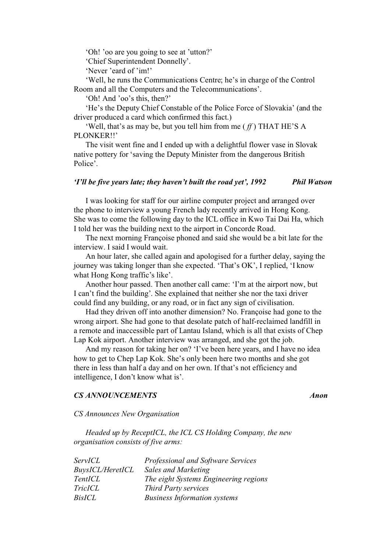'Oh! 'oo are you going to see at 'utton?'

'Chief Superintendent Donnelly'.

'Never 'eard of 'im!'

'Well, he runs the Communications Centre; he's in charge of the Control Room and all the Computers and the Telecommunications'.

'Oh! And 'oo's this, then?'

'He's the Deputy Chief Constable of the Police Force of Slovakia' (and the driver produced a card which confirmed this fact.)

'Well, that's as may be, but you tell him from me ( *ff* ) THAT HE'S A PLONKER!!'

The visit went fine and I ended up with a delightful flower vase in Slovak native pottery for 'saving the Deputy Minister from the dangerous British Police'.

### *'I'll be five years late; they haven't built the road yet', 1992 Phil Watson*

I was looking for staff for our airline computer project and arranged over the phone to interview a young French lady recently arrived in Hong Kong. She was to come the following day to the ICL office in Kwo Tai Dai Ha, which I told her was the building next to the airport in Concorde Road.

The next morning Françoise phoned and said she would be a bit late for the interview. I said I would wait.

An hour later, she called again and apologised for a further delay, saying the journey was taking longer than she expected. 'That's OK', I replied, 'I know what Hong Kong traffic's like'.

Another hour passed. Then another call came: 'I'm at the airport now, but I can't find the building'. She explained that neither she nor the taxi driver could find any building, or any road, or in fact any sign of civilisation.

Had they driven off into another dimension? No. Françoise had gone to the wrong airport. She had gone to that desolate patch of half-reclaimed landfill in a remote and inaccessible part of Lantau Island, which is all that exists of Chep Lap Kok airport. Another interview was arranged, and she got the job.

And my reason for taking her on? 'I've been here years, and I have no idea how to get to Chep Lap Kok. She's only been here two months and she got there in less than half a day and on her own. If that's not efficiency and intelligence, I don't know what is'.

### *CS ANNOUNCEMENTS Anon*

*CS Announces New Organisation* 

*Headed up by ReceptICL, the ICL CS Holding Company, the new organisation consists of five arms:* 

| <i>ServICL</i>          | Professional and Software Services    |
|-------------------------|---------------------------------------|
| <i>BuysICL/HeretICL</i> | <b>Sales and Marketing</b>            |
| <i>TentICL</i>          | The eight Systems Engineering regions |
| <i>TricICL</i>          | <b>Third Party services</b>           |
| BisICL                  | <b>Business Information systems</b>   |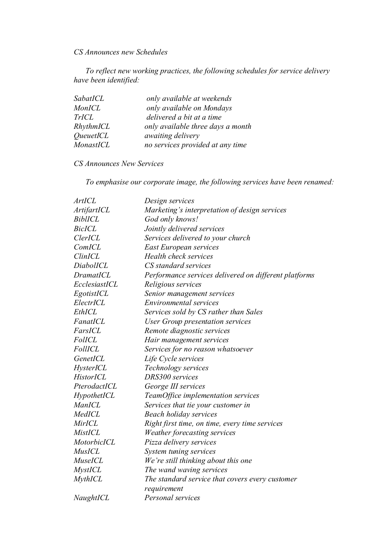*CS Announces new Schedules* 

*To reflect new working practices, the following schedules for service delivery have been identified:*

| SabatICL                | only available at weekends        |
|-------------------------|-----------------------------------|
| <b>MonICL</b>           | only available on Mondays         |
| <b>TrICL</b>            | delivered a bit at a time         |
| RhythmICL               | only available three days a month |
| <i><u>OueuetICL</u></i> | <i>awaiting delivery</i>          |
| MonastICL               | no services provided at any time  |

# *CS Announces New Services*

*To emphasise our corporate image, the following services have been renamed:*

| ArtICL           | Design services                                       |
|------------------|-------------------------------------------------------|
| ArtifartICL      | Marketing's interpretation of design services         |
| <b>BiblICL</b>   | God only knows!                                       |
| <b>BicICL</b>    | Jointly delivered services                            |
| <b>ClerICL</b>   | Services delivered to your church                     |
| ComICL           | <b>East European services</b>                         |
| <b>ClinICL</b>   | Health check services                                 |
| DiabolICL        | CS standard services                                  |
| <b>DramatICL</b> | Performance services delivered on different platforms |
| EcclesiastICL    | Religious services                                    |
| EgotistICL       | Senior management services                            |
| ElectrICL        | Environmental services                                |
| EthICL           | Services sold by CS rather than Sales                 |
| FanatICL         | User Group presentation services                      |
| FarsICL          | Remote diagnostic services                            |
| <b>FolICL</b>    | Hair management services                              |
| <b>FollICL</b>   | Services for no reason whatsoever                     |
| GenetICL         | Life Cycle services                                   |
| HysterICL        | Technology services                                   |
| HistorICL        | DRS300 services                                       |
| PterodactICL     | George III services                                   |
| HypothetICL      | TeamOffice implementation services                    |
| ManICL           | Services that tie your customer in                    |
| MedICL           | Beach holiday services                                |
| MirICL           | Right first time, on time, every time services        |
| MistICL          | Weather forecasting services                          |
| MotorbicICL      | Pizza delivery services                               |
| <b>MusICL</b>    | System tuning services                                |
| MuseICL          | We're still thinking about this one                   |
| <b>MystICL</b>   | The wand waving services                              |
| <b>MythICL</b>   | The standard service that covers every customer       |
|                  | requirement                                           |
| NaughtICL        | Personal services                                     |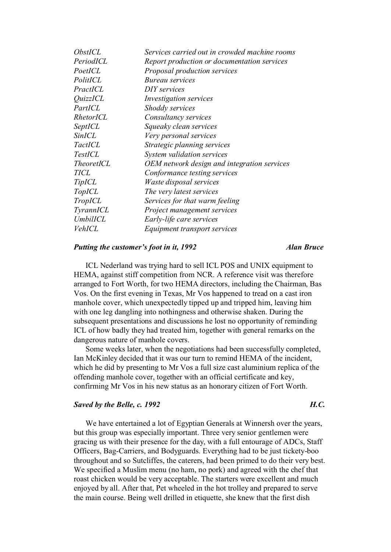| <i><b>ObstICL</b></i>  | Services carried out in crowded machine rooms |
|------------------------|-----------------------------------------------|
| PeriodICL              | Report production or documentation services   |
| PoetICL                | <i>Proposal production services</i>           |
| PolitICL               | <i>Bureau services</i>                        |
| PractICL               | DIY services                                  |
| <i><u>OuizzICL</u></i> | <i>Investigation services</i>                 |
| PartICL                | Shoddy services                               |
| RhetorICL              | Consultancy services                          |
| SeptICL                | Squeaky clean services                        |
| <b>SinICL</b>          | Very personal services                        |
| TactICL                | Strategic planning services                   |
| <b>TestICL</b>         | System validation services                    |
| <i>TheoretICL</i>      | OEM network design and integration services   |
| <b>TICL</b>            | Conformance testing services                  |
| <i>TipICL</i>          | Waste disposal services                       |
| <i>TopICL</i>          | The very latest services                      |
| <i>TropICL</i>         | Services for that warm feeling                |
| <i>TyrannICL</i>       | Project management services                   |
| UmbilICL               | Early-life care services                      |
| VehICL                 | <i>Equipment transport services</i>           |
|                        |                                               |

### *Putting the customer's foot in it, 1992 Alan Bruce*

ICL Nederland was trying hard to sell ICL POS and UNIX equipment to HEMA, against stiff competition from NCR. A reference visit was therefore arranged to Fort Worth, for two HEMA directors, including the Chairman, Bas Vos. On the first evening in Texas, Mr Vos happened to tread on a cast iron manhole cover, which unexpectedly tipped up and tripped him, leaving him with one leg dangling into nothingness and otherwise shaken. During the subsequent presentations and discussions he lost no opportunity of reminding ICL of how badly they had treated him, together with general remarks on the dangerous nature of manhole covers.

Some weeks later, when the negotiations had been successfully completed, Ian McKinley decided that it was our turn to remind HEMA of the incident, which he did by presenting to Mr Vos a full size cast aluminium replica of the offending manhole cover, together with an official certificate and key, confirming Mr Vos in his new status as an honorary citizen of Fort Worth.

# *Saved by the Belle, c. 1992 H.C.*

# We have entertained a lot of Egyptian Generals at Winnersh over the years, but this group was especially important. Three very senior gentlemen were gracing us with their presence for the day, with a full entourage of ADCs, Staff Officers, Bag-Carriers, and Bodyguards. Everything had to be just tickety-boo throughout and so Sutcliffes, the caterers, had been primed to do their very best. We specified a Muslim menu (no ham, no pork) and agreed with the chef that roast chicken would be very acceptable. The starters were excellent and much enjoyed by all. After that, Pet wheeled in the hot trolley and prepared to serve the main course. Being well drilled in etiquette, she knew that the first dish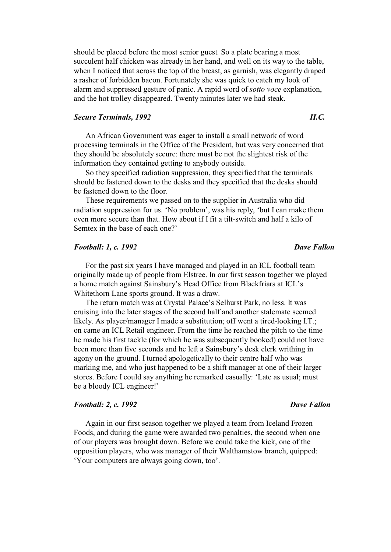should be placed before the most senior guest. So a plate bearing a most succulent half chicken was already in her hand, and well on its way to the table, when I noticed that across the top of the breast, as garnish, was elegantly draped a rasher of forbidden bacon. Fortunately she was quick to catch my look of alarm and suppressed gesture of panic. A rapid word of *sotto voce* explanation, and the hot trolley disappeared. Twenty minutes later we had steak.

## **Secure Terminals, 1992** *H.C.* **H.C.**

An African Government was eager to install a small network of word processing terminals in the Office of the President, but was very concerned that they should be absolutely secure: there must be not the slightest risk of the information they contained getting to anybody outside.

So they specified radiation suppression, they specified that the terminals should be fastened down to the desks and they specified that the desks should be fastened down to the floor.

These requirements we passed on to the supplier in Australia who did radiation suppression for us. 'No problem', was his reply, 'but I can make them even more secure than that. How about if I fit a tilt-switch and half a kilo of Semtex in the base of each one?'

## *Football: 1, c. 1992* Dave Fallon *Dave Fallon*

For the past six years I have managed and played in an ICL football team originally made up of people from Elstree. In our first season together we played a home match against Sainsbury's Head Office from Blackfriars at ICL's Whitethorn Lane sports ground. It was a draw.

The return match was at Crystal Palace's Selhurst Park, no less. It was cruising into the later stages of the second half and another stalemate seemed likely. As player/manager I made a substitution; off went a tired-looking I.T.; on came an ICL Retail engineer. From the time he reached the pitch to the time he made his first tackle (for which he was subsequently booked) could not have been more than five seconds and he left a Sainsbury's desk clerk writhing in agony on the ground. I turned apologetically to their centre half who was marking me, and who just happened to be a shift manager at one of their larger stores. Before I could say anything he remarked casually: 'Late as usual; must be a bloody ICL engineer!'

## *Football: 2, c. 1992* Dave Fallon

Again in our first season together we played a team from Iceland Frozen Foods, and during the game were awarded two penalties, the second when one of our players was brought down. Before we could take the kick, one of the opposition players, who was manager of their Walthamstow branch, quipped: 'Your computers are always going down, too'.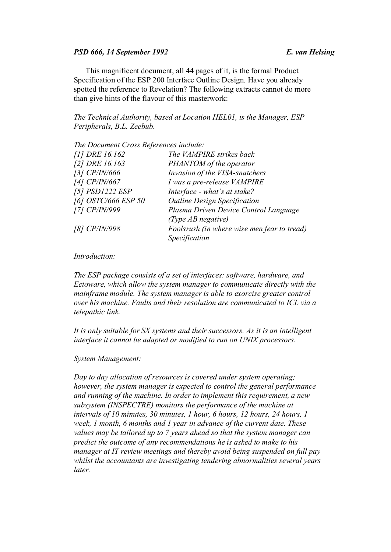### *PSD 666, 14 September 1992 E. van Helsing*

This magnificent document, all 44 pages of it, is the formal Product Specification of the ESP 200 Interface Outline Design. Have you already spotted the reference to Revelation? The following extracts cannot do more than give hints of the flavour of this masterwork:

*The Technical Authority, based at Location HEL01, is the Manager, ESP Peripherals, B.L. Zeebub.* 

*The Document Cross References include:* 

| [1] DRE 16.162      | The VAMPIRE strikes back                    |
|---------------------|---------------------------------------------|
| [2] DRE 16.163      | PHANTOM of the operator                     |
| [3] CP/IN/666       | Invasion of the VISA-snatchers              |
| [4] CP/IN/667       | I was a pre-release VAMPIRE                 |
| [5] PSD1222 ESP     | Interface - what's at stake?                |
| [6] OSTC/666 ESP 50 | <b>Outline Design Specification</b>         |
| [7] CP/IN/999       | Plasma Driven Device Control Language       |
|                     | (Type $AB$ negative)                        |
| [8] CP/IN/998       | Foolsrush (in where wise men fear to tread) |
|                     | Specification                               |

### *Introduction:*

*The ESP package consists of a set of interfaces: software, hardware, and Ectoware, which allow the system manager to communicate directly with the mainframe module. The system manager is able to exorcise greater control over his machine. Faults and their resolution are communicated to ICL via a telepathic link.* 

*It is only suitable for SX systems and their successors. As it is an intelligent interface it cannot be adapted or modified to run on UNIX processors.* 

### *System Management:*

*Day to day allocation of resources is covered under system operating; however, the system manager is expected to control the general performance and running of the machine. In order to implement this requirement, a new subsystem (INSPECTRE) monitors the performance of the machine at intervals of 10 minutes, 30 minutes, 1 hour, 6 hours, 12 hours, 24 hours, 1 week, 1 month, 6 months and 1 year in advance of the current date. These values may be tailored up to 7 years ahead so that the system manager can predict the outcome of any recommendations he is asked to make to his manager at IT review meetings and thereby avoid being suspended on full pay whilst the accountants are investigating tendering abnormalities several years later.*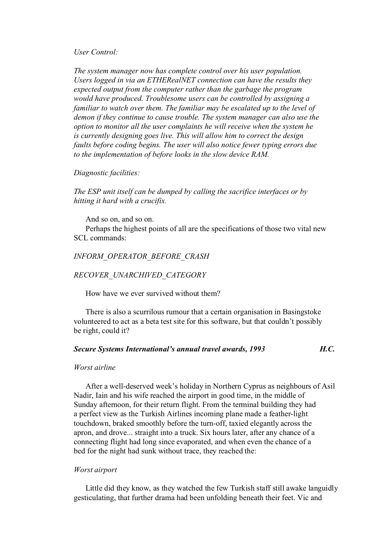*User Control:* 

*The system manager now has complete control over his user population. Users logged in via an ETHERealNET connection can have the results they expected output from the computer rather than the garbage the program would have produced. Troublesome users can be controlled by assigning a familiar to watch over them. The familiar may be escalated up to the level of demon if they continue to cause trouble. The system manager can also use the option to monitor all the user complaints he will receive when the system he is currently designing goes live. This will allow him to correct the design faults before coding begins. The user will also notice fewer typing errors due to the implementation of before looks in the slow device RAM.* 

### *Diagnostic facilities:*

*The ESP unit itself can be dumped by calling the sacrifice interfaces or by hitting it hard with a crucifix.* 

And so on, and so on. Perhaps the highest points of all are the specifications of those two vital new SCL commands:

# *INFORM\_OPERATOR\_BEFORE\_CRASH*

### *RECOVER\_UNARCHIVED\_CATEGORY*

How have we ever survived without them?

There is also a scurrilous rumour that a certain organisation in Basingstoke volunteered to act as a beta test site for this software, but that couldn't possibly be right, could it?

# *Secure Systems International's annual travel awards, 1993 H.C.*

### *Worst airline*

After a well-deserved week's holiday in Northern Cyprus as neighbours of Asil Nadir, Iain and his wife reached the airport in good time, in the middle of Sunday afternoon, for their return flight. From the terminal building they had a perfect view as the Turkish Airlines incoming plane made a feather-light touchdown, braked smoothly before the turn-off, taxied elegantly across the apron, and drove... straight into a truck. Six hours later, after any chance of a connecting flight had long since evaporated, and when even the chance of a bed for the night had sunk without trace, they reached the:

## *Worst airport*

Little did they know, as they watched the few Turkish staff still awake languidly gesticulating, that further drama had been unfolding beneath their feet. Vic and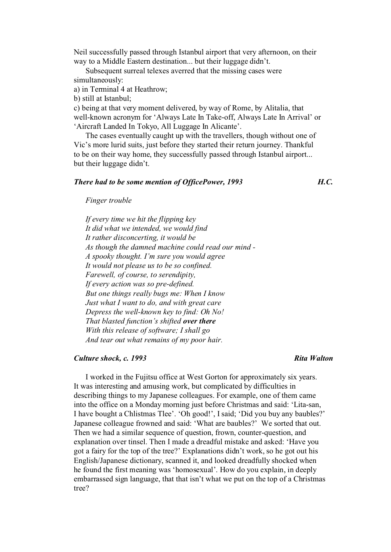Neil successfully passed through Istanbul airport that very afternoon, on their way to a Middle Eastern destination... but their luggage didn't.

Subsequent surreal telexes averred that the missing cases were simultaneously:

a) in Terminal 4 at Heathrow;

b) still at Istanbul;

c) being at that very moment delivered, by way of Rome, by Alitalia, that well-known acronym for 'Always Late In Take-off, Always Late In Arrival' or 'Aircraft Landed In Tokyo, All Luggage In Alicante'.

The cases eventually caught up with the travellers, though without one of Vic's more lurid suits, just before they started their return journey. Thankful to be on their way home, they successfully passed through Istanbul airport... but their luggage didn't.

## *There had to be some mention of OfficePower, 1993 H.C.*

*Finger trouble* 

*If every time we hit the flipping key It did what we intended, we would find It rather disconcerting, it would be As though the damned machine could read our mind - A spooky thought. I'm sure you would agree It would not please us to be so confined. Farewell, of course, to serendipity, If every action was so pre-defined. But one things really bugs me: When I know Just what I want to do, and with great care Depress the well-known key to find: Oh No! That blasted function's shifted over there With this release of software; I shall go And tear out what remains of my poor hair.*

## *Culture shock, c. 1993 Rita Walton*

I worked in the Fujitsu office at West Gorton for approximately six years. It was interesting and amusing work, but complicated by difficulties in describing things to my Japanese colleagues. For example, one of them came into the office on a Monday morning just before Christmas and said: 'Lita-san, I have bought a Chlistmas Tlee'. 'Oh good!', I said; 'Did you buy any baubles?' Japanese colleague frowned and said: 'What are baubles?' We sorted that out. Then we had a similar sequence of question, frown, counter-question, and explanation over tinsel. Then I made a dreadful mistake and asked: 'Have you got a fairy for the top of the tree?' Explanations didn't work, so he got out his English/Japanese dictionary, scanned it, and looked dreadfully shocked when he found the first meaning was 'homosexual'. How do you explain, in deeply embarrassed sign language, that that isn't what we put on the top of a Christmas tree?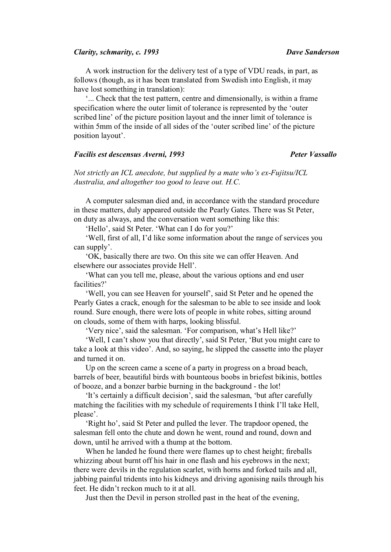### *Clarity, schmarity, c. 1993 Dave Sanderson*

A work instruction for the delivery test of a type of VDU reads, in part, as follows (though, as it has been translated from Swedish into English, it may have lost something in translation):

'... Check that the test pattern, centre and dimensionally, is within a frame specification where the outer limit of tolerance is represented by the 'outer scribed line' of the picture position layout and the inner limit of tolerance is within 5mm of the inside of all sides of the 'outer scribed line' of the picture position layout'.

# *Facilis est descensus Averni, 1993 Peter Vassallo*

*Not strictly an ICL anecdote, but supplied by a mate who's ex-Fujitsu/ICL Australia, and altogether too good to leave out. H.C.*

A computer salesman died and, in accordance with the standard procedure in these matters, duly appeared outside the Pearly Gates. There was St Peter, on duty as always, and the conversation went something like this:

'Hello', said St Peter. 'What can I do for you?'

'Well, first of all, I'd like some information about the range of services you can supply'.

'OK, basically there are two. On this site we can offer Heaven. And elsewhere our associates provide Hell'.

'What can you tell me, please, about the various options and end user facilities?'

'Well, you can see Heaven for yourself', said St Peter and he opened the Pearly Gates a crack, enough for the salesman to be able to see inside and look round. Sure enough, there were lots of people in white robes, sitting around on clouds, some of them with harps, looking blissful.

'Very nice', said the salesman. 'For comparison, what's Hell like?'

'Well, I can't show you that directly', said St Peter, 'But you might care to take a look at this video'. And, so saying, he slipped the cassette into the player and turned it on.

Up on the screen came a scene of a party in progress on a broad beach, barrels of beer, beautiful birds with bounteous boobs in briefest bikinis, bottles of booze, and a bonzer barbie burning in the background - the lot!

'It's certainly a difficult decision', said the salesman, 'but after carefully matching the facilities with my schedule of requirements I think I'll take Hell, please'.

'Right ho', said St Peter and pulled the lever. The trapdoor opened, the salesman fell onto the chute and down he went, round and round, down and down, until he arrived with a thump at the bottom.

When he landed he found there were flames up to chest height; fireballs whizzing about burnt off his hair in one flash and his eyebrows in the next; there were devils in the regulation scarlet, with horns and forked tails and all, jabbing painful tridents into his kidneys and driving agonising nails through his feet. He didn't reckon much to it at all.

Just then the Devil in person strolled past in the heat of the evening,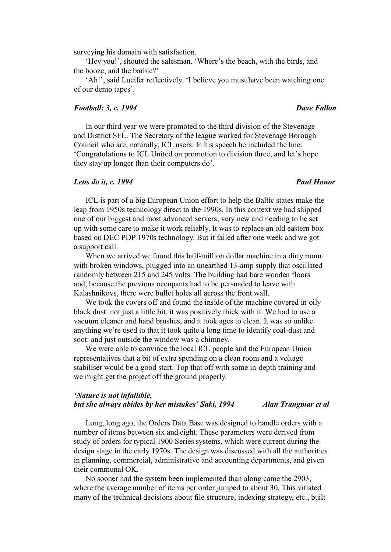surveying his domain with satisfaction.

'Hey you!', shouted the salesman. 'Where's the beach, with the birds, and the booze, and the barbie?'

'Ah!', said Lucifer reflectively. 'I believe you must have been watching one of our demo tapes'.

### *Football: 3, c. 1994* Dave Fallon **Dave Fallon**

# In our third year we were promoted to the third division of the Stevenage and District SFL. The Secretary of the league worked for Stevenage Borough Council who are, naturally, ICL users. In his speech he included the line: 'Congratulations to ICL United on promotion to division three, and let's hope they stay up longer than their computers do'.

### *Letts do it, c. 1994* Paul Honor *Paul Honor Paul Honor*

ICL is part of a big European Union effort to help the Baltic states make the leap from 1950s technology direct to the 1990s. In this context we had shipped one of our biggest and most advanced servers, very new and needing to be set up with some care to make it work reliably. It was to replace an old eastern box based on DEC PDP 1970s technology. But it failed after one week and we got a support call.

When we arrived we found this half-million dollar machine in a dirty room with broken windows, plugged into an unearthed 13-amp supply that oscillated randomly between 215 and 245 volts. The building had bare wooden floors and, because the previous occupants had to be persuaded to leave with Kalashnikovs, there were bullet holes all across the front wall.

We took the covers off and found the inside of the machine covered in oily black dust: not just a little bit, it was positively thick with it. We had to use a vacuum cleaner and hand brushes, and it took ages to clean. It was so unlike anything we're used to that it took quite a long time to identify coal-dust and soot: and just outside the window was a chimney.

We were able to convince the local ICL people and the European Union representatives that a bit of extra spending on a clean room and a voltage stabiliser would be a good start. Top that off with some in-depth training and we might get the project off the ground properly.

# *'Nature is not infallible, but she always abides by her mistakes' Saki, 1994 Alan Trangmar et al*

Long, long ago, the Orders Data Base was designed to handle orders with a number of items between six and eight. These parameters were derived from study of orders for typical 1900 Series systems, which were current during the design stage in the early 1970s. The design was discussed with all the authorities in planning, commercial, administrative and accounting departments, and given their communal OK.

No sooner had the system been implemented than along came the 2903, where the average number of items per order jumped to about 30. This vitiated many of the technical decisions about file structure, indexing strategy, etc., built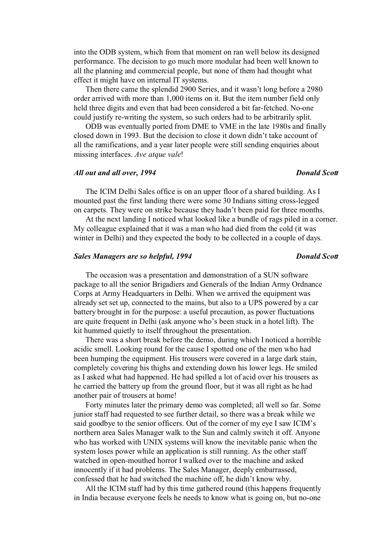into the ODB system, which from that moment on ran well below its designed performance. The decision to go much more modular had been well known to all the planning and commercial people, but none of them had thought what effect it might have on internal IT systems.

Then there came the splendid 2900 Series, and it wasn't long before a 2980 order arrived with more than 1,000 items on it. But the item number field only held three digits and even that had been considered a bit far-fetched. No-one could justify re-writing the system, so such orders had to be arbitrarily split.

ODB was eventually ported from DME to VME in the late 1980s and finally closed down in 1993. But the decision to close it down didn't take account of all the ramifications, and a year later people were still sending enquiries about missing interfaces. *Ave atque vale*!

### *All out and all over, 1994 Donald Scott*

The ICIM Delhi Sales office is on an upper floor of a shared building. As I mounted past the first landing there were some 30 Indians sitting cross-legged on carpets. They were on strike because they hadn't been paid for three months.

At the next landing I noticed what looked like a bundle of rags piled in a corner. My colleague explained that it was a man who had died from the cold (it was winter in Delhi) and they expected the body to be collected in a couple of days.

## **Sales Managers are so helpful, 1994** Donald Scott

# The occasion was a presentation and demonstration of a SUN software package to all the senior Brigadiers and Generals of the Indian Army Ordnance Corps at Army Headquarters in Delhi. When we arrived the equipment was already set set up, connected to the mains, but also to a UPS powered by a car battery brought in for the purpose: a useful precaution, as power fluctuations are quite frequent in Delhi (ask anyone who's been stuck in a hotel lift). The kit hummed quietly to itself throughout the presentation.

There was a short break before the demo, during which I noticed a horrible acidic smell. Looking round for the cause I spotted one of the men who had been humping the equipment. His trousers were covered in a large dark stain, completely covering his thighs and extending down his lower legs. He smiled as I asked what had happened. He had spilled a lot of acid over his trousers as he carried the battery up from the ground floor, but it was all right as he had another pair of trousers at home!

Forty minutes later the primary demo was completed; all well so far. Some junior staff had requested to see further detail, so there was a break while we said goodbye to the senior officers. Out of the corner of my eye I saw ICIM's northern area Sales Manager walk to the Sun and calmly switch it off. Anyone who has worked with UNIX systems will know the inevitable panic when the system loses power while an application is still running. As the other staff watched in open-mouthed horror I walked over to the machine and asked innocently if it had problems. The Sales Manager, deeply embarrassed, confessed that he had switched the machine off, he didn't know why.

All the ICIM staff had by this time gathered round (this happens frequently in India because everyone feels he needs to know what is going on, but no-one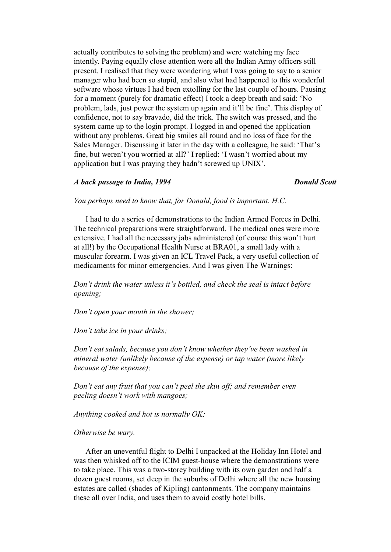actually contributes to solving the problem) and were watching my face intently. Paying equally close attention were all the Indian Army officers still present. I realised that they were wondering what I was going to say to a senior manager who had been so stupid, and also what had happened to this wonderful software whose virtues I had been extolling for the last couple of hours. Pausing for a moment (purely for dramatic effect) I took a deep breath and said: 'No problem, lads, just power the system up again and it'll be fine'. This display of confidence, not to say bravado, did the trick. The switch was pressed, and the system came up to the login prompt. I logged in and opened the application without any problems. Great big smiles all round and no loss of face for the Sales Manager. Discussing it later in the day with a colleague, he said: 'That's fine, but weren't you worried at all?' I replied: 'I wasn't worried about my application but I was praying they hadn't screwed up UNIX'.

## *A back passage to India, 1994* Donald Scott *Donald Scott*

*You perhaps need to know that, for Donald, food is important. H.C.* 

I had to do a series of demonstrations to the Indian Armed Forces in Delhi. The technical preparations were straightforward. The medical ones were more extensive. I had all the necessary jabs administered (of course this won't hurt at all!) by the Occupational Health Nurse at BRA01, a small lady with a muscular forearm. I was given an ICL Travel Pack, a very useful collection of medicaments for minor emergencies. And I was given The Warnings:

*Don't drink the water unless it's bottled, and check the seal is intact before opening;* 

*Don't open your mouth in the shower;* 

*Don't take ice in your drinks;* 

*Don't eat salads, because you don't know whether they've been washed in mineral water (unlikely because of the expense) or tap water (more likely because of the expense);*

*Don't eat any fruit that you can't peel the skin off; and remember even peeling doesn't work with mangoes;* 

*Anything cooked and hot is normally OK;* 

### *Otherwise be wary.*

After an uneventful flight to Delhi I unpacked at the Holiday Inn Hotel and was then whisked off to the ICIM guest-house where the demonstrations were to take place. This was a two-storey building with its own garden and half a dozen guest rooms, set deep in the suburbs of Delhi where all the new housing estates are called (shades of Kipling) cantonments. The company maintains these all over India, and uses them to avoid costly hotel bills.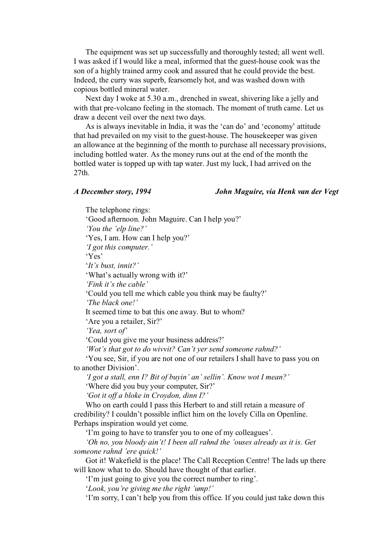The equipment was set up successfully and thoroughly tested; all went well. I was asked if I would like a meal, informed that the guest-house cook was the son of a highly trained army cook and assured that he could provide the best. Indeed, the curry was superb, fearsomely hot, and was washed down with copious bottled mineral water.

Next day I woke at 5.30 a.m., drenched in sweat, shivering like a jelly and with that pre-volcano feeling in the stomach. The moment of truth came. Let us draw a decent veil over the next two days.

As is always inevitable in India, it was the 'can do' and 'economy' attitude that had prevailed on my visit to the guest-house. The housekeeper was given an allowance at the beginning of the month to purchase all necessary provisions, including bottled water. As the money runs out at the end of the month the bottled water is topped up with tap water. Just my luck, I had arrived on the 27th.

*A December story, 1994 John Maguire, via Henk van der Vegt* 

The telephone rings: 'Good afternoon. John Maguire. Can I help you?' *'You the 'elp line?'* 'Yes, I am. How can I help you?' *'I got this computer.'*  'Yes' '*It's bust, innit?'* 'What's actually wrong with it?' *'Fink it's the cable'*  'Could you tell me which cable you think may be faulty?' *'The black one!'*  It seemed time to bat this one away. But to whom? 'Are you a retailer, Sir?' *'Yea, sort of'* 'Could you give me your business address?' *'Wot's that got to do wivvit? Can't yer send someone rahnd?'* 'You see, Sir, if you are not one of our retailers I shall have to pass you on to another Division'. *'I got a stall, enn I? Bit of buyin' an' sellin'. Know wot I mean?'* 'Where did you buy your computer, Sir?' *'Got it off a bloke in Croydon, dinn I?'* Who on earth could I pass this Herbert to and still retain a measure of credibility? I couldn't possible inflict him on the lovely Cilla on Openline. Perhaps inspiration would yet come. 'I'm going to have to transfer you to one of my colleagues'. *'Oh no, you bloody ain't! I been all rahnd the 'ouses already as it is. Get someone rahnd 'ere quick!'* 

Got it! Wakefield is the place! The Call Reception Centre! The lads up there will know what to do. Should have thought of that earlier.

'I'm just going to give you the correct number to ring'.

'*Look, you're giving me the right 'ump!'*

'I'm sorry, I can't help you from this office. If you could just take down this